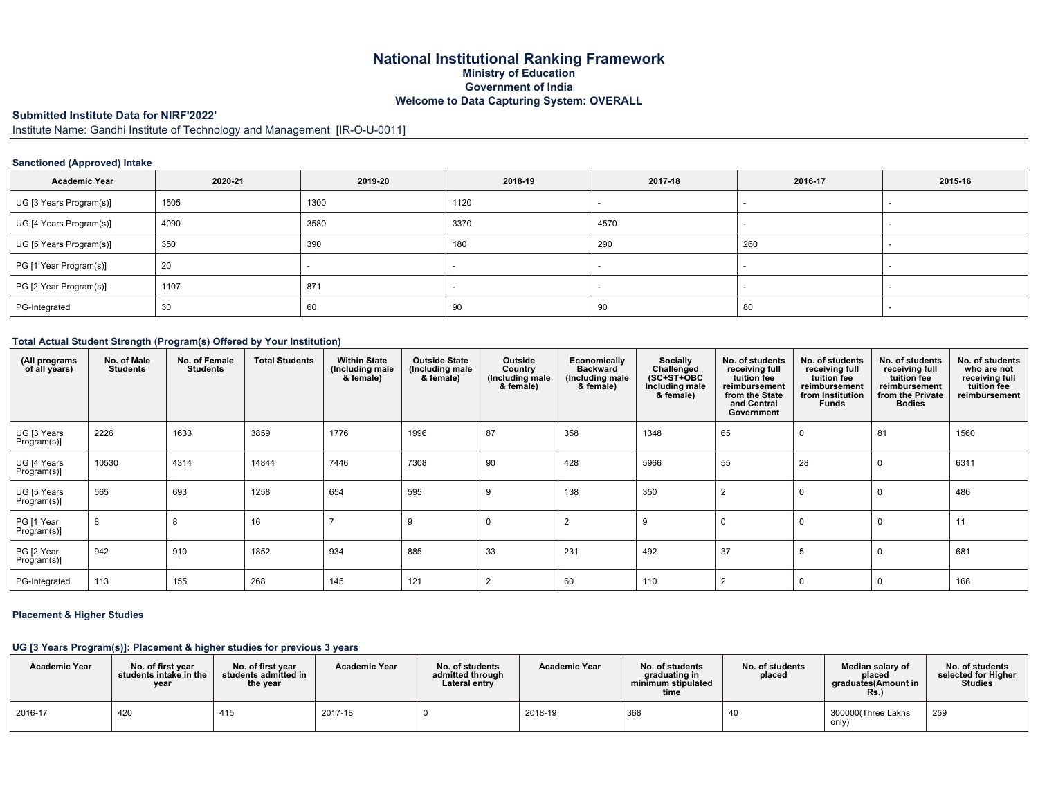# **National Institutional Ranking Framework Ministry of Education Government of India Welcome to Data Capturing System: OVERALL**

# **Submitted Institute Data for NIRF'2022'**

Institute Name: Gandhi Institute of Technology and Management [IR-O-U-0011]

## **Sanctioned (Approved) Intake**

| <b>Academic Year</b>    | 2020-21 | 2019-20 | 2018-19 | 2017-18 | 2016-17 | 2015-16 |
|-------------------------|---------|---------|---------|---------|---------|---------|
| UG [3 Years Program(s)] | 1505    | 1300    | 1120    |         |         |         |
| UG [4 Years Program(s)] | 4090    | 3580    | 3370    | 4570    |         |         |
| UG [5 Years Program(s)] | 350     | 390     | 180     | 290     | 260     |         |
| PG [1 Year Program(s)]  | 20      |         |         |         |         |         |
| PG [2 Year Program(s)]  | 1107    | 871     |         |         |         |         |
| PG-Integrated           | 30      | 60      | 90      | 90      | 80      |         |

#### **Total Actual Student Strength (Program(s) Offered by Your Institution)**

| (All programs<br>of all years) | No. of Male<br><b>Students</b> | No. of Female<br><b>Students</b> | <b>Total Students</b> | <b>Within State</b><br>(Including male<br>& female) | <b>Outside State</b><br>(Including male<br>& female) | Outside<br>Country<br>Including male<br>& female) | <b>Economically</b><br><b>Backward</b><br>(Including male<br>& female) | Socially<br>Challenged<br>$(SC+ST+\overline{O}BC)$<br>Including male<br>& female) | No. of students<br>receiving full<br>tuition fee<br>reimbursement<br>from the State<br>and Central<br>Government | No. of students<br>receiving full<br>tuition fee<br>reimbursement<br>from Institution<br><b>Funds</b> | No. of students<br>receiving full<br>tuition fee<br>reimbursement<br>from the Private<br><b>Bodies</b> | No. of students<br>who are not<br>receiving full<br>tuition fee<br>reimbursement |
|--------------------------------|--------------------------------|----------------------------------|-----------------------|-----------------------------------------------------|------------------------------------------------------|---------------------------------------------------|------------------------------------------------------------------------|-----------------------------------------------------------------------------------|------------------------------------------------------------------------------------------------------------------|-------------------------------------------------------------------------------------------------------|--------------------------------------------------------------------------------------------------------|----------------------------------------------------------------------------------|
| UG [3 Years<br>Program(s)]     | 2226                           | 1633                             | 3859                  | 1776                                                | 1996                                                 | 87                                                | 358                                                                    | 1348                                                                              | 65                                                                                                               |                                                                                                       | 81                                                                                                     | 1560                                                                             |
| UG [4 Years<br>Program(s)]     | 10530                          | 4314                             | 14844                 | 7446                                                | 7308                                                 | 90                                                | 428                                                                    | 5966                                                                              | 55                                                                                                               | 28                                                                                                    |                                                                                                        | 6311                                                                             |
| UG [5 Years<br>Program(s)]     | 565                            | 693                              | 1258                  | 654                                                 | 595                                                  |                                                   | 138                                                                    | 350                                                                               | $\overline{2}$                                                                                                   |                                                                                                       |                                                                                                        | 486                                                                              |
| PG [1 Year<br>Program(s)]      | 8                              |                                  | 16                    |                                                     | - 59                                                 |                                                   |                                                                        | 9                                                                                 |                                                                                                                  |                                                                                                       |                                                                                                        | 11                                                                               |
| PG [2 Year<br>Program(s)]      | 942                            | 910                              | 1852                  | 934                                                 | 885                                                  | 33                                                | 231                                                                    | 492                                                                               | 37                                                                                                               |                                                                                                       |                                                                                                        | 681                                                                              |
| PG-Integrated                  | 113                            | 155                              | 268                   | 145                                                 | 121                                                  |                                                   | 60                                                                     | 110                                                                               |                                                                                                                  |                                                                                                       |                                                                                                        | 168                                                                              |

#### **Placement & Higher Studies**

## **UG [3 Years Program(s)]: Placement & higher studies for previous 3 years**

| <b>Academic Year</b> | No. of first vear<br>students intake in the<br>year | No. of first year<br>students admitted in<br>the year | <b>Academic Year</b> | No. of students<br>admitted through<br>Lateral entry | <b>Academic Year</b> | No. of students<br>graduating in<br>minimum stipulated<br>time | No. of students<br>placed | Median salary of<br>placed<br>araduates(Amount in<br>Rs. | No. of students<br>selected for Higher<br><b>Studies</b> |
|----------------------|-----------------------------------------------------|-------------------------------------------------------|----------------------|------------------------------------------------------|----------------------|----------------------------------------------------------------|---------------------------|----------------------------------------------------------|----------------------------------------------------------|
| 2016-17              | 420                                                 | 415                                                   | 2017-18              |                                                      | 2018-19              | 368                                                            |                           | 300000(Three Lakhs<br>only)                              | 259                                                      |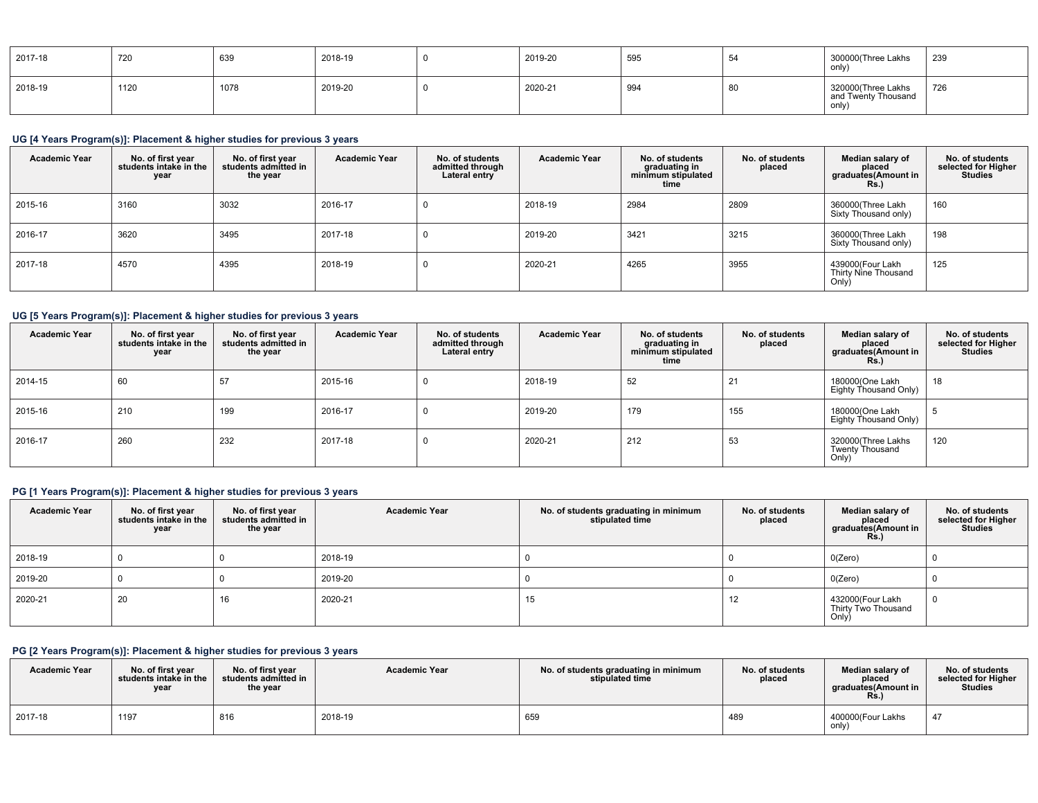| 2017-18 | 720  | 639  | 2018-19 | 2019-20 | 595 |    | 300000(Three Lakhs<br>only                        | 239 |
|---------|------|------|---------|---------|-----|----|---------------------------------------------------|-----|
| 2018-19 | 1120 | 1078 | 2019-20 | 2020-21 | 994 | ōι | 320000(Three Lakhs<br>and Twenty Thousand<br>only | 726 |

# **UG [4 Years Program(s)]: Placement & higher studies for previous 3 years**

| <b>Academic Year</b> | No. of first year<br>students intake in the<br>year | No. of first year<br>students admitted in<br>the year | <b>Academic Year</b> | No. of students<br>admitted through<br>Lateral entry | <b>Academic Year</b> | No. of students<br>graduating in<br>minimum stipulated<br>time | No. of students<br>placed | Median salary of<br>placed<br>graduates(Amount in<br><b>Rs.</b> ) | No. of students<br>selected for Higher<br><b>Studies</b> |
|----------------------|-----------------------------------------------------|-------------------------------------------------------|----------------------|------------------------------------------------------|----------------------|----------------------------------------------------------------|---------------------------|-------------------------------------------------------------------|----------------------------------------------------------|
| 2015-16              | 3160                                                | 3032                                                  | 2016-17              | U                                                    | 2018-19              | 2984                                                           | 2809                      | 360000(Three Lakh<br>Sixty Thousand only)                         | 160                                                      |
| 2016-17              | 3620                                                | 3495                                                  | 2017-18              | υ                                                    | 2019-20              | 3421                                                           | 3215                      | 360000(Three Lakh<br>Sixty Thousand only)                         | 198                                                      |
| 2017-18              | 4570                                                | 4395                                                  | 2018-19              | U                                                    | 2020-21              | 4265                                                           | 3955                      | 439000(Four Lakh<br>Thirty Nine Thousand<br>Only)                 | 125                                                      |

# **UG [5 Years Program(s)]: Placement & higher studies for previous 3 years**

| <b>Academic Year</b> | No. of first year<br>students intake in the<br>year | No. of first vear<br>students admitted in<br>the year | <b>Academic Year</b> | No. of students<br>admitted through<br>Lateral entry | <b>Academic Year</b> | No. of students<br>graduating in<br>minimum stipulated<br>time | No. of students<br>placed | Median salary of<br>placed<br>graduates(Amount in<br>Rs.) | No. of students<br>selected for Higher<br><b>Studies</b> |
|----------------------|-----------------------------------------------------|-------------------------------------------------------|----------------------|------------------------------------------------------|----------------------|----------------------------------------------------------------|---------------------------|-----------------------------------------------------------|----------------------------------------------------------|
| 2014-15              | 60                                                  | 57                                                    | 2015-16              |                                                      | 2018-19              | 52                                                             | $\epsilon$                | 180000(One Lakh<br>Eighty Thousand Only)                  | 18                                                       |
| 2015-16              | 210                                                 | 199                                                   | 2016-17              |                                                      | 2019-20              | 179                                                            | 155                       | 180000(One Lakh<br>Eighty Thousand Only)                  |                                                          |
| 2016-17              | 260                                                 | 232                                                   | 2017-18              |                                                      | 2020-21              | 212                                                            | 53                        | 320000(Three Lakhs<br>Twenty Thousand<br>Only)            | 120                                                      |

# **PG [1 Years Program(s)]: Placement & higher studies for previous 3 years**

| <b>Academic Year</b> | No. of first year<br>students intake in the<br>year | No. of first year<br>students admitted in<br>the year | <b>Academic Year</b> | No. of students graduating in minimum<br>stipulated time | No. of students<br>placed | Median salary of<br>placed<br>graduates(Amount in<br>Rs. | No. of students<br>selected for Higher<br><b>Studies</b> |
|----------------------|-----------------------------------------------------|-------------------------------------------------------|----------------------|----------------------------------------------------------|---------------------------|----------------------------------------------------------|----------------------------------------------------------|
| 2018-19              |                                                     |                                                       | 2018-19              |                                                          |                           | 0(Zero)                                                  |                                                          |
| 2019-20              |                                                     |                                                       | 2019-20              |                                                          |                           | 0(Zero)                                                  |                                                          |
| 2020-21              | 20                                                  | 16                                                    | 2020-21              | 15                                                       | 12                        | 432000(Four Lakh<br>Thirty Two Thousand<br>Only)         | $\mathbf 0$                                              |

# **PG [2 Years Program(s)]: Placement & higher studies for previous 3 years**

| <b>Academic Year</b> | No. of first year<br>students intake in the<br>vear | No. of first vear<br>students admitted in<br>the year | <b>Academic Year</b> | No. of students graduating in minimum<br>stipulated time | No. of students<br>placed | Median salary of<br>placed<br>araduates(Amount in<br>Rs.) | No. of students<br>selected for Higher  <br><b>Studies</b> |
|----------------------|-----------------------------------------------------|-------------------------------------------------------|----------------------|----------------------------------------------------------|---------------------------|-----------------------------------------------------------|------------------------------------------------------------|
| 2017-18              | 1197                                                | 816                                                   | 2018-19              | 659                                                      | 489                       | 400000(Four Lakhs<br>only)                                | -47                                                        |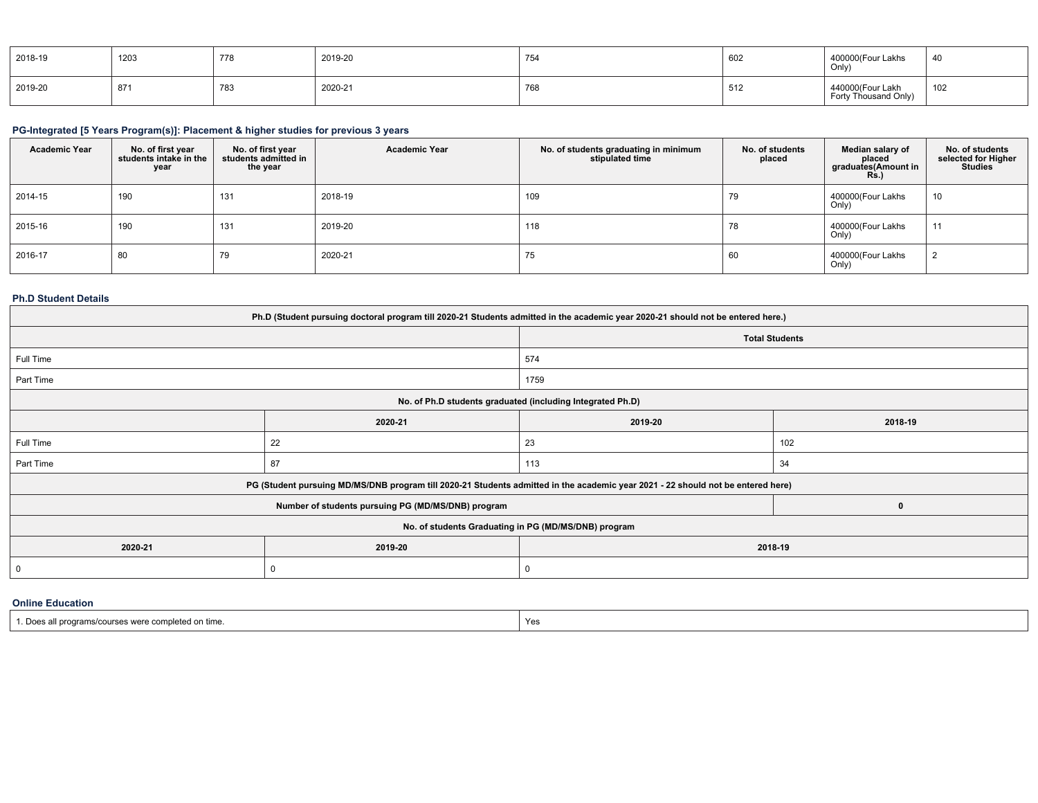| 2018-19 | 1203 | 778 | 2019-20 | 754 | 602 | 400000(Four Lakhs<br>Only)               | 40  |
|---------|------|-----|---------|-----|-----|------------------------------------------|-----|
| 2019-20 | 871  | 783 | 2020-21 | 768 | 512 | 440000(Four Lakh<br>Forty Thousand Only) | 102 |

# **PG-Integrated [5 Years Program(s)]: Placement & higher studies for previous 3 years**

| <b>Academic Year</b> | No. of first year<br>students intake in the<br>year | No. of first year<br>students admitted in<br>the year | <b>Academic Year</b> | No. of students graduating in minimum<br>stipulated time | No. of students<br>placed | Median salary of<br>placed<br>graduates(Amount in<br>Rs.) | No. of students<br>selected for Higher<br><b>Studies</b> |
|----------------------|-----------------------------------------------------|-------------------------------------------------------|----------------------|----------------------------------------------------------|---------------------------|-----------------------------------------------------------|----------------------------------------------------------|
| 2014-15              | 190                                                 | 131                                                   | 2018-19              | 109                                                      | 79                        | 400000(Four Lakhs<br>Only)                                | 10                                                       |
| 2015-16              | 190                                                 | 131                                                   | 2019-20              | 118                                                      | 78                        | 400000(Four Lakhs<br>Only)                                | 44                                                       |
| 2016-17              | 80                                                  | 79                                                    | 2020-21              | 75                                                       | 60                        | 400000(Four Lakhs<br>Only)                                |                                                          |

### **Ph.D Student Details**

| Ph.D (Student pursuing doctoral program till 2020-21 Students admitted in the academic year 2020-21 should not be entered here.) |         |                                                                                                                                                                                                |  |  |  |  |  |  |
|----------------------------------------------------------------------------------------------------------------------------------|---------|------------------------------------------------------------------------------------------------------------------------------------------------------------------------------------------------|--|--|--|--|--|--|
|                                                                                                                                  |         | <b>Total Students</b>                                                                                                                                                                          |  |  |  |  |  |  |
|                                                                                                                                  | 574     |                                                                                                                                                                                                |  |  |  |  |  |  |
|                                                                                                                                  | 1759    |                                                                                                                                                                                                |  |  |  |  |  |  |
|                                                                                                                                  |         |                                                                                                                                                                                                |  |  |  |  |  |  |
| 2020-21                                                                                                                          | 2019-20 | 2018-19                                                                                                                                                                                        |  |  |  |  |  |  |
| 22                                                                                                                               | 23      | 102                                                                                                                                                                                            |  |  |  |  |  |  |
| 87                                                                                                                               | 113     | 34                                                                                                                                                                                             |  |  |  |  |  |  |
|                                                                                                                                  |         |                                                                                                                                                                                                |  |  |  |  |  |  |
| Number of students pursuing PG (MD/MS/DNB) program                                                                               |         |                                                                                                                                                                                                |  |  |  |  |  |  |
| No. of students Graduating in PG (MD/MS/DNB) program                                                                             |         |                                                                                                                                                                                                |  |  |  |  |  |  |
| 2019-20                                                                                                                          | 2018-19 |                                                                                                                                                                                                |  |  |  |  |  |  |
|                                                                                                                                  | 0       |                                                                                                                                                                                                |  |  |  |  |  |  |
|                                                                                                                                  |         | No. of Ph.D students graduated (including Integrated Ph.D)<br>PG (Student pursuing MD/MS/DNB program till 2020-21 Students admitted in the academic year 2021 - 22 should not be entered here) |  |  |  |  |  |  |

## **Online Education**

| " programs/courses were completed on time.<br>.<br>the contract of the contract of the contract of the contract of the contract of the contract of the contract of | Yes |
|--------------------------------------------------------------------------------------------------------------------------------------------------------------------|-----|
|--------------------------------------------------------------------------------------------------------------------------------------------------------------------|-----|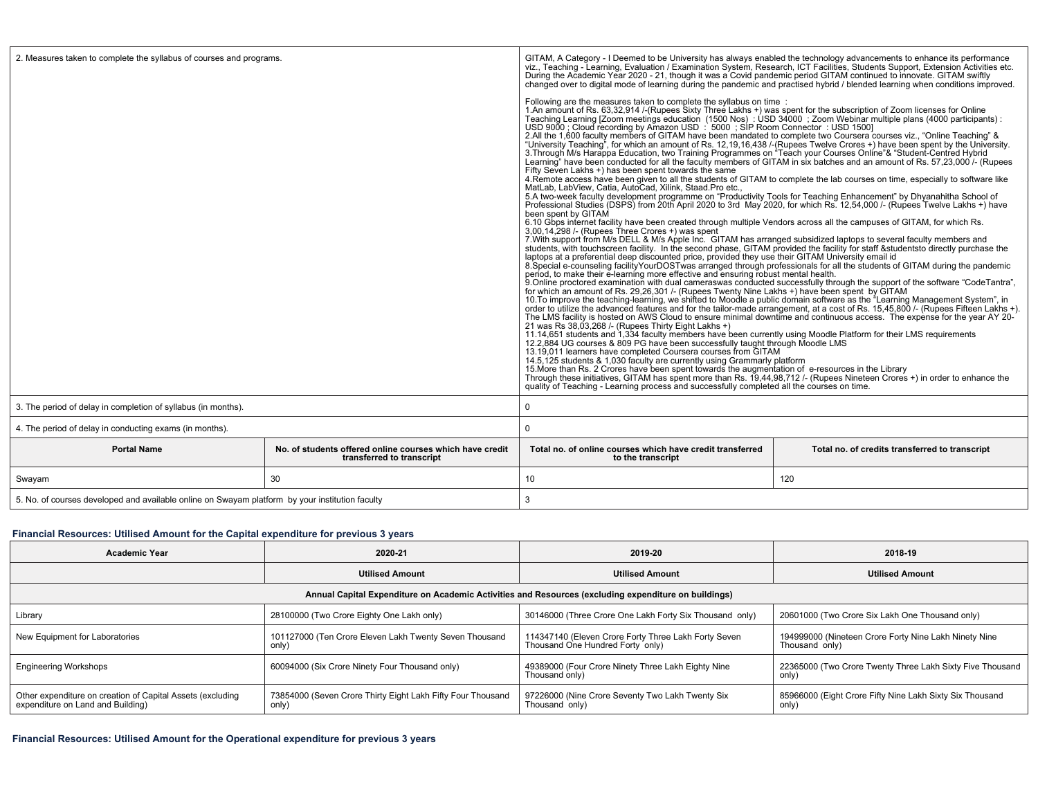| 2. Measures taken to complete the syllabus of courses and programs.                             |                                                                                       | GITAM, A Category - I Deemed to be University has always enabled the technology advancements to enhance its performance<br>viz., Teaching - Learning, Evaluation / Examination System, Research, ICT Facilities, Students Support, Extension Activities etc.<br>During the Academic Year 2020 - 21, though it was a Covid pandemic period GITAM continued to innovate. GITAM swiftly<br>changed over to digital mode of learning during the pandemic and practised hybrid / blended learning when conditions improved.<br>Following are the measures taken to complete the syllabus on time :<br>1. An amount of Rs. 63,32,914 /-(Rupees Sixty Three Lakhs +) was spent for the subscription of Zoom licenses for Online<br>Teaching Learning [Zoom meetings education (1500 Nos) : USD 34000 ; Zoom Webinar multiple plans (4000 participants) :<br>USD 9000 ; Cloud recording by Amazon USD : 5000 ; SIP Room Connector : USD 1500]<br>2. All the 1,600 faculty members of GITAM have been mandated to complete two Coursera courses viz., "Online Teaching" &<br>"University Teaching", for which an amount of Rs. 12,19,16,438 / (Rupees Twelve Crores +) have been spent by the University.<br>3. Through M/s Harappa Education, two Training Programmes on "Teach your Courses Online"& "Studen<br>Learning" have been conducted for all the faculty members of GITAM in six batches and an amount of Rs. 57,23,000 /- (Rupees<br>Fifty Seven Lakhs +) has been spent towards the same<br>4. Remote access have been given to all the students of GITAM to complete the lab courses on time, especially to software like<br>MatLab, LabView, Catia, AutoCad, Xilink, Staad.Pro etc.,<br>5.A two-week faculty development programme on "Productivity Tools for Teaching Enhancement" by Dhyanahitha School of<br>Professional Studies (DSPS) from 20th April 2020 to 3rd May 2020, for which Rs. 12,54,000 /- (Rupees Twelve Lakhs +) have<br>been spent by GITAM<br>6.10 Gbps internet facility have been created through multiple Vendors across all the campuses of GITAM, for which Rs.<br>3.00.14.298 /- (Rupees Three Crores +) was spent<br>7. With support from M/s DELL & M/s Apple Inc. GITAM has arranged subsidized laptops to several faculty members and<br>students, with touchscreen facility. In the second phase, GITAM provided the facility for staff & students to directly purchase the<br>laptops at a preferential deep discounted price, provided they use their GITAM University email id<br>8. Special e-counseling facility YourDOSTwas arranged through professionals for all the students of GITAM during the pandemic<br>period, to make their e-learning more effective and ensuring robust mental health.<br>9. Online proctored examination with dual cameraswas conducted successfully through the support of the software "CodeTantra",<br>for which an amount of Rs. 29,26,301 /- (Rupees Twenty Nine Lakhs +) have been spent by GITAM<br>10. To improve the teaching-learning, we shifted to Moodle a public domain software as the "Learning Management System", in<br>order to utilize the advanced features and for the tailor-made arrangement, at a cost of Rs. 15,45,800 /- (Rupees Fifteen Lakhs +).<br>The LMS facility is hosted on AWS Cloud to ensure minimal downtime and continuous access. The expense for the vear AY 20-<br>21 was Rs 38,03,268 /- (Rupees Thirty Eight Lakhs +)<br>11.14,651 students and 1,334 faculty members have been currently using Moodle Platform for their LMS requirements<br>12.2,884 UG courses & 809 PG have been successfully taught through Moodle LMS<br>13.19,011 learners have completed Coursera courses from GITAM<br>14.5,125 students & 1,030 faculty are currently using Grammarly platform<br>15.125 students & 1,030 faculty are currently using Grammarly platform<br>15. More than Rs. 2 Crores have been spent towards the augmentation of e-resou<br>Through these initiatives, GITAM has spent more than Rs. 19,44,98,712 /- (Rupees Nineteen Crores +) in order to enhance the<br>quality of Teaching - Learning process and successfully completed all the courses on time.<br>0 |     |  |  |  |
|-------------------------------------------------------------------------------------------------|---------------------------------------------------------------------------------------|-----------------------------------------------------------------------------------------------------------------------------------------------------------------------------------------------------------------------------------------------------------------------------------------------------------------------------------------------------------------------------------------------------------------------------------------------------------------------------------------------------------------------------------------------------------------------------------------------------------------------------------------------------------------------------------------------------------------------------------------------------------------------------------------------------------------------------------------------------------------------------------------------------------------------------------------------------------------------------------------------------------------------------------------------------------------------------------------------------------------------------------------------------------------------------------------------------------------------------------------------------------------------------------------------------------------------------------------------------------------------------------------------------------------------------------------------------------------------------------------------------------------------------------------------------------------------------------------------------------------------------------------------------------------------------------------------------------------------------------------------------------------------------------------------------------------------------------------------------------------------------------------------------------------------------------------------------------------------------------------------------------------------------------------------------------------------------------------------------------------------------------------------------------------------------------------------------------------------------------------------------------------------------------------------------------------------------------------------------------------------------------------------------------------------------------------------------------------------------------------------------------------------------------------------------------------------------------------------------------------------------------------------------------------------------------------------------------------------------------------------------------------------------------------------------------------------------------------------------------------------------------------------------------------------------------------------------------------------------------------------------------------------------------------------------------------------------------------------------------------------------------------------------------------------------------------------------------------------------------------------------------------------------------------------------------------------------------------------------------------------------------------------------------------------------------------------------------------------------------------------------------------------------------------------------------------------------------------------------------------------------------------------------------------------------------------------------------------------------------------------------------------------------------------------------------------------------------------------------------------------------------------------------------------------------------------------------------------------------------------------------------------------------------------------------------------------------------------------------------------------------------------------------------------------------------------------|-----|--|--|--|
|                                                                                                 |                                                                                       |                                                                                                                                                                                                                                                                                                                                                                                                                                                                                                                                                                                                                                                                                                                                                                                                                                                                                                                                                                                                                                                                                                                                                                                                                                                                                                                                                                                                                                                                                                                                                                                                                                                                                                                                                                                                                                                                                                                                                                                                                                                                                                                                                                                                                                                                                                                                                                                                                                                                                                                                                                                                                                                                                                                                                                                                                                                                                                                                                                                                                                                                                                                                                                                                                                                                                                                                                                                                                                                                                                                                                                                                                                                                                                                                                                                                                                                                                                                                                                                                                                                                                                                                                                                               |     |  |  |  |
| 3. The period of delay in completion of syllabus (in months).                                   |                                                                                       |                                                                                                                                                                                                                                                                                                                                                                                                                                                                                                                                                                                                                                                                                                                                                                                                                                                                                                                                                                                                                                                                                                                                                                                                                                                                                                                                                                                                                                                                                                                                                                                                                                                                                                                                                                                                                                                                                                                                                                                                                                                                                                                                                                                                                                                                                                                                                                                                                                                                                                                                                                                                                                                                                                                                                                                                                                                                                                                                                                                                                                                                                                                                                                                                                                                                                                                                                                                                                                                                                                                                                                                                                                                                                                                                                                                                                                                                                                                                                                                                                                                                                                                                                                                               |     |  |  |  |
| 4. The period of delay in conducting exams (in months).                                         |                                                                                       | $\mathbf 0$                                                                                                                                                                                                                                                                                                                                                                                                                                                                                                                                                                                                                                                                                                                                                                                                                                                                                                                                                                                                                                                                                                                                                                                                                                                                                                                                                                                                                                                                                                                                                                                                                                                                                                                                                                                                                                                                                                                                                                                                                                                                                                                                                                                                                                                                                                                                                                                                                                                                                                                                                                                                                                                                                                                                                                                                                                                                                                                                                                                                                                                                                                                                                                                                                                                                                                                                                                                                                                                                                                                                                                                                                                                                                                                                                                                                                                                                                                                                                                                                                                                                                                                                                                                   |     |  |  |  |
| <b>Portal Name</b>                                                                              | No. of students offered online courses which have credit<br>transferred to transcript | Total no. of online courses which have credit transferred<br>Total no. of credits transferred to transcript<br>to the transcript                                                                                                                                                                                                                                                                                                                                                                                                                                                                                                                                                                                                                                                                                                                                                                                                                                                                                                                                                                                                                                                                                                                                                                                                                                                                                                                                                                                                                                                                                                                                                                                                                                                                                                                                                                                                                                                                                                                                                                                                                                                                                                                                                                                                                                                                                                                                                                                                                                                                                                                                                                                                                                                                                                                                                                                                                                                                                                                                                                                                                                                                                                                                                                                                                                                                                                                                                                                                                                                                                                                                                                                                                                                                                                                                                                                                                                                                                                                                                                                                                                                              |     |  |  |  |
| Swayam                                                                                          | 30                                                                                    | 10                                                                                                                                                                                                                                                                                                                                                                                                                                                                                                                                                                                                                                                                                                                                                                                                                                                                                                                                                                                                                                                                                                                                                                                                                                                                                                                                                                                                                                                                                                                                                                                                                                                                                                                                                                                                                                                                                                                                                                                                                                                                                                                                                                                                                                                                                                                                                                                                                                                                                                                                                                                                                                                                                                                                                                                                                                                                                                                                                                                                                                                                                                                                                                                                                                                                                                                                                                                                                                                                                                                                                                                                                                                                                                                                                                                                                                                                                                                                                                                                                                                                                                                                                                                            | 120 |  |  |  |
| 5. No. of courses developed and available online on Swayam platform by your institution faculty |                                                                                       | 3                                                                                                                                                                                                                                                                                                                                                                                                                                                                                                                                                                                                                                                                                                                                                                                                                                                                                                                                                                                                                                                                                                                                                                                                                                                                                                                                                                                                                                                                                                                                                                                                                                                                                                                                                                                                                                                                                                                                                                                                                                                                                                                                                                                                                                                                                                                                                                                                                                                                                                                                                                                                                                                                                                                                                                                                                                                                                                                                                                                                                                                                                                                                                                                                                                                                                                                                                                                                                                                                                                                                                                                                                                                                                                                                                                                                                                                                                                                                                                                                                                                                                                                                                                                             |     |  |  |  |

# **Financial Resources: Utilised Amount for the Capital expenditure for previous 3 years**

| <b>Academic Year</b>                                                                            | 2020-21                                                              | 2019-20                                                                                              | 2018-19                                                                 |  |  |
|-------------------------------------------------------------------------------------------------|----------------------------------------------------------------------|------------------------------------------------------------------------------------------------------|-------------------------------------------------------------------------|--|--|
|                                                                                                 | <b>Utilised Amount</b>                                               | <b>Utilised Amount</b>                                                                               | <b>Utilised Amount</b>                                                  |  |  |
|                                                                                                 |                                                                      | Annual Capital Expenditure on Academic Activities and Resources (excluding expenditure on buildings) |                                                                         |  |  |
| Library                                                                                         | 28100000 (Two Crore Eighty One Lakh only)                            | 30146000 (Three Crore One Lakh Forty Six Thousand only)                                              | 20601000 (Two Crore Six Lakh One Thousand only)                         |  |  |
| New Equipment for Laboratories                                                                  | 101127000 (Ten Crore Eleven Lakh Twenty Seven Thousand<br>only)      | 114347140 (Eleven Crore Forty Three Lakh Forty Seven<br>Thousand One Hundred Forty only)             | 194999000 (Nineteen Crore Forty Nine Lakh Ninety Nine<br>Thousand only) |  |  |
| <b>Engineering Workshops</b>                                                                    | 60094000 (Six Crore Ninety Four Thousand only)                       | 49389000 (Four Crore Ninety Three Lakh Eighty Nine<br>Thousand only)                                 | 22365000 (Two Crore Twenty Three Lakh Sixty Five Thousand<br>only)      |  |  |
| Other expenditure on creation of Capital Assets (excluding<br>expenditure on Land and Building) | 73854000 (Seven Crore Thirty Eight Lakh Fifty Four Thousand<br>only) | 97226000 (Nine Crore Seventy Two Lakh Twenty Six<br>Thousand only)                                   | 85966000 (Eight Crore Fifty Nine Lakh Sixty Six Thousand<br>only)       |  |  |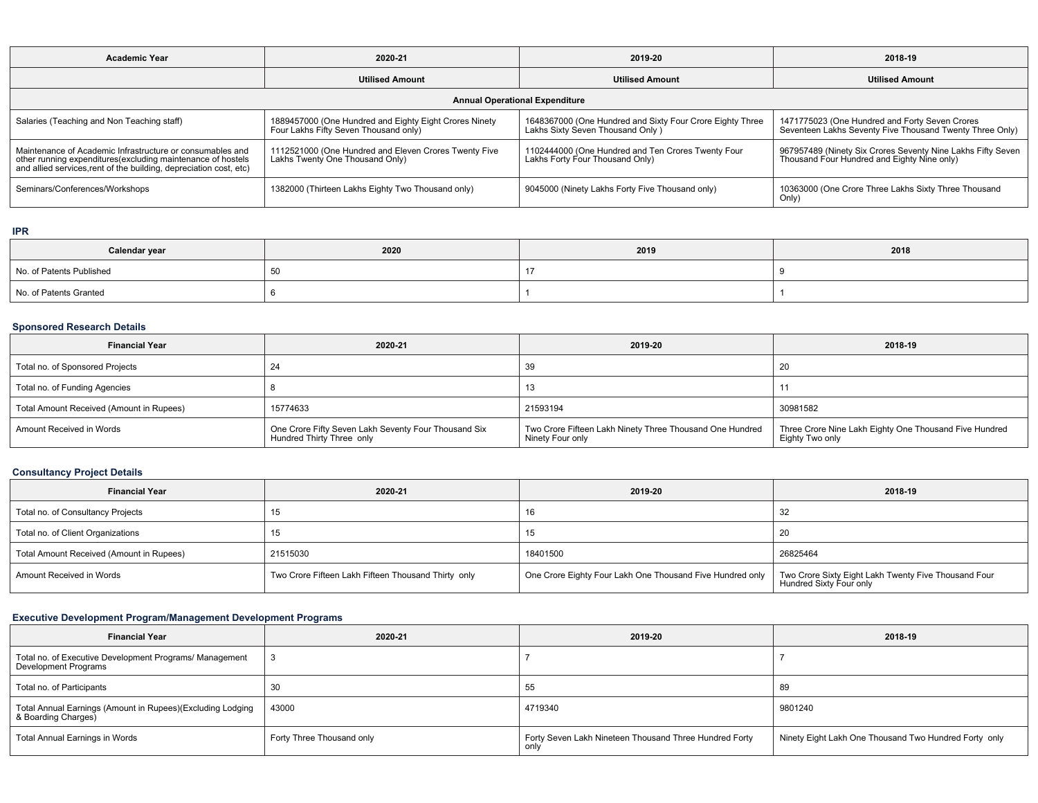| <b>Academic Year</b>                                                                                                                                                                            | 2020-21                                                                                         | 2019-20                                                                                        | 2018-19                                                                                                    |  |
|-------------------------------------------------------------------------------------------------------------------------------------------------------------------------------------------------|-------------------------------------------------------------------------------------------------|------------------------------------------------------------------------------------------------|------------------------------------------------------------------------------------------------------------|--|
|                                                                                                                                                                                                 | <b>Utilised Amount</b>                                                                          | <b>Utilised Amount</b>                                                                         | <b>Utilised Amount</b>                                                                                     |  |
|                                                                                                                                                                                                 |                                                                                                 | <b>Annual Operational Expenditure</b>                                                          |                                                                                                            |  |
| Salaries (Teaching and Non Teaching staff)                                                                                                                                                      | 1889457000 (One Hundred and Eighty Eight Crores Ninety<br>Four Lakhs Fifty Seven Thousand only) | 1648367000 (One Hundred and Sixty Four Crore Eighty Three<br>Lakhs Sixty Seven Thousand Only ) | 1471775023 (One Hundred and Forty Seven Crores<br>Seventeen Lakhs Seventy Five Thousand Twenty Three Only) |  |
| Maintenance of Academic Infrastructure or consumables and<br>other running expenditures (excluding maintenance of hostels<br>and allied services, rent of the building, depreciation cost, etc) | 1112521000 (One Hundred and Eleven Crores Twenty Five<br>Lakhs Twenty One Thousand Only)        | 1102444000 (One Hundred and Ten Crores Twenty Four<br>Lakhs Forty Four Thousand Only)          | 967957489 (Ninety Six Crores Seventy Nine Lakhs Fifty Seven<br>Thousand Four Hundred and Eighty Nine only) |  |
| Seminars/Conferences/Workshops                                                                                                                                                                  | 1382000 (Thirteen Lakhs Eighty Two Thousand only)                                               | 9045000 (Ninety Lakhs Forty Five Thousand only)                                                | 10363000 (One Crore Three Lakhs Sixty Three Thousand<br>Only)                                              |  |

### **IPR**

| Calendar year            | 2020 | 2019 | 2018 |
|--------------------------|------|------|------|
| No. of Patents Published | ັບບ  |      |      |
| No. of Patents Granted   |      |      |      |

# **Sponsored Research Details**

| <b>Financial Year</b>                                | 2020-21                                                                           | 2019-20                                                                      | 2018-19                                                                   |  |
|------------------------------------------------------|-----------------------------------------------------------------------------------|------------------------------------------------------------------------------|---------------------------------------------------------------------------|--|
| Total no. of Sponsored Projects                      |                                                                                   | 39                                                                           | 20                                                                        |  |
| Total no. of Funding Agencies                        |                                                                                   |                                                                              |                                                                           |  |
| Total Amount Received (Amount in Rupees)<br>15774633 |                                                                                   | 21593194                                                                     | 30981582                                                                  |  |
| Amount Received in Words                             | One Crore Fifty Seven Lakh Seventy Four Thousand Six<br>Hundred Thirty Three only | Two Crore Fifteen Lakh Ninety Three Thousand One Hundred<br>Ninety Four only | Three Crore Nine Lakh Eighty One Thousand Five Hundred<br>Eighty Two only |  |

# **Consultancy Project Details**

| <b>Financial Year</b>                    | 2020-21                                             | 2019-20 | 2018-19                                                                         |  |  |
|------------------------------------------|-----------------------------------------------------|---------|---------------------------------------------------------------------------------|--|--|
| Total no. of Consultancy Projects        | 15                                                  | 16      | -32                                                                             |  |  |
| Total no. of Client Organizations        |                                                     | 15      | 20                                                                              |  |  |
| Total Amount Received (Amount in Rupees) | 21515030                                            |         | 26825464                                                                        |  |  |
| Amount Received in Words                 | Two Crore Fifteen Lakh Fifteen Thousand Thirty only |         | Two Crore Sixty Eight Lakh Twenty Five Thousand Four<br>Hundred Sixty Four only |  |  |

# **Executive Development Program/Management Development Programs**

| <b>Financial Year</b>                                                                       | 2020-21                   | 2019-20 | 2018-19                                               |  |
|---------------------------------------------------------------------------------------------|---------------------------|---------|-------------------------------------------------------|--|
| Total no. of Executive Development Programs/ Management<br>Development Programs             |                           |         |                                                       |  |
| Total no. of Participants                                                                   | 30                        | 55      | 89                                                    |  |
| │ Total Annual Earnings (Amount in Rupees)(Excluding Lodging<br>&Boarding Charges)<br>43000 |                           | 4719340 | 9801240                                               |  |
| <b>Total Annual Earnings in Words</b>                                                       | Forty Three Thousand only |         | Ninety Eight Lakh One Thousand Two Hundred Forty only |  |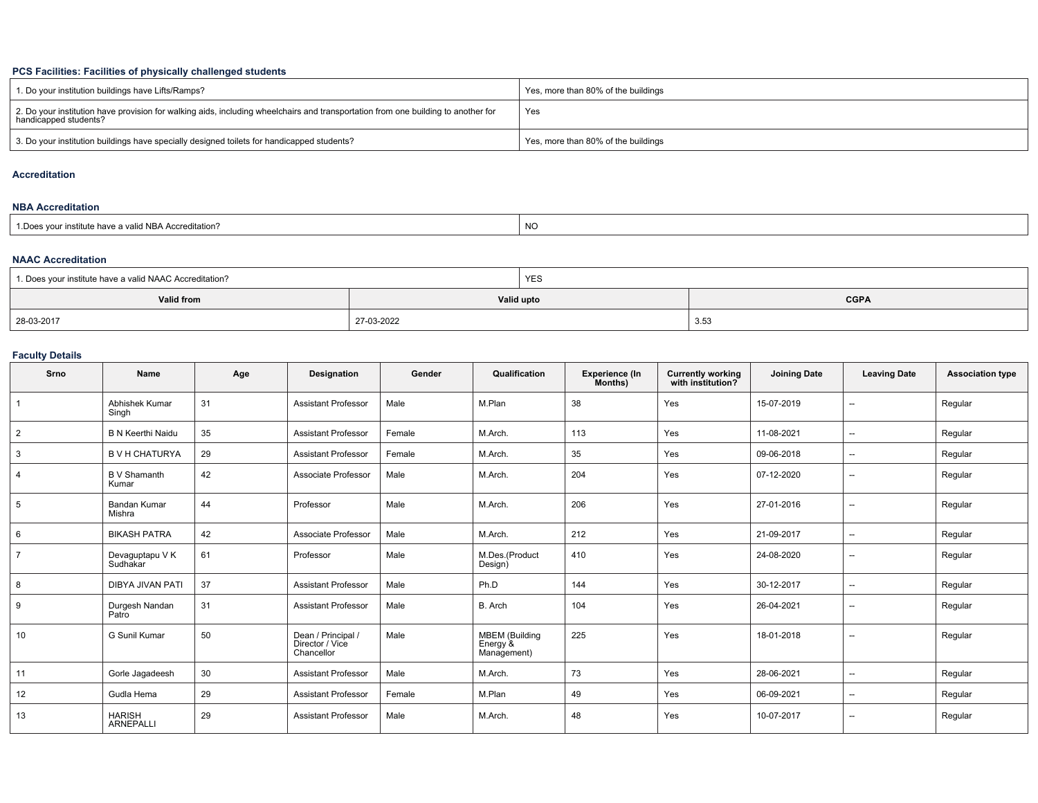## **PCS Facilities: Facilities of physically challenged students**

| 1. Do your institution buildings have Lifts/Ramps?                                                                                                         | Yes, more than 80% of the buildings |
|------------------------------------------------------------------------------------------------------------------------------------------------------------|-------------------------------------|
| 2. Do your institution have provision for walking aids, including wheelchairs and transportation from one building to another for<br>handicapped students? | Yes                                 |
| 3. Do your institution buildings have specially designed toilets for handicapped students?                                                                 | Yes, more than 80% of the buildings |

### **Accreditation**

### **NBA Accreditation**

| 1. Does vour institute have a valid NBA Accreditation?<br>NO |  |
|--------------------------------------------------------------|--|
|--------------------------------------------------------------|--|

#### **NAAC Accreditation**

| 1. Does your institute have a valid NAAC Accreditation? |            | <b>YES</b> |             |  |
|---------------------------------------------------------|------------|------------|-------------|--|
| Valid from                                              | Valid upto |            | <b>CGPA</b> |  |
| 28-03-2017                                              | 27-03-2022 |            | 3.53        |  |

## **Faculty Details**

| Srno           | Name                              | Age | <b>Designation</b>                                  | Gender | Qualification                                    | <b>Experience (In</b><br>Months) | <b>Currently working</b><br>with institution? | <b>Joining Date</b> | <b>Leaving Date</b>      | <b>Association type</b> |
|----------------|-----------------------------------|-----|-----------------------------------------------------|--------|--------------------------------------------------|----------------------------------|-----------------------------------------------|---------------------|--------------------------|-------------------------|
|                | Abhishek Kumar<br>Singh           | 31  | <b>Assistant Professor</b>                          | Male   | M.Plan                                           | 38                               | Yes                                           | 15-07-2019          | $\overline{\phantom{a}}$ | Regular                 |
| $\overline{2}$ | <b>B N Keerthi Naidu</b>          | 35  | <b>Assistant Professor</b>                          | Female | M.Arch.                                          | 113                              | Yes                                           | 11-08-2021          | $\overline{a}$           | Regular                 |
| 3              | <b>B V H CHATURYA</b>             | 29  | <b>Assistant Professor</b>                          | Female | M.Arch.                                          | 35                               | Yes                                           | 09-06-2018          | $\overline{\phantom{a}}$ | Regular                 |
| 4              | <b>B</b> V Shamanth<br>Kumar      | 42  | Associate Professor                                 | Male   | M.Arch.                                          | 204                              | Yes                                           | 07-12-2020          | $\overline{a}$           | Regular                 |
| 5              | <b>Bandan Kumar</b><br>Mishra     | 44  | Professor                                           | Male   | M.Arch.                                          | 206                              | Yes                                           | 27-01-2016          | $\overline{a}$           | Regular                 |
| 6              | <b>BIKASH PATRA</b>               | 42  | Associate Professor                                 | Male   | M.Arch.                                          | 212                              | Yes                                           | 21-09-2017          | $\overline{a}$           | Regular                 |
| $\overline{7}$ | Devaguptapu V K<br>Sudhakar       | 61  | Professor                                           | Male   | M.Des.(Product<br>Design)                        | 410                              | Yes                                           | 24-08-2020          | $\overline{\phantom{a}}$ | Regular                 |
| 8              | <b>DIBYA JIVAN PATI</b>           | 37  | <b>Assistant Professor</b>                          | Male   | Ph.D                                             | 144                              | Yes                                           | 30-12-2017          | $\overline{a}$           | Regular                 |
| 9              | Durgesh Nandan<br>Patro           | 31  | <b>Assistant Professor</b>                          | Male   | B. Arch                                          | 104                              | Yes                                           | 26-04-2021          | $\overline{\phantom{a}}$ | Regular                 |
| 10             | G Sunil Kumar                     | 50  | Dean / Principal /<br>Director / Vice<br>Chancellor | Male   | <b>MBEM</b> (Building<br>Energy &<br>Management) | 225                              | Yes                                           | 18-01-2018          | $\overline{a}$           | Regular                 |
| 11             | Gorle Jagadeesh                   | 30  | <b>Assistant Professor</b>                          | Male   | M.Arch.                                          | 73                               | Yes                                           | 28-06-2021          | $\overline{\phantom{a}}$ | Regular                 |
| 12             | Gudla Hema                        | 29  | <b>Assistant Professor</b>                          | Female | M.Plan                                           | 49                               | Yes                                           | 06-09-2021          | $\overline{\phantom{a}}$ | Regular                 |
| 13             | <b>HARISH</b><br><b>ARNEPALLI</b> | 29  | <b>Assistant Professor</b>                          | Male   | M.Arch.                                          | 48                               | Yes                                           | 10-07-2017          | $\overline{\phantom{a}}$ | Regular                 |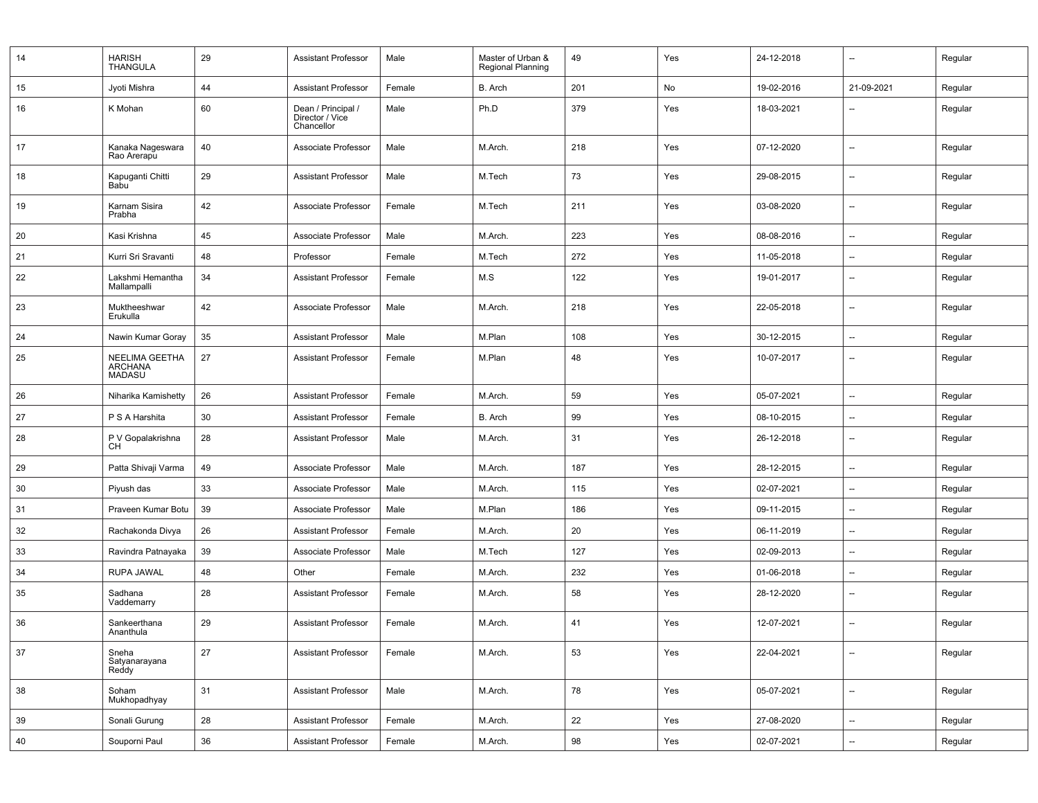| 14 | <b>HARISH</b><br><b>THANGULA</b>                  | 29 | <b>Assistant Professor</b>                          | Male   | Master of Urban &<br><b>Regional Planning</b> | 49  | Yes | 24-12-2018 | $\overline{\phantom{a}}$ | Regular |
|----|---------------------------------------------------|----|-----------------------------------------------------|--------|-----------------------------------------------|-----|-----|------------|--------------------------|---------|
| 15 | Jyoti Mishra                                      | 44 | <b>Assistant Professor</b>                          | Female | B. Arch                                       | 201 | No  | 19-02-2016 | 21-09-2021               | Regular |
| 16 | K Mohan                                           | 60 | Dean / Principal /<br>Director / Vice<br>Chancellor | Male   | Ph.D                                          | 379 | Yes | 18-03-2021 | $\overline{\phantom{a}}$ | Regular |
| 17 | Kanaka Nageswara<br>Rao Arerapu                   | 40 | Associate Professor                                 | Male   | M.Arch.                                       | 218 | Yes | 07-12-2020 | $\overline{\phantom{a}}$ | Regular |
| 18 | Kapuganti Chitti<br><b>Babu</b>                   | 29 | <b>Assistant Professor</b>                          | Male   | M.Tech                                        | 73  | Yes | 29-08-2015 | $\overline{\phantom{a}}$ | Regular |
| 19 | Karnam Sisira<br>Prabha                           | 42 | Associate Professor                                 | Female | M.Tech                                        | 211 | Yes | 03-08-2020 | $\overline{\phantom{a}}$ | Regular |
| 20 | Kasi Krishna                                      | 45 | Associate Professor                                 | Male   | M.Arch.                                       | 223 | Yes | 08-08-2016 | $\overline{\phantom{a}}$ | Regular |
| 21 | Kurri Sri Sravanti                                | 48 | Professor                                           | Female | M.Tech                                        | 272 | Yes | 11-05-2018 | $\overline{\phantom{a}}$ | Regular |
| 22 | Lakshmi Hemantha<br>Mallampalli                   | 34 | <b>Assistant Professor</b>                          | Female | M.S                                           | 122 | Yes | 19-01-2017 | $\overline{\phantom{a}}$ | Regular |
| 23 | Muktheeshwar<br>Erukulla                          | 42 | Associate Professor                                 | Male   | M.Arch.                                       | 218 | Yes | 22-05-2018 | $\overline{\phantom{a}}$ | Regular |
| 24 | Nawin Kumar Goray                                 | 35 | <b>Assistant Professor</b>                          | Male   | M.Plan                                        | 108 | Yes | 30-12-2015 | $\overline{\phantom{a}}$ | Regular |
| 25 | NEELIMA GEETHA<br><b>ARCHANA</b><br><b>MADASU</b> | 27 | <b>Assistant Professor</b>                          | Female | M.Plan                                        | 48  | Yes | 10-07-2017 | $\overline{\phantom{a}}$ | Regular |
| 26 | Niharika Kamishetty                               | 26 | <b>Assistant Professor</b>                          | Female | M.Arch.                                       | 59  | Yes | 05-07-2021 | $\overline{\phantom{a}}$ | Regular |
| 27 | P S A Harshita                                    | 30 | <b>Assistant Professor</b>                          | Female | B. Arch                                       | 99  | Yes | 08-10-2015 | $\overline{\phantom{a}}$ | Regular |
| 28 | P V Gopalakrishna<br><b>CH</b>                    | 28 | <b>Assistant Professor</b>                          | Male   | M.Arch.                                       | 31  | Yes | 26-12-2018 | $\overline{\phantom{a}}$ | Regular |
| 29 | Patta Shivaji Varma                               | 49 | Associate Professor                                 | Male   | M.Arch.                                       | 187 | Yes | 28-12-2015 | $\overline{\phantom{a}}$ | Regular |
| 30 | Piyush das                                        | 33 | Associate Professor                                 | Male   | M.Arch.                                       | 115 | Yes | 02-07-2021 | $\overline{\phantom{a}}$ | Regular |
| 31 | Praveen Kumar Botu                                | 39 | Associate Professor                                 | Male   | M.Plan                                        | 186 | Yes | 09-11-2015 | $\overline{\phantom{a}}$ | Regular |
| 32 | Rachakonda Divya                                  | 26 | <b>Assistant Professor</b>                          | Female | M.Arch.                                       | 20  | Yes | 06-11-2019 | $\overline{\phantom{a}}$ | Regular |
| 33 | Ravindra Patnayaka                                | 39 | Associate Professor                                 | Male   | M.Tech                                        | 127 | Yes | 02-09-2013 | $\overline{\phantom{a}}$ | Regular |
| 34 | <b>RUPA JAWAL</b>                                 | 48 | Other                                               | Female | M.Arch.                                       | 232 | Yes | 01-06-2018 | --                       | Regular |
| 35 | Sadhana<br>Vaddemarry                             | 28 | <b>Assistant Professor</b>                          | Female | M.Arch.                                       | 58  | Yes | 28-12-2020 | $\overline{\phantom{a}}$ | Regular |
| 36 | Sankeerthana<br>Ananthula                         | 29 | <b>Assistant Professor</b>                          | Female | M.Arch.                                       | 41  | Yes | 12-07-2021 | --                       | Regular |
| 37 | Sneha<br>Satyanarayana<br>Reddy                   | 27 | <b>Assistant Professor</b>                          | Female | M.Arch.                                       | 53  | Yes | 22-04-2021 | $\overline{\phantom{a}}$ | Regular |
| 38 | Soham<br>Mukhopadhyay                             | 31 | <b>Assistant Professor</b>                          | Male   | M.Arch.                                       | 78  | Yes | 05-07-2021 | $\overline{\phantom{a}}$ | Regular |
| 39 | Sonali Gurung                                     | 28 | <b>Assistant Professor</b>                          | Female | M.Arch.                                       | 22  | Yes | 27-08-2020 | $\overline{\phantom{a}}$ | Regular |
| 40 | Souporni Paul                                     | 36 | <b>Assistant Professor</b>                          | Female | M.Arch.                                       | 98  | Yes | 02-07-2021 | $\overline{\phantom{a}}$ | Regular |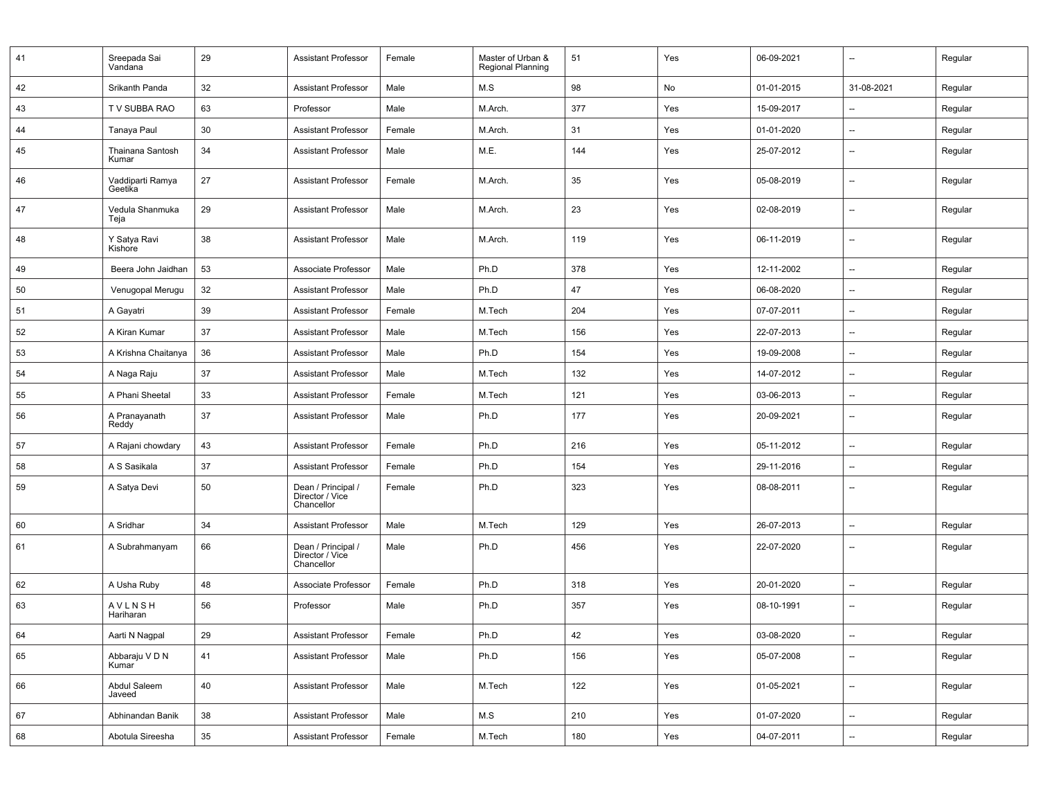| 41 | Sreepada Sai<br>Vandana              | 29     | Assistant Professor                                 | Female | Master of Urban &<br>Regional Planning | 51  | Yes | 06-09-2021 | $\overline{\phantom{a}}$ | Regular |
|----|--------------------------------------|--------|-----------------------------------------------------|--------|----------------------------------------|-----|-----|------------|--------------------------|---------|
| 42 | Srikanth Panda                       | 32     | <b>Assistant Professor</b>                          | Male   | M.S                                    | 98  | No  | 01-01-2015 | 31-08-2021               | Regular |
| 43 | T V SUBBA RAO                        | 63     | Professor                                           | Male   | M.Arch.                                | 377 | Yes | 15-09-2017 |                          | Regular |
| 44 | Tanaya Paul                          | 30     | <b>Assistant Professor</b>                          | Female | M.Arch.                                | 31  | Yes | 01-01-2020 | --                       | Regular |
| 45 | Thainana Santosh<br>Kumar            | 34     | <b>Assistant Professor</b>                          | Male   | M.E.                                   | 144 | Yes | 25-07-2012 | $\overline{a}$           | Regular |
| 46 | Vaddiparti Ramya<br>Geetika          | 27     | <b>Assistant Professor</b>                          | Female | M.Arch.                                | 35  | Yes | 05-08-2019 | --                       | Regular |
| 47 | Vedula Shanmuka<br>Teja              | 29     | <b>Assistant Professor</b>                          | Male   | M.Arch.                                | 23  | Yes | 02-08-2019 | $\overline{a}$           | Regular |
| 48 | Y Satya Ravi<br>Kishore              | 38     | <b>Assistant Professor</b>                          | Male   | M.Arch.                                | 119 | Yes | 06-11-2019 | $\overline{a}$           | Regular |
| 49 | Beera John Jaidhan                   | 53     | Associate Professor                                 | Male   | Ph.D                                   | 378 | Yes | 12-11-2002 | $\overline{\phantom{a}}$ | Regular |
| 50 | Venugopal Merugu                     | 32     | <b>Assistant Professor</b>                          | Male   | Ph.D                                   | 47  | Yes | 06-08-2020 | --                       | Regular |
| 51 | A Gayatri                            | 39     | <b>Assistant Professor</b>                          | Female | M.Tech                                 | 204 | Yes | 07-07-2011 | $\overline{\phantom{a}}$ | Regular |
| 52 | A Kiran Kumar                        | 37     | <b>Assistant Professor</b>                          | Male   | M.Tech                                 | 156 | Yes | 22-07-2013 | $\overline{\phantom{a}}$ | Regular |
| 53 | A Krishna Chaitanya                  | 36     | <b>Assistant Professor</b>                          | Male   | Ph.D                                   | 154 | Yes | 19-09-2008 | $\overline{\phantom{a}}$ | Regular |
| 54 | A Naga Raju                          | 37     | Assistant Professor                                 | Male   | M.Tech                                 | 132 | Yes | 14-07-2012 | $\overline{\phantom{a}}$ | Regular |
| 55 | A Phani Sheetal                      | 33     | <b>Assistant Professor</b>                          | Female | M.Tech                                 | 121 | Yes | 03-06-2013 | $\overline{\phantom{a}}$ | Regular |
| 56 | A Pranayanath<br>Reddy               | 37     | <b>Assistant Professor</b>                          | Male   | Ph.D                                   | 177 | Yes | 20-09-2021 | --                       | Regular |
| 57 | A Rajani chowdary                    | 43     | <b>Assistant Professor</b>                          | Female | Ph.D                                   | 216 | Yes | 05-11-2012 | $\overline{\phantom{a}}$ | Regular |
| 58 | A S Sasikala                         | 37     | <b>Assistant Professor</b>                          | Female | Ph.D                                   | 154 | Yes | 29-11-2016 | --                       | Regular |
| 59 | A Satya Devi                         | 50     | Dean / Principal /<br>Director / Vice<br>Chancellor | Female | Ph.D                                   | 323 | Yes | 08-08-2011 | --                       | Regular |
| 60 | A Sridhar                            | 34     | <b>Assistant Professor</b>                          | Male   | M.Tech                                 | 129 | Yes | 26-07-2013 | --                       | Regular |
| 61 | A Subrahmanyam                       | 66     | Dean / Principal /<br>Director / Vice<br>Chancellor | Male   | Ph.D                                   | 456 | Yes | 22-07-2020 | --                       | Regular |
| 62 | A Usha Ruby                          | 48     | Associate Professor                                 | Female | Ph.D                                   | 318 | Yes | 20-01-2020 | --                       | Regular |
| 63 | <b>AVLNSH</b><br>Hariharan           | 56     | Professor                                           | Male   | Ph.D                                   | 357 | Yes | 08-10-1991 | --                       | Regular |
| 64 | Aarti N Nagpal                       | 29     | Assistant Professor                                 | Female | Ph.D                                   | 42  | Yes | 03-08-2020 |                          | Regular |
| 65 | Abbaraju V D N<br>Kumar <sup>1</sup> | 41     | <b>Assistant Professor</b>                          | Male   | Ph.D                                   | 156 | Yes | 05-07-2008 | $\overline{\phantom{a}}$ | Regular |
| 66 | Abdul Saleem<br>Javeed               | 40     | <b>Assistant Professor</b>                          | Male   | M.Tech                                 | 122 | Yes | 01-05-2021 | --                       | Regular |
| 67 | Abhinandan Banik                     | 38     | <b>Assistant Professor</b>                          | Male   | M.S                                    | 210 | Yes | 01-07-2020 | $\overline{\phantom{a}}$ | Regular |
| 68 | Abotula Sireesha                     | $35\,$ | <b>Assistant Professor</b>                          | Female | M.Tech                                 | 180 | Yes | 04-07-2011 | $\overline{\phantom{a}}$ | Regular |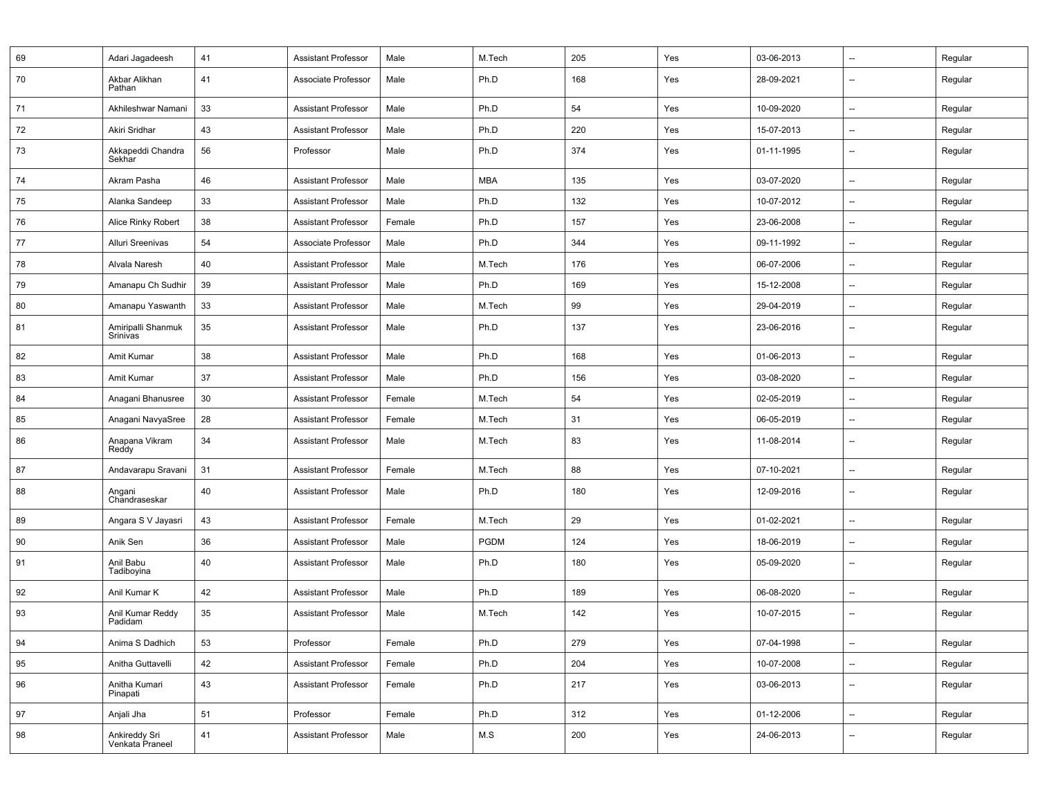| 69 | Adari Jagadeesh                  | 41 | <b>Assistant Professor</b> | Male   | M.Tech      | 205 | Yes | 03-06-2013 | $\overline{\phantom{a}}$ | Regular |
|----|----------------------------------|----|----------------------------|--------|-------------|-----|-----|------------|--------------------------|---------|
| 70 | Akbar Alikhan<br>Pathan          | 41 | Associate Professor        | Male   | Ph.D        | 168 | Yes | 28-09-2021 | $\overline{\phantom{a}}$ | Regular |
| 71 | Akhileshwar Namani               | 33 | Assistant Professor        | Male   | Ph.D        | 54  | Yes | 10-09-2020 | $\overline{\phantom{a}}$ | Regular |
| 72 | Akiri Sridhar                    | 43 | <b>Assistant Professor</b> | Male   | Ph.D        | 220 | Yes | 15-07-2013 | $\overline{\phantom{a}}$ | Regular |
| 73 | Akkapeddi Chandra<br>Sekhar      | 56 | Professor                  | Male   | Ph.D        | 374 | Yes | 01-11-1995 | $\overline{\phantom{a}}$ | Regular |
| 74 | Akram Pasha                      | 46 | <b>Assistant Professor</b> | Male   | <b>MBA</b>  | 135 | Yes | 03-07-2020 | $\overline{\phantom{a}}$ | Regular |
| 75 | Alanka Sandeep                   | 33 | <b>Assistant Professor</b> | Male   | Ph.D        | 132 | Yes | 10-07-2012 | $\overline{\phantom{a}}$ | Regular |
| 76 | Alice Rinky Robert               | 38 | <b>Assistant Professor</b> | Female | Ph.D        | 157 | Yes | 23-06-2008 | $\overline{\phantom{a}}$ | Regular |
| 77 | Alluri Sreenivas                 | 54 | Associate Professor        | Male   | Ph.D        | 344 | Yes | 09-11-1992 | $\overline{\phantom{a}}$ | Regular |
| 78 | Alvala Naresh                    | 40 | Assistant Professor        | Male   | M.Tech      | 176 | Yes | 06-07-2006 | $\overline{\phantom{a}}$ | Regular |
| 79 | Amanapu Ch Sudhir                | 39 | <b>Assistant Professor</b> | Male   | Ph.D        | 169 | Yes | 15-12-2008 | $\overline{\phantom{a}}$ | Regular |
| 80 | Amanapu Yaswanth                 | 33 | <b>Assistant Professor</b> | Male   | M.Tech      | 99  | Yes | 29-04-2019 | $\overline{\phantom{a}}$ | Regular |
| 81 | Amiripalli Shanmuk<br>Srinivas   | 35 | <b>Assistant Professor</b> | Male   | Ph.D        | 137 | Yes | 23-06-2016 | $\overline{a}$           | Regular |
| 82 | Amit Kumar                       | 38 | Assistant Professor        | Male   | Ph.D        | 168 | Yes | 01-06-2013 | $\overline{\phantom{a}}$ | Regular |
| 83 | Amit Kumar                       | 37 | <b>Assistant Professor</b> | Male   | Ph.D        | 156 | Yes | 03-08-2020 | $\overline{\phantom{a}}$ | Regular |
| 84 | Anagani Bhanusree                | 30 | <b>Assistant Professor</b> | Female | M.Tech      | 54  | Yes | 02-05-2019 | $\overline{\phantom{a}}$ | Regular |
| 85 | Anagani NavyaSree                | 28 | <b>Assistant Professor</b> | Female | M.Tech      | 31  | Yes | 06-05-2019 | $\overline{\phantom{a}}$ | Regular |
| 86 | Anapana Vikram<br>Reddy          | 34 | <b>Assistant Professor</b> | Male   | M.Tech      | 83  | Yes | 11-08-2014 | $\overline{\phantom{a}}$ | Regular |
| 87 | Andavarapu Sravani               | 31 | <b>Assistant Professor</b> | Female | M.Tech      | 88  | Yes | 07-10-2021 | $\overline{\phantom{a}}$ | Regular |
| 88 | Angani<br>Chandraseskar          | 40 | Assistant Professor        | Male   | Ph.D        | 180 | Yes | 12-09-2016 | $\overline{\phantom{a}}$ | Regular |
| 89 | Angara S V Jayasri               | 43 | <b>Assistant Professor</b> | Female | M.Tech      | 29  | Yes | 01-02-2021 | $\overline{\phantom{a}}$ | Regular |
| 90 | Anik Sen                         | 36 | Assistant Professor        | Male   | <b>PGDM</b> | 124 | Yes | 18-06-2019 | $\overline{\phantom{a}}$ | Regular |
| 91 | Anil Babu<br>Tadiboyina          | 40 | <b>Assistant Professor</b> | Male   | Ph.D        | 180 | Yes | 05-09-2020 | $\overline{\phantom{a}}$ | Regular |
| 92 | Anil Kumar K                     | 42 | Assistant Professor        | Male   | Ph.D        | 189 | Yes | 06-08-2020 | $\overline{\phantom{a}}$ | Regular |
| 93 | Anil Kumar Reddy<br>Padidam      | 35 | <b>Assistant Professor</b> | Male   | M.Tech      | 142 | Yes | 10-07-2015 | $\overline{\phantom{a}}$ | Regular |
| 94 | Anima S Dadhich                  | 53 | Professor                  | Female | Ph.D        | 279 | Yes | 07-04-1998 | $\overline{\phantom{a}}$ | Regular |
| 95 | Anitha Guttavelli                | 42 | <b>Assistant Professor</b> | Female | Ph.D        | 204 | Yes | 10-07-2008 | $\overline{\phantom{a}}$ | Regular |
| 96 | Anitha Kumari<br>Pinapati        | 43 | <b>Assistant Professor</b> | Female | Ph.D        | 217 | Yes | 03-06-2013 | $\overline{\phantom{a}}$ | Regular |
| 97 | Anjali Jha                       | 51 | Professor                  | Female | Ph.D        | 312 | Yes | 01-12-2006 | $\overline{\phantom{a}}$ | Regular |
| 98 | Ankireddy Sri<br>Venkata Praneel | 41 | <b>Assistant Professor</b> | Male   | M.S         | 200 | Yes | 24-06-2013 | $\overline{\phantom{a}}$ | Regular |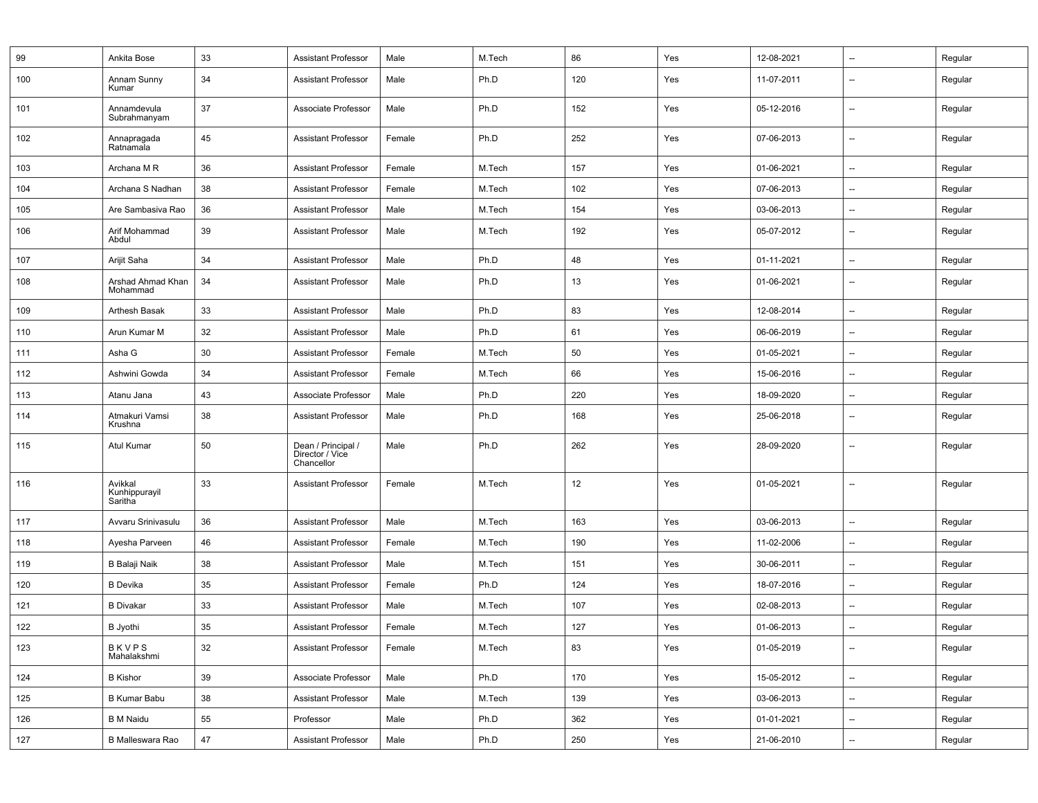| 99  | Ankita Bose                         | 33 | <b>Assistant Professor</b>                          | Male   | M.Tech | 86  | Yes | 12-08-2021 | --                       | Regular |
|-----|-------------------------------------|----|-----------------------------------------------------|--------|--------|-----|-----|------------|--------------------------|---------|
| 100 | Annam Sunny<br>Kumar                | 34 | <b>Assistant Professor</b>                          | Male   | Ph.D   | 120 | Yes | 11-07-2011 | $\overline{\phantom{a}}$ | Regular |
| 101 | Annamdevula<br>Subrahmanyam         | 37 | Associate Professor                                 | Male   | Ph.D   | 152 | Yes | 05-12-2016 | $\overline{\phantom{a}}$ | Regular |
| 102 | Annapragada<br>Ratnamala            | 45 | <b>Assistant Professor</b>                          | Female | Ph.D   | 252 | Yes | 07-06-2013 | $\overline{\phantom{a}}$ | Regular |
| 103 | Archana M R                         | 36 | <b>Assistant Professor</b>                          | Female | M.Tech | 157 | Yes | 01-06-2021 | $\overline{\phantom{a}}$ | Regular |
| 104 | Archana S Nadhan                    | 38 | <b>Assistant Professor</b>                          | Female | M.Tech | 102 | Yes | 07-06-2013 | $\overline{\phantom{a}}$ | Regular |
| 105 | Are Sambasiva Rao                   | 36 | <b>Assistant Professor</b>                          | Male   | M.Tech | 154 | Yes | 03-06-2013 | $\overline{\phantom{a}}$ | Regular |
| 106 | Arif Mohammad<br>Abdul              | 39 | <b>Assistant Professor</b>                          | Male   | M.Tech | 192 | Yes | 05-07-2012 | $\overline{\phantom{a}}$ | Regular |
| 107 | Arijit Saha                         | 34 | <b>Assistant Professor</b>                          | Male   | Ph.D   | 48  | Yes | 01-11-2021 | $\overline{\phantom{a}}$ | Regular |
| 108 | Arshad Ahmad Khan<br>Mohammad       | 34 | <b>Assistant Professor</b>                          | Male   | Ph.D   | 13  | Yes | 01-06-2021 | --                       | Regular |
| 109 | Arthesh Basak                       | 33 | <b>Assistant Professor</b>                          | Male   | Ph.D   | 83  | Yes | 12-08-2014 | $\overline{\phantom{a}}$ | Regular |
| 110 | Arun Kumar M                        | 32 | <b>Assistant Professor</b>                          | Male   | Ph.D   | 61  | Yes | 06-06-2019 | --                       | Regular |
| 111 | Asha G                              | 30 | <b>Assistant Professor</b>                          | Female | M.Tech | 50  | Yes | 01-05-2021 | $\overline{\phantom{a}}$ | Regular |
| 112 | Ashwini Gowda                       | 34 | <b>Assistant Professor</b>                          | Female | M.Tech | 66  | Yes | 15-06-2016 | $\overline{\phantom{a}}$ | Regular |
| 113 | Atanu Jana                          | 43 | Associate Professor                                 | Male   | Ph.D   | 220 | Yes | 18-09-2020 | $\overline{\phantom{a}}$ | Regular |
| 114 | Atmakuri Vamsi<br>Krushna           | 38 | <b>Assistant Professor</b>                          | Male   | Ph.D   | 168 | Yes | 25-06-2018 | $\overline{\phantom{a}}$ | Regular |
| 115 | Atul Kumar                          | 50 | Dean / Principal /<br>Director / Vice<br>Chancellor | Male   | Ph.D   | 262 | Yes | 28-09-2020 | $\overline{\phantom{a}}$ | Regular |
| 116 | Avikkal<br>Kunhippurayil<br>Saritha | 33 | <b>Assistant Professor</b>                          | Female | M.Tech | 12  | Yes | 01-05-2021 | $\overline{\phantom{a}}$ | Regular |
| 117 | Avvaru Srinivasulu                  | 36 | <b>Assistant Professor</b>                          | Male   | M.Tech | 163 | Yes | 03-06-2013 | $\overline{\phantom{a}}$ | Regular |
| 118 | Ayesha Parveen                      | 46 | <b>Assistant Professor</b>                          | Female | M.Tech | 190 | Yes | 11-02-2006 | $\overline{\phantom{a}}$ | Regular |
| 119 | B Balaji Naik                       | 38 | <b>Assistant Professor</b>                          | Male   | M.Tech | 151 | Yes | 30-06-2011 | $\overline{\phantom{a}}$ | Regular |
| 120 | <b>B</b> Devika                     | 35 | <b>Assistant Professor</b>                          | Female | Ph.D   | 124 | Yes | 18-07-2016 | $\overline{\phantom{a}}$ | Regular |
| 121 | <b>B</b> Divakar                    | 33 | <b>Assistant Professor</b>                          | Male   | M.Tech | 107 | Yes | 02-08-2013 | $\overline{\phantom{a}}$ | Regular |
| 122 | <b>B</b> Jyothi                     | 35 | <b>Assistant Professor</b>                          | Female | M.Tech | 127 | Yes | 01-06-2013 | $\overline{\phantom{a}}$ | Regular |
| 123 | BKVPS<br>Mahalakshmi                | 32 | <b>Assistant Professor</b>                          | Female | M.Tech | 83  | Yes | 01-05-2019 | $\overline{\phantom{a}}$ | Regular |
| 124 | <b>B</b> Kishor                     | 39 | Associate Professor                                 | Male   | Ph.D   | 170 | Yes | 15-05-2012 | $\overline{\phantom{a}}$ | Regular |
| 125 | <b>B Kumar Babu</b>                 | 38 | <b>Assistant Professor</b>                          | Male   | M.Tech | 139 | Yes | 03-06-2013 | --                       | Regular |
| 126 | <b>B</b> M Naidu                    | 55 | Professor                                           | Male   | Ph.D   | 362 | Yes | 01-01-2021 | --                       | Regular |
| 127 | B Malleswara Rao                    | 47 | <b>Assistant Professor</b>                          | Male   | Ph.D   | 250 | Yes | 21-06-2010 | --                       | Regular |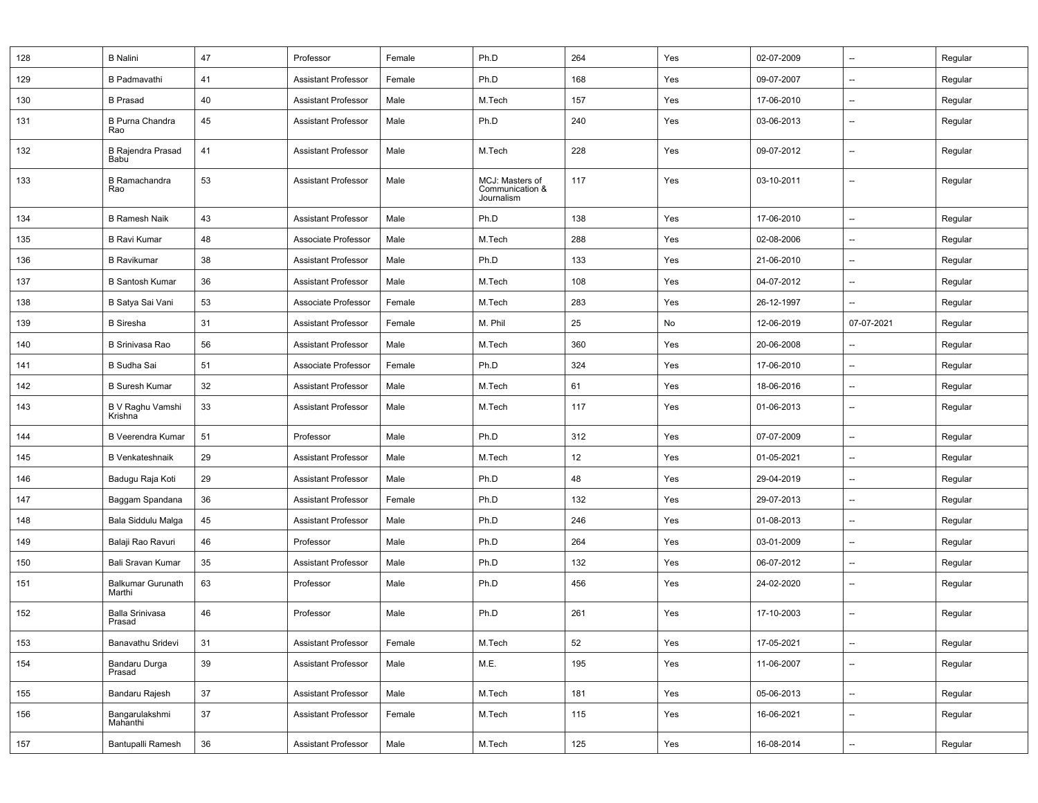| 128 | <b>B</b> Nalini                    | 47     | Professor                  | Female | Ph.D                                             | 264 | Yes | 02-07-2009 | $\overline{\phantom{a}}$ | Regular |
|-----|------------------------------------|--------|----------------------------|--------|--------------------------------------------------|-----|-----|------------|--------------------------|---------|
| 129 | <b>B</b> Padmavathi                | 41     | <b>Assistant Professor</b> | Female | Ph.D                                             | 168 | Yes | 09-07-2007 | $\overline{\phantom{a}}$ | Regular |
| 130 | <b>B</b> Prasad                    | 40     | <b>Assistant Professor</b> | Male   | M.Tech                                           | 157 | Yes | 17-06-2010 | --                       | Regular |
| 131 | <b>B Purna Chandra</b><br>Rao      | 45     | <b>Assistant Professor</b> | Male   | Ph.D                                             | 240 | Yes | 03-06-2013 | $\overline{\phantom{a}}$ | Regular |
| 132 | <b>B Rajendra Prasad</b><br>Babu   | 41     | <b>Assistant Professor</b> | Male   | M.Tech                                           | 228 | Yes | 09-07-2012 | --                       | Regular |
| 133 | <b>B</b> Ramachandra<br>Rao        | 53     | <b>Assistant Professor</b> | Male   | MCJ: Masters of<br>Communication &<br>Journalism | 117 | Yes | 03-10-2011 | $\overline{\phantom{a}}$ | Regular |
| 134 | <b>B Ramesh Naik</b>               | 43     | <b>Assistant Professor</b> | Male   | Ph.D                                             | 138 | Yes | 17-06-2010 | $\overline{\phantom{a}}$ | Regular |
| 135 | <b>B Ravi Kumar</b>                | 48     | Associate Professor        | Male   | M.Tech                                           | 288 | Yes | 02-08-2006 | $\overline{\phantom{a}}$ | Regular |
| 136 | <b>B</b> Ravikumar                 | 38     | <b>Assistant Professor</b> | Male   | Ph.D                                             | 133 | Yes | 21-06-2010 | --                       | Regular |
| 137 | <b>B</b> Santosh Kumar             | 36     | <b>Assistant Professor</b> | Male   | M.Tech                                           | 108 | Yes | 04-07-2012 | --                       | Regular |
| 138 | B Satya Sai Vani                   | 53     | Associate Professor        | Female | M.Tech                                           | 283 | Yes | 26-12-1997 | $\overline{\phantom{a}}$ | Regular |
| 139 | <b>B</b> Siresha                   | 31     | <b>Assistant Professor</b> | Female | M. Phil                                          | 25  | No  | 12-06-2019 | 07-07-2021               | Regular |
| 140 | <b>B Srinivasa Rao</b>             | 56     | <b>Assistant Professor</b> | Male   | M.Tech                                           | 360 | Yes | 20-06-2008 | $\qquad \qquad \cdots$   | Regular |
| 141 | <b>B</b> Sudha Sai                 | 51     | Associate Professor        | Female | Ph.D                                             | 324 | Yes | 17-06-2010 | $\overline{\phantom{a}}$ | Regular |
| 142 | <b>B Suresh Kumar</b>              | 32     | <b>Assistant Professor</b> | Male   | M.Tech                                           | 61  | Yes | 18-06-2016 | $\overline{\phantom{a}}$ | Regular |
| 143 | B V Raghu Vamshi<br>Krishna        | 33     | <b>Assistant Professor</b> | Male   | M.Tech                                           | 117 | Yes | 01-06-2013 | $\overline{\phantom{a}}$ | Regular |
| 144 | <b>B Veerendra Kumar</b>           | 51     | Professor                  | Male   | Ph.D                                             | 312 | Yes | 07-07-2009 | $\overline{\phantom{a}}$ | Regular |
| 145 | <b>B</b> Venkateshnaik             | 29     | <b>Assistant Professor</b> | Male   | M.Tech                                           | 12  | Yes | 01-05-2021 | $\overline{\phantom{a}}$ | Regular |
| 146 | Badugu Raja Koti                   | 29     | <b>Assistant Professor</b> | Male   | Ph.D                                             | 48  | Yes | 29-04-2019 | --                       | Regular |
| 147 | Baggam Spandana                    | 36     | <b>Assistant Professor</b> | Female | Ph.D                                             | 132 | Yes | 29-07-2013 | $\overline{\phantom{a}}$ | Regular |
| 148 | Bala Siddulu Malga                 | 45     | <b>Assistant Professor</b> | Male   | Ph.D                                             | 246 | Yes | 01-08-2013 | $\overline{\phantom{a}}$ | Regular |
| 149 | Balaji Rao Ravuri                  | 46     | Professor                  | Male   | Ph.D                                             | 264 | Yes | 03-01-2009 | $\overline{\phantom{a}}$ | Regular |
| 150 | Bali Sravan Kumar                  | 35     | <b>Assistant Professor</b> | Male   | Ph.D                                             | 132 | Yes | 06-07-2012 | $\overline{\phantom{a}}$ | Regular |
| 151 | <b>Balkumar Gurunath</b><br>Marthi | 63     | Professor                  | Male   | Ph.D                                             | 456 | Yes | 24-02-2020 | $\overline{\phantom{a}}$ | Regular |
| 152 | <b>Balla Srinivasa</b><br>Prasad   | 46     | Professor                  | Male   | Ph.D                                             | 261 | Yes | 17-10-2003 | $\overline{\phantom{a}}$ | Regular |
| 153 | Banavathu Sridevi                  | 31     | <b>Assistant Professor</b> | Female | M.Tech                                           | 52  | Yes | 17-05-2021 | --                       | Regular |
| 154 | Bandaru Durga<br>Prasad            | 39     | <b>Assistant Professor</b> | Male   | M.E.                                             | 195 | Yes | 11-06-2007 | --                       | Regular |
| 155 | Bandaru Rajesh                     | 37     | <b>Assistant Professor</b> | Male   | M.Tech                                           | 181 | Yes | 05-06-2013 | --                       | Regular |
| 156 | Bangarulakshmi<br>Mahanthi         | 37     | <b>Assistant Professor</b> | Female | M.Tech                                           | 115 | Yes | 16-06-2021 | --                       | Regular |
| 157 | Bantupalli Ramesh                  | $36\,$ | <b>Assistant Professor</b> | Male   | M.Tech                                           | 125 | Yes | 16-08-2014 | $\overline{\phantom{a}}$ | Regular |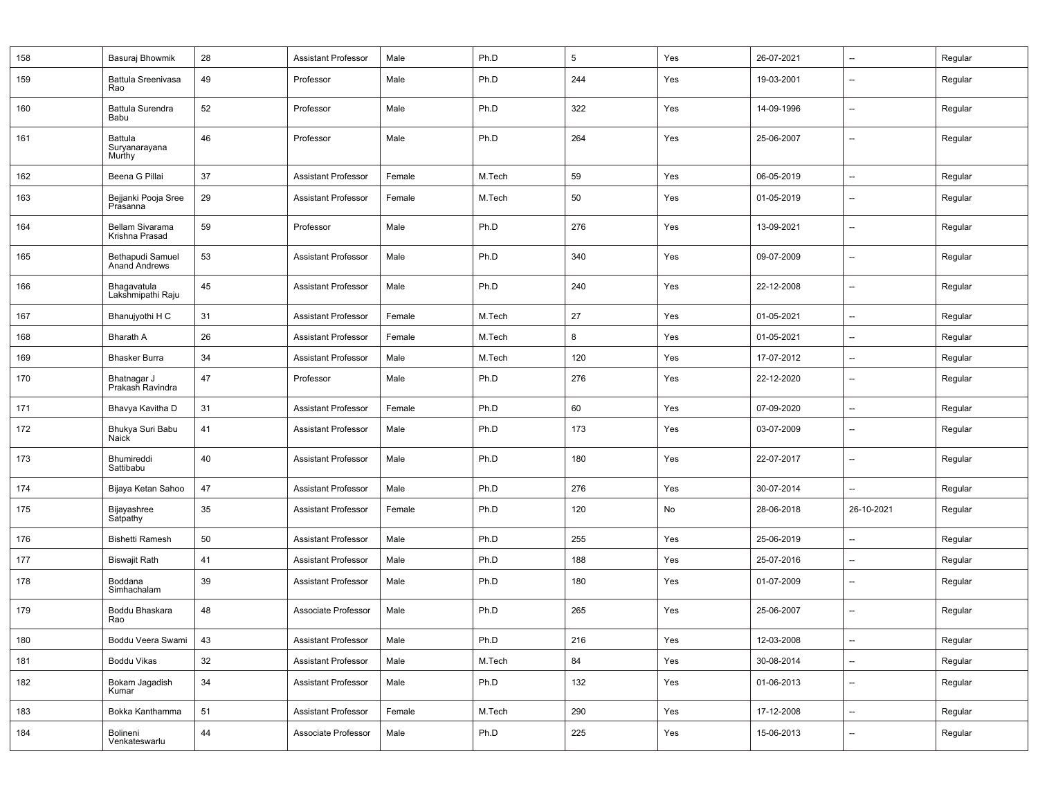| 158 | Basuraj Bhowmik                    | 28     | <b>Assistant Professor</b> | Male   | Ph.D   | 5   | Yes | 26-07-2021 | $\overline{\phantom{a}}$ | Regular |
|-----|------------------------------------|--------|----------------------------|--------|--------|-----|-----|------------|--------------------------|---------|
| 159 | Battula Sreenivasa<br>Rao          | 49     | Professor                  | Male   | Ph.D   | 244 | Yes | 19-03-2001 | $\overline{\phantom{a}}$ | Regular |
| 160 | <b>Battula Surendra</b><br>Babu    | 52     | Professor                  | Male   | Ph.D   | 322 | Yes | 14-09-1996 | $\overline{\phantom{a}}$ | Regular |
| 161 | Battula<br>Suryanarayana<br>Murthy | 46     | Professor                  | Male   | Ph.D   | 264 | Yes | 25-06-2007 | $\overline{\phantom{a}}$ | Regular |
| 162 | Beena G Pillai                     | 37     | <b>Assistant Professor</b> | Female | M.Tech | 59  | Yes | 06-05-2019 | $\overline{\phantom{a}}$ | Regular |
| 163 | Bejjanki Pooja Sree<br>Prasanna    | 29     | <b>Assistant Professor</b> | Female | M.Tech | 50  | Yes | 01-05-2019 | $\overline{\phantom{a}}$ | Regular |
| 164 | Bellam Sivarama<br>Krishna Prasad  | 59     | Professor                  | Male   | Ph.D   | 276 | Yes | 13-09-2021 | --                       | Regular |
| 165 | Bethapudi Samuel<br>Anand Andrews  | 53     | <b>Assistant Professor</b> | Male   | Ph.D   | 340 | Yes | 09-07-2009 | $\overline{\phantom{a}}$ | Regular |
| 166 | Bhagavatula<br>Lakshmipathi Raju   | 45     | <b>Assistant Professor</b> | Male   | Ph.D   | 240 | Yes | 22-12-2008 | --                       | Regular |
| 167 | Bhanujyothi H C                    | 31     | <b>Assistant Professor</b> | Female | M.Tech | 27  | Yes | 01-05-2021 | --                       | Regular |
| 168 | <b>Bharath A</b>                   | 26     | <b>Assistant Professor</b> | Female | M.Tech | 8   | Yes | 01-05-2021 | $\overline{\phantom{a}}$ | Regular |
| 169 | <b>Bhasker Burra</b>               | 34     | <b>Assistant Professor</b> | Male   | M.Tech | 120 | Yes | 17-07-2012 | $\overline{\phantom{a}}$ | Regular |
| 170 | Bhatnagar J<br>Prakash Ravindra    | 47     | Professor                  | Male   | Ph.D   | 276 | Yes | 22-12-2020 | $\overline{\phantom{a}}$ | Regular |
| 171 | Bhavya Kavitha D                   | 31     | <b>Assistant Professor</b> | Female | Ph.D   | 60  | Yes | 07-09-2020 | --                       | Regular |
| 172 | Bhukya Suri Babu<br>Naick          | 41     | <b>Assistant Professor</b> | Male   | Ph.D   | 173 | Yes | 03-07-2009 | --                       | Regular |
| 173 | Bhumireddi<br>Sattibabu            | 40     | <b>Assistant Professor</b> | Male   | Ph.D   | 180 | Yes | 22-07-2017 | $\overline{\phantom{a}}$ | Regular |
| 174 | Bijaya Ketan Sahoo                 | 47     | <b>Assistant Professor</b> | Male   | Ph.D   | 276 | Yes | 30-07-2014 | --                       | Regular |
| 175 | Bijayashree<br>Satpathy            | 35     | <b>Assistant Professor</b> | Female | Ph.D   | 120 | No  | 28-06-2018 | 26-10-2021               | Regular |
| 176 | <b>Bishetti Ramesh</b>             | 50     | <b>Assistant Professor</b> | Male   | Ph.D   | 255 | Yes | 25-06-2019 | $\overline{\phantom{a}}$ | Regular |
| 177 | <b>Biswajit Rath</b>               | 41     | <b>Assistant Professor</b> | Male   | Ph.D   | 188 | Yes | 25-07-2016 | $\overline{\phantom{a}}$ | Regular |
| 178 | Boddana<br>Simhachalam             | 39     | <b>Assistant Professor</b> | Male   | Ph.D   | 180 | Yes | 01-07-2009 | $\overline{\phantom{a}}$ | Regular |
| 179 | Boddu Bhaskara<br>Rao              | 48     | Associate Professor        | Male   | Ph.D   | 265 | Yes | 25-06-2007 | $\overline{\phantom{a}}$ | Regular |
| 180 | Boddu Veera Swami                  | 43     | <b>Assistant Professor</b> | Male   | Ph.D   | 216 | Yes | 12-03-2008 | $\overline{\phantom{a}}$ | Regular |
| 181 | Boddu Vikas                        | $32\,$ | <b>Assistant Professor</b> | Male   | M.Tech | 84  | Yes | 30-08-2014 | --                       | Regular |
| 182 | Bokam Jagadish<br>Kumar            | 34     | Assistant Professor        | Male   | Ph.D   | 132 | Yes | 01-06-2013 | $\overline{\phantom{a}}$ | Regular |
| 183 | Bokka Kanthamma                    | 51     | <b>Assistant Professor</b> | Female | M.Tech | 290 | Yes | 17-12-2008 | $\overline{\phantom{a}}$ | Regular |
| 184 | Bolineni<br>Venkateswarlu          | 44     | Associate Professor        | Male   | Ph.D   | 225 | Yes | 15-06-2013 | --                       | Regular |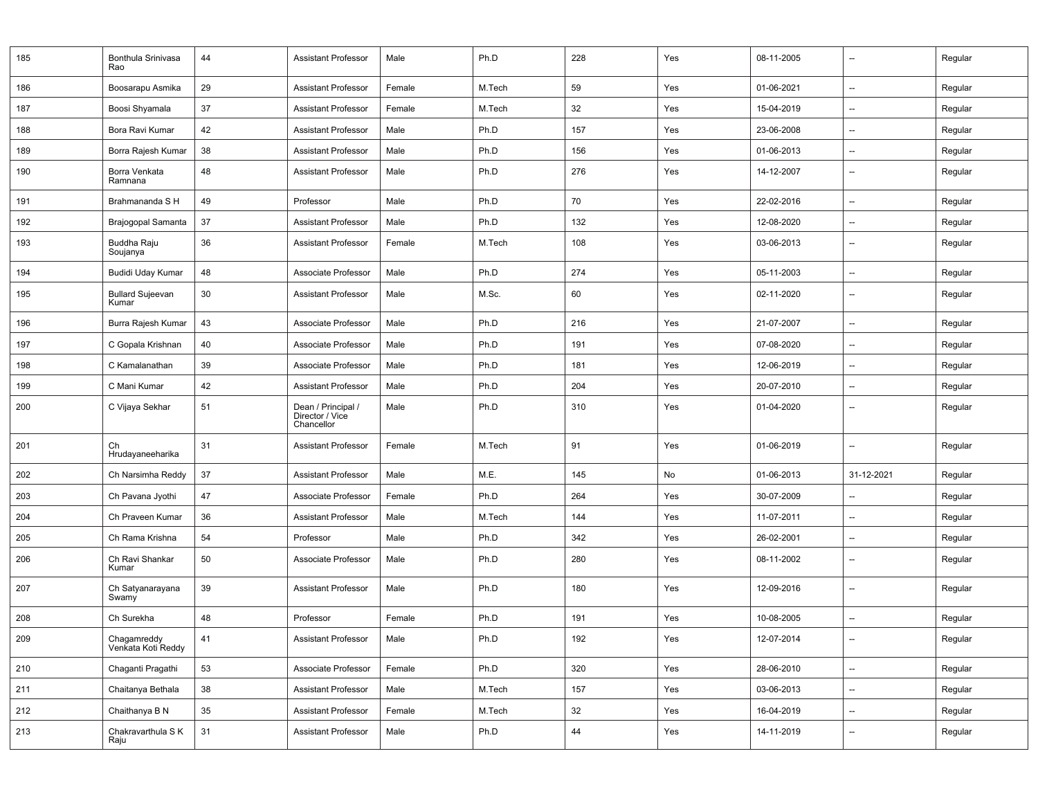| 185 | Bonthula Srinivasa<br>Rao         | 44 | <b>Assistant Professor</b>                          | Male   | Ph.D   | 228 | Yes | 08-11-2005 | $\overline{\phantom{a}}$ | Regular |
|-----|-----------------------------------|----|-----------------------------------------------------|--------|--------|-----|-----|------------|--------------------------|---------|
| 186 | Boosarapu Asmika                  | 29 | <b>Assistant Professor</b>                          | Female | M.Tech | 59  | Yes | 01-06-2021 | $\overline{a}$           | Regular |
| 187 | Boosi Shyamala                    | 37 | <b>Assistant Professor</b>                          | Female | M.Tech | 32  | Yes | 15-04-2019 | --                       | Regular |
| 188 | Bora Ravi Kumar                   | 42 | <b>Assistant Professor</b>                          | Male   | Ph.D   | 157 | Yes | 23-06-2008 | $\overline{\phantom{a}}$ | Regular |
| 189 | Borra Rajesh Kumar                | 38 | <b>Assistant Professor</b>                          | Male   | Ph.D   | 156 | Yes | 01-06-2013 | $\overline{a}$           | Regular |
| 190 | Borra Venkata<br>Ramnana          | 48 | <b>Assistant Professor</b>                          | Male   | Ph.D   | 276 | Yes | 14-12-2007 |                          | Regular |
| 191 | Brahmananda S H                   | 49 | Professor                                           | Male   | Ph.D   | 70  | Yes | 22-02-2016 | --                       | Regular |
| 192 | Brajogopal Samanta                | 37 | <b>Assistant Professor</b>                          | Male   | Ph.D   | 132 | Yes | 12-08-2020 | --                       | Regular |
| 193 | Buddha Raju<br>Soujanya           | 36 | <b>Assistant Professor</b>                          | Female | M.Tech | 108 | Yes | 03-06-2013 | --                       | Regular |
| 194 | Budidi Uday Kumar                 | 48 | Associate Professor                                 | Male   | Ph.D   | 274 | Yes | 05-11-2003 | $\overline{\phantom{a}}$ | Regular |
| 195 | <b>Bullard Sujeevan</b><br>Kumar  | 30 | <b>Assistant Professor</b>                          | Male   | M.Sc.  | 60  | Yes | 02-11-2020 | --                       | Regular |
| 196 | Burra Rajesh Kumar                | 43 | Associate Professor                                 | Male   | Ph.D   | 216 | Yes | 21-07-2007 | --                       | Regular |
| 197 | C Gopala Krishnan                 | 40 | Associate Professor                                 | Male   | Ph.D   | 191 | Yes | 07-08-2020 | --                       | Regular |
| 198 | C Kamalanathan                    | 39 | Associate Professor                                 | Male   | Ph.D   | 181 | Yes | 12-06-2019 | $\overline{\phantom{a}}$ | Regular |
| 199 | C Mani Kumar                      | 42 | <b>Assistant Professor</b>                          | Male   | Ph.D   | 204 | Yes | 20-07-2010 | Ξ.                       | Regular |
| 200 | C Vijaya Sekhar                   | 51 | Dean / Principal /<br>Director / Vice<br>Chancellor | Male   | Ph.D   | 310 | Yes | 01-04-2020 | --                       | Regular |
| 201 | Ch<br>Hrudayaneeharika            | 31 | <b>Assistant Professor</b>                          | Female | M.Tech | 91  | Yes | 01-06-2019 | $\overline{\phantom{a}}$ | Regular |
| 202 | Ch Narsimha Reddy                 | 37 | <b>Assistant Professor</b>                          | Male   | M.E.   | 145 | No  | 01-06-2013 | 31-12-2021               | Regular |
| 203 | Ch Pavana Jyothi                  | 47 | Associate Professor                                 | Female | Ph.D   | 264 | Yes | 30-07-2009 |                          | Regular |
| 204 | Ch Praveen Kumar                  | 36 | <b>Assistant Professor</b>                          | Male   | M.Tech | 144 | Yes | 11-07-2011 | --                       | Regular |
| 205 | Ch Rama Krishna                   | 54 | Professor                                           | Male   | Ph.D   | 342 | Yes | 26-02-2001 | $\overline{\phantom{a}}$ | Regular |
| 206 | Ch Ravi Shankar<br>Kumar          | 50 | Associate Professor                                 | Male   | Ph.D   | 280 | Yes | 08-11-2002 | --                       | Regular |
| 207 | Ch Satyanarayana<br>Swamy         | 39 | <b>Assistant Professor</b>                          | Male   | Ph.D   | 180 | Yes | 12-09-2016 |                          | Regular |
| 208 | Ch Surekha                        | 48 | Professor                                           | Female | Ph.D   | 191 | Yes | 10-08-2005 | --                       | Regular |
| 209 | Chagamreddy<br>Venkata Koti Reddy | 41 | Assistant Professor                                 | Male   | Ph.D   | 192 | Yes | 12-07-2014 | $\overline{\phantom{a}}$ | Regular |
| 210 | Chaganti Pragathi                 | 53 | Associate Professor                                 | Female | Ph.D   | 320 | Yes | 28-06-2010 | --                       | Regular |
| 211 | Chaitanya Bethala                 | 38 | <b>Assistant Professor</b>                          | Male   | M.Tech | 157 | Yes | 03-06-2013 | Щ.                       | Regular |
| 212 | Chaithanya B N                    | 35 | <b>Assistant Professor</b>                          | Female | M.Tech | 32  | Yes | 16-04-2019 | $\overline{\phantom{a}}$ | Regular |
| 213 | Chakravarthula S K<br>Raju        | 31 | Assistant Professor                                 | Male   | Ph.D   | 44  | Yes | 14-11-2019 | --                       | Regular |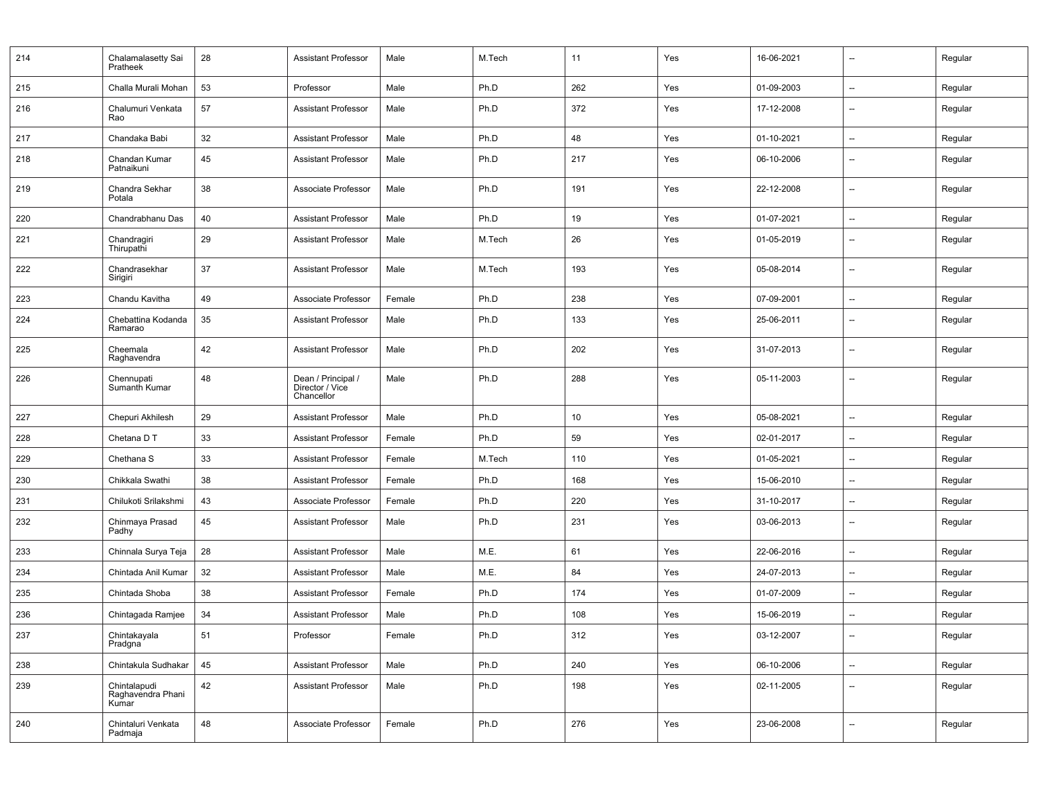| 214 | Chalamalasetty Sai<br>Pratheek             | 28 | <b>Assistant Professor</b>                          | Male   | M.Tech | 11  | Yes | 16-06-2021 | --                       | Regular |
|-----|--------------------------------------------|----|-----------------------------------------------------|--------|--------|-----|-----|------------|--------------------------|---------|
| 215 | Challa Murali Mohan                        | 53 | Professor                                           | Male   | Ph.D   | 262 | Yes | 01-09-2003 | Ξ.                       | Regular |
| 216 | Chalumuri Venkata<br>Rao                   | 57 | <b>Assistant Professor</b>                          | Male   | Ph.D   | 372 | Yes | 17-12-2008 | --                       | Regular |
| 217 | Chandaka Babi                              | 32 | <b>Assistant Professor</b>                          | Male   | Ph.D   | 48  | Yes | 01-10-2021 | $\overline{\phantom{a}}$ | Regular |
| 218 | Chandan Kumar<br>Patnaikuni                | 45 | <b>Assistant Professor</b>                          | Male   | Ph.D   | 217 | Yes | 06-10-2006 | --                       | Regular |
| 219 | Chandra Sekhar<br>Potala                   | 38 | Associate Professor                                 | Male   | Ph.D   | 191 | Yes | 22-12-2008 | --                       | Regular |
| 220 | Chandrabhanu Das                           | 40 | <b>Assistant Professor</b>                          | Male   | Ph.D   | 19  | Yes | 01-07-2021 | $\overline{\phantom{a}}$ | Regular |
| 221 | Chandragiri<br>Thirupathi                  | 29 | <b>Assistant Professor</b>                          | Male   | M.Tech | 26  | Yes | 01-05-2019 | $\overline{\phantom{a}}$ | Regular |
| 222 | Chandrasekhar<br>Sirigiri                  | 37 | <b>Assistant Professor</b>                          | Male   | M.Tech | 193 | Yes | 05-08-2014 | $\overline{\phantom{a}}$ | Regular |
| 223 | Chandu Kavitha                             | 49 | Associate Professor                                 | Female | Ph.D   | 238 | Yes | 07-09-2001 | $\overline{\phantom{a}}$ | Regular |
| 224 | Chebattina Kodanda<br>Ramarao              | 35 | <b>Assistant Professor</b>                          | Male   | Ph.D   | 133 | Yes | 25-06-2011 | $\overline{a}$           | Regular |
| 225 | Cheemala<br>Raghavendra                    | 42 | <b>Assistant Professor</b>                          | Male   | Ph.D   | 202 | Yes | 31-07-2013 | --                       | Regular |
| 226 | Chennupati<br>Sumanth Kumar                | 48 | Dean / Principal /<br>Director / Vice<br>Chancellor | Male   | Ph.D   | 288 | Yes | 05-11-2003 | --                       | Regular |
| 227 | Chepuri Akhilesh                           | 29 | <b>Assistant Professor</b>                          | Male   | Ph.D   | 10  | Yes | 05-08-2021 | $\overline{\phantom{a}}$ | Regular |
| 228 | Chetana D T                                | 33 | <b>Assistant Professor</b>                          | Female | Ph.D   | 59  | Yes | 02-01-2017 | --                       | Regular |
| 229 | Chethana S                                 | 33 | <b>Assistant Professor</b>                          | Female | M.Tech | 110 | Yes | 01-05-2021 | --                       | Regular |
| 230 | Chikkala Swathi                            | 38 | <b>Assistant Professor</b>                          | Female | Ph.D   | 168 | Yes | 15-06-2010 | $\overline{a}$           | Regular |
| 231 | Chilukoti Srilakshmi                       | 43 | Associate Professor                                 | Female | Ph.D   | 220 | Yes | 31-10-2017 | --                       | Regular |
| 232 | Chinmaya Prasad<br>Padhy                   | 45 | <b>Assistant Professor</b>                          | Male   | Ph.D   | 231 | Yes | 03-06-2013 | --                       | Regular |
| 233 | Chinnala Surya Teja                        | 28 | <b>Assistant Professor</b>                          | Male   | M.E.   | 61  | Yes | 22-06-2016 | $\overline{\phantom{a}}$ | Regular |
| 234 | Chintada Anil Kumar                        | 32 | <b>Assistant Professor</b>                          | Male   | M.E.   | 84  | Yes | 24-07-2013 | --                       | Regular |
| 235 | Chintada Shoba                             | 38 | <b>Assistant Professor</b>                          | Female | Ph.D   | 174 | Yes | 01-07-2009 | --                       | Regular |
| 236 | Chintagada Ramjee                          | 34 | Assistant Professor                                 | Male   | Ph.D   | 108 | Yes | 15-06-2019 | --                       | Regular |
| 237 | Chintakayala<br>Pradgna                    | 51 | Professor                                           | Female | Ph.D   | 312 | Yes | 03-12-2007 |                          | Regular |
| 238 | Chintakula Sudhakar                        | 45 | <b>Assistant Professor</b>                          | Male   | Ph.D   | 240 | Yes | 06-10-2006 | Щ.                       | Regular |
| 239 | Chintalapudi<br>Raghavendra Phani<br>Kumar | 42 | <b>Assistant Professor</b>                          | Male   | Ph.D   | 198 | Yes | 02-11-2005 | $\overline{\phantom{a}}$ | Regular |
| 240 | Chintaluri Venkata<br>Padmaja              | 48 | Associate Professor                                 | Female | Ph.D   | 276 | Yes | 23-06-2008 | $\overline{\phantom{a}}$ | Regular |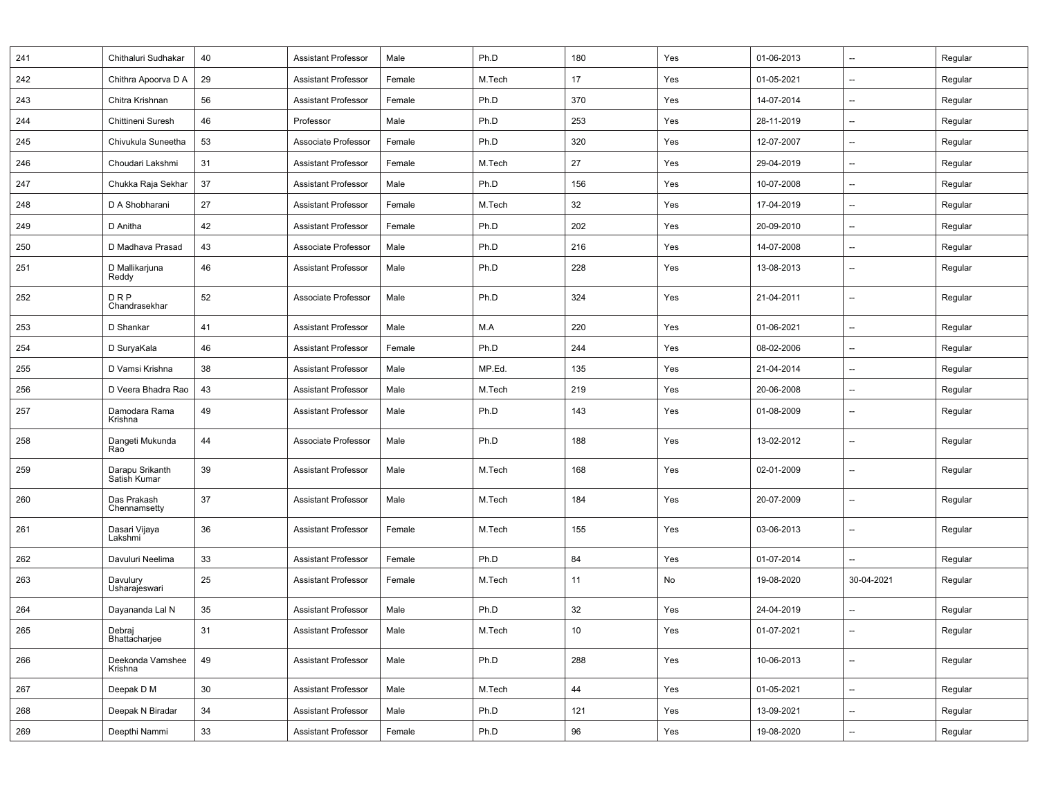| 241 | Chithaluri Sudhakar             | 40 | <b>Assistant Professor</b> | Male   | Ph.D   | 180 | Yes | 01-06-2013 | $\overline{\phantom{a}}$ | Regular |
|-----|---------------------------------|----|----------------------------|--------|--------|-----|-----|------------|--------------------------|---------|
| 242 | Chithra Apoorva D A             | 29 | <b>Assistant Professor</b> | Female | M.Tech | 17  | Yes | 01-05-2021 | $\overline{\phantom{a}}$ | Regular |
| 243 | Chitra Krishnan                 | 56 | <b>Assistant Professor</b> | Female | Ph.D   | 370 | Yes | 14-07-2014 | $\overline{\phantom{a}}$ | Regular |
| 244 | Chittineni Suresh               | 46 | Professor                  | Male   | Ph.D   | 253 | Yes | 28-11-2019 | $\overline{\phantom{a}}$ | Regular |
| 245 | Chivukula Suneetha              | 53 | Associate Professor        | Female | Ph.D   | 320 | Yes | 12-07-2007 | $\qquad \qquad \cdots$   | Regular |
| 246 | Choudari Lakshmi                | 31 | <b>Assistant Professor</b> | Female | M.Tech | 27  | Yes | 29-04-2019 | --                       | Regular |
| 247 | Chukka Raja Sekhar              | 37 | <b>Assistant Professor</b> | Male   | Ph.D   | 156 | Yes | 10-07-2008 | $\overline{\phantom{a}}$ | Regular |
| 248 | D A Shobharani                  | 27 | <b>Assistant Professor</b> | Female | M.Tech | 32  | Yes | 17-04-2019 | $\overline{\phantom{a}}$ | Regular |
| 249 | D Anitha                        | 42 | <b>Assistant Professor</b> | Female | Ph.D   | 202 | Yes | 20-09-2010 | --                       | Regular |
| 250 | D Madhava Prasad                | 43 | Associate Professor        | Male   | Ph.D   | 216 | Yes | 14-07-2008 | $\overline{\phantom{a}}$ | Regular |
| 251 | D Mallikarjuna<br>Reddy         | 46 | <b>Assistant Professor</b> | Male   | Ph.D   | 228 | Yes | 13-08-2013 | $\overline{\phantom{a}}$ | Regular |
| 252 | DRP<br>Chandrasekhar            | 52 | Associate Professor        | Male   | Ph.D   | 324 | Yes | 21-04-2011 | $\qquad \qquad \cdots$   | Regular |
| 253 | D Shankar                       | 41 | <b>Assistant Professor</b> | Male   | M.A    | 220 | Yes | 01-06-2021 | $\overline{\phantom{a}}$ | Regular |
| 254 | D SuryaKala                     | 46 | <b>Assistant Professor</b> | Female | Ph.D   | 244 | Yes | 08-02-2006 | $\overline{\phantom{a}}$ | Regular |
| 255 | D Vamsi Krishna                 | 38 | <b>Assistant Professor</b> | Male   | MP.Ed. | 135 | Yes | 21-04-2014 | $\overline{\phantom{a}}$ | Regular |
| 256 | D Veera Bhadra Rao              | 43 | <b>Assistant Professor</b> | Male   | M.Tech | 219 | Yes | 20-06-2008 | $\overline{\phantom{a}}$ | Regular |
| 257 | Damodara Rama<br>Krishna        | 49 | <b>Assistant Professor</b> | Male   | Ph.D   | 143 | Yes | 01-08-2009 | $\overline{\phantom{a}}$ | Regular |
| 258 | Dangeti Mukunda<br>Rao          | 44 | Associate Professor        | Male   | Ph.D   | 188 | Yes | 13-02-2012 | $\overline{\phantom{a}}$ | Regular |
| 259 | Darapu Srikanth<br>Satish Kumar | 39 | <b>Assistant Professor</b> | Male   | M.Tech | 168 | Yes | 02-01-2009 | $\overline{\phantom{a}}$ | Regular |
| 260 | Das Prakash<br>Chennamsetty     | 37 | <b>Assistant Professor</b> | Male   | M.Tech | 184 | Yes | 20-07-2009 | $\overline{\phantom{a}}$ | Regular |
| 261 | Dasari Vijaya<br>Lakshmi        | 36 | <b>Assistant Professor</b> | Female | M.Tech | 155 | Yes | 03-06-2013 | --                       | Regular |
| 262 | Davuluri Neelima                | 33 | <b>Assistant Professor</b> | Female | Ph.D   | 84  | Yes | 01-07-2014 | $\overline{\phantom{a}}$ | Regular |
| 263 | Davulury<br>Usharajeswari       | 25 | <b>Assistant Professor</b> | Female | M.Tech | 11  | No  | 19-08-2020 | 30-04-2021               | Regular |
| 264 | Dayananda Lal N                 | 35 | <b>Assistant Professor</b> | Male   | Ph.D   | 32  | Yes | 24-04-2019 | $\overline{\phantom{a}}$ | Regular |
| 265 | Debraj<br>Bhattacharjee         | 31 | <b>Assistant Professor</b> | Male   | M.Tech | 10  | Yes | 01-07-2021 | --                       | Regular |
| 266 | Deekonda Vamshee<br>Krishna     | 49 | <b>Assistant Professor</b> | Male   | Ph.D   | 288 | Yes | 10-06-2013 | --                       | Regular |
| 267 | Deepak D M                      | 30 | <b>Assistant Professor</b> | Male   | M.Tech | 44  | Yes | 01-05-2021 | $\overline{\phantom{a}}$ | Regular |
| 268 | Deepak N Biradar                | 34 | <b>Assistant Professor</b> | Male   | Ph.D   | 121 | Yes | 13-09-2021 | --                       | Regular |
| 269 | Deepthi Nammi                   | 33 | <b>Assistant Professor</b> | Female | Ph.D   | 96  | Yes | 19-08-2020 | --                       | Regular |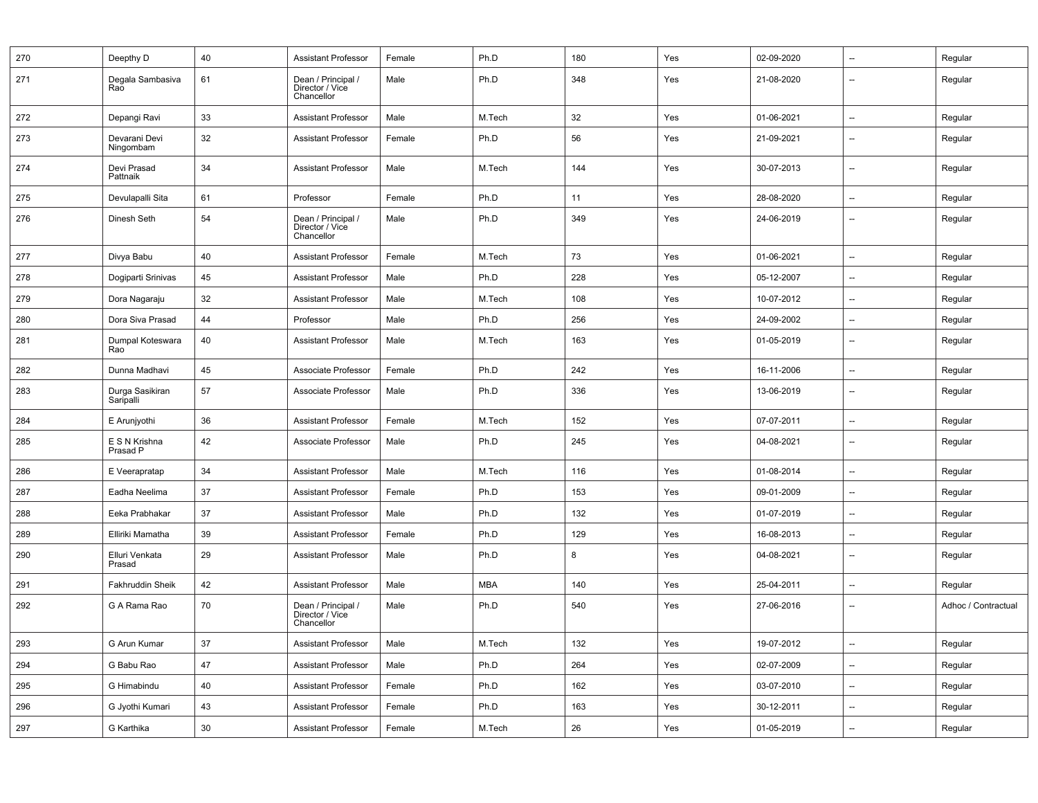| 270 | Deepthy D                    | 40              | <b>Assistant Professor</b>                          | Female | Ph.D       | 180 | Yes | 02-09-2020 | $\overline{\phantom{a}}$ | Regular             |
|-----|------------------------------|-----------------|-----------------------------------------------------|--------|------------|-----|-----|------------|--------------------------|---------------------|
| 271 | Degala Sambasiva<br>Rao      | 61              | Dean / Principal /<br>Director / Vice<br>Chancellor | Male   | Ph.D       | 348 | Yes | 21-08-2020 | $\overline{\phantom{a}}$ | Regular             |
| 272 | Depangi Ravi                 | 33              | <b>Assistant Professor</b>                          | Male   | M.Tech     | 32  | Yes | 01-06-2021 | $\overline{\phantom{a}}$ | Regular             |
| 273 | Devarani Devi<br>Ningombam   | 32              | <b>Assistant Professor</b>                          | Female | Ph.D       | 56  | Yes | 21-09-2021 | $\overline{\phantom{a}}$ | Regular             |
| 274 | Devi Prasad<br>Pattnaik      | 34              | <b>Assistant Professor</b>                          | Male   | M.Tech     | 144 | Yes | 30-07-2013 | --                       | Regular             |
| 275 | Devulapalli Sita             | 61              | Professor                                           | Female | Ph.D       | 11  | Yes | 28-08-2020 | $\overline{\phantom{a}}$ | Regular             |
| 276 | Dinesh Seth                  | 54              | Dean / Principal /<br>Director / Vice<br>Chancellor | Male   | Ph.D       | 349 | Yes | 24-06-2019 | $\overline{\phantom{a}}$ | Regular             |
| 277 | Divya Babu                   | 40              | <b>Assistant Professor</b>                          | Female | M.Tech     | 73  | Yes | 01-06-2021 | --                       | Regular             |
| 278 | Dogiparti Srinivas           | 45              | <b>Assistant Professor</b>                          | Male   | Ph.D       | 228 | Yes | 05-12-2007 | $\overline{\phantom{a}}$ | Regular             |
| 279 | Dora Nagaraju                | 32              | <b>Assistant Professor</b>                          | Male   | M.Tech     | 108 | Yes | 10-07-2012 | $\overline{\phantom{a}}$ | Regular             |
| 280 | Dora Siva Prasad             | 44              | Professor                                           | Male   | Ph.D       | 256 | Yes | 24-09-2002 | --                       | Regular             |
| 281 | Dumpal Koteswara<br>Rao      | 40              | <b>Assistant Professor</b>                          | Male   | M.Tech     | 163 | Yes | 01-05-2019 | --                       | Regular             |
| 282 | Dunna Madhavi                | 45              | Associate Professor                                 | Female | Ph.D       | 242 | Yes | 16-11-2006 | --                       | Regular             |
| 283 | Durga Sasikiran<br>Saripalli | 57              | Associate Professor                                 | Male   | Ph.D       | 336 | Yes | 13-06-2019 | $\overline{\phantom{a}}$ | Regular             |
| 284 | E Arunjyothi                 | 36              | <b>Assistant Professor</b>                          | Female | M.Tech     | 152 | Yes | 07-07-2011 | $\overline{\phantom{a}}$ | Regular             |
| 285 | E S N Krishna<br>Prasad P    | 42              | Associate Professor                                 | Male   | Ph.D       | 245 | Yes | 04-08-2021 | $\overline{\phantom{a}}$ | Regular             |
| 286 | E Veerapratap                | 34              | <b>Assistant Professor</b>                          | Male   | M.Tech     | 116 | Yes | 01-08-2014 | --                       | Regular             |
| 287 | Eadha Neelima                | 37              | <b>Assistant Professor</b>                          | Female | Ph.D       | 153 | Yes | 09-01-2009 | --                       | Regular             |
| 288 | Eeka Prabhakar               | 37              | <b>Assistant Professor</b>                          | Male   | Ph.D       | 132 | Yes | 01-07-2019 | $\qquad \qquad \cdots$   | Regular             |
| 289 | Elliriki Mamatha             | 39              | <b>Assistant Professor</b>                          | Female | Ph.D       | 129 | Yes | 16-08-2013 | --                       | Regular             |
| 290 | Elluri Venkata<br>Prasad     | 29              | <b>Assistant Professor</b>                          | Male   | Ph.D       | 8   | Yes | 04-08-2021 | $\overline{\phantom{a}}$ | Regular             |
| 291 | Fakhruddin Sheik             | 42              | <b>Assistant Professor</b>                          | Male   | <b>MBA</b> | 140 | Yes | 25-04-2011 | $\overline{\phantom{a}}$ | Regular             |
| 292 | G A Rama Rao                 | 70              | Dean / Principal /<br>Director / Vice<br>Chancellor | Male   | Ph.D       | 540 | Yes | 27-06-2016 | $\overline{\phantom{a}}$ | Adhoc / Contractual |
| 293 | G Arun Kumar                 | 37              | <b>Assistant Professor</b>                          | Male   | M.Tech     | 132 | Yes | 19-07-2012 | --                       | Regular             |
| 294 | G Babu Rao                   | 47              | <b>Assistant Professor</b>                          | Male   | Ph.D       | 264 | Yes | 02-07-2009 | $\overline{\phantom{a}}$ | Regular             |
| 295 | G Himabindu                  | 40              | <b>Assistant Professor</b>                          | Female | Ph.D       | 162 | Yes | 03-07-2010 | --                       | Regular             |
| 296 | G Jyothi Kumari              | 43              | <b>Assistant Professor</b>                          | Female | Ph.D       | 163 | Yes | 30-12-2011 | --                       | Regular             |
| 297 | G Karthika                   | 30 <sup>°</sup> | Assistant Professor                                 | Female | M.Tech     | 26  | Yes | 01-05-2019 | $\overline{\phantom{a}}$ | Regular             |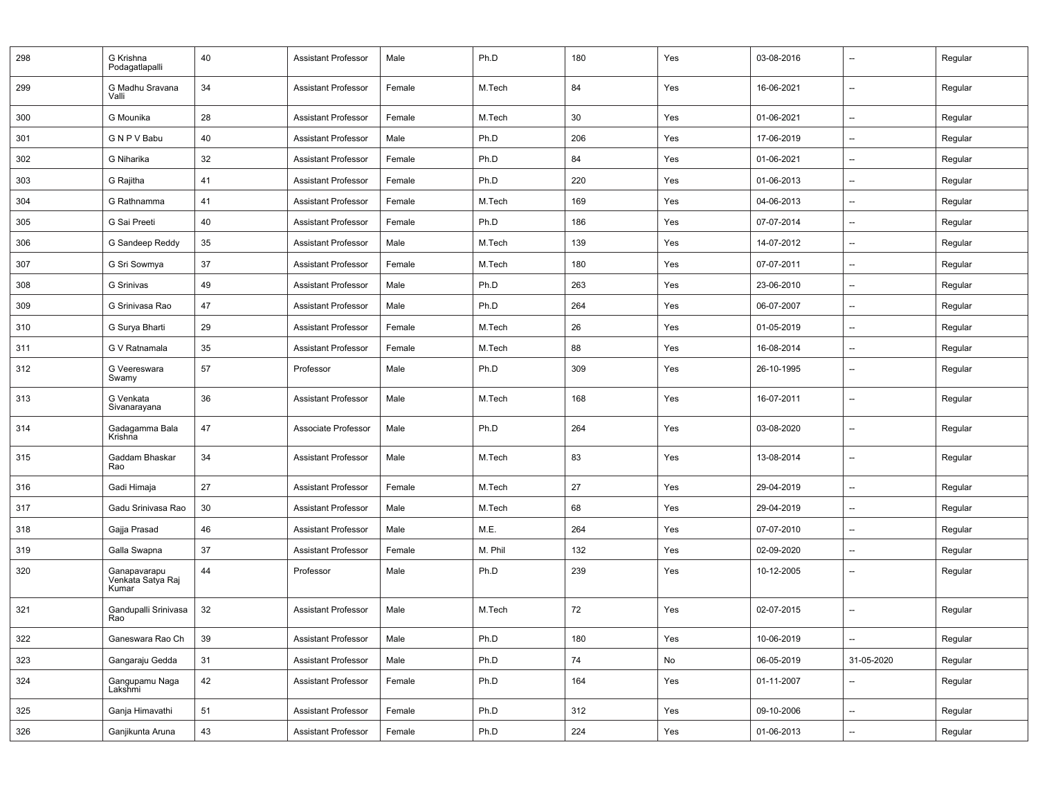| 298 | G Krishna<br>Podagatlapalli                | 40 | <b>Assistant Professor</b> | Male   | Ph.D    | 180 | Yes | 03-08-2016 | $\overline{\phantom{a}}$ | Regular |
|-----|--------------------------------------------|----|----------------------------|--------|---------|-----|-----|------------|--------------------------|---------|
| 299 | G Madhu Sravana<br>Valli                   | 34 | <b>Assistant Professor</b> | Female | M.Tech  | 84  | Yes | 16-06-2021 | $\overline{\phantom{a}}$ | Regular |
| 300 | G Mounika                                  | 28 | <b>Assistant Professor</b> | Female | M.Tech  | 30  | Yes | 01-06-2021 | $\overline{\phantom{a}}$ | Regular |
| 301 | GNPV Babu                                  | 40 | <b>Assistant Professor</b> | Male   | Ph.D    | 206 | Yes | 17-06-2019 | $\overline{\phantom{a}}$ | Regular |
| 302 | G Niharika                                 | 32 | <b>Assistant Professor</b> | Female | Ph.D    | 84  | Yes | 01-06-2021 | --                       | Regular |
| 303 | G Rajitha                                  | 41 | <b>Assistant Professor</b> | Female | Ph.D    | 220 | Yes | 01-06-2013 | $\overline{\phantom{a}}$ | Regular |
| 304 | G Rathnamma                                | 41 | <b>Assistant Professor</b> | Female | M.Tech  | 169 | Yes | 04-06-2013 | $\overline{\phantom{a}}$ | Regular |
| 305 | G Sai Preeti                               | 40 | <b>Assistant Professor</b> | Female | Ph.D    | 186 | Yes | 07-07-2014 | --                       | Regular |
| 306 | G Sandeep Reddy                            | 35 | <b>Assistant Professor</b> | Male   | M.Tech  | 139 | Yes | 14-07-2012 | $\overline{\phantom{a}}$ | Regular |
| 307 | G Sri Sowmya                               | 37 | <b>Assistant Professor</b> | Female | M.Tech  | 180 | Yes | 07-07-2011 | $\overline{\phantom{a}}$ | Regular |
| 308 | G Srinivas                                 | 49 | <b>Assistant Professor</b> | Male   | Ph.D    | 263 | Yes | 23-06-2010 | $\qquad \qquad \cdots$   | Regular |
| 309 | G Srinivasa Rao                            | 47 | <b>Assistant Professor</b> | Male   | Ph.D    | 264 | Yes | 06-07-2007 | $\overline{\phantom{a}}$ | Regular |
| 310 | G Surya Bharti                             | 29 | <b>Assistant Professor</b> | Female | M.Tech  | 26  | Yes | 01-05-2019 | $\overline{\phantom{a}}$ | Regular |
| 311 | G V Ratnamala                              | 35 | <b>Assistant Professor</b> | Female | M.Tech  | 88  | Yes | 16-08-2014 | $\overline{\phantom{a}}$ | Regular |
| 312 | G Veereswara<br>Swamy                      | 57 | Professor                  | Male   | Ph.D    | 309 | Yes | 26-10-1995 | $\overline{\phantom{a}}$ | Regular |
| 313 | G Venkata<br>Sivanarayana                  | 36 | <b>Assistant Professor</b> | Male   | M.Tech  | 168 | Yes | 16-07-2011 | $\overline{\phantom{a}}$ | Regular |
| 314 | Gadagamma Bala<br>Krishna                  | 47 | Associate Professor        | Male   | Ph.D    | 264 | Yes | 03-08-2020 | $\overline{\phantom{a}}$ | Regular |
| 315 | Gaddam Bhaskar<br>Rao                      | 34 | <b>Assistant Professor</b> | Male   | M.Tech  | 83  | Yes | 13-08-2014 | $\overline{\phantom{a}}$ | Regular |
| 316 | Gadi Himaja                                | 27 | <b>Assistant Professor</b> | Female | M.Tech  | 27  | Yes | 29-04-2019 | --                       | Regular |
| 317 | Gadu Srinivasa Rao                         | 30 | <b>Assistant Professor</b> | Male   | M.Tech  | 68  | Yes | 29-04-2019 | $\overline{\phantom{a}}$ | Regular |
| 318 | Gajja Prasad                               | 46 | <b>Assistant Professor</b> | Male   | M.E.    | 264 | Yes | 07-07-2010 | --                       | Regular |
| 319 | Galla Swapna                               | 37 | <b>Assistant Professor</b> | Female | M. Phil | 132 | Yes | 02-09-2020 | $\overline{\phantom{a}}$ | Regular |
| 320 | Ganapavarapu<br>Venkata Satya Raj<br>Kumar | 44 | Professor                  | Male   | Ph.D    | 239 | Yes | 10-12-2005 | $\overline{\phantom{a}}$ | Regular |
| 321 | Gandupalli Srinivasa<br>Rao                | 32 | <b>Assistant Professor</b> | Male   | M.Tech  | 72  | Yes | 02-07-2015 | --                       | Regular |
| 322 | Ganeswara Rao Ch                           | 39 | <b>Assistant Professor</b> | Male   | Ph.D    | 180 | Yes | 10-06-2019 | $\overline{\phantom{a}}$ | Regular |
| 323 | Gangaraju Gedda                            | 31 | <b>Assistant Professor</b> | Male   | Ph.D    | 74  | No  | 06-05-2019 | 31-05-2020               | Regular |
| 324 | Gangupamu Naga<br>Lakshmi                  | 42 | <b>Assistant Professor</b> | Female | Ph.D    | 164 | Yes | 01-11-2007 | --                       | Regular |
| 325 | Ganja Himavathi                            | 51 | <b>Assistant Professor</b> | Female | Ph.D    | 312 | Yes | 09-10-2006 | --                       | Regular |
| 326 | Ganjikunta Aruna                           | 43 | <b>Assistant Professor</b> | Female | Ph.D    | 224 | Yes | 01-06-2013 | --                       | Regular |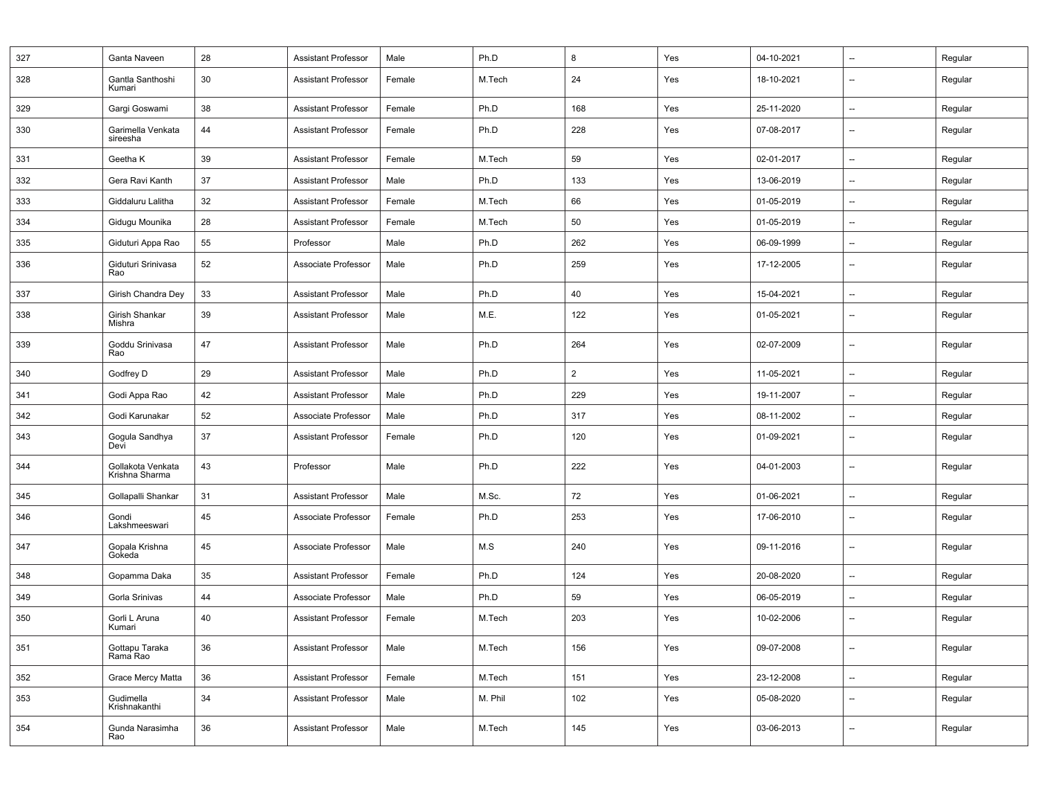| 327 | Ganta Naveen                        | 28 | <b>Assistant Professor</b> | Male   | Ph.D    | 8              | Yes | 04-10-2021 | $\overline{\phantom{a}}$ | Regular |
|-----|-------------------------------------|----|----------------------------|--------|---------|----------------|-----|------------|--------------------------|---------|
| 328 | Gantla Santhoshi<br>Kumari          | 30 | <b>Assistant Professor</b> | Female | M.Tech  | 24             | Yes | 18-10-2021 | $\overline{\phantom{a}}$ | Regular |
| 329 | Gargi Goswami                       | 38 | <b>Assistant Professor</b> | Female | Ph.D    | 168            | Yes | 25-11-2020 | --                       | Regular |
| 330 | Garimella Venkata<br>sireesha       | 44 | <b>Assistant Professor</b> | Female | Ph.D    | 228            | Yes | 07-08-2017 | $\overline{\phantom{a}}$ | Regular |
| 331 | Geetha K                            | 39 | <b>Assistant Professor</b> | Female | M.Tech  | 59             | Yes | 02-01-2017 | $\overline{\phantom{a}}$ | Regular |
| 332 | Gera Ravi Kanth                     | 37 | <b>Assistant Professor</b> | Male   | Ph.D    | 133            | Yes | 13-06-2019 | $\overline{\phantom{a}}$ | Regular |
| 333 | Giddaluru Lalitha                   | 32 | <b>Assistant Professor</b> | Female | M.Tech  | 66             | Yes | 01-05-2019 | --                       | Regular |
| 334 | Gidugu Mounika                      | 28 | <b>Assistant Professor</b> | Female | M.Tech  | 50             | Yes | 01-05-2019 | --                       | Regular |
| 335 | Giduturi Appa Rao                   | 55 | Professor                  | Male   | Ph.D    | 262            | Yes | 06-09-1999 | --                       | Regular |
| 336 | Giduturi Srinivasa<br>Rao           | 52 | Associate Professor        | Male   | Ph.D    | 259            | Yes | 17-12-2005 | $\overline{\phantom{a}}$ | Regular |
| 337 | Girish Chandra Dey                  | 33 | <b>Assistant Professor</b> | Male   | Ph.D    | 40             | Yes | 15-04-2021 | --                       | Regular |
| 338 | Girish Shankar<br>Mishra            | 39 | <b>Assistant Professor</b> | Male   | M.E.    | 122            | Yes | 01-05-2021 | $\overline{\phantom{a}}$ | Regular |
| 339 | Goddu Srinivasa<br>Rao              | 47 | <b>Assistant Professor</b> | Male   | Ph.D    | 264            | Yes | 02-07-2009 | $\overline{\phantom{a}}$ | Regular |
| 340 | Godfrey D                           | 29 | <b>Assistant Professor</b> | Male   | Ph.D    | $\overline{2}$ | Yes | 11-05-2021 | $\overline{\phantom{a}}$ | Regular |
| 341 | Godi Appa Rao                       | 42 | <b>Assistant Professor</b> | Male   | Ph.D    | 229            | Yes | 19-11-2007 | --                       | Regular |
| 342 | Godi Karunakar                      | 52 | Associate Professor        | Male   | Ph.D    | 317            | Yes | 08-11-2002 | $\qquad \qquad \cdots$   | Regular |
| 343 | Gogula Sandhya<br>Devi              | 37 | <b>Assistant Professor</b> | Female | Ph.D    | 120            | Yes | 01-09-2021 | $\overline{\phantom{a}}$ | Regular |
| 344 | Gollakota Venkata<br>Krishna Sharma | 43 | Professor                  | Male   | Ph.D    | 222            | Yes | 04-01-2003 | $\overline{\phantom{a}}$ | Regular |
| 345 | Gollapalli Shankar                  | 31 | <b>Assistant Professor</b> | Male   | M.Sc.   | 72             | Yes | 01-06-2021 | $\overline{\phantom{a}}$ | Regular |
| 346 | Gondi<br>Lakshmeeswari              | 45 | Associate Professor        | Female | Ph.D    | 253            | Yes | 17-06-2010 | $\overline{\phantom{a}}$ | Regular |
| 347 | Gopala Krishna<br>Gokeda            | 45 | Associate Professor        | Male   | M.S     | 240            | Yes | 09-11-2016 | $\overline{\phantom{a}}$ | Regular |
| 348 | Gopamma Daka                        | 35 | <b>Assistant Professor</b> | Female | Ph.D    | 124            | Yes | 20-08-2020 | $\qquad \qquad \cdots$   | Regular |
| 349 | Gorla Srinivas                      | 44 | Associate Professor        | Male   | Ph.D    | 59             | Yes | 06-05-2019 | $\overline{\phantom{a}}$ | Regular |
| 350 | Gorli L Aruna<br>Kumari             | 40 | <b>Assistant Professor</b> | Female | M.Tech  | 203            | Yes | 10-02-2006 | $\overline{\phantom{a}}$ | Regular |
| 351 | Gottapu Taraka<br>Rama Rao          | 36 | <b>Assistant Professor</b> | Male   | M.Tech  | 156            | Yes | 09-07-2008 | $\overline{\phantom{a}}$ | Regular |
| 352 | Grace Mercy Matta                   | 36 | <b>Assistant Professor</b> | Female | M.Tech  | 151            | Yes | 23-12-2008 | --                       | Regular |
| 353 | Gudimella<br>Krishnakanthi          | 34 | <b>Assistant Professor</b> | Male   | M. Phil | 102            | Yes | 05-08-2020 | $\overline{\phantom{a}}$ | Regular |
| 354 | Gunda Narasimha<br>Rao              | 36 | <b>Assistant Professor</b> | Male   | M.Tech  | 145            | Yes | 03-06-2013 | --                       | Regular |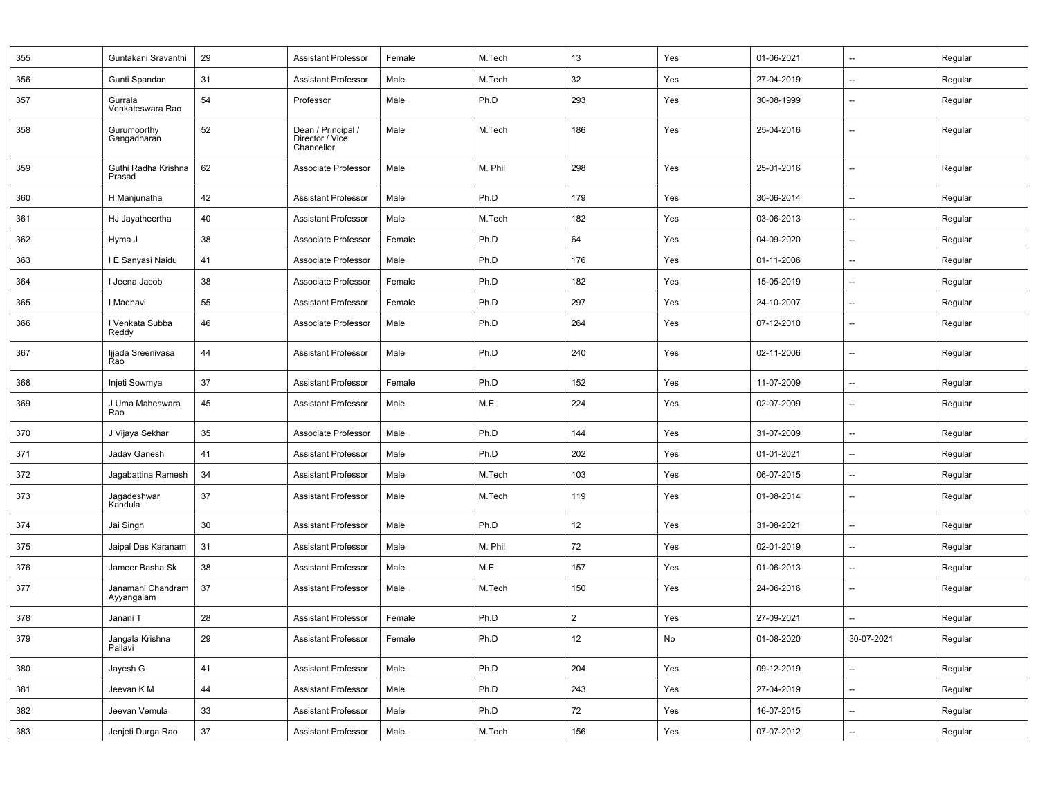| 355 | Guntakani Sravanthi             | 29 | <b>Assistant Professor</b>                          | Female | M.Tech  | 13             | Yes | 01-06-2021 | $\overline{\phantom{a}}$ | Regular |
|-----|---------------------------------|----|-----------------------------------------------------|--------|---------|----------------|-----|------------|--------------------------|---------|
| 356 | Gunti Spandan                   | 31 | <b>Assistant Professor</b>                          | Male   | M.Tech  | 32             | Yes | 27-04-2019 | $\overline{\phantom{a}}$ | Regular |
| 357 | Gurrala<br>Venkateswara Rao     | 54 | Professor                                           | Male   | Ph.D    | 293            | Yes | 30-08-1999 | $\overline{\phantom{a}}$ | Regular |
| 358 | Gurumoorthy<br>Gangadharan      | 52 | Dean / Principal /<br>Director / Vice<br>Chancellor | Male   | M.Tech  | 186            | Yes | 25-04-2016 | $\overline{\phantom{a}}$ | Regular |
| 359 | Guthi Radha Krishna<br>Prasad   | 62 | Associate Professor                                 | Male   | M. Phil | 298            | Yes | 25-01-2016 | --                       | Regular |
| 360 | H Manjunatha                    | 42 | <b>Assistant Professor</b>                          | Male   | Ph.D    | 179            | Yes | 30-06-2014 | $\overline{\phantom{a}}$ | Regular |
| 361 | HJ Jayatheertha                 | 40 | <b>Assistant Professor</b>                          | Male   | M.Tech  | 182            | Yes | 03-06-2013 | $\overline{\phantom{a}}$ | Regular |
| 362 | Hyma J                          | 38 | Associate Professor                                 | Female | Ph.D    | 64             | Yes | 04-09-2020 | $\overline{\phantom{a}}$ | Regular |
| 363 | I E Sanyasi Naidu               | 41 | Associate Professor                                 | Male   | Ph.D    | 176            | Yes | 01-11-2006 | $\overline{\phantom{a}}$ | Regular |
| 364 | I Jeena Jacob                   | 38 | Associate Professor                                 | Female | Ph.D    | 182            | Yes | 15-05-2019 | --                       | Regular |
| 365 | I Madhavi                       | 55 | <b>Assistant Professor</b>                          | Female | Ph.D    | 297            | Yes | 24-10-2007 | $\overline{\phantom{a}}$ | Regular |
| 366 | I Venkata Subba<br>Reddy        | 46 | Associate Professor                                 | Male   | Ph.D    | 264            | Yes | 07-12-2010 | --                       | Regular |
| 367 | Ijjada Sreenivasa<br>Rao        | 44 | <b>Assistant Professor</b>                          | Male   | Ph.D    | 240            | Yes | 02-11-2006 | $\overline{\phantom{a}}$ | Regular |
| 368 | Injeti Sowmya                   | 37 | <b>Assistant Professor</b>                          | Female | Ph.D    | 152            | Yes | 11-07-2009 | $\overline{\phantom{a}}$ | Regular |
| 369 | J Uma Maheswara<br>Rao          | 45 | <b>Assistant Professor</b>                          | Male   | M.E.    | 224            | Yes | 02-07-2009 | $\overline{\phantom{a}}$ | Regular |
| 370 | J Vijaya Sekhar                 | 35 | Associate Professor                                 | Male   | Ph.D    | 144            | Yes | 31-07-2009 | $\overline{\phantom{a}}$ | Regular |
| 371 | Jadav Ganesh                    | 41 | <b>Assistant Professor</b>                          | Male   | Ph.D    | 202            | Yes | 01-01-2021 | --                       | Regular |
| 372 | Jagabattina Ramesh              | 34 | <b>Assistant Professor</b>                          | Male   | M.Tech  | 103            | Yes | 06-07-2015 | --                       | Regular |
| 373 | Jagadeshwar<br>Kandula          | 37 | <b>Assistant Professor</b>                          | Male   | M.Tech  | 119            | Yes | 01-08-2014 | $\overline{\phantom{a}}$ | Regular |
| 374 | Jai Singh                       | 30 | <b>Assistant Professor</b>                          | Male   | Ph.D    | 12             | Yes | 31-08-2021 | --                       | Regular |
| 375 | Jaipal Das Karanam              | 31 | <b>Assistant Professor</b>                          | Male   | M. Phil | 72             | Yes | 02-01-2019 | $\overline{\phantom{a}}$ | Regular |
| 376 | Jameer Basha Sk                 | 38 | <b>Assistant Professor</b>                          | Male   | M.E.    | 157            | Yes | 01-06-2013 | $\overline{\phantom{a}}$ | Regular |
| 377 | Janamani Chandram<br>Ayyangalam | 37 | <b>Assistant Professor</b>                          | Male   | M.Tech  | 150            | Yes | 24-06-2016 | $\qquad \qquad \cdots$   | Regular |
| 378 | Janani T                        | 28 | <b>Assistant Professor</b>                          | Female | Ph.D    | $\overline{2}$ | Yes | 27-09-2021 | $\overline{\phantom{a}}$ | Regular |
| 379 | Jangala Krishna<br>Pallavi      | 29 | <b>Assistant Professor</b>                          | Female | Ph.D    | 12             | No  | 01-08-2020 | 30-07-2021               | Regular |
| 380 | Jayesh G                        | 41 | <b>Assistant Professor</b>                          | Male   | Ph.D    | 204            | Yes | 09-12-2019 | $\overline{\phantom{a}}$ | Regular |
| 381 | Jeevan K M                      | 44 | <b>Assistant Professor</b>                          | Male   | Ph.D    | 243            | Yes | 27-04-2019 | --                       | Regular |
| 382 | Jeevan Vemula                   | 33 | <b>Assistant Professor</b>                          | Male   | Ph.D    | 72             | Yes | 16-07-2015 | --                       | Regular |
| 383 | Jenjeti Durga Rao               | 37 | <b>Assistant Professor</b>                          | Male   | M.Tech  | 156            | Yes | 07-07-2012 | --                       | Regular |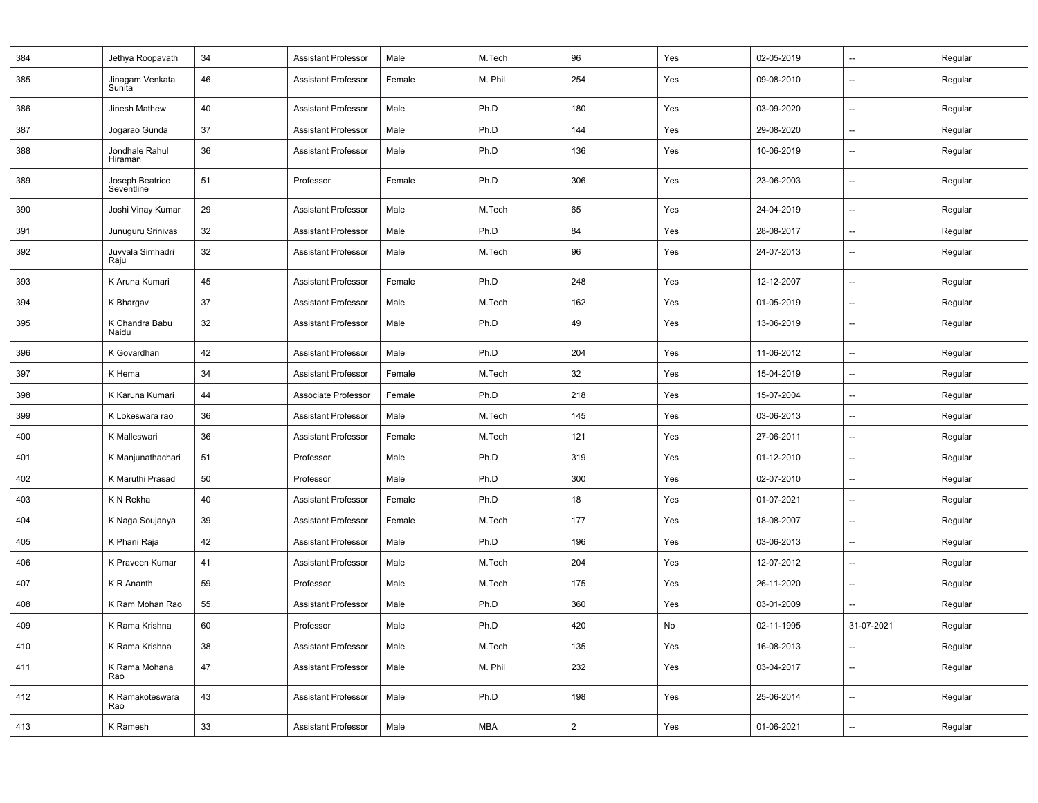| 384 | Jethya Roopavath              | 34 | <b>Assistant Professor</b> | Male   | M.Tech  | 96             | Yes | 02-05-2019 | $\overline{\phantom{a}}$ | Regular |
|-----|-------------------------------|----|----------------------------|--------|---------|----------------|-----|------------|--------------------------|---------|
| 385 | Jinagam Venkata<br>Sunita     | 46 | <b>Assistant Professor</b> | Female | M. Phil | 254            | Yes | 09-08-2010 | $\overline{\phantom{a}}$ | Regular |
| 386 | Jinesh Mathew                 | 40 | <b>Assistant Professor</b> | Male   | Ph.D    | 180            | Yes | 03-09-2020 | $\overline{\phantom{a}}$ | Regular |
| 387 | Jogarao Gunda                 | 37 | <b>Assistant Professor</b> | Male   | Ph.D    | 144            | Yes | 29-08-2020 | $\overline{\phantom{a}}$ | Regular |
| 388 | Jondhale Rahul<br>Hiraman     | 36 | <b>Assistant Professor</b> | Male   | Ph.D    | 136            | Yes | 10-06-2019 | $\overline{\phantom{a}}$ | Regular |
| 389 | Joseph Beatrice<br>Seventline | 51 | Professor                  | Female | Ph.D    | 306            | Yes | 23-06-2003 | $\overline{\phantom{a}}$ | Regular |
| 390 | Joshi Vinay Kumar             | 29 | <b>Assistant Professor</b> | Male   | M.Tech  | 65             | Yes | 24-04-2019 | $\overline{\phantom{a}}$ | Regular |
| 391 | Junuguru Srinivas             | 32 | <b>Assistant Professor</b> | Male   | Ph.D    | 84             | Yes | 28-08-2017 | $\overline{\phantom{a}}$ | Regular |
| 392 | Juvvala Simhadri<br>Raju      | 32 | <b>Assistant Professor</b> | Male   | M.Tech  | 96             | Yes | 24-07-2013 | $\overline{\phantom{a}}$ | Regular |
| 393 | K Aruna Kumari                | 45 | <b>Assistant Professor</b> | Female | Ph.D    | 248            | Yes | 12-12-2007 | $\overline{\phantom{a}}$ | Regular |
| 394 | K Bhargav                     | 37 | <b>Assistant Professor</b> | Male   | M.Tech  | 162            | Yes | 01-05-2019 | $\overline{\phantom{a}}$ | Regular |
| 395 | K Chandra Babu<br>Naidu       | 32 | Assistant Professor        | Male   | Ph.D    | 49             | Yes | 13-06-2019 | $\overline{\phantom{a}}$ | Regular |
| 396 | K Govardhan                   | 42 | <b>Assistant Professor</b> | Male   | Ph.D    | 204            | Yes | 11-06-2012 | $\overline{\phantom{a}}$ | Regular |
| 397 | K Hema                        | 34 | <b>Assistant Professor</b> | Female | M.Tech  | 32             | Yes | 15-04-2019 | $\overline{\phantom{a}}$ | Regular |
| 398 | K Karuna Kumari               | 44 | Associate Professor        | Female | Ph.D    | 218            | Yes | 15-07-2004 | $\overline{\phantom{a}}$ | Regular |
| 399 | K Lokeswara rao               | 36 | <b>Assistant Professor</b> | Male   | M.Tech  | 145            | Yes | 03-06-2013 | $\overline{\phantom{a}}$ | Regular |
| 400 | K Malleswari                  | 36 | <b>Assistant Professor</b> | Female | M.Tech  | 121            | Yes | 27-06-2011 | $\overline{\phantom{a}}$ | Regular |
| 401 | K Manjunathachari             | 51 | Professor                  | Male   | Ph.D    | 319            | Yes | 01-12-2010 | $\overline{\phantom{a}}$ | Regular |
| 402 | K Maruthi Prasad              | 50 | Professor                  | Male   | Ph.D    | 300            | Yes | 02-07-2010 | $\overline{\phantom{a}}$ | Regular |
| 403 | K N Rekha                     | 40 | <b>Assistant Professor</b> | Female | Ph.D    | 18             | Yes | 01-07-2021 | $\overline{\phantom{a}}$ | Regular |
| 404 | K Naga Soujanya               | 39 | <b>Assistant Professor</b> | Female | M.Tech  | 177            | Yes | 18-08-2007 | $\overline{\phantom{a}}$ | Regular |
| 405 | K Phani Raja                  | 42 | <b>Assistant Professor</b> | Male   | Ph.D    | 196            | Yes | 03-06-2013 | $\overline{\phantom{a}}$ | Regular |
| 406 | K Praveen Kumar               | 41 | <b>Assistant Professor</b> | Male   | M.Tech  | 204            | Yes | 12-07-2012 | $\overline{\phantom{a}}$ | Regular |
| 407 | K R Ananth                    | 59 | Professor                  | Male   | M.Tech  | 175            | Yes | 26-11-2020 | $\overline{\phantom{a}}$ | Regular |
| 408 | K Ram Mohan Rao               | 55 | <b>Assistant Professor</b> | Male   | Ph.D    | 360            | Yes | 03-01-2009 | $\overline{\phantom{a}}$ | Regular |
| 409 | K Rama Krishna                | 60 | Professor                  | Male   | Ph.D    | 420            | No  | 02-11-1995 | 31-07-2021               | Regular |
| 410 | K Rama Krishna                | 38 | <b>Assistant Professor</b> | Male   | M.Tech  | 135            | Yes | 16-08-2013 | $\overline{\phantom{a}}$ | Regular |
| 411 | K Rama Mohana<br>Rao          | 47 | <b>Assistant Professor</b> | Male   | M. Phil | 232            | Yes | 03-04-2017 | $\overline{\phantom{a}}$ | Regular |
| 412 | K Ramakoteswara<br>Rao        | 43 | <b>Assistant Professor</b> | Male   | Ph.D    | 198            | Yes | 25-06-2014 | $\overline{\phantom{a}}$ | Regular |
| 413 | K Ramesh                      | 33 | <b>Assistant Professor</b> | Male   | MBA     | $\overline{2}$ | Yes | 01-06-2021 | $\overline{\phantom{a}}$ | Regular |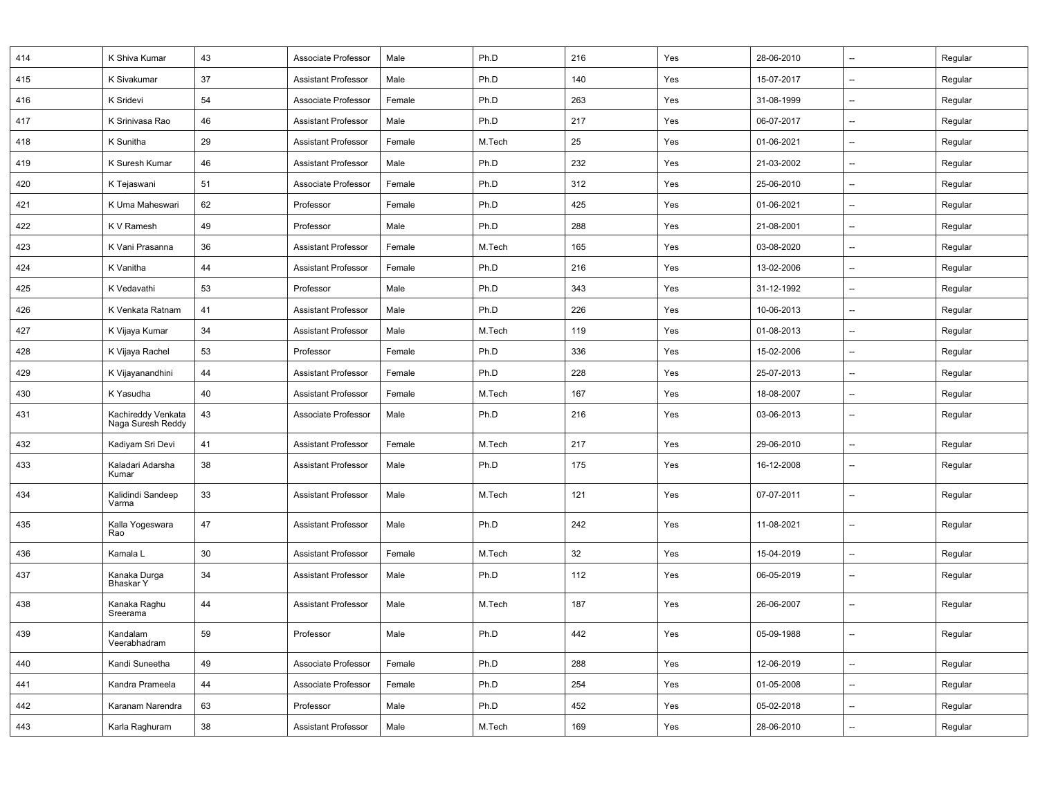| 414 | K Shiva Kumar                           | 43       | Associate Professor        | Male   | Ph.D   | 216 | Yes | 28-06-2010 | $\overline{\phantom{a}}$ | Regular |
|-----|-----------------------------------------|----------|----------------------------|--------|--------|-----|-----|------------|--------------------------|---------|
| 415 | K Sivakumar                             | 37       | <b>Assistant Professor</b> | Male   | Ph.D   | 140 | Yes | 15-07-2017 | $\overline{\phantom{a}}$ | Regular |
| 416 | K Sridevi                               | 54       | Associate Professor        | Female | Ph.D   | 263 | Yes | 31-08-1999 | $\overline{\phantom{a}}$ | Regular |
| 417 | K Srinivasa Rao                         | 46       | <b>Assistant Professor</b> | Male   | Ph.D   | 217 | Yes | 06-07-2017 | $\overline{\phantom{a}}$ | Regular |
| 418 | K Sunitha                               | 29       | Assistant Professor        | Female | M.Tech | 25  | Yes | 01-06-2021 | $\overline{\phantom{a}}$ | Regular |
| 419 | K Suresh Kumar                          | 46       | <b>Assistant Professor</b> | Male   | Ph.D   | 232 | Yes | 21-03-2002 | $\overline{\phantom{a}}$ | Regular |
| 420 | K Tejaswani                             | 51       | Associate Professor        | Female | Ph.D   | 312 | Yes | 25-06-2010 | $\overline{\phantom{a}}$ | Regular |
| 421 | K Uma Maheswari                         | 62       | Professor                  | Female | Ph.D   | 425 | Yes | 01-06-2021 | $\overline{\phantom{a}}$ | Regular |
| 422 | K V Ramesh                              | 49       | Professor                  | Male   | Ph.D   | 288 | Yes | 21-08-2001 | $\overline{\phantom{a}}$ | Regular |
| 423 | K Vani Prasanna                         | 36       | <b>Assistant Professor</b> | Female | M.Tech | 165 | Yes | 03-08-2020 | $\overline{\phantom{a}}$ | Regular |
| 424 | K Vanitha                               | 44       | <b>Assistant Professor</b> | Female | Ph.D   | 216 | Yes | 13-02-2006 | $\overline{\phantom{a}}$ | Regular |
| 425 | K Vedavathi                             | 53       | Professor                  | Male   | Ph.D   | 343 | Yes | 31-12-1992 | $\overline{\phantom{a}}$ | Regular |
| 426 | K Venkata Ratnam                        | 41       | <b>Assistant Professor</b> | Male   | Ph.D   | 226 | Yes | 10-06-2013 | $\overline{\phantom{a}}$ | Regular |
| 427 | K Vijaya Kumar                          | 34       | <b>Assistant Professor</b> | Male   | M.Tech | 119 | Yes | 01-08-2013 | $\overline{\phantom{a}}$ | Regular |
| 428 | K Vijaya Rachel                         | 53       | Professor                  | Female | Ph.D   | 336 | Yes | 15-02-2006 | $\overline{\phantom{a}}$ | Regular |
| 429 | K Vijayanandhini                        | 44       | <b>Assistant Professor</b> | Female | Ph.D   | 228 | Yes | 25-07-2013 | $\overline{\phantom{a}}$ | Regular |
| 430 | K Yasudha                               | 40       | <b>Assistant Professor</b> | Female | M.Tech | 167 | Yes | 18-08-2007 | $\overline{\phantom{a}}$ | Regular |
| 431 | Kachireddy Venkata<br>Naga Suresh Reddy | 43       | Associate Professor        | Male   | Ph.D   | 216 | Yes | 03-06-2013 | $\overline{\phantom{a}}$ | Regular |
| 432 | Kadiyam Sri Devi                        | 41       | <b>Assistant Professor</b> | Female | M.Tech | 217 | Yes | 29-06-2010 | $\overline{\phantom{a}}$ | Regular |
| 433 | Kaladari Adarsha<br>Kumar               | 38       | <b>Assistant Professor</b> | Male   | Ph.D   | 175 | Yes | 16-12-2008 | $\overline{\phantom{a}}$ | Regular |
| 434 | Kalidindi Sandeep<br>Varma              | 33       | <b>Assistant Professor</b> | Male   | M.Tech | 121 | Yes | 07-07-2011 | $\overline{\phantom{a}}$ | Regular |
| 435 | Kalla Yogeswara<br>Rao                  | 47       | <b>Assistant Professor</b> | Male   | Ph.D   | 242 | Yes | 11-08-2021 | $\overline{\phantom{a}}$ | Regular |
| 436 | Kamala L                                | 30       | <b>Assistant Professor</b> | Female | M.Tech | 32  | Yes | 15-04-2019 | --                       | Regular |
| 437 | Kanaka Durga<br>Bhaskar Y               | 34       | <b>Assistant Professor</b> | Male   | Ph.D   | 112 | Yes | 06-05-2019 | $\overline{\phantom{a}}$ | Regular |
| 438 | Kanaka Raghu<br>Sreerama                | 44       | <b>Assistant Professor</b> | Male   | M.Tech | 187 | Yes | 26-06-2007 | $\overline{\phantom{a}}$ | Regular |
| 439 | Kandalam<br>Veerabhadram                | 59       | Professor                  | Male   | Ph.D   | 442 | Yes | 05-09-1988 |                          | Regular |
| 440 | Kandi Suneetha                          | 49       | Associate Professor        | Female | Ph.D   | 288 | Yes | 12-06-2019 | $\overline{\phantom{a}}$ | Regular |
| 441 | Kandra Prameela                         | $\bf 44$ | Associate Professor        | Female | Ph.D   | 254 | Yes | 01-05-2008 | $\overline{\phantom{a}}$ | Regular |
| 442 | Karanam Narendra                        | 63       | Professor                  | Male   | Ph.D   | 452 | Yes | 05-02-2018 | --                       | Regular |
| 443 | Karla Raghuram                          | 38       | Assistant Professor        | Male   | M.Tech | 169 | Yes | 28-06-2010 | $\overline{\phantom{a}}$ | Regular |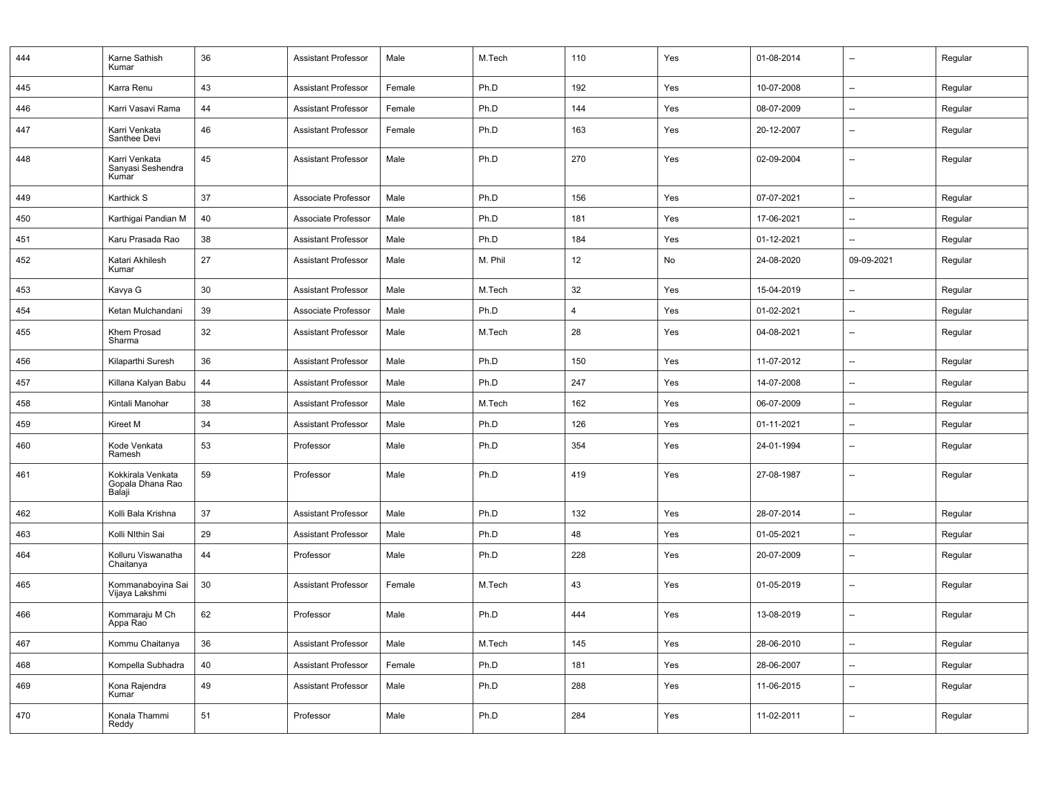| 444 | Karne Sathish<br>Kumar                          | 36 | <b>Assistant Professor</b> | Male   | M.Tech  | 110                     | Yes | 01-08-2014 | $\overline{\phantom{a}}$ | Regular |
|-----|-------------------------------------------------|----|----------------------------|--------|---------|-------------------------|-----|------------|--------------------------|---------|
| 445 | Karra Renu                                      | 43 | <b>Assistant Professor</b> | Female | Ph.D    | 192                     | Yes | 10-07-2008 | $\overline{\phantom{a}}$ | Regular |
| 446 | Karri Vasavi Rama                               | 44 | <b>Assistant Professor</b> | Female | Ph.D    | 144                     | Yes | 08-07-2009 | $\overline{a}$           | Regular |
| 447 | Karri Venkata<br>Santhee Devi                   | 46 | <b>Assistant Professor</b> | Female | Ph.D    | 163                     | Yes | 20-12-2007 | $\overline{\phantom{a}}$ | Regular |
| 448 | Karri Venkata<br>Sanyasi Seshendra<br>Kumar     | 45 | <b>Assistant Professor</b> | Male   | Ph.D    | 270                     | Yes | 02-09-2004 | $\overline{\phantom{a}}$ | Regular |
| 449 | Karthick S                                      | 37 | Associate Professor        | Male   | Ph.D    | 156                     | Yes | 07-07-2021 | $\overline{\phantom{a}}$ | Regular |
| 450 | Karthigai Pandian M                             | 40 | Associate Professor        | Male   | Ph.D    | 181                     | Yes | 17-06-2021 | $\overline{\phantom{a}}$ | Regular |
| 451 | Karu Prasada Rao                                | 38 | <b>Assistant Professor</b> | Male   | Ph.D    | 184                     | Yes | 01-12-2021 | $\overline{\phantom{a}}$ | Regular |
| 452 | Katari Akhilesh<br>Kumar                        | 27 | <b>Assistant Professor</b> | Male   | M. Phil | 12                      | No  | 24-08-2020 | 09-09-2021               | Regular |
| 453 | Kavya G                                         | 30 | <b>Assistant Professor</b> | Male   | M.Tech  | 32                      | Yes | 15-04-2019 | $\overline{\phantom{a}}$ | Regular |
| 454 | Ketan Mulchandani                               | 39 | Associate Professor        | Male   | Ph.D    | $\overline{\mathbf{A}}$ | Yes | 01-02-2021 | $\overline{\phantom{a}}$ | Regular |
| 455 | Khem Prosad<br>Sharma                           | 32 | <b>Assistant Professor</b> | Male   | M.Tech  | 28                      | Yes | 04-08-2021 | $\overline{\phantom{a}}$ | Regular |
| 456 | Kilaparthi Suresh                               | 36 | <b>Assistant Professor</b> | Male   | Ph.D    | 150                     | Yes | 11-07-2012 | $\overline{\phantom{a}}$ | Regular |
| 457 | Killana Kalyan Babu                             | 44 | <b>Assistant Professor</b> | Male   | Ph.D    | 247                     | Yes | 14-07-2008 | $\overline{\phantom{a}}$ | Regular |
| 458 | Kintali Manohar                                 | 38 | <b>Assistant Professor</b> | Male   | M.Tech  | 162                     | Yes | 06-07-2009 | $\overline{\phantom{a}}$ | Regular |
| 459 | Kireet M                                        | 34 | <b>Assistant Professor</b> | Male   | Ph.D    | 126                     | Yes | 01-11-2021 | $\overline{\phantom{a}}$ | Regular |
| 460 | Kode Venkata<br>Ramesh                          | 53 | Professor                  | Male   | Ph.D    | 354                     | Yes | 24-01-1994 | $\overline{\phantom{a}}$ | Regular |
| 461 | Kokkirala Venkata<br>Gopala Dhana Rao<br>Balaji | 59 | Professor                  | Male   | Ph.D    | 419                     | Yes | 27-08-1987 | $\overline{\phantom{a}}$ | Regular |
| 462 | Kolli Bala Krishna                              | 37 | <b>Assistant Professor</b> | Male   | Ph.D    | 132                     | Yes | 28-07-2014 | $\overline{\phantom{a}}$ | Regular |
| 463 | Kolli Nlthin Sai                                | 29 | <b>Assistant Professor</b> | Male   | Ph.D    | 48                      | Yes | 01-05-2021 | $\overline{\phantom{a}}$ | Regular |
| 464 | Kolluru Viswanatha<br>Chaitanya                 | 44 | Professor                  | Male   | Ph.D    | 228                     | Yes | 20-07-2009 | $\overline{\phantom{a}}$ | Regular |
| 465 | Kommanaboyina Sai<br>Vijaya Lakshmi             | 30 | <b>Assistant Professor</b> | Female | M.Tech  | 43                      | Yes | 01-05-2019 | $\overline{\phantom{a}}$ | Regular |
| 466 | Kommaraju M Ch<br>Appa Rao                      | 62 | Professor                  | Male   | Ph.D    | 444                     | Yes | 13-08-2019 | $\overline{\phantom{a}}$ | Regular |
| 467 | Kommu Chaitanya                                 | 36 | <b>Assistant Professor</b> | Male   | M.Tech  | 145                     | Yes | 28-06-2010 | $\overline{\phantom{a}}$ | Regular |
| 468 | Kompella Subhadra                               | 40 | <b>Assistant Professor</b> | Female | Ph.D    | 181                     | Yes | 28-06-2007 | --                       | Regular |
| 469 | Kona Rajendra<br>Kumar                          | 49 | <b>Assistant Professor</b> | Male   | Ph.D    | 288                     | Yes | 11-06-2015 | $\overline{\phantom{a}}$ | Regular |
| 470 | Konala Thammi<br>Reddy                          | 51 | Professor                  | Male   | Ph.D    | 284                     | Yes | 11-02-2011 | $\overline{\phantom{a}}$ | Regular |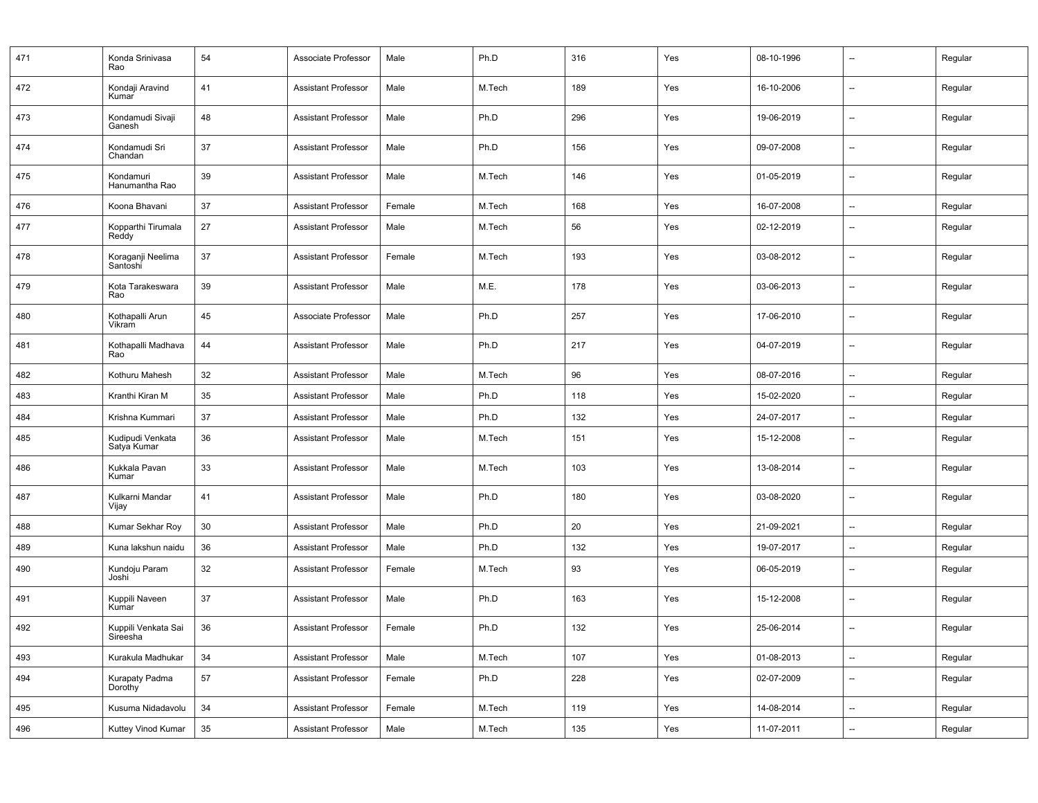| 471 | Konda Srinivasa<br>Rao                 | 54 | Associate Professor        | Male   | Ph.D   | 316 | Yes | 08-10-1996 | --                       | Regular |
|-----|----------------------------------------|----|----------------------------|--------|--------|-----|-----|------------|--------------------------|---------|
| 472 | Kondaji Aravind<br>Kumar               | 41 | <b>Assistant Professor</b> | Male   | M.Tech | 189 | Yes | 16-10-2006 | $\overline{a}$           | Regular |
| 473 | Kondamudi Sivaji<br>Ganesh             | 48 | <b>Assistant Professor</b> | Male   | Ph.D   | 296 | Yes | 19-06-2019 | $\overline{\phantom{0}}$ | Regular |
| 474 | Kondamudi Sri<br>Chandan               | 37 | <b>Assistant Professor</b> | Male   | Ph.D   | 156 | Yes | 09-07-2008 | $\overline{\phantom{a}}$ | Regular |
| 475 | Kondamuri<br>Hanumantha Rao            | 39 | <b>Assistant Professor</b> | Male   | M.Tech | 146 | Yes | 01-05-2019 | $\overline{\phantom{a}}$ | Regular |
| 476 | Koona Bhavani                          | 37 | <b>Assistant Professor</b> | Female | M.Tech | 168 | Yes | 16-07-2008 | $\overline{\phantom{a}}$ | Regular |
| 477 | Kopparthi Tirumala<br>Reddy            | 27 | <b>Assistant Professor</b> | Male   | M.Tech | 56  | Yes | 02-12-2019 | --                       | Regular |
| 478 | Koraganji Neelima<br>Santoshi          | 37 | <b>Assistant Professor</b> | Female | M.Tech | 193 | Yes | 03-08-2012 | $\overline{a}$           | Regular |
| 479 | Kota Tarakeswara<br>Rao                | 39 | <b>Assistant Professor</b> | Male   | M.E.   | 178 | Yes | 03-06-2013 | --                       | Regular |
| 480 | Kothapalli Arun<br>Vikram              | 45 | Associate Professor        | Male   | Ph.D   | 257 | Yes | 17-06-2010 | --                       | Regular |
| 481 | Kothapalli Madhava<br>Rao              | 44 | <b>Assistant Professor</b> | Male   | Ph.D   | 217 | Yes | 04-07-2019 | $\overline{\phantom{0}}$ | Regular |
| 482 | Kothuru Mahesh                         | 32 | <b>Assistant Professor</b> | Male   | M.Tech | 96  | Yes | 08-07-2016 | $\overline{\phantom{a}}$ | Regular |
| 483 | Kranthi Kiran M                        | 35 | <b>Assistant Professor</b> | Male   | Ph.D   | 118 | Yes | 15-02-2020 | --                       | Regular |
| 484 | Krishna Kummari                        | 37 | <b>Assistant Professor</b> | Male   | Ph.D   | 132 | Yes | 24-07-2017 | $\overline{\phantom{a}}$ | Regular |
| 485 | Kudipudi Venkata<br>Satya Kumar        | 36 | <b>Assistant Professor</b> | Male   | M.Tech | 151 | Yes | 15-12-2008 | $\overline{\phantom{a}}$ | Regular |
| 486 | Kukkala Pavan<br>Kumar                 | 33 | <b>Assistant Professor</b> | Male   | M.Tech | 103 | Yes | 13-08-2014 | $\overline{\phantom{a}}$ | Regular |
| 487 | Kulkarni Mandar<br>Vijay               | 41 | <b>Assistant Professor</b> | Male   | Ph.D   | 180 | Yes | 03-08-2020 | $\overline{\phantom{a}}$ | Regular |
| 488 | Kumar Sekhar Roy                       | 30 | <b>Assistant Professor</b> | Male   | Ph.D   | 20  | Yes | 21-09-2021 | $\overline{\phantom{a}}$ | Regular |
| 489 | Kuna lakshun naidu                     | 36 | <b>Assistant Professor</b> | Male   | Ph.D   | 132 | Yes | 19-07-2017 | --                       | Regular |
| 490 | Kundoju Param<br>Joshi                 | 32 | <b>Assistant Professor</b> | Female | M.Tech | 93  | Yes | 06-05-2019 | --                       | Regular |
| 491 | Kuppili Naveen<br>Kumar                | 37 | <b>Assistant Professor</b> | Male   | Ph.D   | 163 | Yes | 15-12-2008 | --                       | Regular |
| 492 | Kuppili Venkata Sai<br><b>Sireesna</b> | 36 | <b>Assistant Professor</b> | Female | Ph.D   | 132 | Yes | 25-06-2014 | --                       | Regular |
| 493 | Kurakula Madhukar                      | 34 | <b>Assistant Professor</b> | Male   | M.Tech | 107 | Yes | 01-08-2013 | $\overline{\phantom{a}}$ | Regular |
| 494 | Kurapaty Padma<br>Dorothy              | 57 | <b>Assistant Professor</b> | Female | Ph.D   | 228 | Yes | 02-07-2009 | --                       | Regular |
| 495 | Kusuma Nidadavolu                      | 34 | <b>Assistant Professor</b> | Female | M.Tech | 119 | Yes | 14-08-2014 | $\overline{\phantom{a}}$ | Regular |
| 496 | Kuttey Vinod Kumar                     | 35 | <b>Assistant Professor</b> | Male   | M.Tech | 135 | Yes | 11-07-2011 | Щ.                       | Regular |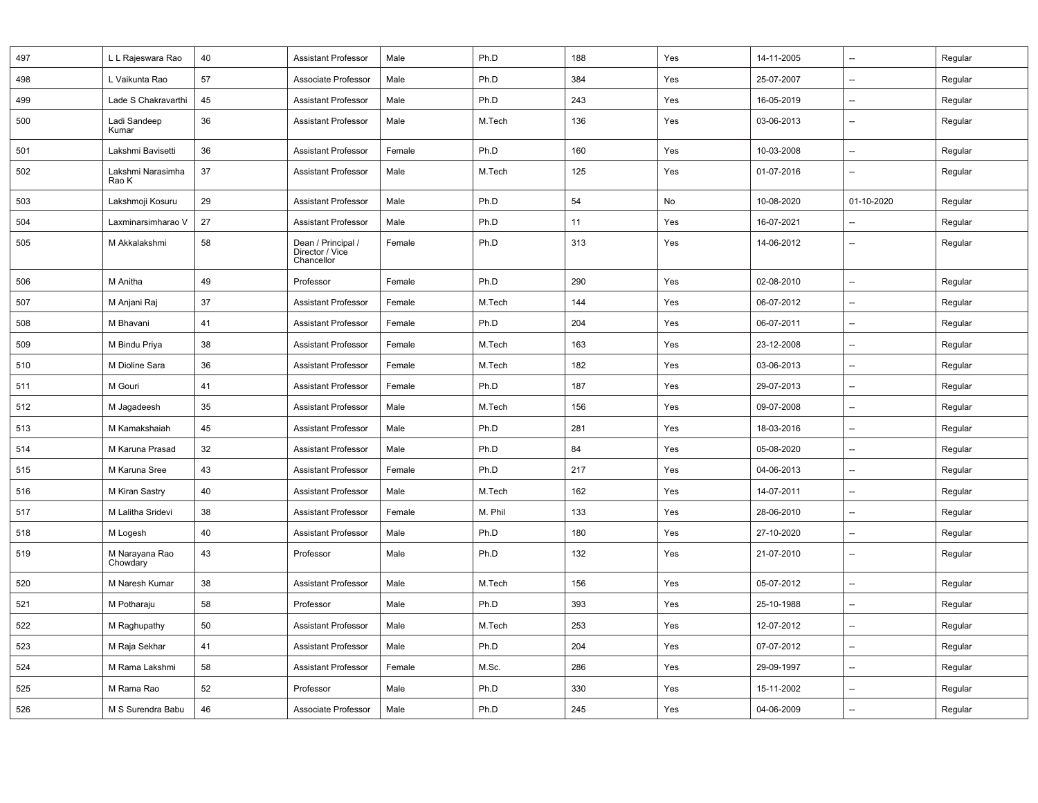| 497 | L L Rajeswara Rao          | 40 | <b>Assistant Professor</b>                          | Male   | Ph.D    | 188 | Yes | 14-11-2005 | $\overline{\phantom{a}}$ | Regular |
|-----|----------------------------|----|-----------------------------------------------------|--------|---------|-----|-----|------------|--------------------------|---------|
| 498 | L Vaikunta Rao             | 57 | Associate Professor                                 | Male   | Ph.D    | 384 | Yes | 25-07-2007 | $\overline{a}$           | Regular |
| 499 | Lade S Chakravarthi        | 45 | <b>Assistant Professor</b>                          | Male   | Ph.D    | 243 | Yes | 16-05-2019 | $\overline{\phantom{a}}$ | Regular |
| 500 | Ladi Sandeep<br>Kumar      | 36 | <b>Assistant Professor</b>                          | Male   | M.Tech  | 136 | Yes | 03-06-2013 | $\overline{\phantom{a}}$ | Regular |
| 501 | Lakshmi Bavisetti          | 36 | <b>Assistant Professor</b>                          | Female | Ph.D    | 160 | Yes | 10-03-2008 | $\overline{\phantom{a}}$ | Regular |
| 502 | Lakshmi Narasimha<br>Rao K | 37 | <b>Assistant Professor</b>                          | Male   | M.Tech  | 125 | Yes | 01-07-2016 | --                       | Regular |
| 503 | Lakshmoji Kosuru           | 29 | <b>Assistant Professor</b>                          | Male   | Ph.D    | 54  | No  | 10-08-2020 | 01-10-2020               | Regular |
| 504 | Laxminarsimharao V         | 27 | <b>Assistant Professor</b>                          | Male   | Ph.D    | 11  | Yes | 16-07-2021 |                          | Regular |
| 505 | M Akkalakshmi              | 58 | Dean / Principal /<br>Director / Vice<br>Chancellor | Female | Ph.D    | 313 | Yes | 14-06-2012 | --                       | Regular |
| 506 | M Anitha                   | 49 | Professor                                           | Female | Ph.D    | 290 | Yes | 02-08-2010 | Ξ.                       | Regular |
| 507 | M Anjani Raj               | 37 | <b>Assistant Professor</b>                          | Female | M.Tech  | 144 | Yes | 06-07-2012 | $\overline{\phantom{a}}$ | Regular |
| 508 | M Bhavani                  | 41 | <b>Assistant Professor</b>                          | Female | Ph.D    | 204 | Yes | 06-07-2011 | --                       | Regular |
| 509 | M Bindu Priya              | 38 | <b>Assistant Professor</b>                          | Female | M.Tech  | 163 | Yes | 23-12-2008 | $\overline{\phantom{a}}$ | Regular |
| 510 | M Dioline Sara             | 36 | <b>Assistant Professor</b>                          | Female | M.Tech  | 182 | Yes | 03-06-2013 | $\overline{\phantom{a}}$ | Regular |
| 511 | M Gouri                    | 41 | <b>Assistant Professor</b>                          | Female | Ph.D    | 187 | Yes | 29-07-2013 | --                       | Regular |
| 512 | M Jagadeesh                | 35 | <b>Assistant Professor</b>                          | Male   | M.Tech  | 156 | Yes | 09-07-2008 | $\overline{\phantom{a}}$ | Regular |
| 513 | M Kamakshaiah              | 45 | <b>Assistant Professor</b>                          | Male   | Ph.D    | 281 | Yes | 18-03-2016 | $\overline{\phantom{a}}$ | Regular |
| 514 | M Karuna Prasad            | 32 | <b>Assistant Professor</b>                          | Male   | Ph.D    | 84  | Yes | 05-08-2020 | $\overline{\phantom{a}}$ | Regular |
| 515 | M Karuna Sree              | 43 | <b>Assistant Professor</b>                          | Female | Ph.D    | 217 | Yes | 04-06-2013 | $\overline{\phantom{a}}$ | Regular |
| 516 | M Kiran Sastry             | 40 | <b>Assistant Professor</b>                          | Male   | M.Tech  | 162 | Yes | 14-07-2011 | $\overline{\phantom{a}}$ | Regular |
| 517 | M Lalitha Sridevi          | 38 | <b>Assistant Professor</b>                          | Female | M. Phil | 133 | Yes | 28-06-2010 | $\qquad \qquad -$        | Regular |
| 518 | M Logesh                   | 40 | <b>Assistant Professor</b>                          | Male   | Ph.D    | 180 | Yes | 27-10-2020 | --                       | Regular |
| 519 | M Narayana Rao<br>Chowdary | 43 | Professor                                           | Male   | Ph.D    | 132 | Yes | 21-07-2010 | $\overline{\phantom{a}}$ | Regular |
| 520 | M Naresh Kumar             | 38 | <b>Assistant Professor</b>                          | Male   | M.Tech  | 156 | Yes | 05-07-2012 | --                       | Regular |
| 521 | M Potharaju                | 58 | Professor                                           | Male   | Ph.D    | 393 | Yes | 25-10-1988 | --                       | Regular |
| 522 | M Raghupathy               | 50 | <b>Assistant Professor</b>                          | Male   | M.Tech  | 253 | Yes | 12-07-2012 | $\overline{\phantom{a}}$ | Regular |
| 523 | M Raja Sekhar              | 41 | <b>Assistant Professor</b>                          | Male   | Ph.D    | 204 | Yes | 07-07-2012 | --                       | Regular |
| 524 | M Rama Lakshmi             | 58 | <b>Assistant Professor</b>                          | Female | M.Sc.   | 286 | Yes | 29-09-1997 | Ξ.                       | Regular |
| 525 | M Rama Rao                 | 52 | Professor                                           | Male   | Ph.D    | 330 | Yes | 15-11-2002 | $\overline{\phantom{a}}$ | Regular |
| 526 | M S Surendra Babu          | 46 | Associate Professor                                 | Male   | Ph.D    | 245 | Yes | 04-06-2009 | --                       | Regular |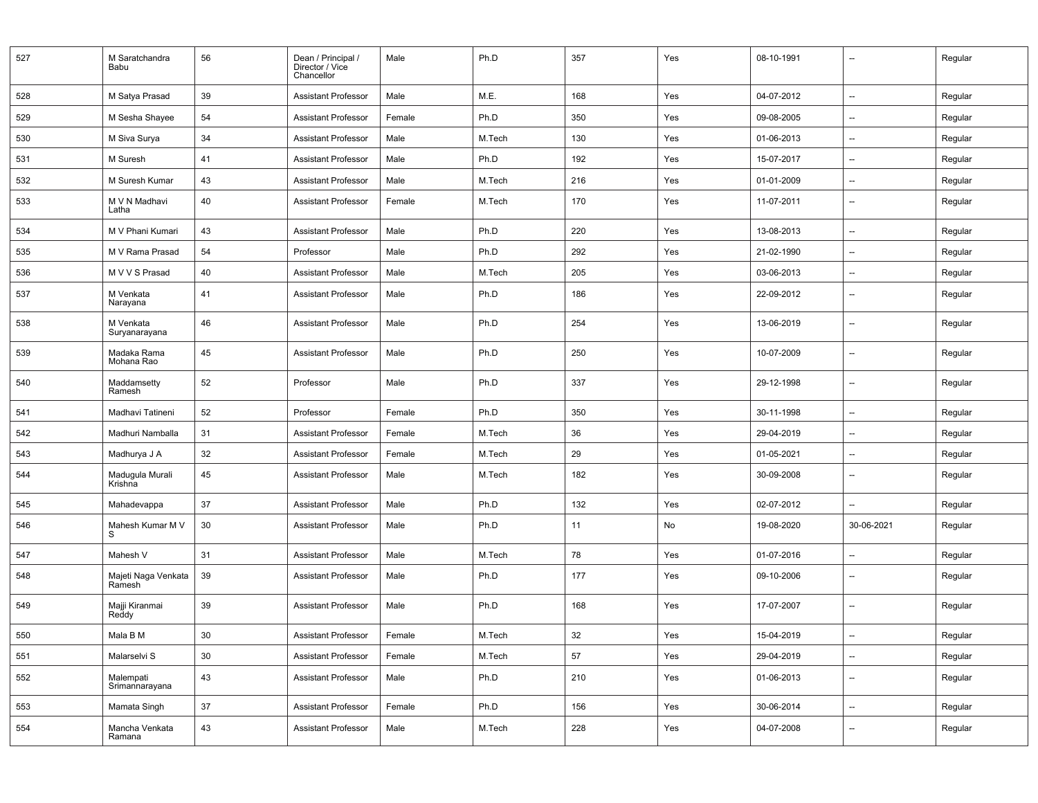| 527 | M Saratchandra<br>Babu        | 56 | Dean / Principal /<br>Director / Vice<br>Chancellor | Male   | Ph.D   | 357    | Yes | 08-10-1991 |                          | Regular |
|-----|-------------------------------|----|-----------------------------------------------------|--------|--------|--------|-----|------------|--------------------------|---------|
| 528 | M Satya Prasad                | 39 | <b>Assistant Professor</b>                          | Male   | M.E.   | 168    | Yes | 04-07-2012 | --                       | Regular |
| 529 | M Sesha Shayee                | 54 | <b>Assistant Professor</b>                          | Female | Ph.D   | 350    | Yes | 09-08-2005 | $\overline{\phantom{a}}$ | Regular |
| 530 | M Siva Surya                  | 34 | <b>Assistant Professor</b>                          | Male   | M.Tech | 130    | Yes | 01-06-2013 | --                       | Regular |
| 531 | M Suresh                      | 41 | <b>Assistant Professor</b>                          | Male   | Ph.D   | 192    | Yes | 15-07-2017 | --                       | Regular |
| 532 | M Suresh Kumar                | 43 | <b>Assistant Professor</b>                          | Male   | M.Tech | 216    | Yes | 01-01-2009 | $\overline{\phantom{a}}$ | Regular |
| 533 | M V N Madhavi<br>Latha        | 40 | <b>Assistant Professor</b>                          | Female | M.Tech | 170    | Yes | 11-07-2011 | $\overline{a}$           | Regular |
| 534 | M V Phani Kumari              | 43 | <b>Assistant Professor</b>                          | Male   | Ph.D   | 220    | Yes | 13-08-2013 | $\overline{\phantom{a}}$ | Regular |
| 535 | M V Rama Prasad               | 54 | Professor                                           | Male   | Ph.D   | 292    | Yes | 21-02-1990 | --                       | Regular |
| 536 | M V V S Prasad                | 40 | <b>Assistant Professor</b>                          | Male   | M.Tech | 205    | Yes | 03-06-2013 | --                       | Regular |
| 537 | M Venkata<br>Narayana         | 41 | <b>Assistant Professor</b>                          | Male   | Ph.D   | 186    | Yes | 22-09-2012 | $\overline{\phantom{0}}$ | Regular |
| 538 | M Venkata<br>Suryanarayana    | 46 | <b>Assistant Professor</b>                          | Male   | Ph.D   | 254    | Yes | 13-06-2019 | $\overline{\phantom{a}}$ | Regular |
| 539 | Madaka Rama<br>Mohana Rao     | 45 | <b>Assistant Professor</b>                          | Male   | Ph.D   | 250    | Yes | 10-07-2009 | --                       | Regular |
| 540 | Maddamsetty<br>Ramesh         | 52 | Professor                                           | Male   | Ph.D   | 337    | Yes | 29-12-1998 | --                       | Regular |
| 541 | Madhavi Tatineni              | 52 | Professor                                           | Female | Ph.D   | 350    | Yes | 30-11-1998 | $\overline{a}$           | Regular |
| 542 | Madhuri Namballa              | 31 | <b>Assistant Professor</b>                          | Female | M.Tech | 36     | Yes | 29-04-2019 |                          | Regular |
| 543 | Madhurya J A                  | 32 | <b>Assistant Professor</b>                          | Female | M.Tech | 29     | Yes | 01-05-2021 | --                       | Regular |
| 544 | Madugula Murali<br>Krishna    | 45 | <b>Assistant Professor</b>                          | Male   | M.Tech | 182    | Yes | 30-09-2008 | $\overline{\phantom{a}}$ | Regular |
| 545 | Mahadevappa                   | 37 | <b>Assistant Professor</b>                          | Male   | Ph.D   | 132    | Yes | 02-07-2012 | --                       | Regular |
| 546 | Mahesh Kumar M V<br>S         | 30 | <b>Assistant Professor</b>                          | Male   | Ph.D   | 11     | No  | 19-08-2020 | 30-06-2021               | Regular |
| 547 | Mahesh V                      | 31 | <b>Assistant Professor</b>                          | Male   | M.Tech | 78     | Yes | 01-07-2016 | $\overline{\phantom{a}}$ | Regular |
| 548 | Majeti Naga Venkata<br>Ramesh | 39 | <b>Assistant Professor</b>                          | Male   | Ph.D   | 177    | Yes | 09-10-2006 | $\overline{\phantom{0}}$ | Regular |
| 549 | Majji Kiranmai<br>Reddy       | 39 | <b>Assistant Professor</b>                          | Male   | Ph.D   | 168    | Yes | 17-07-2007 | $\overline{a}$           | Regular |
| 550 | Mala B M                      | 30 | Assistant Professor                                 | Female | M.Tech | $32\,$ | Yes | 15-04-2019 | --                       | Regular |
| 551 | Malarselvi S                  | 30 | <b>Assistant Professor</b>                          | Female | M.Tech | 57     | Yes | 29-04-2019 | Щ.                       | Regular |
| 552 | Malempati<br>Srimannarayana   | 43 | <b>Assistant Professor</b>                          | Male   | Ph.D   | 210    | Yes | 01-06-2013 | $\overline{\phantom{a}}$ | Regular |
| 553 | Mamata Singh                  | 37 | <b>Assistant Professor</b>                          | Female | Ph.D   | 156    | Yes | 30-06-2014 | Щ.                       | Regular |
| 554 | Mancha Venkata<br>Ramana      | 43 | <b>Assistant Professor</b>                          | Male   | M.Tech | 228    | Yes | 04-07-2008 | --                       | Regular |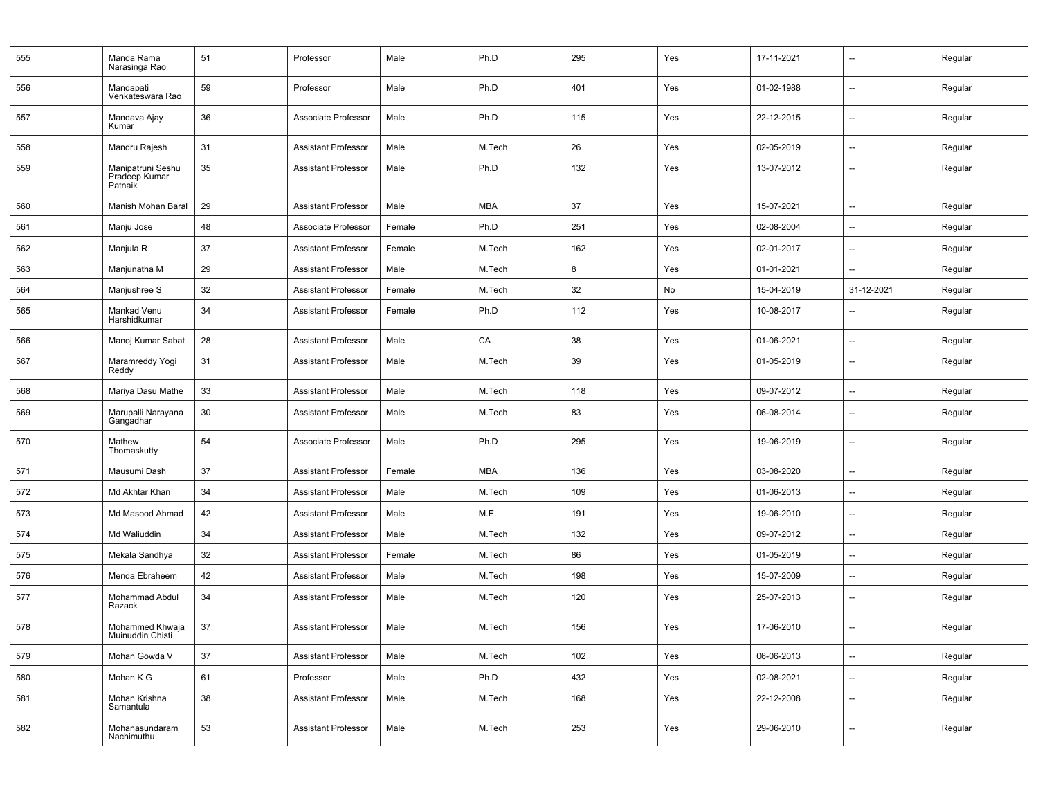| 555 | Manda Rama<br>Narasinga Rao                   | 51 | Professor                  | Male   | Ph.D       | 295 | Yes | 17-11-2021 | $\overline{\phantom{a}}$ | Regular |
|-----|-----------------------------------------------|----|----------------------------|--------|------------|-----|-----|------------|--------------------------|---------|
| 556 | Mandapati<br>Venkateswara Rao                 | 59 | Professor                  | Male   | Ph.D       | 401 | Yes | 01-02-1988 | $\overline{\phantom{a}}$ | Regular |
| 557 | Mandava Ajay<br>Kumar                         | 36 | Associate Professor        | Male   | Ph.D       | 115 | Yes | 22-12-2015 | $\overline{\phantom{a}}$ | Regular |
| 558 | Mandru Rajesh                                 | 31 | <b>Assistant Professor</b> | Male   | M.Tech     | 26  | Yes | 02-05-2019 | $\overline{\phantom{a}}$ | Regular |
| 559 | Manipatruni Seshu<br>Pradeep Kumar<br>Patnaik | 35 | <b>Assistant Professor</b> | Male   | Ph.D       | 132 | Yes | 13-07-2012 | $\overline{\phantom{a}}$ | Regular |
| 560 | Manish Mohan Baral                            | 29 | <b>Assistant Professor</b> | Male   | MBA        | 37  | Yes | 15-07-2021 | $\overline{\phantom{a}}$ | Regular |
| 561 | Manju Jose                                    | 48 | Associate Professor        | Female | Ph.D       | 251 | Yes | 02-08-2004 | $\overline{\phantom{a}}$ | Regular |
| 562 | Manjula R                                     | 37 | <b>Assistant Professor</b> | Female | M.Tech     | 162 | Yes | 02-01-2017 | --                       | Regular |
| 563 | Manjunatha M                                  | 29 | <b>Assistant Professor</b> | Male   | M.Tech     | 8   | Yes | 01-01-2021 | $\overline{\phantom{a}}$ | Regular |
| 564 | Manjushree S                                  | 32 | <b>Assistant Professor</b> | Female | M.Tech     | 32  | No  | 15-04-2019 | 31-12-2021               | Regular |
| 565 | Mankad Venu<br>Harshidkumar                   | 34 | <b>Assistant Professor</b> | Female | Ph.D       | 112 | Yes | 10-08-2017 | $\overline{\phantom{a}}$ | Regular |
| 566 | Manoj Kumar Sabat                             | 28 | <b>Assistant Professor</b> | Male   | CA         | 38  | Yes | 01-06-2021 | $\overline{\phantom{a}}$ | Regular |
| 567 | Maramreddy Yogi<br>Reddy                      | 31 | <b>Assistant Professor</b> | Male   | M.Tech     | 39  | Yes | 01-05-2019 | $\overline{\phantom{a}}$ | Regular |
| 568 | Mariya Dasu Mathe                             | 33 | <b>Assistant Professor</b> | Male   | M.Tech     | 118 | Yes | 09-07-2012 | $\overline{\phantom{a}}$ | Regular |
| 569 | Marupalli Narayana<br>Gangadhar               | 30 | Assistant Professor        | Male   | M.Tech     | 83  | Yes | 06-08-2014 | $\overline{\phantom{a}}$ | Regular |
| 570 | Mathew<br>Thomaskutty                         | 54 | Associate Professor        | Male   | Ph.D       | 295 | Yes | 19-06-2019 | $\overline{\phantom{a}}$ | Regular |
| 571 | Mausumi Dash                                  | 37 | <b>Assistant Professor</b> | Female | <b>MBA</b> | 136 | Yes | 03-08-2020 | $\overline{\phantom{a}}$ | Regular |
| 572 | Md Akhtar Khan                                | 34 | <b>Assistant Professor</b> | Male   | M.Tech     | 109 | Yes | 01-06-2013 | $\overline{\phantom{a}}$ | Regular |
| 573 | Md Masood Ahmad                               | 42 | <b>Assistant Professor</b> | Male   | M.E.       | 191 | Yes | 19-06-2010 | $\overline{\phantom{a}}$ | Regular |
| 574 | Md Waliuddin                                  | 34 | <b>Assistant Professor</b> | Male   | M.Tech     | 132 | Yes | 09-07-2012 | $\overline{\phantom{a}}$ | Regular |
| 575 | Mekala Sandhya                                | 32 | <b>Assistant Professor</b> | Female | M.Tech     | 86  | Yes | 01-05-2019 | $\overline{\phantom{a}}$ | Regular |
| 576 | Menda Ebraheem                                | 42 | <b>Assistant Professor</b> | Male   | M.Tech     | 198 | Yes | 15-07-2009 | $\overline{\phantom{a}}$ | Regular |
| 577 | Mohammad Abdul<br>Razack                      | 34 | <b>Assistant Professor</b> | Male   | M.Tech     | 120 | Yes | 25-07-2013 | $\overline{\phantom{a}}$ | Regular |
| 578 | Mohammed Khwaja<br>Muinuddin Chisti           | 37 | Assistant Professor        | Male   | M.Tech     | 156 | Yes | 17-06-2010 | $\overline{\phantom{a}}$ | Regular |
| 579 | Mohan Gowda V                                 | 37 | <b>Assistant Professor</b> | Male   | M.Tech     | 102 | Yes | 06-06-2013 | --                       | Regular |
| 580 | Mohan K G                                     | 61 | Professor                  | Male   | Ph.D       | 432 | Yes | 02-08-2021 | $\overline{\phantom{a}}$ | Regular |
| 581 | Mohan Krishna<br>Samantula                    | 38 | <b>Assistant Professor</b> | Male   | M.Tech     | 168 | Yes | 22-12-2008 | $\qquad \qquad -$        | Regular |
| 582 | Mohanasundaram<br>Nachimuthu                  | 53 | <b>Assistant Professor</b> | Male   | M.Tech     | 253 | Yes | 29-06-2010 | --                       | Regular |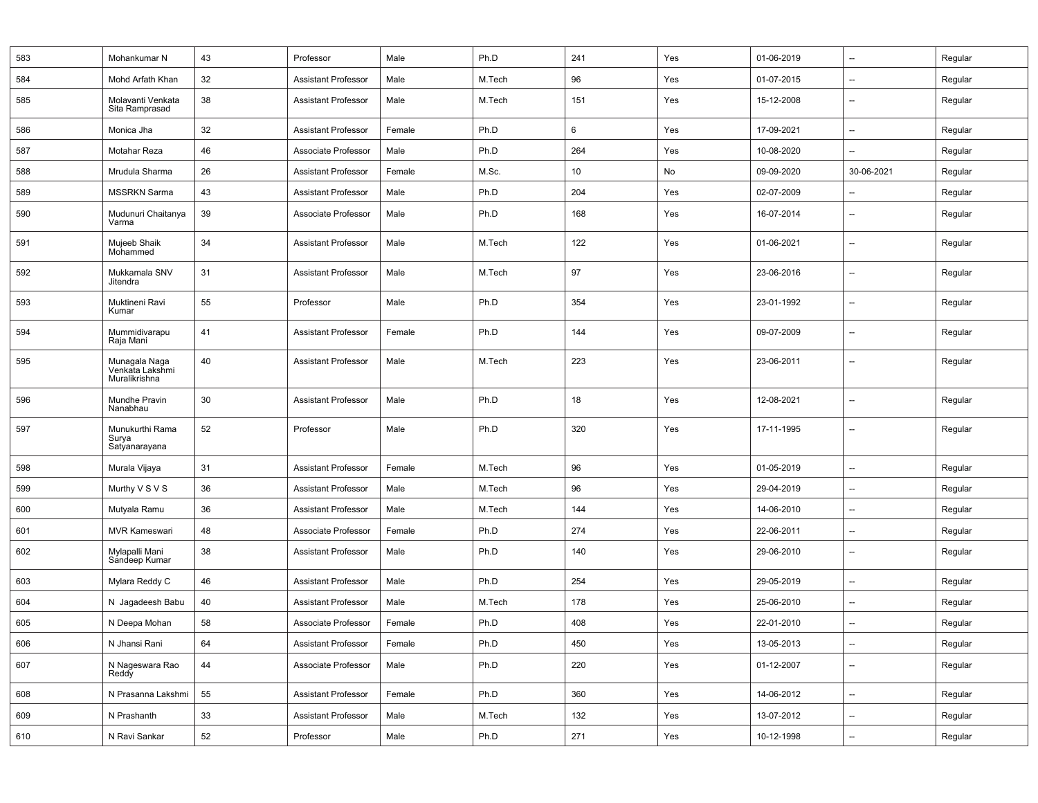| 583 | Mohankumar N                                      | 43 | Professor                  | Male   | Ph.D   | 241 | Yes | 01-06-2019 | --                       | Regular |
|-----|---------------------------------------------------|----|----------------------------|--------|--------|-----|-----|------------|--------------------------|---------|
| 584 | Mohd Arfath Khan                                  | 32 | <b>Assistant Professor</b> | Male   | M.Tech | 96  | Yes | 01-07-2015 | --                       | Regular |
| 585 | Molavanti Venkata<br>Sita Ramprasad               | 38 | <b>Assistant Professor</b> | Male   | M.Tech | 151 | Yes | 15-12-2008 |                          | Regular |
| 586 | Monica Jha                                        | 32 | <b>Assistant Professor</b> | Female | Ph.D   | 6   | Yes | 17-09-2021 | --                       | Regular |
| 587 | Motahar Reza                                      | 46 | Associate Professor        | Male   | Ph.D   | 264 | Yes | 10-08-2020 | $\overline{\phantom{a}}$ | Regular |
| 588 | Mrudula Sharma                                    | 26 | <b>Assistant Professor</b> | Female | M.Sc.  | 10  | No  | 09-09-2020 | 30-06-2021               | Regular |
| 589 | <b>MSSRKN Sarma</b>                               | 43 | <b>Assistant Professor</b> | Male   | Ph.D   | 204 | Yes | 02-07-2009 | --                       | Regular |
| 590 | Mudunuri Chaitanya<br>Varma                       | 39 | Associate Professor        | Male   | Ph.D   | 168 | Yes | 16-07-2014 | $\overline{\phantom{a}}$ | Regular |
| 591 | Mujeeb Shaik<br>Mohammed                          | 34 | <b>Assistant Professor</b> | Male   | M.Tech | 122 | Yes | 01-06-2021 | --                       | Regular |
| 592 | Mukkamala SNV<br>Jitendra                         | 31 | <b>Assistant Professor</b> | Male   | M.Tech | 97  | Yes | 23-06-2016 | --                       | Regular |
| 593 | Muktineni Ravi<br>Kumar                           | 55 | Professor                  | Male   | Ph.D   | 354 | Yes | 23-01-1992 | --                       | Regular |
| 594 | Mummidivarapu<br>Raja Mani                        | 41 | <b>Assistant Professor</b> | Female | Ph.D   | 144 | Yes | 09-07-2009 | --                       | Regular |
| 595 | Munagala Naga<br>Venkata Lakshmi<br>Muralikrishna | 40 | <b>Assistant Professor</b> | Male   | M.Tech | 223 | Yes | 23-06-2011 | --                       | Regular |
| 596 | Mundhe Pravin<br>Nanabhau                         | 30 | <b>Assistant Professor</b> | Male   | Ph.D   | 18  | Yes | 12-08-2021 | $\overline{a}$           | Regular |
| 597 | Munukurthi Rama<br>Surya<br>Satyanarayana         | 52 | Professor                  | Male   | Ph.D   | 320 | Yes | 17-11-1995 | $\overline{a}$           | Regular |
| 598 | Murala Vijaya                                     | 31 | <b>Assistant Professor</b> | Female | M.Tech | 96  | Yes | 01-05-2019 | --                       | Regular |
| 599 | Murthy V S V S                                    | 36 | <b>Assistant Professor</b> | Male   | M.Tech | 96  | Yes | 29-04-2019 | $\overline{\phantom{0}}$ | Regular |
| 600 | Mutyala Ramu                                      | 36 | <b>Assistant Professor</b> | Male   | M.Tech | 144 | Yes | 14-06-2010 | $\overline{\phantom{a}}$ | Regular |
| 601 | <b>MVR Kameswari</b>                              | 48 | Associate Professor        | Female | Ph.D   | 274 | Yes | 22-06-2011 | $\overline{\phantom{a}}$ | Regular |
| 602 | Mylapalli Mani<br>Sandeep Kumar                   | 38 | <b>Assistant Professor</b> | Male   | Ph.D   | 140 | Yes | 29-06-2010 | $\overline{\phantom{0}}$ | Regular |
| 603 | Mylara Reddy C                                    | 46 | <b>Assistant Professor</b> | Male   | Ph.D   | 254 | Yes | 29-05-2019 | --                       | Regular |
| 604 | N Jagadeesh Babu                                  | 40 | <b>Assistant Professor</b> | Male   | M.Tech | 178 | Yes | 25-06-2010 | $\overline{\phantom{a}}$ | Regular |
| 605 | N Deepa Mohan                                     | 58 | Associate Professor        | Female | Ph.D   | 408 | Yes | 22-01-2010 | $\overline{\phantom{0}}$ | Regular |
| 606 | N Jhansi Rani                                     | 64 | <b>Assistant Professor</b> | Female | Ph.D   | 450 | Yes | 13-05-2013 | --                       | Regular |
| 607 | N Nageswara Rao<br>Reddy                          | 44 | Associate Professor        | Male   | Ph.D   | 220 | Yes | 01-12-2007 | Щ.                       | Regular |
| 608 | N Prasanna Lakshmi                                | 55 | <b>Assistant Professor</b> | Female | Ph.D   | 360 | Yes | 14-06-2012 | $\overline{\phantom{a}}$ | Regular |
| 609 | N Prashanth                                       | 33 | <b>Assistant Professor</b> | Male   | M.Tech | 132 | Yes | 13-07-2012 | Щ,                       | Regular |
| 610 | N Ravi Sankar                                     | 52 | Professor                  | Male   | Ph.D   | 271 | Yes | 10-12-1998 | --                       | Regular |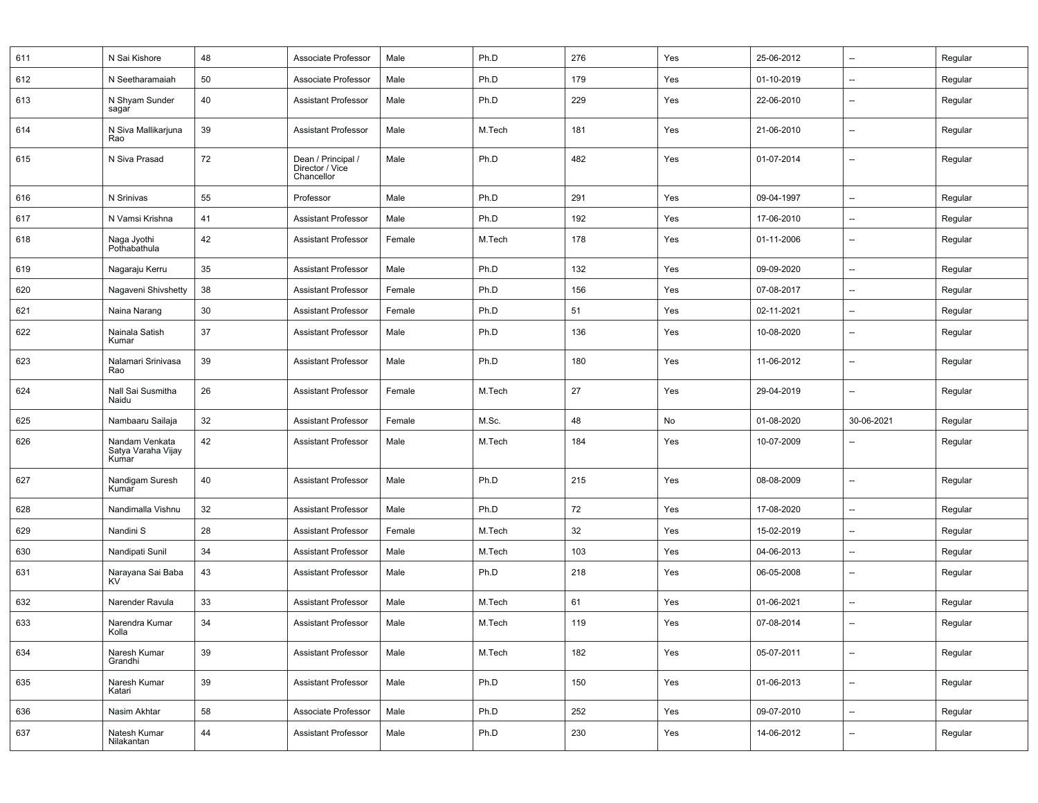| 611 | N Sai Kishore                                 | 48 | Associate Professor                                 | Male   | Ph.D   | 276 | Yes | 25-06-2012 | --                       | Regular |
|-----|-----------------------------------------------|----|-----------------------------------------------------|--------|--------|-----|-----|------------|--------------------------|---------|
| 612 | N Seetharamaiah                               | 50 | Associate Professor                                 | Male   | Ph.D   | 179 | Yes | 01-10-2019 | --                       | Regular |
| 613 | N Shyam Sunder<br>sagar                       | 40 | <b>Assistant Professor</b>                          | Male   | Ph.D   | 229 | Yes | 22-06-2010 | --                       | Regular |
| 614 | N Siva Mallikarjuna<br>Rao                    | 39 | <b>Assistant Professor</b>                          | Male   | M.Tech | 181 | Yes | 21-06-2010 | --                       | Regular |
| 615 | N Siva Prasad                                 | 72 | Dean / Principal /<br>Director / Vice<br>Chancellor | Male   | Ph.D   | 482 | Yes | 01-07-2014 | --                       | Regular |
| 616 | N Srinivas                                    | 55 | Professor                                           | Male   | Ph.D   | 291 | Yes | 09-04-1997 | $\overline{\phantom{a}}$ | Regular |
| 617 | N Vamsi Krishna                               | 41 | <b>Assistant Professor</b>                          | Male   | Ph.D   | 192 | Yes | 17-06-2010 | $\overline{\phantom{a}}$ | Regular |
| 618 | Naga Jyothi<br>Pothabathula                   | 42 | <b>Assistant Professor</b>                          | Female | M.Tech | 178 | Yes | 01-11-2006 | --                       | Regular |
| 619 | Nagaraju Kerru                                | 35 | <b>Assistant Professor</b>                          | Male   | Ph.D   | 132 | Yes | 09-09-2020 | --                       | Regular |
| 620 | Nagaveni Shivshetty                           | 38 | <b>Assistant Professor</b>                          | Female | Ph.D   | 156 | Yes | 07-08-2017 | --                       | Regular |
| 621 | Naina Narang                                  | 30 | <b>Assistant Professor</b>                          | Female | Ph.D   | 51  | Yes | 02-11-2021 | $\overline{\phantom{a}}$ | Regular |
| 622 | Nainala Satish<br>Kumar                       | 37 | <b>Assistant Professor</b>                          | Male   | Ph.D   | 136 | Yes | 10-08-2020 | --                       | Regular |
| 623 | Nalamari Srinivasa<br>Rao                     | 39 | <b>Assistant Professor</b>                          | Male   | Ph.D   | 180 | Yes | 11-06-2012 | --                       | Regular |
| 624 | Nall Sai Susmitha<br>Naidu                    | 26 | <b>Assistant Professor</b>                          | Female | M.Tech | 27  | Yes | 29-04-2019 | $\overline{\phantom{a}}$ | Regular |
| 625 | Nambaaru Sailaja                              | 32 | <b>Assistant Professor</b>                          | Female | M.Sc.  | 48  | No  | 01-08-2020 | 30-06-2021               | Regular |
| 626 | Nandam Venkata<br>Satya Varaha Vijay<br>Kumar | 42 | <b>Assistant Professor</b>                          | Male   | M.Tech | 184 | Yes | 10-07-2009 | --                       | Regular |
| 627 | Nandigam Suresh<br>Kumar                      | 40 | <b>Assistant Professor</b>                          | Male   | Ph.D   | 215 | Yes | 08-08-2009 | $\overline{\phantom{a}}$ | Regular |
| 628 | Nandimalla Vishnu                             | 32 | <b>Assistant Professor</b>                          | Male   | Ph.D   | 72  | Yes | 17-08-2020 | --                       | Regular |
| 629 | Nandini S                                     | 28 | <b>Assistant Professor</b>                          | Female | M.Tech | 32  | Yes | 15-02-2019 | --                       | Regular |
| 630 | Nandipati Sunil                               | 34 | <b>Assistant Professor</b>                          | Male   | M.Tech | 103 | Yes | 04-06-2013 | --                       | Regular |
| 631 | Narayana Sai Baba<br>KV                       | 43 | <b>Assistant Professor</b>                          | Male   | Ph.D   | 218 | Yes | 06-05-2008 | $\overline{\phantom{a}}$ | Regular |
| 632 | Narender Ravula                               | 33 | <b>Assistant Professor</b>                          | Male   | M.Tech | 61  | Yes | 01-06-2021 | $\overline{a}$           | Regular |
| 633 | Narendra Kumar<br>Kolla                       | 34 | <b>Assistant Professor</b>                          | Male   | M.Tech | 119 | Yes | 07-08-2014 | --                       | Regular |
| 634 | Naresh Kumar<br>Grandhi                       | 39 | Assistant Professor                                 | Male   | M.Tech | 182 | Yes | 05-07-2011 | --                       | Regular |
| 635 | Naresh Kumar<br>Katari                        | 39 | Assistant Professor                                 | Male   | Ph.D   | 150 | Yes | 01-06-2013 | --                       | Regular |
| 636 | Nasim Akhtar                                  | 58 | Associate Professor                                 | Male   | Ph.D   | 252 | Yes | 09-07-2010 | $\overline{\phantom{a}}$ | Regular |
| 637 |                                               |    |                                                     |        |        |     |     |            |                          |         |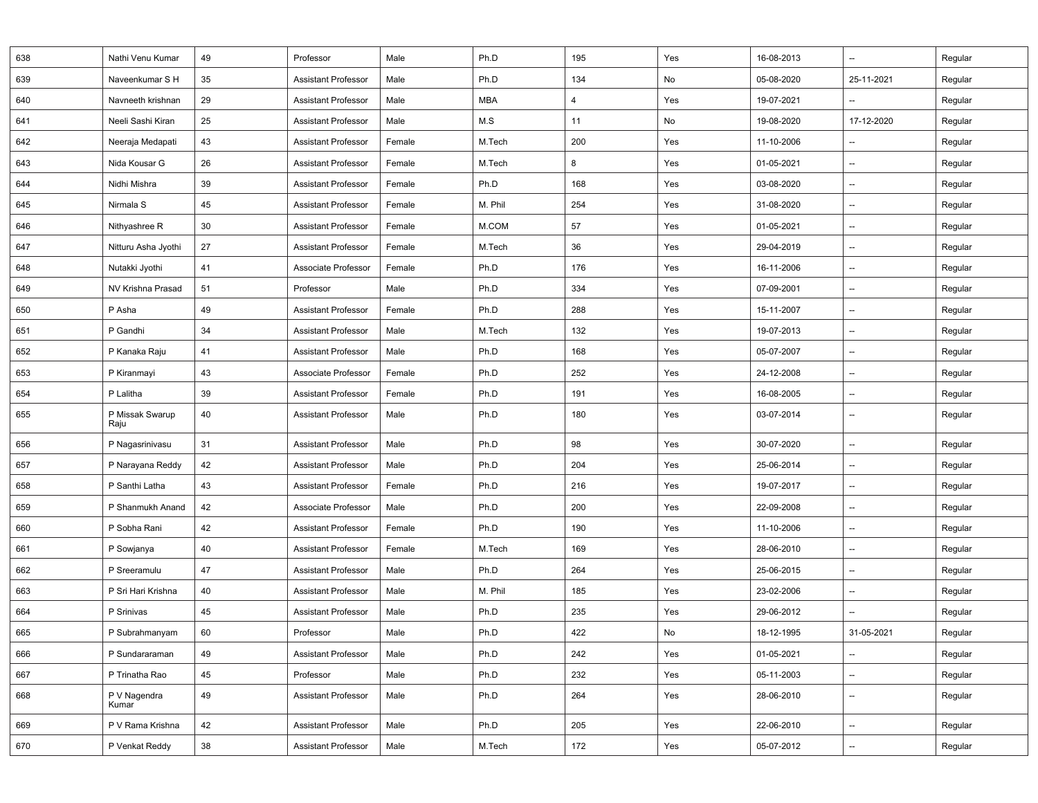| 638 | Nathi Venu Kumar                   | 49 | Professor                  | Male   | Ph.D       | 195            | Yes | 16-08-2013 | --                       | Regular |
|-----|------------------------------------|----|----------------------------|--------|------------|----------------|-----|------------|--------------------------|---------|
| 639 | Naveenkumar S H                    | 35 | <b>Assistant Professor</b> | Male   | Ph.D       | 134            | No  | 05-08-2020 | 25-11-2021               | Regular |
| 640 | Navneeth krishnan                  | 29 | <b>Assistant Professor</b> | Male   | <b>MBA</b> | $\overline{4}$ | Yes | 19-07-2021 | $\overline{\phantom{a}}$ | Regular |
| 641 | Neeli Sashi Kiran                  | 25 | <b>Assistant Professor</b> | Male   | M.S        | 11             | No  | 19-08-2020 | 17-12-2020               | Regular |
| 642 | Neeraja Medapati                   | 43 | <b>Assistant Professor</b> | Female | M.Tech     | 200            | Yes | 11-10-2006 | --                       | Regular |
| 643 | Nida Kousar G                      | 26 | <b>Assistant Professor</b> | Female | M.Tech     | 8              | Yes | 01-05-2021 | $\overline{\phantom{a}}$ | Regular |
| 644 | Nidhi Mishra                       | 39 | <b>Assistant Professor</b> | Female | Ph.D       | 168            | Yes | 03-08-2020 | --                       | Regular |
| 645 | Nirmala S                          | 45 | <b>Assistant Professor</b> | Female | M. Phil    | 254            | Yes | 31-08-2020 | --                       | Regular |
| 646 | Nithyashree R                      | 30 | <b>Assistant Professor</b> | Female | M.COM      | 57             | Yes | 01-05-2021 | $\overline{\phantom{a}}$ | Regular |
| 647 | Nitturu Asha Jyothi                | 27 | <b>Assistant Professor</b> | Female | M.Tech     | 36             | Yes | 29-04-2019 | $\overline{\phantom{a}}$ | Regular |
| 648 | Nutakki Jyothi                     | 41 | Associate Professor        | Female | Ph.D       | 176            | Yes | 16-11-2006 | --                       | Regular |
| 649 | NV Krishna Prasad                  | 51 | Professor                  | Male   | Ph.D       | 334            | Yes | 07-09-2001 | --                       | Regular |
| 650 | P Asha                             | 49 | Assistant Professor        | Female | Ph.D       | 288            | Yes | 15-11-2007 | --                       | Regular |
| 651 | P Gandhi                           | 34 | <b>Assistant Professor</b> | Male   | M.Tech     | 132            | Yes | 19-07-2013 | --                       | Regular |
| 652 | P Kanaka Raju                      | 41 | <b>Assistant Professor</b> | Male   | Ph.D       | 168            | Yes | 05-07-2007 | --                       | Regular |
| 653 | P Kiranmayi                        | 43 | Associate Professor        | Female | Ph.D       | 252            | Yes | 24-12-2008 | --                       | Regular |
| 654 | P Lalitha                          | 39 | <b>Assistant Professor</b> | Female | Ph.D       | 191            | Yes | 16-08-2005 | --                       | Regular |
| 655 | P Missak Swarup<br>Raju            | 40 | <b>Assistant Professor</b> | Male   | Ph.D       | 180            | Yes | 03-07-2014 | $\overline{\phantom{a}}$ | Regular |
| 656 | P Nagasrinivasu                    | 31 | <b>Assistant Professor</b> | Male   | Ph.D       | 98             | Yes | 30-07-2020 | --                       | Regular |
| 657 | P Narayana Reddy                   | 42 | <b>Assistant Professor</b> | Male   | Ph.D       | 204            | Yes | 25-06-2014 | $\qquad \qquad -$        | Regular |
| 658 | P Santhi Latha                     | 43 | <b>Assistant Professor</b> | Female | Ph.D       | 216            | Yes | 19-07-2017 | --                       | Regular |
| 659 | P Shanmukh Anand                   | 42 | Associate Professor        | Male   | Ph.D       | 200            | Yes | 22-09-2008 | $\qquad \qquad -$        | Regular |
| 660 | P Sobha Rani                       | 42 | Assistant Professor        | Female | Ph.D       | 190            | Yes | 11-10-2006 | --                       | Regular |
| 661 | P Sowjanya                         | 40 | <b>Assistant Professor</b> | Female | M.Tech     | 169            | Yes | 28-06-2010 | $\qquad \qquad -$        | Regular |
| 662 | P Sreeramulu                       | 47 | <b>Assistant Professor</b> | Male   | Ph.D       | 264            | Yes | 25-06-2015 | $\qquad \qquad -$        | Regular |
| 663 | P Sri Hari Krishna                 | 40 | Assistant Professor        | Male   | M. Phil    | 185            | Yes | 23-02-2006 | $\overline{\phantom{a}}$ | Regular |
| 664 | P Srinivas                         | 45 | <b>Assistant Professor</b> | Male   | Ph.D       | 235            | Yes | 29-06-2012 | --                       | Regular |
| 665 | P Subrahmanyam                     | 60 | Professor                  | Male   | Ph.D       | 422            | No  | 18-12-1995 | 31-05-2021               | Regular |
| 666 | P Sundararaman                     | 49 | <b>Assistant Professor</b> | Male   | Ph.D       | 242            | Yes | 01-05-2021 | ₩,                       | Regular |
| 667 | P Trinatha Rao                     | 45 | Professor                  | Male   | Ph.D       | 232            | Yes | 05-11-2003 | --                       | Regular |
| 668 | P V Nagendra<br>Kumar <sup>'</sup> | 49 | <b>Assistant Professor</b> | Male   | Ph.D       | 264            | Yes | 28-06-2010 | --                       | Regular |
| 669 | P V Rama Krishna                   | 42 | <b>Assistant Professor</b> | Male   | Ph.D       | 205            | Yes | 22-06-2010 | $\overline{\phantom{a}}$ | Regular |
| 670 | P Venkat Reddy                     | 38 | <b>Assistant Professor</b> | Male   | M.Tech     | 172            | Yes | 05-07-2012 | --                       | Regular |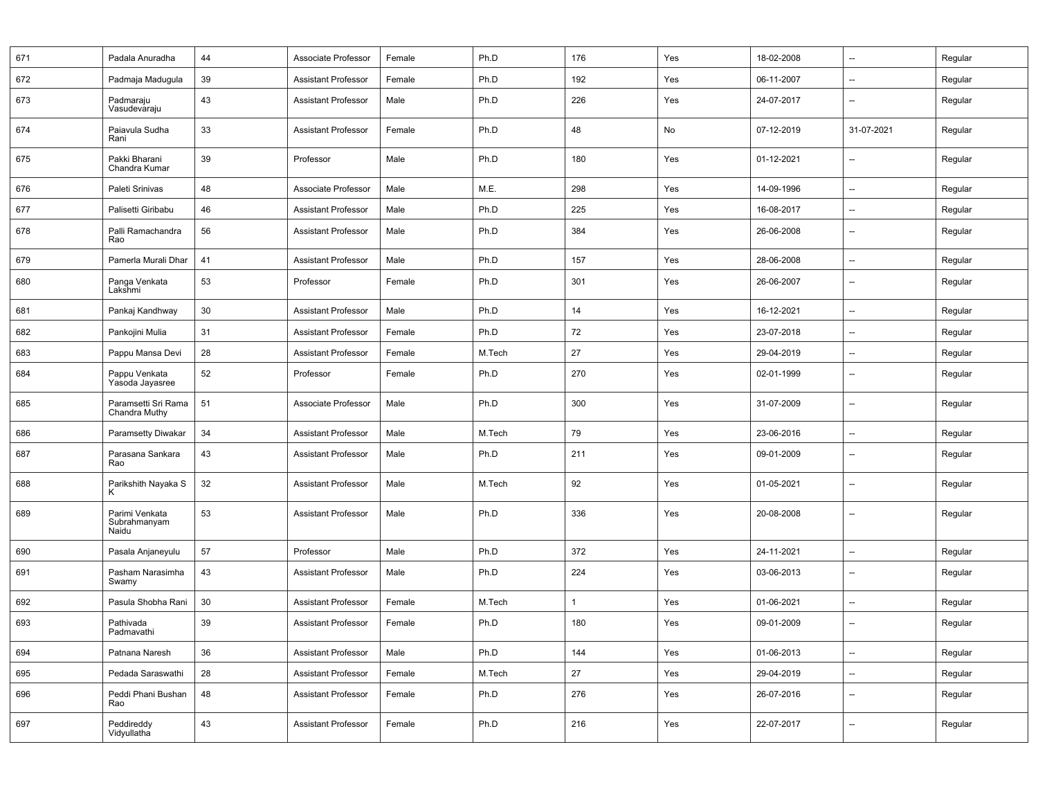| 671 | Padala Anuradha                         | 44 | Associate Professor        | Female | Ph.D   | 176          | Yes | 18-02-2008 | $\overline{\phantom{a}}$ | Regular |
|-----|-----------------------------------------|----|----------------------------|--------|--------|--------------|-----|------------|--------------------------|---------|
| 672 | Padmaja Madugula                        | 39 | <b>Assistant Professor</b> | Female | Ph.D   | 192          | Yes | 06-11-2007 | $\overline{\phantom{a}}$ | Regular |
| 673 | Padmaraju<br>Vasudevaraju               | 43 | <b>Assistant Professor</b> | Male   | Ph.D   | 226          | Yes | 24-07-2017 | $\overline{\phantom{a}}$ | Regular |
| 674 | Paiavula Sudha<br>Rani                  | 33 | <b>Assistant Professor</b> | Female | Ph.D   | 48           | No  | 07-12-2019 | 31-07-2021               | Regular |
| 675 | Pakki Bharani<br>Chandra Kumar          | 39 | Professor                  | Male   | Ph.D   | 180          | Yes | 01-12-2021 | $\overline{\phantom{a}}$ | Regular |
| 676 | Paleti Srinivas                         | 48 | Associate Professor        | Male   | M.E.   | 298          | Yes | 14-09-1996 | $\overline{\phantom{a}}$ | Regular |
| 677 | Palisetti Giribabu                      | 46 | <b>Assistant Professor</b> | Male   | Ph.D   | 225          | Yes | 16-08-2017 | --                       | Regular |
| 678 | Palli Ramachandra<br>Rao                | 56 | <b>Assistant Professor</b> | Male   | Ph.D   | 384          | Yes | 26-06-2008 | $\overline{\phantom{a}}$ | Regular |
| 679 | Pamerla Murali Dhar                     | 41 | <b>Assistant Professor</b> | Male   | Ph.D   | 157          | Yes | 28-06-2008 | $\overline{\phantom{a}}$ | Regular |
| 680 | Panga Venkata<br>Lakshmi                | 53 | Professor                  | Female | Ph.D   | 301          | Yes | 26-06-2007 | $\overline{\phantom{a}}$ | Regular |
| 681 | Pankaj Kandhway                         | 30 | <b>Assistant Professor</b> | Male   | Ph.D   | 14           | Yes | 16-12-2021 | $\overline{\phantom{a}}$ | Regular |
| 682 | Pankojini Mulia                         | 31 | <b>Assistant Professor</b> | Female | Ph.D   | 72           | Yes | 23-07-2018 | --                       | Regular |
| 683 | Pappu Mansa Devi                        | 28 | <b>Assistant Professor</b> | Female | M.Tech | 27           | Yes | 29-04-2019 | $\overline{\phantom{a}}$ | Regular |
| 684 | Pappu Venkata<br>Yasoda Jayasree        | 52 | Professor                  | Female | Ph.D   | 270          | Yes | 02-01-1999 | $\overline{\phantom{a}}$ | Regular |
| 685 | Paramsetti Sri Rama<br>Chandra Muthy    | 51 | Associate Professor        | Male   | Ph.D   | 300          | Yes | 31-07-2009 | $\overline{\phantom{a}}$ | Regular |
| 686 | <b>Paramsetty Diwakar</b>               | 34 | <b>Assistant Professor</b> | Male   | M.Tech | 79           | Yes | 23-06-2016 | $\overline{\phantom{a}}$ | Regular |
| 687 | Parasana Sankara<br>Rao                 | 43 | <b>Assistant Professor</b> | Male   | Ph.D   | 211          | Yes | 09-01-2009 | $\overline{\phantom{a}}$ | Regular |
| 688 | Parikshith Nayaka S<br>Κ                | 32 | <b>Assistant Professor</b> | Male   | M.Tech | 92           | Yes | 01-05-2021 | $\overline{\phantom{a}}$ | Regular |
| 689 | Parimi Venkata<br>Subrahmanyam<br>Naidu | 53 | <b>Assistant Professor</b> | Male   | Ph.D   | 336          | Yes | 20-08-2008 | $\overline{\phantom{a}}$ | Regular |
| 690 | Pasala Anjaneyulu                       | 57 | Professor                  | Male   | Ph.D   | 372          | Yes | 24-11-2021 | --                       | Regular |
| 691 | Pasham Narasimha<br>Swamy               | 43 | <b>Assistant Professor</b> | Male   | Ph.D   | 224          | Yes | 03-06-2013 | $\overline{\phantom{a}}$ | Regular |
| 692 | Pasula Shobha Rani                      | 30 | <b>Assistant Professor</b> | Female | M.Tech | $\mathbf{1}$ | Yes | 01-06-2021 | $\overline{\phantom{a}}$ | Regular |
| 693 | Pathivada<br>Padmavathi                 | 39 | <b>Assistant Professor</b> | Female | Ph.D   | 180          | Yes | 09-01-2009 | $\overline{\phantom{a}}$ | Regular |
| 694 | Patnana Naresh                          | 36 | <b>Assistant Professor</b> | Male   | Ph.D   | 144          | Yes | 01-06-2013 | $\overline{\phantom{a}}$ | Regular |
| 695 | Pedada Saraswathi                       | 28 | <b>Assistant Professor</b> | Female | M.Tech | 27           | Yes | 29-04-2019 | --                       | Regular |
| 696 | Peddi Phani Bushan<br>Rao               | 48 | <b>Assistant Professor</b> | Female | Ph.D   | 276          | Yes | 26-07-2016 | --                       | Regular |
| 697 | Peddireddy<br>Vidyullatha               | 43 | <b>Assistant Professor</b> | Female | Ph.D   | 216          | Yes | 22-07-2017 | --                       | Regular |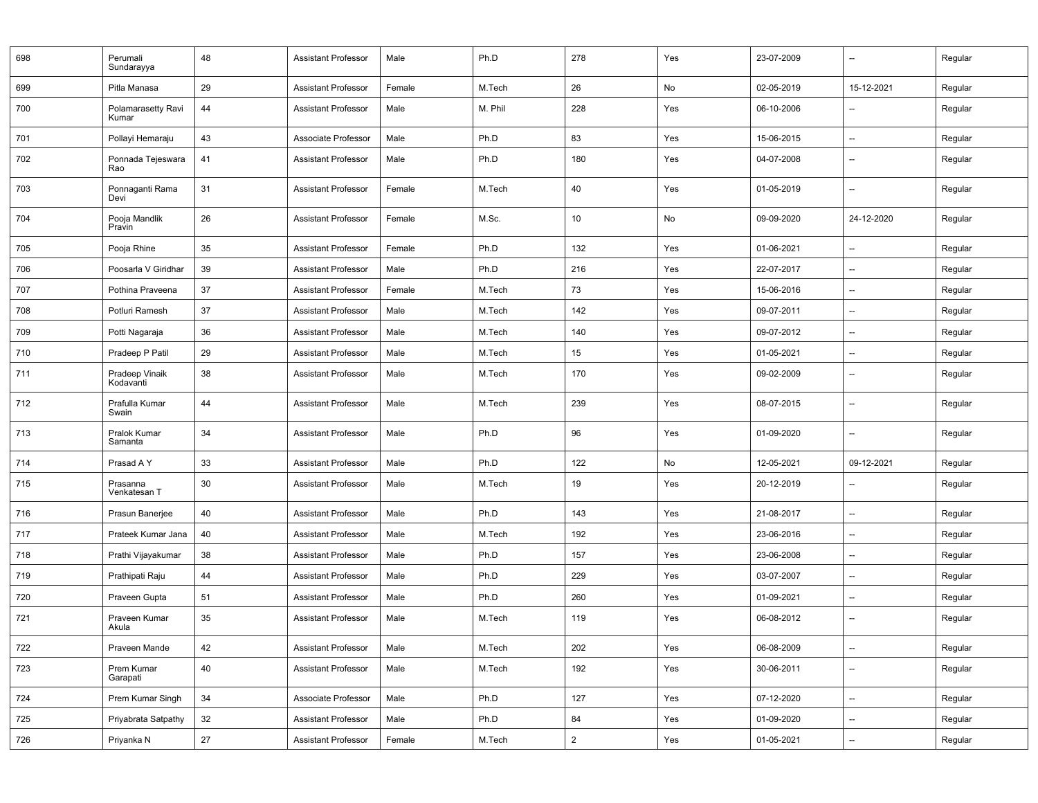| 698 | Perumali<br>Sundarayya      | 48 | <b>Assistant Professor</b> | Male   | Ph.D    | 278            | Yes | 23-07-2009 | $\overline{\phantom{a}}$ | Regular |
|-----|-----------------------------|----|----------------------------|--------|---------|----------------|-----|------------|--------------------------|---------|
| 699 | Pitla Manasa                | 29 | <b>Assistant Professor</b> | Female | M.Tech  | 26             | No  | 02-05-2019 | 15-12-2021               | Regular |
| 700 | Polamarasetty Ravi<br>Kumar | 44 | <b>Assistant Professor</b> | Male   | M. Phil | 228            | Yes | 06-10-2006 |                          | Regular |
| 701 | Pollayi Hemaraju            | 43 | Associate Professor        | Male   | Ph.D    | 83             | Yes | 15-06-2015 | $\overline{a}$           | Regular |
| 702 | Ponnada Tejeswara<br>Rao    | 41 | <b>Assistant Professor</b> | Male   | Ph.D    | 180            | Yes | 04-07-2008 | --                       | Regular |
| 703 | Ponnaganti Rama<br>Devi     | 31 | <b>Assistant Professor</b> | Female | M.Tech  | 40             | Yes | 01-05-2019 | --                       | Regular |
| 704 | Pooja Mandlik<br>Pravin     | 26 | <b>Assistant Professor</b> | Female | M.Sc.   | 10             | No  | 09-09-2020 | 24-12-2020               | Regular |
| 705 | Pooja Rhine                 | 35 | <b>Assistant Professor</b> | Female | Ph.D    | 132            | Yes | 01-06-2021 | --                       | Regular |
| 706 | Poosarla V Giridhar         | 39 | <b>Assistant Professor</b> | Male   | Ph.D    | 216            | Yes | 22-07-2017 | $\overline{\phantom{a}}$ | Regular |
| 707 | Pothina Praveena            | 37 | <b>Assistant Professor</b> | Female | M.Tech  | 73             | Yes | 15-06-2016 | --                       | Regular |
| 708 | Potluri Ramesh              | 37 | <b>Assistant Professor</b> | Male   | M.Tech  | 142            | Yes | 09-07-2011 | $\overline{\phantom{a}}$ | Regular |
| 709 | Potti Nagaraja              | 36 | <b>Assistant Professor</b> | Male   | M.Tech  | 140            | Yes | 09-07-2012 | --                       | Regular |
| 710 | Pradeep P Patil             | 29 | <b>Assistant Professor</b> | Male   | M.Tech  | 15             | Yes | 01-05-2021 |                          | Regular |
| 711 | Pradeep Vinaik<br>Kodavanti | 38 | <b>Assistant Professor</b> | Male   | M.Tech  | 170            | Yes | 09-02-2009 | --                       | Regular |
| 712 | Prafulla Kumar<br>Swain     | 44 | <b>Assistant Professor</b> | Male   | M.Tech  | 239            | Yes | 08-07-2015 | --                       | Regular |
| 713 | Pralok Kumar<br>Samanta     | 34 | <b>Assistant Professor</b> | Male   | Ph.D    | 96             | Yes | 01-09-2020 | --                       | Regular |
| 714 | Prasad A Y                  | 33 | <b>Assistant Professor</b> | Male   | Ph.D    | 122            | No  | 12-05-2021 | 09-12-2021               | Regular |
| 715 | Prasanna<br>Venkatesan T    | 30 | <b>Assistant Professor</b> | Male   | M.Tech  | 19             | Yes | 20-12-2019 | $\overline{\phantom{a}}$ | Regular |
| 716 | Prasun Banerjee             | 40 | <b>Assistant Professor</b> | Male   | Ph.D    | 143            | Yes | 21-08-2017 | --                       | Regular |
| 717 | Prateek Kumar Jana          | 40 | <b>Assistant Professor</b> | Male   | M.Tech  | 192            | Yes | 23-06-2016 | --                       | Regular |
| 718 | Prathi Vijayakumar          | 38 | <b>Assistant Professor</b> | Male   | Ph.D    | 157            | Yes | 23-06-2008 | --                       | Regular |
| 719 | Prathipati Raju             | 44 | <b>Assistant Professor</b> | Male   | Ph.D    | 229            | Yes | 03-07-2007 | $\overline{a}$           | Regular |
| 720 | Praveen Gupta               | 51 | <b>Assistant Professor</b> | Male   | Ph.D    | 260            | Yes | 01-09-2021 | $\overline{a}$           | Regular |
| 721 | Praveen Kumar<br>Akula      | 35 | <b>Assistant Professor</b> | Male   | M.Tech  | 119            | Yes | 06-08-2012 | $\overline{a}$           | Regular |
| 722 | Praveen Mande               | 42 | <b>Assistant Professor</b> | Male   | M.Tech  | 202            | Yes | 06-08-2009 | --                       | Regular |
| 723 | Prem Kumar<br>Garapati      | 40 | <b>Assistant Professor</b> | Male   | M.Tech  | 192            | Yes | 30-06-2011 | --                       | Regular |
| 724 | Prem Kumar Singh            | 34 | Associate Professor        | Male   | Ph.D    | 127            | Yes | 07-12-2020 | --                       | Regular |
| 725 | Priyabrata Satpathy         | 32 | <b>Assistant Professor</b> | Male   | Ph.D    | 84             | Yes | 01-09-2020 | $\overline{\phantom{a}}$ | Regular |
| 726 | Priyanka N                  | 27 | <b>Assistant Professor</b> | Female | M.Tech  | $\overline{2}$ | Yes | 01-05-2021 | ш,                       | Regular |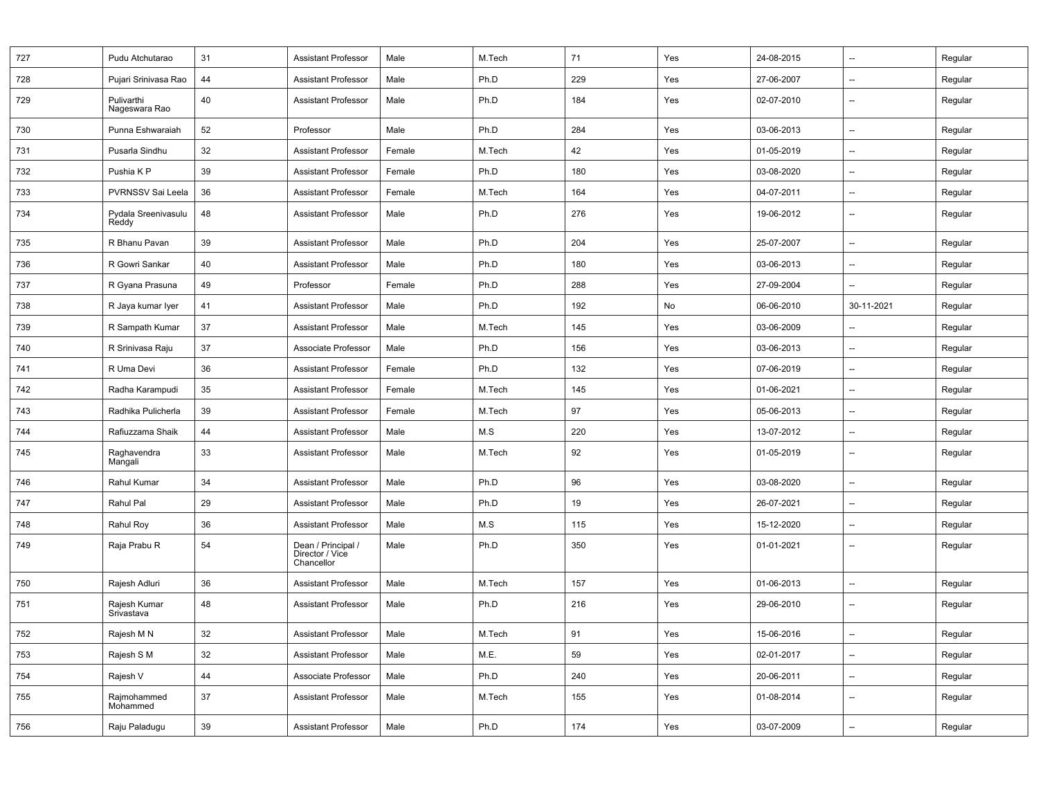| 727 | Pudu Atchutarao              | 31     | <b>Assistant Professor</b>                          | Male   | M.Tech | 71  | Yes | 24-08-2015 | --                       | Regular |
|-----|------------------------------|--------|-----------------------------------------------------|--------|--------|-----|-----|------------|--------------------------|---------|
| 728 | Pujari Srinivasa Rao         | 44     | <b>Assistant Professor</b>                          | Male   | Ph.D   | 229 | Yes | 27-06-2007 | $\overline{\phantom{a}}$ | Regular |
| 729 | Pulivarthi<br>Nageswara Rao  | 40     | <b>Assistant Professor</b>                          | Male   | Ph.D   | 184 | Yes | 02-07-2010 | $\overline{\phantom{a}}$ | Regular |
| 730 | Punna Eshwaraiah             | 52     | Professor                                           | Male   | Ph.D   | 284 | Yes | 03-06-2013 | $\overline{\phantom{a}}$ | Regular |
| 731 | Pusarla Sindhu               | 32     | <b>Assistant Professor</b>                          | Female | M.Tech | 42  | Yes | 01-05-2019 | --                       | Regular |
| 732 | Pushia K P                   | 39     | <b>Assistant Professor</b>                          | Female | Ph.D   | 180 | Yes | 03-08-2020 | $\qquad \qquad \cdots$   | Regular |
| 733 | PVRNSSV Sai Leela            | 36     | <b>Assistant Professor</b>                          | Female | M.Tech | 164 | Yes | 04-07-2011 | --                       | Regular |
| 734 | Pydala Sreenivasulu<br>Reddy | 48     | <b>Assistant Professor</b>                          | Male   | Ph.D   | 276 | Yes | 19-06-2012 | --                       | Regular |
| 735 | R Bhanu Pavan                | 39     | <b>Assistant Professor</b>                          | Male   | Ph.D   | 204 | Yes | 25-07-2007 | $\overline{\phantom{a}}$ | Regular |
| 736 | R Gowri Sankar               | 40     | <b>Assistant Professor</b>                          | Male   | Ph.D   | 180 | Yes | 03-06-2013 | $\overline{\phantom{a}}$ | Regular |
| 737 | R Gyana Prasuna              | 49     | Professor                                           | Female | Ph.D   | 288 | Yes | 27-09-2004 | $\overline{\phantom{a}}$ | Regular |
| 738 | R Jaya kumar Iyer            | 41     | <b>Assistant Professor</b>                          | Male   | Ph.D   | 192 | No  | 06-06-2010 | 30-11-2021               | Regular |
| 739 | R Sampath Kumar              | 37     | <b>Assistant Professor</b>                          | Male   | M.Tech | 145 | Yes | 03-06-2009 | $\overline{\phantom{a}}$ | Regular |
| 740 | R Srinivasa Raju             | 37     | Associate Professor                                 | Male   | Ph.D   | 156 | Yes | 03-06-2013 | --                       | Regular |
| 741 | R Uma Devi                   | 36     | <b>Assistant Professor</b>                          | Female | Ph.D   | 132 | Yes | 07-06-2019 | --                       | Regular |
| 742 | Radha Karampudi              | 35     | <b>Assistant Professor</b>                          | Female | M.Tech | 145 | Yes | 01-06-2021 | $\overline{\phantom{a}}$ | Regular |
| 743 | Radhika Pulicherla           | 39     | <b>Assistant Professor</b>                          | Female | M.Tech | 97  | Yes | 05-06-2013 | $\qquad \qquad \cdots$   | Regular |
| 744 | Rafiuzzama Shaik             | 44     | <b>Assistant Professor</b>                          | Male   | M.S    | 220 | Yes | 13-07-2012 | $\overline{\phantom{a}}$ | Regular |
| 745 | Raghavendra<br>Mangali       | 33     | <b>Assistant Professor</b>                          | Male   | M.Tech | 92  | Yes | 01-05-2019 | $\overline{\phantom{a}}$ | Regular |
| 746 | Rahul Kumar                  | 34     | <b>Assistant Professor</b>                          | Male   | Ph.D   | 96  | Yes | 03-08-2020 | $\overline{\phantom{a}}$ | Regular |
| 747 | Rahul Pal                    | 29     | <b>Assistant Professor</b>                          | Male   | Ph.D   | 19  | Yes | 26-07-2021 | --                       | Regular |
| 748 | Rahul Roy                    | 36     | <b>Assistant Professor</b>                          | Male   | M.S    | 115 | Yes | 15-12-2020 | --                       | Regular |
| 749 | Raja Prabu R                 | 54     | Dean / Principal /<br>Director / Vice<br>Chancellor | Male   | Ph.D   | 350 | Yes | 01-01-2021 | $\overline{\phantom{a}}$ | Regular |
| 750 | Rajesh Adluri                | 36     | <b>Assistant Professor</b>                          | Male   | M.Tech | 157 | Yes | 01-06-2013 | --                       | Regular |
| 751 | Rajesh Kumar<br>Srivastava   | 48     | <b>Assistant Professor</b>                          | Male   | Ph.D   | 216 | Yes | 29-06-2010 | $\overline{\phantom{a}}$ | Regular |
| 752 | Rajesh M N                   | 32     | Assistant Professor                                 | Male   | M.Tech | 91  | Yes | 15-06-2016 |                          | Regular |
| 753 | Rajesh S M                   | 32     | <b>Assistant Professor</b>                          | Male   | M.E.   | 59  | Yes | 02-01-2017 | --                       | Regular |
| 754 | Rajesh V                     | 44     | Associate Professor                                 | Male   | Ph.D   | 240 | Yes | 20-06-2011 | --                       | Regular |
| 755 | Rajmohammed<br>Mohammed      | 37     | Assistant Professor                                 | Male   | M.Tech | 155 | Yes | 01-08-2014 | $\overline{\phantom{a}}$ | Regular |
| 756 | Raju Paladugu                | $39\,$ | <b>Assistant Professor</b>                          | Male   | Ph.D   | 174 | Yes | 03-07-2009 | --                       | Regular |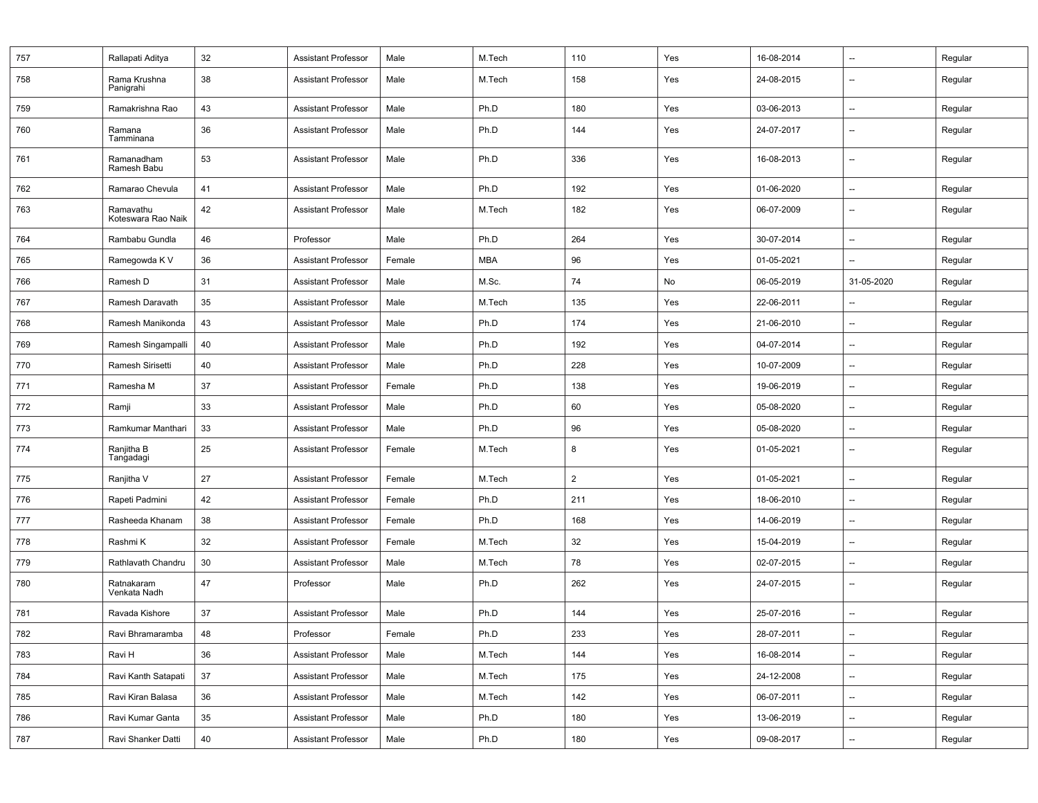| 757 | Rallapati Aditya                | 32 | <b>Assistant Professor</b> | Male   | M.Tech     | 110            | Yes | 16-08-2014 | --                       | Regular |
|-----|---------------------------------|----|----------------------------|--------|------------|----------------|-----|------------|--------------------------|---------|
| 758 | Rama Krushna<br>Panigrahi       | 38 | <b>Assistant Professor</b> | Male   | M.Tech     | 158            | Yes | 24-08-2015 | $\overline{\phantom{a}}$ | Regular |
| 759 | Ramakrishna Rao                 | 43 | <b>Assistant Professor</b> | Male   | Ph.D       | 180            | Yes | 03-06-2013 | --                       | Regular |
| 760 | Ramana<br>Tamminana             | 36 | <b>Assistant Professor</b> | Male   | Ph.D       | 144            | Yes | 24-07-2017 | --                       | Regular |
| 761 | Ramanadham<br>Ramesh Babu       | 53 | <b>Assistant Professor</b> | Male   | Ph.D       | 336            | Yes | 16-08-2013 | --                       | Regular |
| 762 | Ramarao Chevula                 | 41 | <b>Assistant Professor</b> | Male   | Ph.D       | 192            | Yes | 01-06-2020 | --                       | Regular |
| 763 | Ramavathu<br>Koteswara Rao Naik | 42 | <b>Assistant Professor</b> | Male   | M.Tech     | 182            | Yes | 06-07-2009 | $\overline{\phantom{a}}$ | Regular |
| 764 | Rambabu Gundla                  | 46 | Professor                  | Male   | Ph.D       | 264            | Yes | 30-07-2014 | --                       | Regular |
| 765 | Ramegowda K V                   | 36 | <b>Assistant Professor</b> | Female | <b>MBA</b> | 96             | Yes | 01-05-2021 | $\overline{\phantom{a}}$ | Regular |
| 766 | Ramesh D                        | 31 | <b>Assistant Professor</b> | Male   | M.Sc.      | 74             | No  | 06-05-2019 | 31-05-2020               | Regular |
| 767 | Ramesh Daravath                 | 35 | <b>Assistant Professor</b> | Male   | M.Tech     | 135            | Yes | 22-06-2011 | --                       | Regular |
| 768 | Ramesh Manikonda                | 43 | Assistant Professor        | Male   | Ph.D       | 174            | Yes | 21-06-2010 | $\overline{\phantom{a}}$ | Regular |
| 769 | Ramesh Singampalli              | 40 | <b>Assistant Professor</b> | Male   | Ph.D       | 192            | Yes | 04-07-2014 | --                       | Regular |
| 770 | Ramesh Sirisetti                | 40 | <b>Assistant Professor</b> | Male   | Ph.D       | 228            | Yes | 10-07-2009 | --                       | Regular |
| 771 | Ramesha M                       | 37 | Assistant Professor        | Female | Ph.D       | 138            | Yes | 19-06-2019 | $\overline{\phantom{a}}$ | Regular |
| 772 | Ramji                           | 33 | <b>Assistant Professor</b> | Male   | Ph.D       | 60             | Yes | 05-08-2020 | --                       | Regular |
| 773 | Ramkumar Manthari               | 33 | <b>Assistant Professor</b> | Male   | Ph.D       | 96             | Yes | 05-08-2020 | --                       | Regular |
| 774 | Ranjitha B<br>Tangadagi         | 25 | <b>Assistant Professor</b> | Female | M.Tech     | 8              | Yes | 01-05-2021 | $\overline{\phantom{a}}$ | Regular |
| 775 | Ranjitha V                      | 27 | <b>Assistant Professor</b> | Female | M.Tech     | $\overline{2}$ | Yes | 01-05-2021 | $\overline{\phantom{a}}$ | Regular |
| 776 | Rapeti Padmini                  | 42 | <b>Assistant Professor</b> | Female | Ph.D       | 211            | Yes | 18-06-2010 | --                       | Regular |
| 777 | Rasheeda Khanam                 | 38 | <b>Assistant Professor</b> | Female | Ph.D       | 168            | Yes | 14-06-2019 | --                       | Regular |
| 778 | Rashmi K                        | 32 | <b>Assistant Professor</b> | Female | M.Tech     | 32             | Yes | 15-04-2019 | --                       | Regular |
| 779 | Rathlavath Chandru              | 30 | <b>Assistant Professor</b> | Male   | M.Tech     | 78             | Yes | 02-07-2015 | --                       | Regular |
| 780 | Ratnakaram<br>Venkata Nadh      | 47 | Professor                  | Male   | Ph.D       | 262            | Yes | 24-07-2015 | --                       | Regular |
| 781 | Ravada Kishore                  | 37 | <b>Assistant Professor</b> | Male   | Ph.D       | 144            | Yes | 25-07-2016 | --                       | Regular |
| 782 | Ravi Bhramaramba                | 48 | Professor                  | Female | Ph.D       | 233            | Yes | 28-07-2011 |                          | Regular |
| 783 | Ravi H                          | 36 | <b>Assistant Professor</b> | Male   | M.Tech     | 144            | Yes | 16-08-2014 | $\overline{\phantom{a}}$ | Regular |
| 784 | Ravi Kanth Satapati             | 37 | <b>Assistant Professor</b> | Male   | M.Tech     | 175            | Yes | 24-12-2008 | --                       | Regular |
| 785 | Ravi Kiran Balasa               | 36 | <b>Assistant Professor</b> | Male   | M.Tech     | 142            | Yes | 06-07-2011 | $\overline{\phantom{a}}$ | Regular |
| 786 | Ravi Kumar Ganta                | 35 | Assistant Professor        | Male   | Ph.D       | 180            | Yes | 13-06-2019 | --                       | Regular |
| 787 | Ravi Shanker Datti              | 40 | <b>Assistant Professor</b> | Male   | Ph.D       | 180            | Yes | 09-08-2017 | --                       | Regular |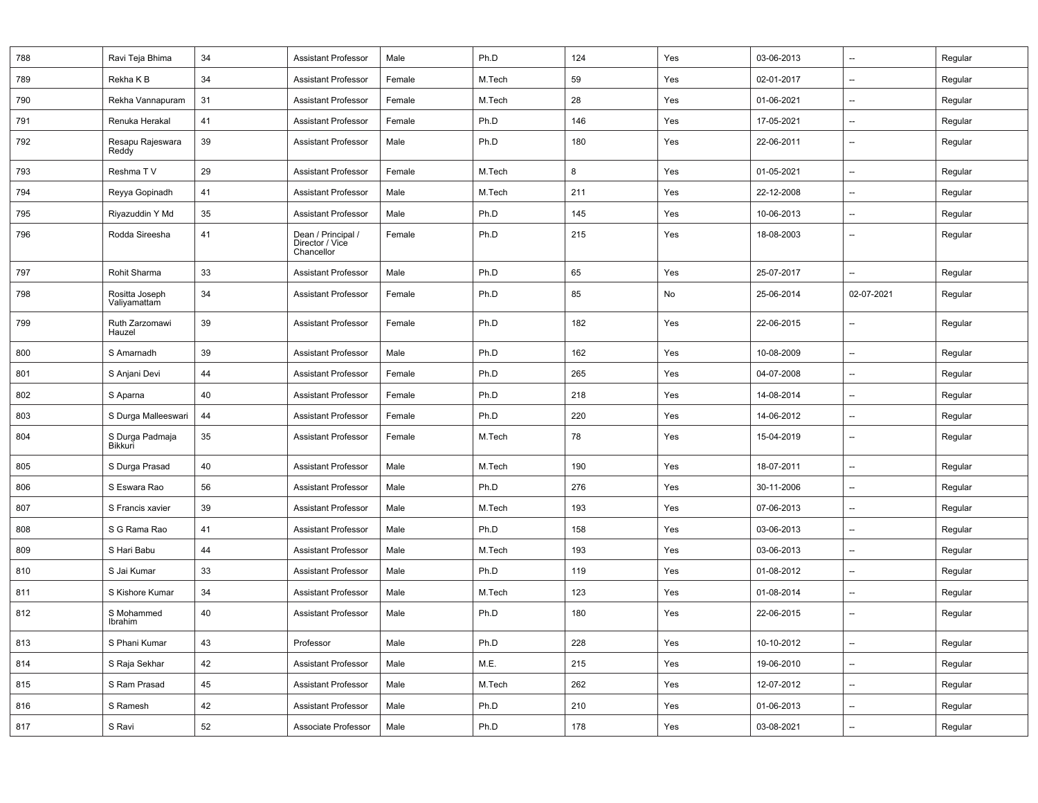| 788 | Ravi Teja Bhima                | 34 | <b>Assistant Professor</b>                          | Male   | Ph.D   | 124 | Yes | 03-06-2013 | $\overline{\phantom{a}}$ | Regular |
|-----|--------------------------------|----|-----------------------------------------------------|--------|--------|-----|-----|------------|--------------------------|---------|
| 789 | Rekha K B                      | 34 | <b>Assistant Professor</b>                          | Female | M.Tech | 59  | Yes | 02-01-2017 | $\overline{\phantom{a}}$ | Regular |
| 790 | Rekha Vannapuram               | 31 | <b>Assistant Professor</b>                          | Female | M.Tech | 28  | Yes | 01-06-2021 | $\overline{\phantom{a}}$ | Regular |
| 791 | Renuka Herakal                 | 41 | <b>Assistant Professor</b>                          | Female | Ph.D   | 146 | Yes | 17-05-2021 | $\overline{\phantom{a}}$ | Regular |
| 792 | Resapu Rajeswara<br>Reddy      | 39 | <b>Assistant Professor</b>                          | Male   | Ph.D   | 180 | Yes | 22-06-2011 | --                       | Regular |
| 793 | Reshma TV                      | 29 | <b>Assistant Professor</b>                          | Female | M.Tech | 8   | Yes | 01-05-2021 | $\overline{\phantom{a}}$ | Regular |
| 794 | Reyya Gopinadh                 | 41 | <b>Assistant Professor</b>                          | Male   | M.Tech | 211 | Yes | 22-12-2008 | $\overline{\phantom{a}}$ | Regular |
| 795 | Riyazuddin Y Md                | 35 | <b>Assistant Professor</b>                          | Male   | Ph.D   | 145 | Yes | 10-06-2013 | $\overline{\phantom{a}}$ | Regular |
| 796 | Rodda Sireesha                 | 41 | Dean / Principal /<br>Director / Vice<br>Chancellor | Female | Ph.D   | 215 | Yes | 18-08-2003 | $\overline{\phantom{a}}$ | Regular |
| 797 | Rohit Sharma                   | 33 | <b>Assistant Professor</b>                          | Male   | Ph.D   | 65  | Yes | 25-07-2017 | $\overline{\phantom{a}}$ | Regular |
| 798 | Rositta Joseph<br>Valiyamattam | 34 | Assistant Professor                                 | Female | Ph.D   | 85  | No  | 25-06-2014 | 02-07-2021               | Regular |
| 799 | Ruth Zarzomawi<br>Hauzel       | 39 | <b>Assistant Professor</b>                          | Female | Ph.D   | 182 | Yes | 22-06-2015 | $\overline{\phantom{a}}$ | Regular |
| 800 | S Amarnadh                     | 39 | <b>Assistant Professor</b>                          | Male   | Ph.D   | 162 | Yes | 10-08-2009 | --                       | Regular |
| 801 | S Anjani Devi                  | 44 | <b>Assistant Professor</b>                          | Female | Ph.D   | 265 | Yes | 04-07-2008 | $\overline{\phantom{a}}$ | Regular |
| 802 | S Aparna                       | 40 | <b>Assistant Professor</b>                          | Female | Ph.D   | 218 | Yes | 14-08-2014 | $\overline{\phantom{a}}$ | Regular |
| 803 | S Durga Malleeswari            | 44 | Assistant Professor                                 | Female | Ph.D   | 220 | Yes | 14-06-2012 | $\overline{\phantom{a}}$ | Regular |
| 804 | S Durga Padmaja<br>Bikkuri     | 35 | <b>Assistant Professor</b>                          | Female | M.Tech | 78  | Yes | 15-04-2019 | $\overline{\phantom{a}}$ | Regular |
| 805 | S Durga Prasad                 | 40 | <b>Assistant Professor</b>                          | Male   | M.Tech | 190 | Yes | 18-07-2011 | --                       | Regular |
| 806 | S Eswara Rao                   | 56 | <b>Assistant Professor</b>                          | Male   | Ph.D   | 276 | Yes | 30-11-2006 | $\overline{\phantom{a}}$ | Regular |
| 807 | S Francis xavier               | 39 | Assistant Professor                                 | Male   | M.Tech | 193 | Yes | 07-06-2013 | $\overline{\phantom{a}}$ | Regular |
| 808 | S G Rama Rao                   | 41 | Assistant Professor                                 | Male   | Ph.D   | 158 | Yes | 03-06-2013 | $\overline{\phantom{a}}$ | Regular |
| 809 | S Hari Babu                    | 44 | <b>Assistant Professor</b>                          | Male   | M.Tech | 193 | Yes | 03-06-2013 | $\overline{\phantom{a}}$ | Regular |
| 810 | S Jai Kumar                    | 33 | Assistant Professor                                 | Male   | Ph.D   | 119 | Yes | 01-08-2012 | $\overline{\phantom{a}}$ | Regular |
| 811 | S Kishore Kumar                | 34 | <b>Assistant Professor</b>                          | Male   | M.Tech | 123 | Yes | 01-08-2014 | $\overline{\phantom{a}}$ | Regular |
| 812 | S Mohammed<br>Ibrahim          | 40 | <b>Assistant Professor</b>                          | Male   | Ph.D   | 180 | Yes | 22-06-2015 | $\overline{\phantom{a}}$ | Regular |
| 813 | S Phani Kumar                  | 43 | Professor                                           | Male   | Ph.D   | 228 | Yes | 10-10-2012 | $\qquad \qquad -$        | Regular |
| 814 | S Raja Sekhar                  | 42 | <b>Assistant Professor</b>                          | Male   | M.E.   | 215 | Yes | 19-06-2010 | --                       | Regular |
| 815 | S Ram Prasad                   | 45 | <b>Assistant Professor</b>                          | Male   | M.Tech | 262 | Yes | 12-07-2012 | --                       | Regular |
| 816 | S Ramesh                       | 42 | Assistant Professor                                 | Male   | Ph.D   | 210 | Yes | 01-06-2013 | --                       | Regular |
| 817 | S Ravi                         | 52 | Associate Professor                                 | Male   | Ph.D   | 178 | Yes | 03-08-2021 | $\overline{\phantom{a}}$ | Regular |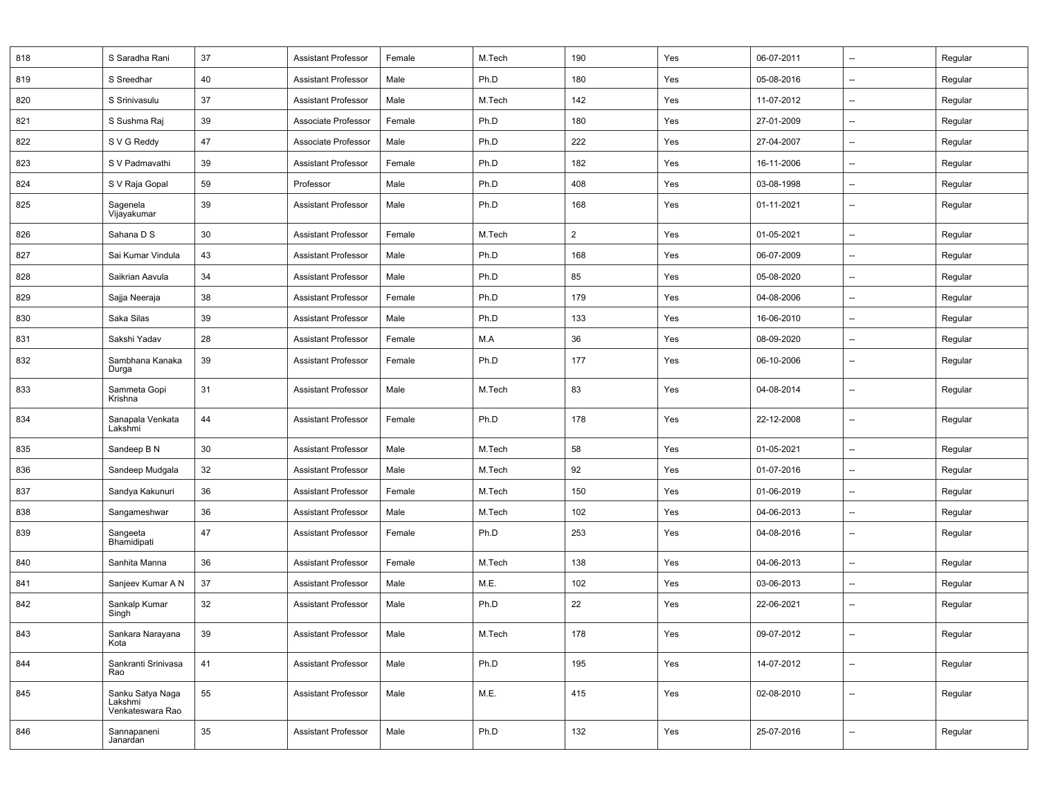| 818 | S Saradha Rani                                  | 37     | <b>Assistant Professor</b> | Female | M.Tech | 190            | Yes | 06-07-2011 | --                       | Regular |
|-----|-------------------------------------------------|--------|----------------------------|--------|--------|----------------|-----|------------|--------------------------|---------|
| 819 | S Sreedhar                                      | 40     | <b>Assistant Professor</b> | Male   | Ph.D   | 180            | Yes | 05-08-2016 | --                       | Regular |
| 820 | S Srinivasulu                                   | 37     | <b>Assistant Professor</b> | Male   | M.Tech | 142            | Yes | 11-07-2012 | --                       | Regular |
| 821 | S Sushma Raj                                    | 39     | Associate Professor        | Female | Ph.D   | 180            | Yes | 27-01-2009 | --                       | Regular |
| 822 | S V G Reddy                                     | 47     | Associate Professor        | Male   | Ph.D   | 222            | Yes | 27-04-2007 | --                       | Regular |
| 823 | S V Padmavathi                                  | 39     | <b>Assistant Professor</b> | Female | Ph.D   | 182            | Yes | 16-11-2006 | --                       | Regular |
| 824 | S V Raja Gopal                                  | 59     | Professor                  | Male   | Ph.D   | 408            | Yes | 03-08-1998 | --                       | Regular |
| 825 | Sagenela<br>Vijayakumar                         | 39     | <b>Assistant Professor</b> | Male   | Ph.D   | 168            | Yes | 01-11-2021 | $\overline{\phantom{a}}$ | Regular |
| 826 | Sahana D S                                      | 30     | <b>Assistant Professor</b> | Female | M.Tech | $\overline{2}$ | Yes | 01-05-2021 | --                       | Regular |
| 827 | Sai Kumar Vindula                               | 43     | <b>Assistant Professor</b> | Male   | Ph.D   | 168            | Yes | 06-07-2009 | --                       | Regular |
| 828 | Saikrian Aavula                                 | 34     | <b>Assistant Professor</b> | Male   | Ph.D   | 85             | Yes | 05-08-2020 | --                       | Regular |
| 829 | Sajja Neeraja                                   | 38     | <b>Assistant Professor</b> | Female | Ph.D   | 179            | Yes | 04-08-2006 | --                       | Regular |
| 830 | Saka Silas                                      | 39     | <b>Assistant Professor</b> | Male   | Ph.D   | 133            | Yes | 16-06-2010 | --                       | Regular |
| 831 | Sakshi Yadav                                    | 28     | <b>Assistant Professor</b> | Female | M.A    | 36             | Yes | 08-09-2020 | --                       | Regular |
| 832 | Sambhana Kanaka<br>Durga                        | 39     | <b>Assistant Professor</b> | Female | Ph.D   | 177            | Yes | 06-10-2006 | $\overline{\phantom{a}}$ | Regular |
| 833 | Sammeta Gopi<br>Krishna                         | 31     | <b>Assistant Professor</b> | Male   | M.Tech | 83             | Yes | 04-08-2014 | $\overline{\phantom{a}}$ | Regular |
| 834 | Sanapala Venkata<br>Lakshmi                     | 44     | <b>Assistant Professor</b> | Female | Ph.D   | 178            | Yes | 22-12-2008 | --                       | Regular |
| 835 | Sandeep B N                                     | 30     | <b>Assistant Professor</b> | Male   | M.Tech | 58             | Yes | 01-05-2021 | $\overline{\phantom{a}}$ | Regular |
| 836 | Sandeep Mudgala                                 | 32     | <b>Assistant Professor</b> | Male   | M.Tech | 92             | Yes | 01-07-2016 | --                       | Regular |
| 837 | Sandya Kakunuri                                 | 36     | <b>Assistant Professor</b> | Female | M.Tech | 150            | Yes | 01-06-2019 | --                       | Regular |
| 838 | Sangameshwar                                    | 36     | <b>Assistant Professor</b> | Male   | M.Tech | 102            | Yes | 04-06-2013 | --                       | Regular |
| 839 | Sangeeta<br>Bhamidipati                         | 47     | <b>Assistant Professor</b> | Female | Ph.D   | 253            | Yes | 04-08-2016 | $\overline{\phantom{a}}$ | Regular |
| 840 | Sanhita Manna                                   | 36     | <b>Assistant Professor</b> | Female | M.Tech | 138            | Yes | 04-06-2013 | $\overline{\phantom{a}}$ | Regular |
| 841 | Sanjeev Kumar A N                               | 37     | <b>Assistant Professor</b> | Male   | M.E.   | 102            | Yes | 03-06-2013 | --                       | Regular |
| 842 | Sankalp Kumar<br>Singh                          | 32     | <b>Assistant Professor</b> | Male   | Ph.D   | 22             | Yes | 22-06-2021 | $\overline{\phantom{a}}$ | Regular |
| 843 | Sankara Narayana<br>Kota                        | 39     | Assistant Professor        | Male   | M.Tech | 178            | Yes | 09-07-2012 |                          | Regular |
| 844 | Sankranti Srinivasa<br>Rao                      | 41     | <b>Assistant Professor</b> | Male   | Ph.D   | 195            | Yes | 14-07-2012 | $\overline{\phantom{a}}$ | Regular |
| 845 | Sanku Satya Naga<br>Lakshmi<br>Venkateswara Rao | 55     | <b>Assistant Professor</b> | Male   | M.E.   | 415            | Yes | 02-08-2010 | --                       | Regular |
| 846 | Sannapaneni<br>Janardan                         | $35\,$ | <b>Assistant Professor</b> | Male   | Ph.D   | 132            | Yes | 25-07-2016 | --                       | Regular |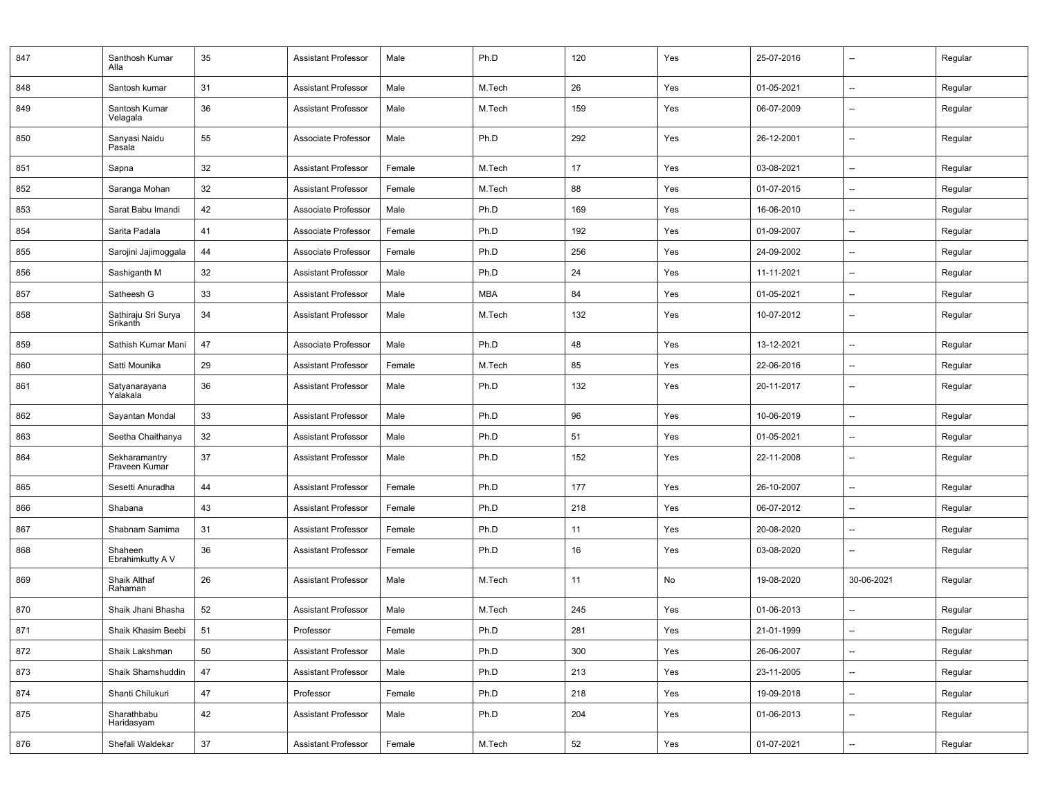| 847 | Santhosh Kumar<br>Alla          | 35 | <b>Assistant Professor</b> | Male   | Ph.D       | 120 | Yes | 25-07-2016 | $\overline{\phantom{a}}$ | Regular |
|-----|---------------------------------|----|----------------------------|--------|------------|-----|-----|------------|--------------------------|---------|
| 848 | Santosh kumar                   | 31 | <b>Assistant Professor</b> | Male   | M.Tech     | 26  | Yes | 01-05-2021 | $\overline{\phantom{a}}$ | Regular |
| 849 | Santosh Kumar<br>Velagala       | 36 | <b>Assistant Professor</b> | Male   | M.Tech     | 159 | Yes | 06-07-2009 | --                       | Regular |
| 850 | Sanyasi Naidu<br>Pasala         | 55 | Associate Professor        | Male   | Ph.D       | 292 | Yes | 26-12-2001 | $\overline{\phantom{a}}$ | Regular |
| 851 | Sapna                           | 32 | <b>Assistant Professor</b> | Female | M.Tech     | 17  | Yes | 03-08-2021 | --                       | Regular |
| 852 | Saranga Mohan                   | 32 | <b>Assistant Professor</b> | Female | M.Tech     | 88  | Yes | 01-07-2015 | $\overline{\phantom{a}}$ | Regular |
| 853 | Sarat Babu Imandi               | 42 | Associate Professor        | Male   | Ph.D       | 169 | Yes | 16-06-2010 | $\overline{\phantom{a}}$ | Regular |
| 854 | Sarita Padala                   | 41 | Associate Professor        | Female | Ph.D       | 192 | Yes | 01-09-2007 | $\overline{\phantom{a}}$ | Regular |
| 855 | Sarojini Jajimoggala            | 44 | Associate Professor        | Female | Ph.D       | 256 | Yes | 24-09-2002 | $\overline{\phantom{a}}$ | Regular |
| 856 | Sashiganth M                    | 32 | <b>Assistant Professor</b> | Male   | Ph.D       | 24  | Yes | 11-11-2021 | $\overline{\phantom{a}}$ | Regular |
| 857 | Satheesh G                      | 33 | <b>Assistant Professor</b> | Male   | <b>MBA</b> | 84  | Yes | 01-05-2021 | $\overline{\phantom{a}}$ | Regular |
| 858 | Sathiraju Sri Surya<br>Srikanth | 34 | <b>Assistant Professor</b> | Male   | M.Tech     | 132 | Yes | 10-07-2012 | $\overline{\phantom{a}}$ | Regular |
| 859 | Sathish Kumar Mani              | 47 | Associate Professor        | Male   | Ph.D       | 48  | Yes | 13-12-2021 | $\overline{\phantom{a}}$ | Regular |
| 860 | Satti Mounika                   | 29 | Assistant Professor        | Female | M.Tech     | 85  | Yes | 22-06-2016 | $\overline{\phantom{a}}$ | Regular |
| 861 | Satyanarayana<br>Yalakala       | 36 | Assistant Professor        | Male   | Ph.D       | 132 | Yes | 20-11-2017 | $\overline{\phantom{a}}$ | Regular |
| 862 | Sayantan Mondal                 | 33 | <b>Assistant Professor</b> | Male   | Ph.D       | 96  | Yes | 10-06-2019 | $\overline{\phantom{a}}$ | Regular |
| 863 | Seetha Chaithanya               | 32 | <b>Assistant Professor</b> | Male   | Ph.D       | 51  | Yes | 01-05-2021 | $\overline{\phantom{a}}$ | Regular |
| 864 | Sekharamantry<br>Praveen Kumar  | 37 | <b>Assistant Professor</b> | Male   | Ph.D       | 152 | Yes | 22-11-2008 | $\overline{\phantom{a}}$ | Regular |
| 865 | Sesetti Anuradha                | 44 | <b>Assistant Professor</b> | Female | Ph.D       | 177 | Yes | 26-10-2007 | $\overline{\phantom{a}}$ | Regular |
| 866 | Shabana                         | 43 | <b>Assistant Professor</b> | Female | Ph.D       | 218 | Yes | 06-07-2012 | $\overline{\phantom{a}}$ | Regular |
| 867 | Shabnam Samima                  | 31 | Assistant Professor        | Female | Ph.D       | 11  | Yes | 20-08-2020 | $\overline{\phantom{a}}$ | Regular |
| 868 | Shaheen<br>Ebrahimkutty A V     | 36 | Assistant Professor        | Female | Ph.D       | 16  | Yes | 03-08-2020 | $\overline{\phantom{a}}$ | Regular |
| 869 | Shaik Althaf<br>Rahaman         | 26 | Assistant Professor        | Male   | M.Tech     | 11  | No  | 19-08-2020 | 30-06-2021               | Regular |
| 870 | Shaik Jhani Bhasha              | 52 | Assistant Professor        | Male   | M.Tech     | 245 | Yes | 01-06-2013 | $\overline{\phantom{a}}$ | Regular |
| 871 | Shaik Khasim Beebi              | 51 | Professor                  | Female | Ph.D       | 281 | Yes | 21-01-1999 | $\overline{\phantom{a}}$ | Regular |
| 872 | Shaik Lakshman                  | 50 | <b>Assistant Professor</b> | Male   | Ph.D       | 300 | Yes | 26-06-2007 | --                       | Regular |
| 873 | Shaik Shamshuddin               | 47 | <b>Assistant Professor</b> | Male   | Ph.D       | 213 | Yes | 23-11-2005 | $\overline{\phantom{a}}$ | Regular |
| 874 | Shanti Chilukuri                | 47 | Professor                  | Female | Ph.D       | 218 | Yes | 19-09-2018 | $\overline{\phantom{a}}$ | Regular |
| 875 | Sharathbabu<br>Haridasyam       | 42 | <b>Assistant Professor</b> | Male   | Ph.D       | 204 | Yes | 01-06-2013 | $\overline{\phantom{a}}$ | Regular |
| 876 | Shefali Waldekar                | 37 | <b>Assistant Professor</b> | Female | M.Tech     | 52  | Yes | 01-07-2021 | $\overline{\phantom{a}}$ | Regular |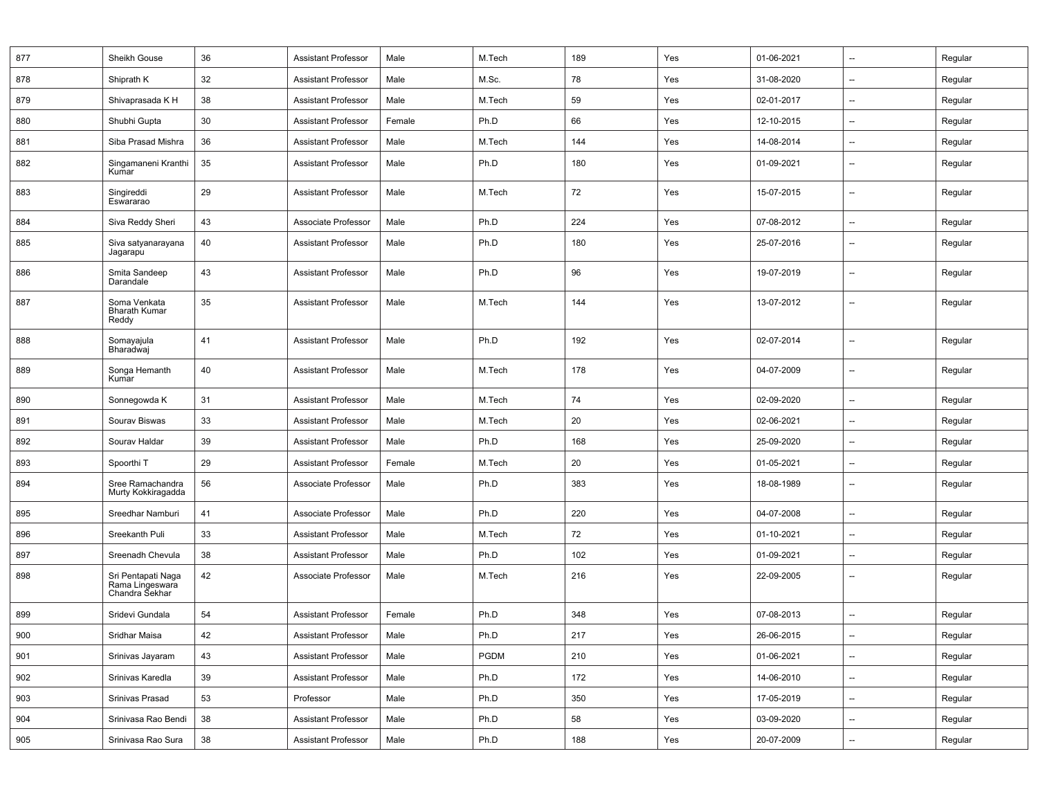| 877 | Sheikh Gouse                                            | 36 | <b>Assistant Professor</b> | Male   | M.Tech      | 189 | Yes | 01-06-2021 | --                       | Regular |
|-----|---------------------------------------------------------|----|----------------------------|--------|-------------|-----|-----|------------|--------------------------|---------|
| 878 | Shiprath K                                              | 32 | <b>Assistant Professor</b> | Male   | M.Sc.       | 78  | Yes | 31-08-2020 | --                       | Regular |
| 879 | Shivaprasada K H                                        | 38 | <b>Assistant Professor</b> | Male   | M.Tech      | 59  | Yes | 02-01-2017 | --                       | Regular |
| 880 | Shubhi Gupta                                            | 30 | <b>Assistant Professor</b> | Female | Ph.D        | 66  | Yes | 12-10-2015 | --                       | Regular |
| 881 | Siba Prasad Mishra                                      | 36 | <b>Assistant Professor</b> | Male   | M.Tech      | 144 | Yes | 14-08-2014 | --                       | Regular |
| 882 | Singamaneni Kranthi<br>Kumar                            | 35 | <b>Assistant Professor</b> | Male   | Ph.D        | 180 | Yes | 01-09-2021 | --                       | Regular |
| 883 | Singireddi<br>Eswararao                                 | 29 | <b>Assistant Professor</b> | Male   | M.Tech      | 72  | Yes | 15-07-2015 | --                       | Regular |
| 884 | Siva Reddy Sheri                                        | 43 | Associate Professor        | Male   | Ph.D        | 224 | Yes | 07-08-2012 | --                       | Regular |
| 885 | Siva satyanarayana<br>Jagarapu                          | 40 | <b>Assistant Professor</b> | Male   | Ph.D        | 180 | Yes | 25-07-2016 | --                       | Regular |
| 886 | Smita Sandeep<br>Darandale                              | 43 | <b>Assistant Professor</b> | Male   | Ph.D        | 96  | Yes | 19-07-2019 | --                       | Regular |
| 887 | Soma Venkata<br><b>Bharath Kumar</b><br>Reddy           | 35 | <b>Assistant Professor</b> | Male   | M.Tech      | 144 | Yes | 13-07-2012 | --                       | Regular |
| 888 | Somayajula<br>Bharadwaj                                 | 41 | <b>Assistant Professor</b> | Male   | Ph.D        | 192 | Yes | 02-07-2014 | --                       | Regular |
| 889 | Songa Hemanth<br>Kumar                                  | 40 | <b>Assistant Professor</b> | Male   | M.Tech      | 178 | Yes | 04-07-2009 | --                       | Regular |
| 890 | Sonnegowda K                                            | 31 | <b>Assistant Professor</b> | Male   | M.Tech      | 74  | Yes | 02-09-2020 | --                       | Regular |
| 891 | Sourav Biswas                                           | 33 | <b>Assistant Professor</b> | Male   | M.Tech      | 20  | Yes | 02-06-2021 | --                       | Regular |
| 892 | Sourav Haldar                                           | 39 | <b>Assistant Professor</b> | Male   | Ph.D        | 168 | Yes | 25-09-2020 | --                       | Regular |
| 893 | Spoorthi T                                              | 29 | <b>Assistant Professor</b> | Female | M.Tech      | 20  | Yes | 01-05-2021 | --                       | Regular |
| 894 | Sree Ramachandra<br>Murty Kokkiragadda                  | 56 | Associate Professor        | Male   | Ph.D        | 383 | Yes | 18-08-1989 | --                       | Regular |
| 895 | Sreedhar Namburi                                        | 41 | Associate Professor        | Male   | Ph.D        | 220 | Yes | 04-07-2008 | --                       | Regular |
| 896 | Sreekanth Puli                                          | 33 | <b>Assistant Professor</b> | Male   | M.Tech      | 72  | Yes | 01-10-2021 | --                       | Regular |
| 897 | Sreenadh Chevula                                        | 38 | <b>Assistant Professor</b> | Male   | Ph.D        | 102 | Yes | 01-09-2021 | --                       | Regular |
| 898 | Sri Pentapati Naga<br>Rama Lingeswara<br>Chandra Sekhar | 42 | Associate Professor        | Male   | M.Tech      | 216 | Yes | 22-09-2005 | --                       | Regular |
| 899 | Sridevi Gundala                                         | 54 | <b>Assistant Professor</b> | Female | Ph.D        | 348 | Yes | 07-08-2013 | --                       | Regular |
| 900 | Sridhar Maisa                                           | 42 | <b>Assistant Professor</b> | Male   | Ph.D        | 217 | Yes | 26-06-2015 | --                       | Regular |
| 901 | Srinivas Jayaram                                        | 43 | Assistant Professor        | Male   | <b>PGDM</b> | 210 | Yes | 01-06-2021 | --                       | Regular |
| 902 | Srinivas Karedla                                        | 39 | <b>Assistant Professor</b> | Male   | Ph.D        | 172 | Yes | 14-06-2010 | --                       | Regular |
| 903 | Srinivas Prasad                                         | 53 | Professor                  | Male   | Ph.D        | 350 | Yes | 17-05-2019 | --                       | Regular |
| 904 | Srinivasa Rao Bendi                                     | 38 | Assistant Professor        | Male   | Ph.D        | 58  | Yes | 03-09-2020 | $\overline{\phantom{a}}$ | Regular |
| 905 | Srinivasa Rao Sura                                      | 38 | Assistant Professor        | Male   | Ph.D        | 188 | Yes | 20-07-2009 | --                       | Regular |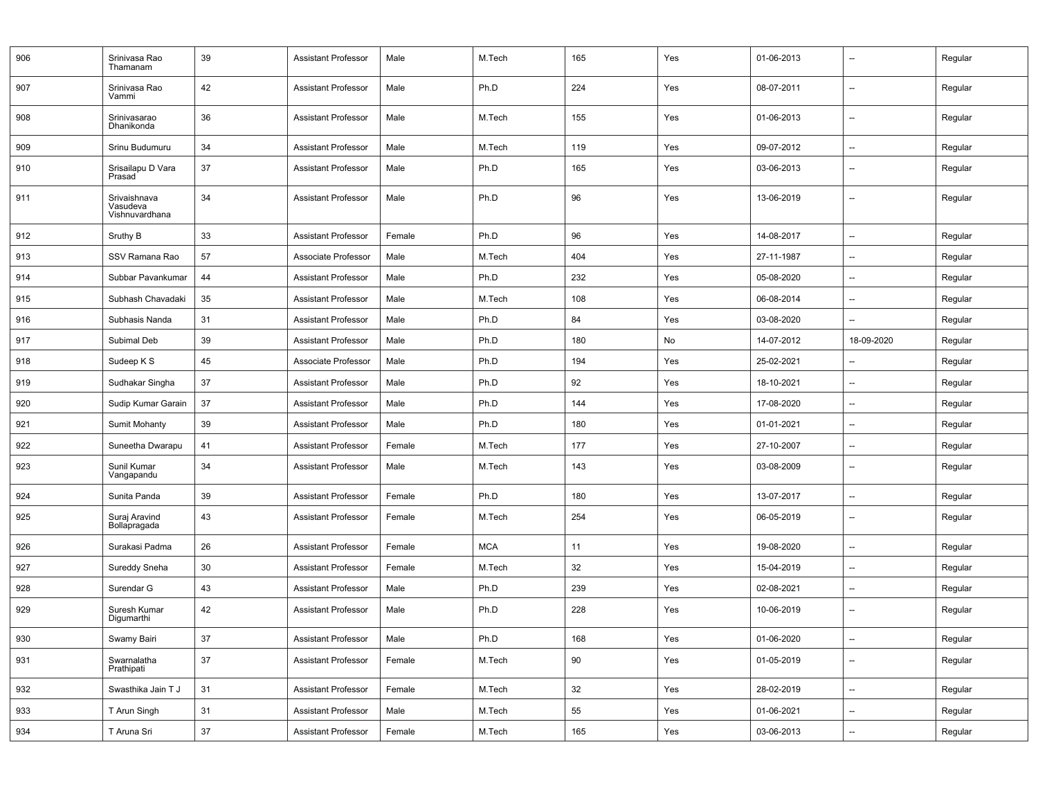| 906 | Srinivasa Rao<br>Thamanam                  | 39 | <b>Assistant Professor</b> | Male   | M.Tech     | 165 | Yes | 01-06-2013 | $\overline{\phantom{a}}$ | Regular |
|-----|--------------------------------------------|----|----------------------------|--------|------------|-----|-----|------------|--------------------------|---------|
| 907 | Srinivasa Rao<br>Vammi                     | 42 | <b>Assistant Professor</b> | Male   | Ph.D       | 224 | Yes | 08-07-2011 | $\overline{\phantom{a}}$ | Regular |
| 908 | Srinivasarao<br>Dhanikonda                 | 36 | <b>Assistant Professor</b> | Male   | M.Tech     | 155 | Yes | 01-06-2013 | $\overline{\phantom{a}}$ | Regular |
| 909 | Srinu Budumuru                             | 34 | <b>Assistant Professor</b> | Male   | M.Tech     | 119 | Yes | 09-07-2012 | $\overline{\phantom{a}}$ | Regular |
| 910 | Srisailapu D Vara<br>Prasad                | 37 | <b>Assistant Professor</b> | Male   | Ph.D       | 165 | Yes | 03-06-2013 | $\overline{\phantom{a}}$ | Regular |
| 911 | Srivaishnava<br>Vasudeva<br>Vishnuvardhana | 34 | <b>Assistant Professor</b> | Male   | Ph.D       | 96  | Yes | 13-06-2019 | $\overline{\phantom{a}}$ | Regular |
| 912 | Sruthy B                                   | 33 | <b>Assistant Professor</b> | Female | Ph.D       | 96  | Yes | 14-08-2017 | $\overline{\phantom{a}}$ | Regular |
| 913 | SSV Ramana Rao                             | 57 | Associate Professor        | Male   | M.Tech     | 404 | Yes | 27-11-1987 | $\overline{\phantom{a}}$ | Regular |
| 914 | Subbar Pavankumar                          | 44 | <b>Assistant Professor</b> | Male   | Ph.D       | 232 | Yes | 05-08-2020 | $\overline{\phantom{a}}$ | Regular |
| 915 | Subhash Chavadaki                          | 35 | <b>Assistant Professor</b> | Male   | M.Tech     | 108 | Yes | 06-08-2014 | $\overline{\phantom{a}}$ | Regular |
| 916 | Subhasis Nanda                             | 31 | <b>Assistant Professor</b> | Male   | Ph.D       | 84  | Yes | 03-08-2020 | $\overline{\phantom{a}}$ | Regular |
| 917 | Subimal Deb                                | 39 | <b>Assistant Professor</b> | Male   | Ph.D       | 180 | No  | 14-07-2012 | 18-09-2020               | Regular |
| 918 | Sudeep K S                                 | 45 | Associate Professor        | Male   | Ph.D       | 194 | Yes | 25-02-2021 | $\overline{\phantom{a}}$ | Regular |
| 919 | Sudhakar Singha                            | 37 | <b>Assistant Professor</b> | Male   | Ph.D       | 92  | Yes | 18-10-2021 | $\overline{\phantom{a}}$ | Regular |
| 920 | Sudip Kumar Garain                         | 37 | <b>Assistant Professor</b> | Male   | Ph.D       | 144 | Yes | 17-08-2020 | $\overline{\phantom{a}}$ | Regular |
| 921 | Sumit Mohanty                              | 39 | <b>Assistant Professor</b> | Male   | Ph.D       | 180 | Yes | 01-01-2021 | $\overline{\phantom{a}}$ | Regular |
| 922 | Suneetha Dwarapu                           | 41 | <b>Assistant Professor</b> | Female | M.Tech     | 177 | Yes | 27-10-2007 | $\overline{\phantom{a}}$ | Regular |
| 923 | Sunil Kumar<br>Vangapandu                  | 34 | <b>Assistant Professor</b> | Male   | M.Tech     | 143 | Yes | 03-08-2009 | $\overline{\phantom{a}}$ | Regular |
| 924 | Sunita Panda                               | 39 | <b>Assistant Professor</b> | Female | Ph.D       | 180 | Yes | 13-07-2017 | $\overline{\phantom{a}}$ | Regular |
| 925 | Suraj Aravind<br>Bollapragada              | 43 | <b>Assistant Professor</b> | Female | M.Tech     | 254 | Yes | 06-05-2019 | $\overline{\phantom{a}}$ | Regular |
| 926 | Surakasi Padma                             | 26 | <b>Assistant Professor</b> | Female | <b>MCA</b> | 11  | Yes | 19-08-2020 | $\overline{\phantom{a}}$ | Regular |
| 927 | Sureddy Sneha                              | 30 | <b>Assistant Professor</b> | Female | M.Tech     | 32  | Yes | 15-04-2019 | $\overline{\phantom{a}}$ | Regular |
| 928 | Surendar G                                 | 43 | <b>Assistant Professor</b> | Male   | Ph.D       | 239 | Yes | 02-08-2021 | $\overline{\phantom{a}}$ | Regular |
| 929 | Suresh Kumar<br>Digumarthi                 | 42 | <b>Assistant Professor</b> | Male   | Ph.D       | 228 | Yes | 10-06-2019 | $\overline{\phantom{a}}$ | Regular |
| 930 | Swamy Bairi                                | 37 | Assistant Professor        | Male   | Ph.D       | 168 | Yes | 01-06-2020 | $\overline{\phantom{a}}$ | Regular |
| 931 | Swarnalatha<br>Prathipati                  | 37 | <b>Assistant Professor</b> | Female | M.Tech     | 90  | Yes | 01-05-2019 | --                       | Regular |
| 932 | Swasthika Jain T J                         | 31 | <b>Assistant Professor</b> | Female | M.Tech     | 32  | Yes | 28-02-2019 | Ξ.                       | Regular |
| 933 | T Arun Singh                               | 31 | <b>Assistant Professor</b> | Male   | M.Tech     | 55  | Yes | 01-06-2021 | --                       | Regular |
| 934 | T Aruna Sri                                | 37 | <b>Assistant Professor</b> | Female | M.Tech     | 165 | Yes | 03-06-2013 | $\qquad \qquad -$        | Regular |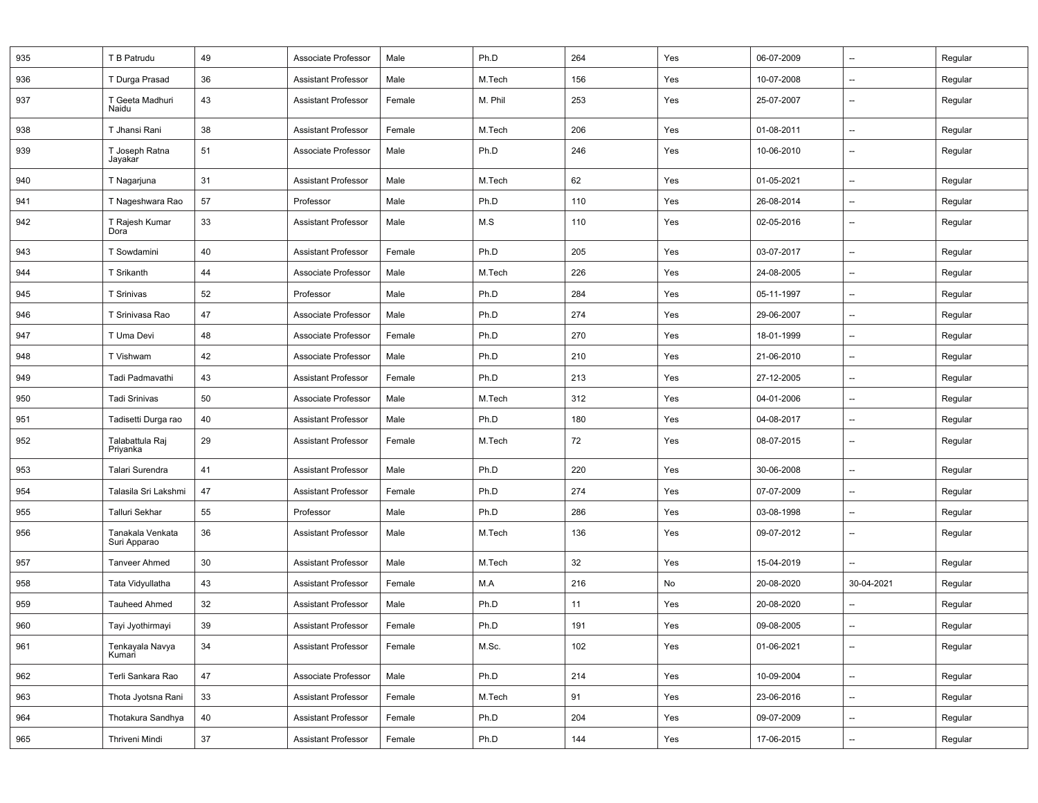| 935 | T B Patrudu                      | 49     | Associate Professor        | Male   | Ph.D    | 264 | Yes | 06-07-2009 | --                       | Regular |
|-----|----------------------------------|--------|----------------------------|--------|---------|-----|-----|------------|--------------------------|---------|
| 936 | T Durga Prasad                   | 36     | <b>Assistant Professor</b> | Male   | M.Tech  | 156 | Yes | 10-07-2008 | --                       | Regular |
| 937 | T Geeta Madhuri<br>Naidu         | 43     | <b>Assistant Professor</b> | Female | M. Phil | 253 | Yes | 25-07-2007 | $\overline{\phantom{a}}$ | Regular |
| 938 | T Jhansi Rani                    | 38     | <b>Assistant Professor</b> | Female | M.Tech  | 206 | Yes | 01-08-2011 | --                       | Regular |
| 939 | T Joseph Ratna<br>Jayakar        | 51     | Associate Professor        | Male   | Ph.D    | 246 | Yes | 10-06-2010 | --                       | Regular |
| 940 | T Nagarjuna                      | 31     | <b>Assistant Professor</b> | Male   | M.Tech  | 62  | Yes | 01-05-2021 | --                       | Regular |
| 941 | T Nageshwara Rao                 | 57     | Professor                  | Male   | Ph.D    | 110 | Yes | 26-08-2014 | --                       | Regular |
| 942 | T Rajesh Kumar<br>Dora           | 33     | <b>Assistant Professor</b> | Male   | M.S     | 110 | Yes | 02-05-2016 | --                       | Regular |
| 943 | T Sowdamini                      | 40     | <b>Assistant Professor</b> | Female | Ph.D    | 205 | Yes | 03-07-2017 | $\overline{\phantom{a}}$ | Regular |
| 944 | T Srikanth                       | 44     | Associate Professor        | Male   | M.Tech  | 226 | Yes | 24-08-2005 | --                       | Regular |
| 945 | T Srinivas                       | 52     | Professor                  | Male   | Ph.D    | 284 | Yes | 05-11-1997 | $\overline{\phantom{a}}$ | Regular |
| 946 | T Srinivasa Rao                  | 47     | Associate Professor        | Male   | Ph.D    | 274 | Yes | 29-06-2007 | $\overline{\phantom{a}}$ | Regular |
| 947 | T Uma Devi                       | 48     | Associate Professor        | Female | Ph.D    | 270 | Yes | 18-01-1999 | --                       | Regular |
| 948 | T Vishwam                        | 42     | Associate Professor        | Male   | Ph.D    | 210 | Yes | 21-06-2010 | --                       | Regular |
| 949 | Tadi Padmavathi                  | 43     | <b>Assistant Professor</b> | Female | Ph.D    | 213 | Yes | 27-12-2005 | --                       | Regular |
| 950 | <b>Tadi Srinivas</b>             | 50     | Associate Professor        | Male   | M.Tech  | 312 | Yes | 04-01-2006 | --                       | Regular |
| 951 | Tadisetti Durga rao              | 40     | <b>Assistant Professor</b> | Male   | Ph.D    | 180 | Yes | 04-08-2017 | --                       | Regular |
| 952 | Talabattula Raj<br>Priyanka      | 29     | <b>Assistant Professor</b> | Female | M.Tech  | 72  | Yes | 08-07-2015 | $\overline{\phantom{a}}$ | Regular |
| 953 | Talari Surendra                  | 41     | <b>Assistant Professor</b> | Male   | Ph.D    | 220 | Yes | 30-06-2008 | --                       | Regular |
| 954 | Talasila Sri Lakshmi             | 47     | <b>Assistant Professor</b> | Female | Ph.D    | 274 | Yes | 07-07-2009 | --                       | Regular |
| 955 | Talluri Sekhar                   | 55     | Professor                  | Male   | Ph.D    | 286 | Yes | 03-08-1998 | --                       | Regular |
| 956 | Tanakala Venkata<br>Suri Apparao | 36     | <b>Assistant Professor</b> | Male   | M.Tech  | 136 | Yes | 09-07-2012 | $\overline{\phantom{a}}$ | Regular |
| 957 | <b>Tanveer Ahmed</b>             | 30     | <b>Assistant Professor</b> | Male   | M.Tech  | 32  | Yes | 15-04-2019 | $\overline{a}$           | Regular |
| 958 | Tata Vidyullatha                 | 43     | <b>Assistant Professor</b> | Female | M.A     | 216 | No  | 20-08-2020 | 30-04-2021               | Regular |
| 959 | <b>Tauheed Ahmed</b>             | 32     | <b>Assistant Professor</b> | Male   | Ph.D    | 11  | Yes | 20-08-2020 | $\overline{a}$           | Regular |
| 960 | Tayi Jyothirmayi                 | 39     | <b>Assistant Professor</b> | Female | Ph.D    | 191 | Yes | 09-08-2005 | $\overline{\phantom{a}}$ | Regular |
| 961 | Tenkayala Navya<br>Kumari        | 34     | <b>Assistant Professor</b> | Female | M.Sc.   | 102 | Yes | 01-06-2021 | --                       | Regular |
| 962 | Terli Sankara Rao                | 47     | Associate Professor        | Male   | Ph.D    | 214 | Yes | 10-09-2004 | --                       | Regular |
| 963 | Thota Jyotsna Rani               | 33     | <b>Assistant Professor</b> | Female | M.Tech  | 91  | Yes | 23-06-2016 | --                       | Regular |
| 964 | Thotakura Sandhya                | 40     | <b>Assistant Professor</b> | Female | Ph.D    | 204 | Yes | 09-07-2009 | $\overline{\phantom{a}}$ | Regular |
| 965 | Thriveni Mindi                   | $37\,$ | <b>Assistant Professor</b> | Female | Ph.D    | 144 | Yes | 17-06-2015 | --                       | Regular |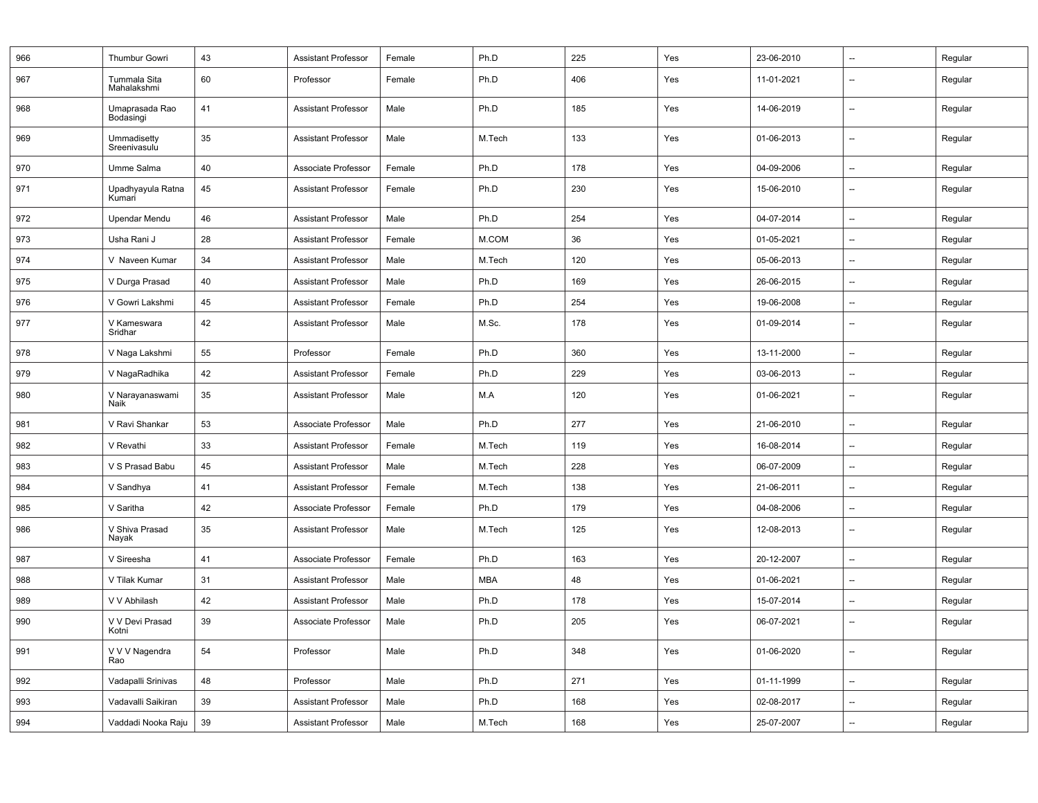| 966 | Thumbur Gowri               | 43 | Assistant Professor        | Female | Ph.D       | 225 | Yes | 23-06-2010 | $\overline{\phantom{a}}$ | Regular |
|-----|-----------------------------|----|----------------------------|--------|------------|-----|-----|------------|--------------------------|---------|
| 967 | Tummala Sita<br>Mahalakshmi | 60 | Professor                  | Female | Ph.D       | 406 | Yes | 11-01-2021 | $\overline{\phantom{a}}$ | Regular |
| 968 | Umaprasada Rao<br>Bodasingi | 41 | <b>Assistant Professor</b> | Male   | Ph.D       | 185 | Yes | 14-06-2019 | $\overline{\phantom{a}}$ | Regular |
| 969 | Ummadisetty<br>Sreenivasulu | 35 | Assistant Professor        | Male   | M.Tech     | 133 | Yes | 01-06-2013 | $\overline{\phantom{a}}$ | Regular |
| 970 | Umme Salma                  | 40 | Associate Professor        | Female | Ph.D       | 178 | Yes | 04-09-2006 | $\overline{a}$           | Regular |
| 971 | Upadhyayula Ratna<br>Kumari | 45 | <b>Assistant Professor</b> | Female | Ph.D       | 230 | Yes | 15-06-2010 | $\overline{a}$           | Regular |
| 972 | Upendar Mendu               | 46 | <b>Assistant Professor</b> | Male   | Ph.D       | 254 | Yes | 04-07-2014 | $\overline{\phantom{a}}$ | Regular |
| 973 | Usha Rani J                 | 28 | <b>Assistant Professor</b> | Female | M.COM      | 36  | Yes | 01-05-2021 | $\overline{\phantom{a}}$ | Regular |
| 974 | V Naveen Kumar              | 34 | <b>Assistant Professor</b> | Male   | M.Tech     | 120 | Yes | 05-06-2013 | $\overline{\phantom{a}}$ | Regular |
| 975 | V Durga Prasad              | 40 | <b>Assistant Professor</b> | Male   | Ph.D       | 169 | Yes | 26-06-2015 | $\overline{\phantom{a}}$ | Regular |
| 976 | V Gowri Lakshmi             | 45 | <b>Assistant Professor</b> | Female | Ph.D       | 254 | Yes | 19-06-2008 | $\overline{\phantom{a}}$ | Regular |
| 977 | V Kameswara<br>Sridhar      | 42 | <b>Assistant Professor</b> | Male   | M.Sc.      | 178 | Yes | 01-09-2014 | $\overline{\phantom{a}}$ | Regular |
| 978 | V Naga Lakshmi              | 55 | Professor                  | Female | Ph.D       | 360 | Yes | 13-11-2000 | $\overline{\phantom{a}}$ | Regular |
| 979 | V NagaRadhika               | 42 | <b>Assistant Professor</b> | Female | Ph.D       | 229 | Yes | 03-06-2013 | $\overline{\phantom{a}}$ | Regular |
| 980 | V Narayanaswami<br>Naik     | 35 | <b>Assistant Professor</b> | Male   | M.A        | 120 | Yes | 01-06-2021 | $\overline{a}$           | Regular |
| 981 | V Ravi Shankar              | 53 | Associate Professor        | Male   | Ph.D       | 277 | Yes | 21-06-2010 | $\overline{a}$           | Regular |
| 982 | V Revathi                   | 33 | <b>Assistant Professor</b> | Female | M.Tech     | 119 | Yes | 16-08-2014 | $\overline{\phantom{a}}$ | Regular |
| 983 | V S Prasad Babu             | 45 | <b>Assistant Professor</b> | Male   | M.Tech     | 228 | Yes | 06-07-2009 | $\overline{\phantom{a}}$ | Regular |
| 984 | V Sandhya                   | 41 | Assistant Professor        | Female | M.Tech     | 138 | Yes | 21-06-2011 | $\overline{\phantom{a}}$ | Regular |
| 985 | V Saritha                   | 42 | Associate Professor        | Female | Ph.D       | 179 | Yes | 04-08-2006 | $\overline{\phantom{a}}$ | Regular |
| 986 | V Shiva Prasad<br>Nayak     | 35 | <b>Assistant Professor</b> | Male   | M.Tech     | 125 | Yes | 12-08-2013 | $\overline{\phantom{a}}$ | Regular |
| 987 | V Sireesha                  | 41 | Associate Professor        | Female | Ph.D       | 163 | Yes | 20-12-2007 | $\overline{\phantom{a}}$ | Regular |
| 988 | V Tilak Kumar               | 31 | <b>Assistant Professor</b> | Male   | <b>MBA</b> | 48  | Yes | 01-06-2021 | $\overline{\phantom{a}}$ | Regular |
| 989 | V V Abhilash                | 42 | <b>Assistant Professor</b> | Male   | Ph.D       | 178 | Yes | 15-07-2014 | $\overline{\phantom{a}}$ | Regular |
| 990 | V V Devi Prasad<br>Kotni    | 39 | Associate Professor        | Male   | Ph.D       | 205 | Yes | 06-07-2021 | $\overline{\phantom{a}}$ | Regular |
| 991 | V V V Nagendra<br>Rao       | 54 | Professor                  | Male   | Ph.D       | 348 | Yes | 01-06-2020 | $\overline{\phantom{a}}$ | Regular |
| 992 | Vadapalli Srinivas          | 48 | Professor                  | Male   | Ph.D       | 271 | Yes | 01-11-1999 | $\sim$                   | Regular |
| 993 | Vadavalli Saikiran          | 39 | <b>Assistant Professor</b> | Male   | Ph.D       | 168 | Yes | 02-08-2017 | $\overline{\phantom{a}}$ | Regular |
| 994 | Vaddadi Nooka Raju          | 39 | <b>Assistant Professor</b> | Male   | M.Tech     | 168 | Yes | 25-07-2007 | $\overline{a}$           | Regular |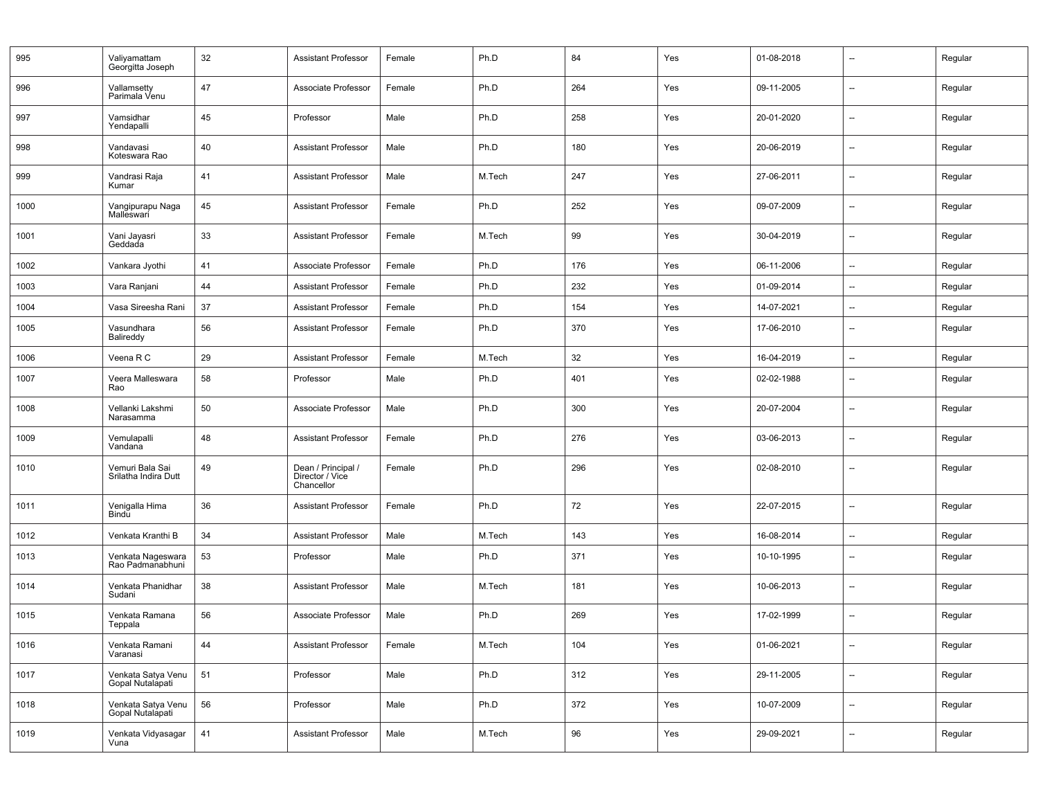| 995  | Valiyamattam<br>Georgitta Joseph        | 32 | <b>Assistant Professor</b>                          | Female | Ph.D   | 84  | Yes | 01-08-2018 | $\overline{\phantom{a}}$ | Regular |
|------|-----------------------------------------|----|-----------------------------------------------------|--------|--------|-----|-----|------------|--------------------------|---------|
| 996  | Vallamsetty<br>Parimala Venu            | 47 | Associate Professor                                 | Female | Ph.D   | 264 | Yes | 09-11-2005 | $\overline{\phantom{a}}$ | Regular |
| 997  | Vamsidhar<br>Yendapalli                 | 45 | Professor                                           | Male   | Ph.D   | 258 | Yes | 20-01-2020 | $\overline{\phantom{a}}$ | Regular |
| 998  | Vandavasi<br>Koteswara Rao              | 40 | <b>Assistant Professor</b>                          | Male   | Ph.D   | 180 | Yes | 20-06-2019 | --                       | Regular |
| 999  | Vandrasi Raja<br>Kumar                  | 41 | <b>Assistant Professor</b>                          | Male   | M.Tech | 247 | Yes | 27-06-2011 | --                       | Regular |
| 1000 | Vangipurapu Naga<br>Malleswari          | 45 | <b>Assistant Professor</b>                          | Female | Ph.D   | 252 | Yes | 09-07-2009 | --                       | Regular |
| 1001 | Vani Jayasri<br>Geddada                 | 33 | <b>Assistant Professor</b>                          | Female | M.Tech | 99  | Yes | 30-04-2019 | --                       | Regular |
| 1002 | Vankara Jyothi                          | 41 | Associate Professor                                 | Female | Ph.D   | 176 | Yes | 06-11-2006 | --                       | Regular |
| 1003 | Vara Ranjani                            | 44 | <b>Assistant Professor</b>                          | Female | Ph.D   | 232 | Yes | 01-09-2014 | --                       | Regular |
| 1004 | Vasa Sireesha Rani                      | 37 | <b>Assistant Professor</b>                          | Female | Ph.D   | 154 | Yes | 14-07-2021 | --                       | Regular |
| 1005 | Vasundhara<br>Balireddy                 | 56 | <b>Assistant Professor</b>                          | Female | Ph.D   | 370 | Yes | 17-06-2010 | $\overline{\phantom{a}}$ | Regular |
| 1006 | Veena R C                               | 29 | <b>Assistant Professor</b>                          | Female | M.Tech | 32  | Yes | 16-04-2019 | --                       | Regular |
| 1007 | Veera Malleswara<br>Rao                 | 58 | Professor                                           | Male   | Ph.D   | 401 | Yes | 02-02-1988 | $\overline{\phantom{a}}$ | Regular |
| 1008 | Vellanki Lakshmi<br>Narasamma           | 50 | Associate Professor                                 | Male   | Ph.D   | 300 | Yes | 20-07-2004 | $\overline{\phantom{a}}$ | Regular |
| 1009 | Vemulapalli<br>Vandana                  | 48 | <b>Assistant Professor</b>                          | Female | Ph.D   | 276 | Yes | 03-06-2013 | $\overline{\phantom{a}}$ | Regular |
| 1010 | Vemuri Bala Sai<br>Srilatha Indira Dutt | 49 | Dean / Principal /<br>Director / Vice<br>Chancellor | Female | Ph.D   | 296 | Yes | 02-08-2010 | --                       | Regular |
| 1011 | Venigalla Hima<br>Bindu                 | 36 | <b>Assistant Professor</b>                          | Female | Ph.D   | 72  | Yes | 22-07-2015 | --                       | Regular |
| 1012 | Venkata Kranthi B                       | 34 | <b>Assistant Professor</b>                          | Male   | M.Tech | 143 | Yes | 16-08-2014 | --                       | Regular |
| 1013 | Venkata Nageswara<br>Rao Padmanabhuni   | 53 | Professor                                           | Male   | Ph.D   | 371 | Yes | 10-10-1995 | $\overline{\phantom{a}}$ | Regular |
| 1014 | Venkata Phanidhar<br>Sudani             | 38 | <b>Assistant Professor</b>                          | Male   | M.Tech | 181 | Yes | 10-06-2013 | --                       | Regular |
| 1015 | Venkata Ramana<br>Teppala               | 56 | Associate Professor                                 | Male   | Ph.D   | 269 | Yes | 17-02-1999 | --                       | Regular |
| 1016 | Venkata Ramani<br>Varanasi              | 44 | <b>Assistant Professor</b>                          | Female | M.Tech | 104 | Yes | 01-06-2021 | --                       | Regular |
| 1017 | Venkata Satya Venu<br>Gopal Nutalapati  | 51 | Professor                                           | Male   | Ph.D   | 312 | Yes | 29-11-2005 | Ξ.                       | Regular |
| 1018 | Venkata Satya Venu<br>Gopal Nutalapati  | 56 | Professor                                           | Male   | Ph.D   | 372 | Yes | 10-07-2009 | --                       | Regular |
| 1019 | Venkata Vidyasagar<br>Vuna              | 41 | <b>Assistant Professor</b>                          | Male   | M.Tech | 96  | Yes | 29-09-2021 | --                       | Regular |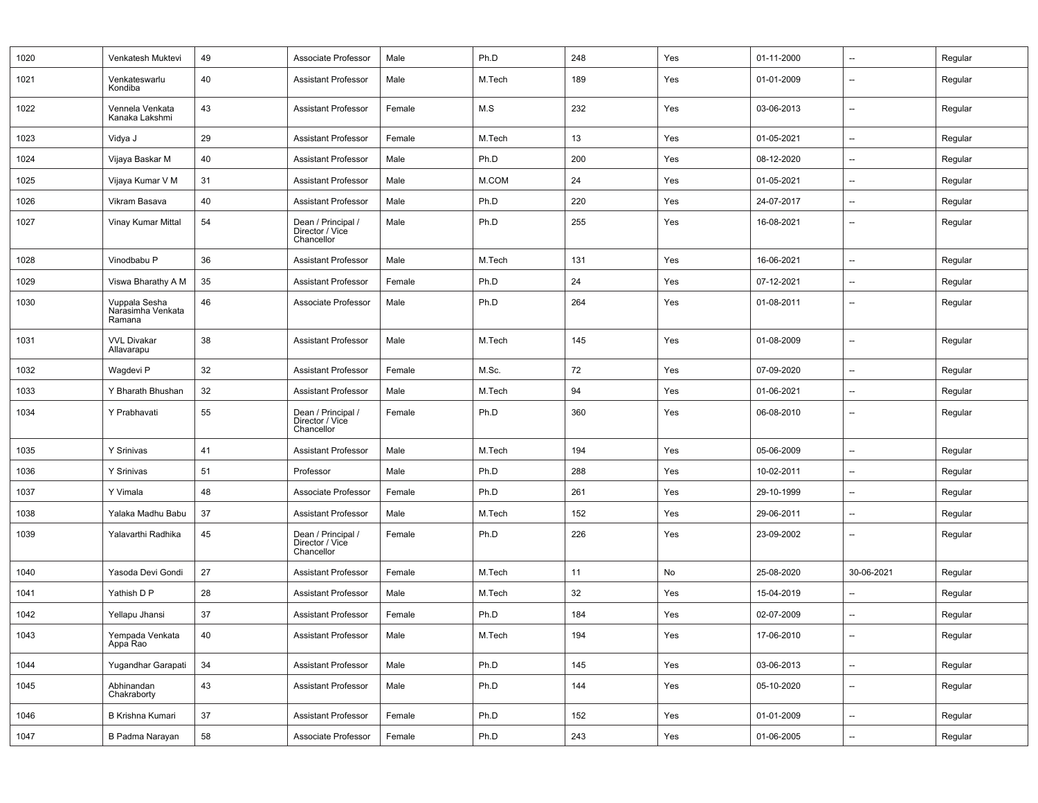| 1020 | Venkatesh Muktevi                            | 49 | Associate Professor                                 | Male   | Ph.D   | 248 | Yes | 01-11-2000 | $\overline{\phantom{a}}$ | Regular |
|------|----------------------------------------------|----|-----------------------------------------------------|--------|--------|-----|-----|------------|--------------------------|---------|
| 1021 | Venkateswarlu<br>Kondiba                     | 40 | <b>Assistant Professor</b>                          | Male   | M.Tech | 189 | Yes | 01-01-2009 | $\overline{\phantom{a}}$ | Regular |
| 1022 | Vennela Venkata<br>Kanaka Lakshmi            | 43 | <b>Assistant Professor</b>                          | Female | M.S    | 232 | Yes | 03-06-2013 | $\overline{\phantom{a}}$ | Regular |
| 1023 | Vidya J                                      | 29 | <b>Assistant Professor</b>                          | Female | M.Tech | 13  | Yes | 01-05-2021 | $\overline{\phantom{a}}$ | Regular |
| 1024 | Vijaya Baskar M                              | 40 | <b>Assistant Professor</b>                          | Male   | Ph.D   | 200 | Yes | 08-12-2020 | $\overline{\phantom{a}}$ | Regular |
| 1025 | Vijaya Kumar V M                             | 31 | <b>Assistant Professor</b>                          | Male   | M.COM  | 24  | Yes | 01-05-2021 | $\overline{\phantom{a}}$ | Regular |
| 1026 | Vikram Basava                                | 40 | Assistant Professor                                 | Male   | Ph.D   | 220 | Yes | 24-07-2017 | $\overline{\phantom{a}}$ | Regular |
| 1027 | Vinay Kumar Mittal                           | 54 | Dean / Principal /<br>Director / Vice<br>Chancellor | Male   | Ph.D   | 255 | Yes | 16-08-2021 | $\overline{\phantom{a}}$ | Regular |
| 1028 | Vinodbabu P                                  | 36 | <b>Assistant Professor</b>                          | Male   | M.Tech | 131 | Yes | 16-06-2021 | $\overline{\phantom{a}}$ | Regular |
| 1029 | Viswa Bharathy A M                           | 35 | Assistant Professor                                 | Female | Ph.D   | 24  | Yes | 07-12-2021 | $\overline{\phantom{a}}$ | Regular |
| 1030 | Vuppala Sesha<br>Narasimha Venkata<br>Ramana | 46 | Associate Professor                                 | Male   | Ph.D   | 264 | Yes | 01-08-2011 | $\overline{\phantom{a}}$ | Regular |
| 1031 | <b>VVL Divakar</b><br>Allavarapu             | 38 | <b>Assistant Professor</b>                          | Male   | M.Tech | 145 | Yes | 01-08-2009 | $\overline{\phantom{a}}$ | Regular |
| 1032 | Wagdevi P                                    | 32 | <b>Assistant Professor</b>                          | Female | M.Sc.  | 72  | Yes | 07-09-2020 | $\overline{\phantom{a}}$ | Regular |
| 1033 | Y Bharath Bhushan                            | 32 | <b>Assistant Professor</b>                          | Male   | M.Tech | 94  | Yes | 01-06-2021 | --                       | Regular |
| 1034 | Y Prabhavati                                 | 55 | Dean / Principal /<br>Director / Vice<br>Chancellor | Female | Ph.D   | 360 | Yes | 06-08-2010 | $\overline{\phantom{a}}$ | Regular |
| 1035 | Y Srinivas                                   | 41 | <b>Assistant Professor</b>                          | Male   | M.Tech | 194 | Yes | 05-06-2009 | $\overline{\phantom{a}}$ | Regular |
| 1036 | Y Srinivas                                   | 51 | Professor                                           | Male   | Ph.D   | 288 | Yes | 10-02-2011 | --                       | Regular |
| 1037 | Y Vimala                                     | 48 | Associate Professor                                 | Female | Ph.D   | 261 | Yes | 29-10-1999 | $\overline{\phantom{a}}$ | Regular |
| 1038 | Yalaka Madhu Babu                            | 37 | <b>Assistant Professor</b>                          | Male   | M.Tech | 152 | Yes | 29-06-2011 | $\overline{\phantom{a}}$ | Regular |
| 1039 | Yalavarthi Radhika                           | 45 | Dean / Principal /<br>Director / Vice<br>Chancellor | Female | Ph.D   | 226 | Yes | 23-09-2002 | $\overline{\phantom{a}}$ | Regular |
| 1040 | Yasoda Devi Gondi                            | 27 | <b>Assistant Professor</b>                          | Female | M.Tech | 11  | No  | 25-08-2020 | 30-06-2021               | Regular |
| 1041 | Yathish D P                                  | 28 | <b>Assistant Professor</b>                          | Male   | M.Tech | 32  | Yes | 15-04-2019 | $\overline{\phantom{a}}$ | Regular |
| 1042 | Yellapu Jhansi                               | 37 | <b>Assistant Professor</b>                          | Female | Ph.D   | 184 | Yes | 02-07-2009 | --                       | Regular |
| 1043 | Yempada Venkata<br>Appa Rao                  | 40 | <b>Assistant Professor</b>                          | Male   | M.Tech | 194 | Yes | 17-06-2010 | --                       | Regular |
| 1044 | Yugandhar Garapati                           | 34 | Assistant Professor                                 | Male   | Ph.D   | 145 | Yes | 03-06-2013 | $\overline{\phantom{a}}$ | Regular |
| 1045 | Abhinandan<br>Chakraborty                    | 43 | <b>Assistant Professor</b>                          | Male   | Ph.D   | 144 | Yes | 05-10-2020 | --                       | Regular |
| 1046 | <b>B Krishna Kumari</b>                      | 37 | <b>Assistant Professor</b>                          | Female | Ph.D   | 152 | Yes | 01-01-2009 | $\overline{\phantom{a}}$ | Regular |
| 1047 | B Padma Narayan                              | 58 | Associate Professor                                 | Female | Ph.D   | 243 | Yes | 01-06-2005 | --                       | Regular |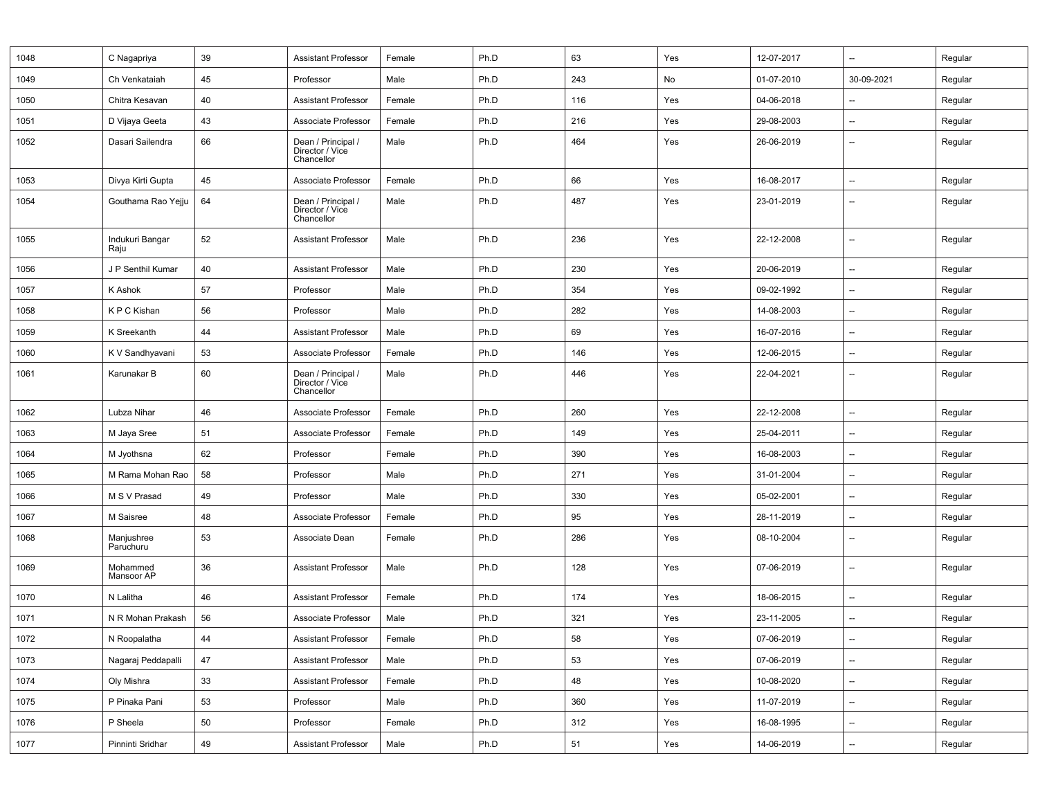| 1048 | C Nagapriya             | 39 | <b>Assistant Professor</b>                          | Female | Ph.D | 63  | Yes | 12-07-2017 | --                       | Regular |
|------|-------------------------|----|-----------------------------------------------------|--------|------|-----|-----|------------|--------------------------|---------|
| 1049 | Ch Venkataiah           | 45 | Professor                                           | Male   | Ph.D | 243 | No  | 01-07-2010 | 30-09-2021               | Regular |
| 1050 | Chitra Kesavan          | 40 | <b>Assistant Professor</b>                          | Female | Ph.D | 116 | Yes | 04-06-2018 | --                       | Regular |
| 1051 | D Vijaya Geeta          | 43 | Associate Professor                                 | Female | Ph.D | 216 | Yes | 29-08-2003 | --                       | Regular |
| 1052 | Dasari Sailendra        | 66 | Dean / Principal /<br>Director / Vice<br>Chancellor | Male   | Ph.D | 464 | Yes | 26-06-2019 | --                       | Regular |
| 1053 | Divya Kirti Gupta       | 45 | Associate Professor                                 | Female | Ph.D | 66  | Yes | 16-08-2017 | --                       | Regular |
| 1054 | Gouthama Rao Yejju      | 64 | Dean / Principal /<br>Director / Vice<br>Chancellor | Male   | Ph.D | 487 | Yes | 23-01-2019 |                          | Regular |
| 1055 | Indukuri Bangar<br>Raju | 52 | <b>Assistant Professor</b>                          | Male   | Ph.D | 236 | Yes | 22-12-2008 | $\overline{\phantom{a}}$ | Regular |
| 1056 | J P Senthil Kumar       | 40 | <b>Assistant Professor</b>                          | Male   | Ph.D | 230 | Yes | 20-06-2019 | $\overline{\phantom{a}}$ | Regular |
| 1057 | K Ashok                 | 57 | Professor                                           | Male   | Ph.D | 354 | Yes | 09-02-1992 | $\overline{\phantom{a}}$ | Regular |
| 1058 | K P C Kishan            | 56 | Professor                                           | Male   | Ph.D | 282 | Yes | 14-08-2003 | $\overline{\phantom{a}}$ | Regular |
| 1059 | K Sreekanth             | 44 | <b>Assistant Professor</b>                          | Male   | Ph.D | 69  | Yes | 16-07-2016 | $\overline{\phantom{a}}$ | Regular |
| 1060 | K V Sandhyavani         | 53 | Associate Professor                                 | Female | Ph.D | 146 | Yes | 12-06-2015 | --                       | Regular |
| 1061 | Karunakar B             | 60 | Dean / Principal /<br>Director / Vice<br>Chancellor | Male   | Ph.D | 446 | Yes | 22-04-2021 | $\overline{\phantom{a}}$ | Regular |
| 1062 | Lubza Nihar             | 46 | Associate Professor                                 | Female | Ph.D | 260 | Yes | 22-12-2008 | --                       | Regular |
| 1063 | M Jaya Sree             | 51 | Associate Professor                                 | Female | Ph.D | 149 | Yes | 25-04-2011 | $\overline{\phantom{a}}$ | Regular |
| 1064 | M Jyothsna              | 62 | Professor                                           | Female | Ph.D | 390 | Yes | 16-08-2003 | $\overline{\phantom{a}}$ | Regular |
| 1065 | M Rama Mohan Rao        | 58 | Professor                                           | Male   | Ph.D | 271 | Yes | 31-01-2004 | --                       | Regular |
| 1066 | M S V Prasad            | 49 | Professor                                           | Male   | Ph.D | 330 | Yes | 05-02-2001 | $\overline{\phantom{a}}$ | Regular |
| 1067 | M Saisree               | 48 | Associate Professor                                 | Female | Ph.D | 95  | Yes | 28-11-2019 | $\overline{\phantom{a}}$ | Regular |
| 1068 | Manjushree<br>Paruchuru | 53 | Associate Dean                                      | Female | Ph.D | 286 | Yes | 08-10-2004 | $\overline{\phantom{a}}$ | Regular |
| 1069 | Mohammed<br>Mansoor AP  | 36 | <b>Assistant Professor</b>                          | Male   | Ph.D | 128 | Yes | 07-06-2019 | --                       | Regular |
| 1070 | N Lalitha               | 46 | <b>Assistant Professor</b>                          | Female | Ph.D | 174 | Yes | 18-06-2015 | --                       | Regular |
| 1071 | N R Mohan Prakash       | 56 | Associate Professor                                 | Male   | Ph.D | 321 | Yes | 23-11-2005 |                          | Regular |
| 1072 | N Roopalatha            | 44 | Assistant Professor                                 | Female | Ph.D | 58  | Yes | 07-06-2019 | $\overline{\phantom{a}}$ | Regular |
| 1073 | Nagaraj Peddapalli      | 47 | Assistant Professor                                 | Male   | Ph.D | 53  | Yes | 07-06-2019 | $\overline{\phantom{a}}$ | Regular |
| 1074 | Oly Mishra              | 33 | Assistant Professor                                 | Female | Ph.D | 48  | Yes | 10-08-2020 | --                       | Regular |
| 1075 | P Pinaka Pani           | 53 | Professor                                           | Male   | Ph.D | 360 | Yes | 11-07-2019 | $\overline{\phantom{a}}$ | Regular |
| 1076 | P Sheela                | 50 | Professor                                           | Female | Ph.D | 312 | Yes | 16-08-1995 | $\overline{\phantom{a}}$ | Regular |
| 1077 | Pinninti Sridhar        | 49 | Assistant Professor                                 | Male   | Ph.D | 51  | Yes | 14-06-2019 | $\overline{\phantom{a}}$ | Regular |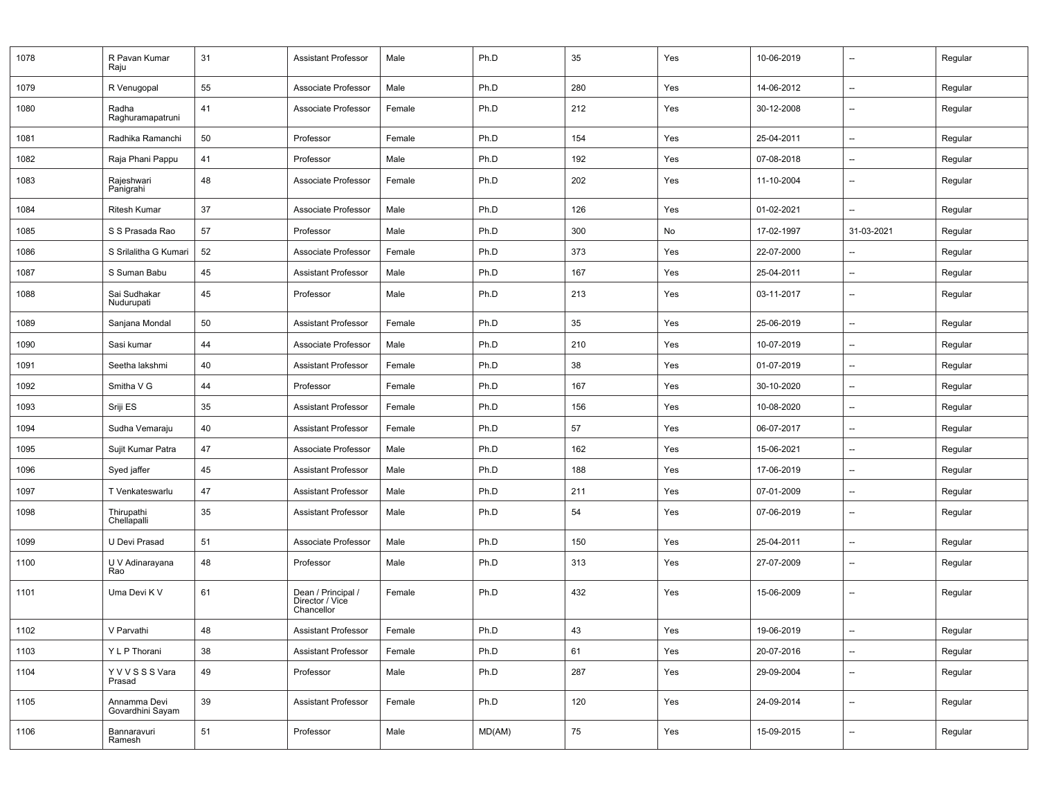| 1078 | R Pavan Kumar<br>Raju            | 31 | <b>Assistant Professor</b>                          | Male   | Ph.D   | 35  | Yes | 10-06-2019 | $\overline{\phantom{a}}$ | Regular |
|------|----------------------------------|----|-----------------------------------------------------|--------|--------|-----|-----|------------|--------------------------|---------|
| 1079 | R Venugopal                      | 55 | Associate Professor                                 | Male   | Ph.D   | 280 | Yes | 14-06-2012 | -−                       | Regular |
| 1080 | Radha<br>Raghuramapatruni        | 41 | Associate Professor                                 | Female | Ph.D   | 212 | Yes | 30-12-2008 | --                       | Regular |
| 1081 | Radhika Ramanchi                 | 50 | Professor                                           | Female | Ph.D   | 154 | Yes | 25-04-2011 | -−                       | Regular |
| 1082 | Raja Phani Pappu                 | 41 | Professor                                           | Male   | Ph.D   | 192 | Yes | 07-08-2018 | --                       | Regular |
| 1083 | Rajeshwari<br>Panigrahi          | 48 | Associate Professor                                 | Female | Ph.D   | 202 | Yes | 11-10-2004 | --                       | Regular |
| 1084 | <b>Ritesh Kumar</b>              | 37 | Associate Professor                                 | Male   | Ph.D   | 126 | Yes | 01-02-2021 | --                       | Regular |
| 1085 | S S Prasada Rao                  | 57 | Professor                                           | Male   | Ph.D   | 300 | No  | 17-02-1997 | 31-03-2021               | Regular |
| 1086 | S Srilalitha G Kumari            | 52 | Associate Professor                                 | Female | Ph.D   | 373 | Yes | 22-07-2000 | --                       | Regular |
| 1087 | S Suman Babu                     | 45 | <b>Assistant Professor</b>                          | Male   | Ph.D   | 167 | Yes | 25-04-2011 | $\overline{\phantom{a}}$ | Regular |
| 1088 | Sai Sudhakar<br>Nudurupati       | 45 | Professor                                           | Male   | Ph.D   | 213 | Yes | 03-11-2017 | --                       | Regular |
| 1089 | Sanjana Mondal                   | 50 | <b>Assistant Professor</b>                          | Female | Ph.D   | 35  | Yes | 25-06-2019 | --                       | Regular |
| 1090 | Sasi kumar                       | 44 | Associate Professor                                 | Male   | Ph.D   | 210 | Yes | 10-07-2019 | --                       | Regular |
| 1091 | Seetha lakshmi                   | 40 | <b>Assistant Professor</b>                          | Female | Ph.D   | 38  | Yes | 01-07-2019 | $\overline{\phantom{a}}$ | Regular |
| 1092 | Smitha V G                       | 44 | Professor                                           | Female | Ph.D   | 167 | Yes | 30-10-2020 | --                       | Regular |
| 1093 | Sriji ES                         | 35 | <b>Assistant Professor</b>                          | Female | Ph.D   | 156 | Yes | 10-08-2020 | --                       | Regular |
| 1094 | Sudha Vemaraju                   | 40 | <b>Assistant Professor</b>                          | Female | Ph.D   | 57  | Yes | 06-07-2017 | $\overline{\phantom{a}}$ | Regular |
| 1095 | Sujit Kumar Patra                | 47 | Associate Professor                                 | Male   | Ph.D   | 162 | Yes | 15-06-2021 | --                       | Regular |
| 1096 | Syed jaffer                      | 45 | <b>Assistant Professor</b>                          | Male   | Ph.D   | 188 | Yes | 17-06-2019 | --                       | Regular |
| 1097 | T Venkateswarlu                  | 47 | <b>Assistant Professor</b>                          | Male   | Ph.D   | 211 | Yes | 07-01-2009 | $\overline{\phantom{a}}$ | Regular |
| 1098 | Thirupathi<br>Chellapalli        | 35 | <b>Assistant Professor</b>                          | Male   | Ph.D   | 54  | Yes | 07-06-2019 | --                       | Regular |
| 1099 | U Devi Prasad                    | 51 | Associate Professor                                 | Male   | Ph.D   | 150 | Yes | 25-04-2011 | --                       | Regular |
| 1100 | U V Adinarayana<br>Rao           | 48 | Professor                                           | Male   | Ph.D   | 313 | Yes | 27-07-2009 | --                       | Regular |
| 1101 | Uma Devi K V                     | 61 | Dean / Principal /<br>Director / Vice<br>Chancellor | Female | Ph.D   | 432 | Yes | 15-06-2009 | --                       | Regular |
| 1102 | V Parvathi                       | 48 | <b>Assistant Professor</b>                          | Female | Ph.D   | 43  | Yes | 19-06-2019 | $\overline{\phantom{a}}$ | Regular |
| 1103 | Y L P Thorani                    | 38 | <b>Assistant Professor</b>                          | Female | Ph.D   | 61  | Yes | 20-07-2016 | --                       | Regular |
| 1104 | YVVSSSVara<br>Prasad             | 49 | Professor                                           | Male   | Ph.D   | 287 | Yes | 29-09-2004 | --                       | Regular |
| 1105 | Annamma Devi<br>Govardhini Sayam | 39 | Assistant Professor                                 | Female | Ph.D   | 120 | Yes | 24-09-2014 | --                       | Regular |
| 1106 | Bannaravuri<br>Ramesh            | 51 | Professor                                           | Male   | MD(AM) | 75  | Yes | 15-09-2015 | $\overline{\phantom{a}}$ | Regular |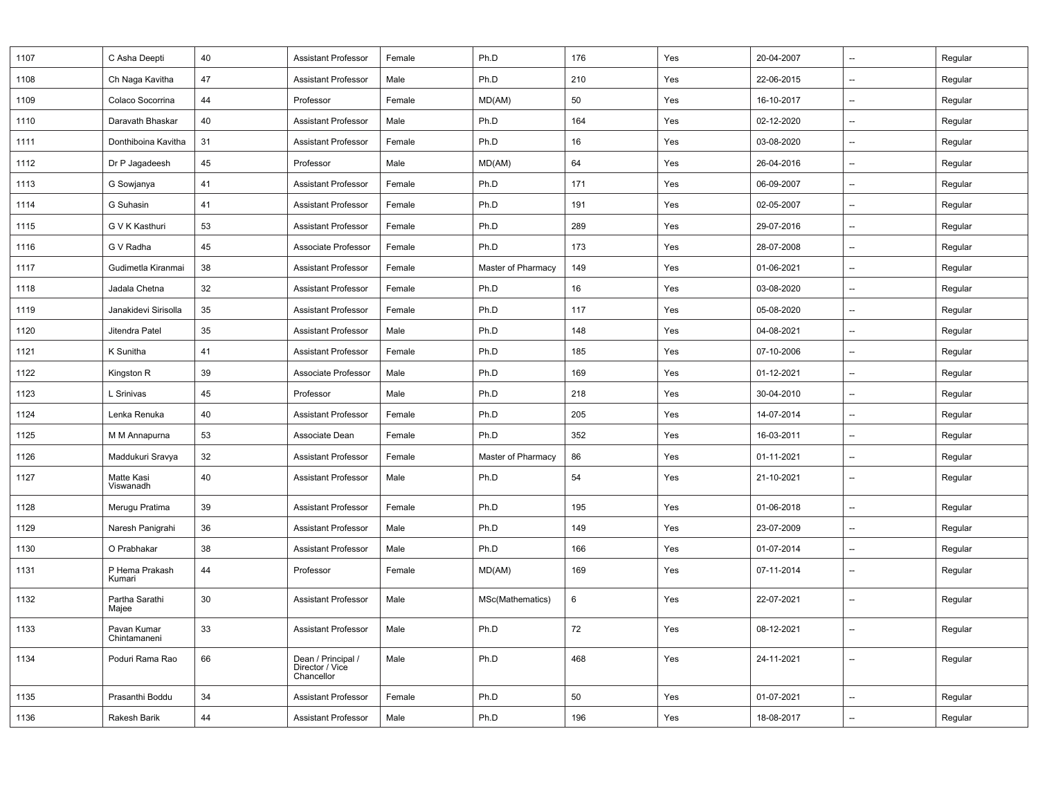| 1107 | C Asha Deepti               | 40 | <b>Assistant Professor</b>                          | Female | Ph.D               | 176 | Yes | 20-04-2007 | $\overline{\phantom{a}}$ | Regular |
|------|-----------------------------|----|-----------------------------------------------------|--------|--------------------|-----|-----|------------|--------------------------|---------|
| 1108 | Ch Naga Kavitha             | 47 | <b>Assistant Professor</b>                          | Male   | Ph.D               | 210 | Yes | 22-06-2015 | $\overline{\phantom{a}}$ | Regular |
| 1109 | Colaco Socorrina            | 44 | Professor                                           | Female | MD(AM)             | 50  | Yes | 16-10-2017 | $\overline{\phantom{a}}$ | Regular |
| 1110 | Daravath Bhaskar            | 40 | <b>Assistant Professor</b>                          | Male   | Ph.D               | 164 | Yes | 02-12-2020 | $\overline{\phantom{a}}$ | Regular |
| 1111 | Donthiboina Kavitha         | 31 | <b>Assistant Professor</b>                          | Female | Ph.D               | 16  | Yes | 03-08-2020 | $\overline{\phantom{a}}$ | Regular |
| 1112 | Dr P Jagadeesh              | 45 | Professor                                           | Male   | MD(AM)             | 64  | Yes | 26-04-2016 | $\overline{\phantom{a}}$ | Regular |
| 1113 | G Sowjanya                  | 41 | <b>Assistant Professor</b>                          | Female | Ph.D               | 171 | Yes | 06-09-2007 | $\overline{\phantom{a}}$ | Regular |
| 1114 | G Suhasin                   | 41 | <b>Assistant Professor</b>                          | Female | Ph.D               | 191 | Yes | 02-05-2007 | $\overline{\phantom{a}}$ | Regular |
| 1115 | G V K Kasthuri              | 53 | <b>Assistant Professor</b>                          | Female | Ph.D               | 289 | Yes | 29-07-2016 | $\overline{\phantom{a}}$ | Regular |
| 1116 | G V Radha                   | 45 | Associate Professor                                 | Female | Ph.D               | 173 | Yes | 28-07-2008 | $\overline{\phantom{a}}$ | Regular |
| 1117 | Gudimetla Kiranmai          | 38 | <b>Assistant Professor</b>                          | Female | Master of Pharmacy | 149 | Yes | 01-06-2021 | $\overline{\phantom{a}}$ | Regular |
| 1118 | Jadala Chetna               | 32 | <b>Assistant Professor</b>                          | Female | Ph.D               | 16  | Yes | 03-08-2020 | $\overline{\phantom{a}}$ | Regular |
| 1119 | Janakidevi Sirisolla        | 35 | <b>Assistant Professor</b>                          | Female | Ph.D               | 117 | Yes | 05-08-2020 | $\overline{\phantom{a}}$ | Regular |
| 1120 | Jitendra Patel              | 35 | <b>Assistant Professor</b>                          | Male   | Ph.D               | 148 | Yes | 04-08-2021 | $\overline{\phantom{a}}$ | Regular |
| 1121 | K Sunitha                   | 41 | <b>Assistant Professor</b>                          | Female | Ph.D               | 185 | Yes | 07-10-2006 | $\overline{\phantom{a}}$ | Regular |
| 1122 | Kingston R                  | 39 | Associate Professor                                 | Male   | Ph.D               | 169 | Yes | 01-12-2021 | $\overline{\phantom{a}}$ | Regular |
| 1123 | L Srinivas                  | 45 | Professor                                           | Male   | Ph.D               | 218 | Yes | 30-04-2010 | $\overline{\phantom{a}}$ | Regular |
| 1124 | Lenka Renuka                | 40 | <b>Assistant Professor</b>                          | Female | Ph.D               | 205 | Yes | 14-07-2014 | --                       | Regular |
| 1125 | M M Annapurna               | 53 | Associate Dean                                      | Female | Ph.D               | 352 | Yes | 16-03-2011 | $\overline{a}$           | Regular |
| 1126 | Maddukuri Sravya            | 32 | <b>Assistant Professor</b>                          | Female | Master of Pharmacy | 86  | Yes | 01-11-2021 | $\overline{\phantom{a}}$ | Regular |
| 1127 | Matte Kasi<br>Viswanadh     | 40 | <b>Assistant Professor</b>                          | Male   | Ph.D               | 54  | Yes | 21-10-2021 | $\overline{\phantom{a}}$ | Regular |
| 1128 | Merugu Pratima              | 39 | <b>Assistant Professor</b>                          | Female | Ph.D               | 195 | Yes | 01-06-2018 | $\overline{\phantom{a}}$ | Regular |
| 1129 | Naresh Panigrahi            | 36 | <b>Assistant Professor</b>                          | Male   | Ph.D               | 149 | Yes | 23-07-2009 | $\overline{\phantom{a}}$ | Regular |
| 1130 | O Prabhakar                 | 38 | <b>Assistant Professor</b>                          | Male   | Ph.D               | 166 | Yes | 01-07-2014 | $\overline{\phantom{a}}$ | Regular |
| 1131 | P Hema Prakash<br>Kumari    | 44 | Professor                                           | Female | MD(AM)             | 169 | Yes | 07-11-2014 | $\overline{\phantom{a}}$ | Regular |
| 1132 | Partha Sarathi<br>Majee     | 30 | <b>Assistant Professor</b>                          | Male   | MSc(Mathematics)   | 6   | Yes | 22-07-2021 | $\overline{\phantom{a}}$ | Regular |
| 1133 | Pavan Kumar<br>Chintamaneni | 33 | <b>Assistant Professor</b>                          | Male   | Ph.D               | 72  | Yes | 08-12-2021 | $\overline{\phantom{a}}$ | Regular |
| 1134 | Poduri Rama Rao             | 66 | Dean / Principal /<br>Director / Vice<br>Chancellor | Male   | Ph.D               | 468 | Yes | 24-11-2021 | $\overline{\phantom{a}}$ | Regular |
| 1135 | Prasanthi Boddu             | 34 | <b>Assistant Professor</b>                          | Female | Ph.D               | 50  | Yes | 01-07-2021 | $\overline{\phantom{a}}$ | Regular |
| 1136 | Rakesh Barik                | 44 | <b>Assistant Professor</b>                          | Male   | Ph.D               | 196 | Yes | 18-08-2017 | $\overline{\phantom{a}}$ | Regular |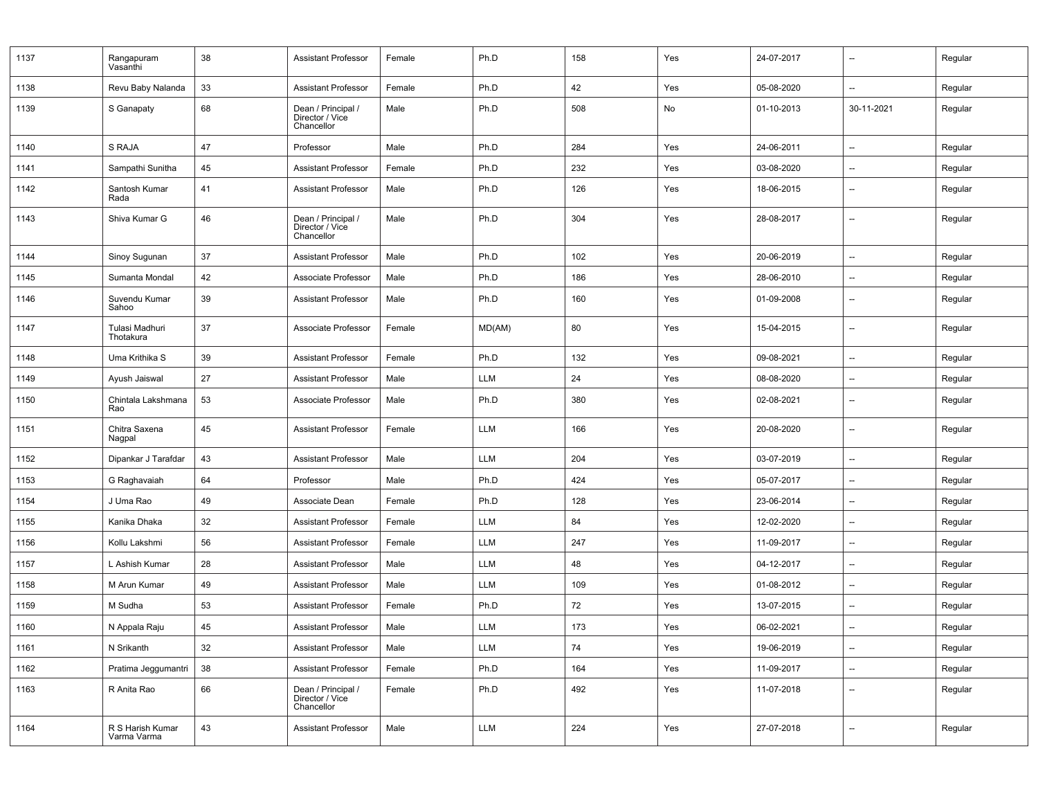| 1137 | Rangapuram<br>Vasanthi          | 38 | <b>Assistant Professor</b>                          | Female | Ph.D   | 158 | Yes | 24-07-2017 | $\overline{\phantom{a}}$ | Regular |
|------|---------------------------------|----|-----------------------------------------------------|--------|--------|-----|-----|------------|--------------------------|---------|
| 1138 | Revu Baby Nalanda               | 33 | <b>Assistant Professor</b>                          | Female | Ph.D   | 42  | Yes | 05-08-2020 | $\overline{\phantom{a}}$ | Regular |
| 1139 | S Ganapaty                      | 68 | Dean / Principal /<br>Director / Vice<br>Chancellor | Male   | Ph.D   | 508 | No  | 01-10-2013 | 30-11-2021               | Regular |
| 1140 | S RAJA                          | 47 | Professor                                           | Male   | Ph.D   | 284 | Yes | 24-06-2011 | $\overline{\phantom{a}}$ | Regular |
| 1141 | Sampathi Sunitha                | 45 | Assistant Professor                                 | Female | Ph.D   | 232 | Yes | 03-08-2020 | --                       | Regular |
| 1142 | Santosh Kumar<br>Rada           | 41 | <b>Assistant Professor</b>                          | Male   | Ph.D   | 126 | Yes | 18-06-2015 | $\overline{\phantom{a}}$ | Regular |
| 1143 | Shiva Kumar G                   | 46 | Dean / Principal /<br>Director / Vice<br>Chancellor | Male   | Ph.D   | 304 | Yes | 28-08-2017 | $\overline{\phantom{a}}$ | Regular |
| 1144 | Sinoy Sugunan                   | 37 | <b>Assistant Professor</b>                          | Male   | Ph.D   | 102 | Yes | 20-06-2019 | $\overline{\phantom{a}}$ | Regular |
| 1145 | Sumanta Mondal                  | 42 | Associate Professor                                 | Male   | Ph.D   | 186 | Yes | 28-06-2010 | $\overline{\phantom{a}}$ | Regular |
| 1146 | Suvendu Kumar<br>Sahoo          | 39 | <b>Assistant Professor</b>                          | Male   | Ph.D   | 160 | Yes | 01-09-2008 | $\overline{\phantom{a}}$ | Regular |
| 1147 | Tulasi Madhuri<br>Thotakura     | 37 | Associate Professor                                 | Female | MD(AM) | 80  | Yes | 15-04-2015 | $\overline{\phantom{a}}$ | Regular |
| 1148 | Uma Krithika S                  | 39 | <b>Assistant Professor</b>                          | Female | Ph.D   | 132 | Yes | 09-08-2021 | $\overline{\phantom{a}}$ | Regular |
| 1149 | Ayush Jaiswal                   | 27 | <b>Assistant Professor</b>                          | Male   | LLM    | 24  | Yes | 08-08-2020 | $\overline{\phantom{a}}$ | Regular |
| 1150 | Chintala Lakshmana<br>Rao       | 53 | Associate Professor                                 | Male   | Ph.D   | 380 | Yes | 02-08-2021 | $\overline{\phantom{a}}$ | Regular |
| 1151 | Chitra Saxena<br>Nagpal         | 45 | <b>Assistant Professor</b>                          | Female | LLM    | 166 | Yes | 20-08-2020 | $\overline{\phantom{a}}$ | Regular |
| 1152 | Dipankar J Tarafdar             | 43 | <b>Assistant Professor</b>                          | Male   | LLM    | 204 | Yes | 03-07-2019 | $\overline{\phantom{a}}$ | Regular |
| 1153 | G Raghavaiah                    | 64 | Professor                                           | Male   | Ph.D   | 424 | Yes | 05-07-2017 | $\overline{\phantom{a}}$ | Regular |
| 1154 | J Uma Rao                       | 49 | Associate Dean                                      | Female | Ph.D   | 128 | Yes | 23-06-2014 | $\overline{\phantom{a}}$ | Regular |
| 1155 | Kanika Dhaka                    | 32 | <b>Assistant Professor</b>                          | Female | LLM    | 84  | Yes | 12-02-2020 | $\overline{\phantom{a}}$ | Regular |
| 1156 | Kollu Lakshmi                   | 56 | <b>Assistant Professor</b>                          | Female | LLM    | 247 | Yes | 11-09-2017 | $\overline{\phantom{a}}$ | Regular |
| 1157 | L Ashish Kumar                  | 28 | <b>Assistant Professor</b>                          | Male   | LLM    | 48  | Yes | 04-12-2017 | $\overline{\phantom{a}}$ | Regular |
| 1158 | M Arun Kumar                    | 49 | <b>Assistant Professor</b>                          | Male   | LLM    | 109 | Yes | 01-08-2012 | --                       | Regular |
| 1159 | M Sudha                         | 53 | Assistant Professor                                 | Female | Ph.D   | 72  | Yes | 13-07-2015 | $\overline{\phantom{a}}$ | Regular |
| 1160 | N Appala Raju                   | 45 | <b>Assistant Professor</b>                          | Male   | LLM    | 173 | Yes | 06-02-2021 | $\overline{\phantom{a}}$ | Regular |
| 1161 | N Srikanth                      | 32 | <b>Assistant Professor</b>                          | Male   | LLM    | 74  | Yes | 19-06-2019 | $\overline{\phantom{a}}$ | Regular |
| 1162 | Pratima Jeggumantri             | 38 | <b>Assistant Professor</b>                          | Female | Ph.D   | 164 | Yes | 11-09-2017 | $\qquad \qquad -$        | Regular |
| 1163 | R Anita Rao                     | 66 | Dean / Principal /<br>Director / Vice<br>Chancellor | Female | Ph.D   | 492 | Yes | 11-07-2018 | $\overline{\phantom{a}}$ | Regular |
| 1164 | R S Harish Kumar<br>Varma Varma | 43 | <b>Assistant Professor</b>                          | Male   | LLM    | 224 | Yes | 27-07-2018 | $\overline{\phantom{a}}$ | Regular |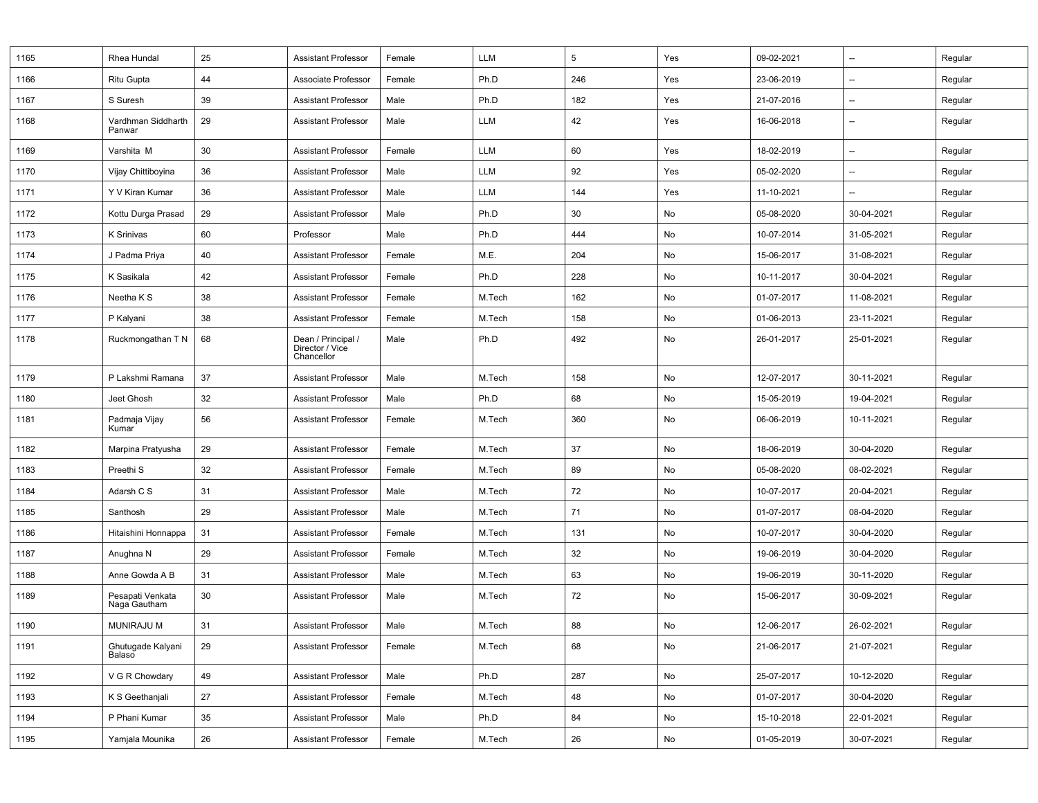| 1165 | Rhea Hundal                      | 25 | <b>Assistant Professor</b>                          | Female | LLM        | 5   | Yes           | 09-02-2021 | $\overline{\phantom{a}}$ | Regular |
|------|----------------------------------|----|-----------------------------------------------------|--------|------------|-----|---------------|------------|--------------------------|---------|
| 1166 | Ritu Gupta                       | 44 | Associate Professor                                 | Female | Ph.D       | 246 | Yes           | 23-06-2019 | $\overline{\phantom{a}}$ | Regular |
| 1167 | S Suresh                         | 39 | <b>Assistant Professor</b>                          | Male   | Ph.D       | 182 | Yes           | 21-07-2016 | $\overline{\phantom{a}}$ | Regular |
| 1168 | Vardhman Siddharth<br>Panwar     | 29 | <b>Assistant Professor</b>                          | Male   | LLM        | 42  | Yes           | 16-06-2018 | $\overline{\phantom{a}}$ | Regular |
| 1169 | Varshita M                       | 30 | <b>Assistant Professor</b>                          | Female | LLM        | 60  | Yes           | 18-02-2019 | $\qquad \qquad \cdots$   | Regular |
| 1170 | Vijay Chittiboyina               | 36 | <b>Assistant Professor</b>                          | Male   | LLM        | 92  | Yes           | 05-02-2020 | $\overline{\phantom{a}}$ | Regular |
| 1171 | Y V Kiran Kumar                  | 36 | <b>Assistant Professor</b>                          | Male   | <b>LLM</b> | 144 | Yes           | 11-10-2021 | $\overline{\phantom{a}}$ | Regular |
| 1172 | Kottu Durga Prasad               | 29 | <b>Assistant Professor</b>                          | Male   | Ph.D       | 30  | No            | 05-08-2020 | 30-04-2021               | Regular |
| 1173 | K Srinivas                       | 60 | Professor                                           | Male   | Ph.D       | 444 | No            | 10-07-2014 | 31-05-2021               | Regular |
| 1174 | J Padma Priya                    | 40 | <b>Assistant Professor</b>                          | Female | M.E.       | 204 | No            | 15-06-2017 | 31-08-2021               | Regular |
| 1175 | K Sasikala                       | 42 | <b>Assistant Professor</b>                          | Female | Ph.D       | 228 | No            | 10-11-2017 | 30-04-2021               | Regular |
| 1176 | Neetha K S                       | 38 | <b>Assistant Professor</b>                          | Female | M.Tech     | 162 | No            | 01-07-2017 | 11-08-2021               | Regular |
| 1177 | P Kalyani                        | 38 | <b>Assistant Professor</b>                          | Female | M.Tech     | 158 | No            | 01-06-2013 | 23-11-2021               | Regular |
| 1178 | Ruckmongathan T N                | 68 | Dean / Principal /<br>Director / Vice<br>Chancellor | Male   | Ph.D       | 492 | No            | 26-01-2017 | 25-01-2021               | Regular |
| 1179 | P Lakshmi Ramana                 | 37 | <b>Assistant Professor</b>                          | Male   | M.Tech     | 158 | No            | 12-07-2017 | 30-11-2021               | Regular |
| 1180 | Jeet Ghosh                       | 32 | <b>Assistant Professor</b>                          | Male   | Ph.D       | 68  | No            | 15-05-2019 | 19-04-2021               | Regular |
| 1181 | Padmaja Vijay<br>Kumar           | 56 | <b>Assistant Professor</b>                          | Female | M.Tech     | 360 | No            | 06-06-2019 | 10-11-2021               | Regular |
| 1182 | Marpina Pratyusha                | 29 | <b>Assistant Professor</b>                          | Female | M.Tech     | 37  | No            | 18-06-2019 | 30-04-2020               | Regular |
| 1183 | Preethi <sub>S</sub>             | 32 | <b>Assistant Professor</b>                          | Female | M.Tech     | 89  | No            | 05-08-2020 | 08-02-2021               | Regular |
| 1184 | Adarsh C S                       | 31 | <b>Assistant Professor</b>                          | Male   | M.Tech     | 72  | No            | 10-07-2017 | 20-04-2021               | Regular |
| 1185 | Santhosh                         | 29 | <b>Assistant Professor</b>                          | Male   | M.Tech     | 71  | No            | 01-07-2017 | 08-04-2020               | Regular |
| 1186 | Hitaishini Honnappa              | 31 | <b>Assistant Professor</b>                          | Female | M.Tech     | 131 | No            | 10-07-2017 | 30-04-2020               | Regular |
| 1187 | Anughna N                        | 29 | <b>Assistant Professor</b>                          | Female | M.Tech     | 32  | No            | 19-06-2019 | 30-04-2020               | Regular |
| 1188 | Anne Gowda A B                   | 31 | <b>Assistant Professor</b>                          | Male   | M.Tech     | 63  | No            | 19-06-2019 | 30-11-2020               | Regular |
| 1189 | Pesapati Venkata<br>Naga Gautham | 30 | <b>Assistant Professor</b>                          | Male   | M.Tech     | 72  | No            | 15-06-2017 | 30-09-2021               | Regular |
| 1190 | <b>MUNIRAJU M</b>                | 31 | <b>Assistant Professor</b>                          | Male   | M.Tech     | 88  | No            | 12-06-2017 | 26-02-2021               | Regular |
| 1191 | Ghutugade Kalyani<br>Balaso      | 29 | <b>Assistant Professor</b>                          | Female | M.Tech     | 68  | No            | 21-06-2017 | 21-07-2021               | Regular |
| 1192 | V G R Chowdary                   | 49 | <b>Assistant Professor</b>                          | Male   | Ph.D       | 287 | No            | 25-07-2017 | 10-12-2020               | Regular |
| 1193 | K S Geethanjali                  | 27 | <b>Assistant Professor</b>                          | Female | M.Tech     | 48  | No            | 01-07-2017 | 30-04-2020               | Regular |
| 1194 | P Phani Kumar                    | 35 | <b>Assistant Professor</b>                          | Male   | Ph.D       | 84  | No            | 15-10-2018 | 22-01-2021               | Regular |
| 1195 | Yamjala Mounika                  | 26 | <b>Assistant Professor</b>                          | Female | M.Tech     | 26  | $\mathsf{No}$ | 01-05-2019 | 30-07-2021               | Regular |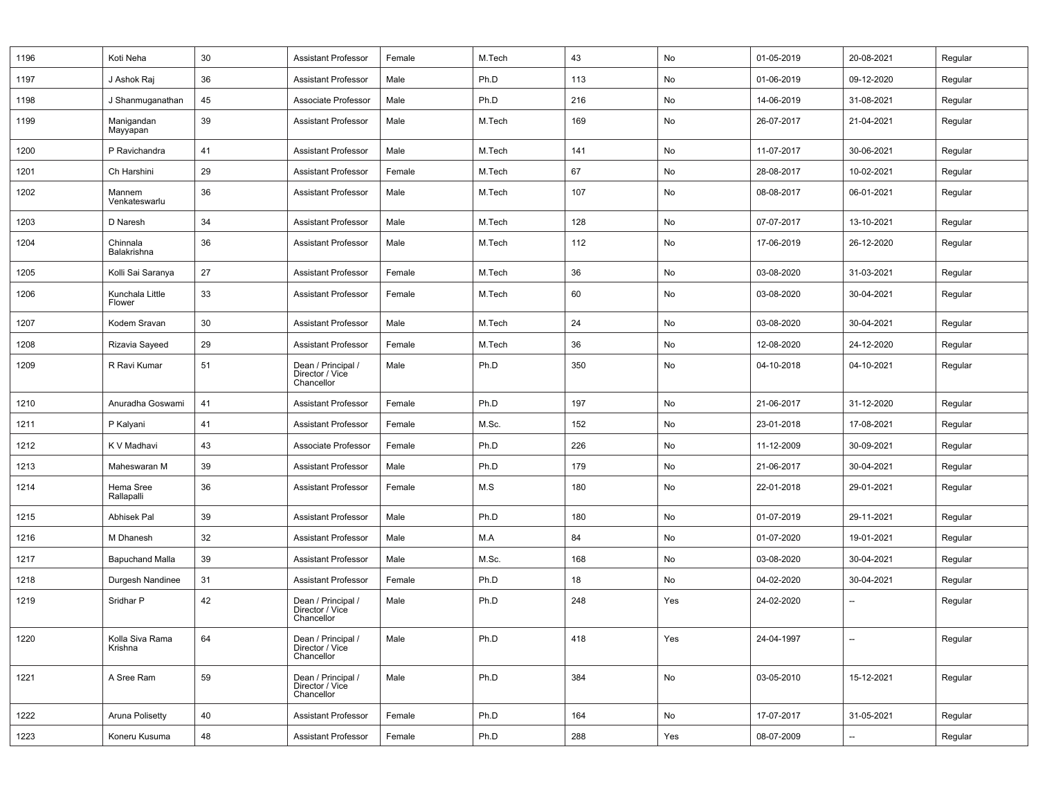| 1196 | Koti Neha                  | 30 | <b>Assistant Professor</b>                          | Female | M.Tech | 43  | No  | 01-05-2019 | 20-08-2021               | Regular |
|------|----------------------------|----|-----------------------------------------------------|--------|--------|-----|-----|------------|--------------------------|---------|
| 1197 | J Ashok Raj                | 36 | <b>Assistant Professor</b>                          | Male   | Ph.D   | 113 | No  | 01-06-2019 | 09-12-2020               | Regular |
| 1198 | J Shanmuganathan           | 45 | Associate Professor                                 | Male   | Ph.D   | 216 | No  | 14-06-2019 | 31-08-2021               | Regular |
| 1199 | Manigandan<br>Mayyapan     | 39 | <b>Assistant Professor</b>                          | Male   | M.Tech | 169 | No  | 26-07-2017 | 21-04-2021               | Regular |
| 1200 | P Ravichandra              | 41 | <b>Assistant Professor</b>                          | Male   | M.Tech | 141 | No  | 11-07-2017 | 30-06-2021               | Regular |
| 1201 | Ch Harshini                | 29 | <b>Assistant Professor</b>                          | Female | M.Tech | 67  | No  | 28-08-2017 | 10-02-2021               | Regular |
| 1202 | Mannem<br>Venkateswarlu    | 36 | <b>Assistant Professor</b>                          | Male   | M.Tech | 107 | No  | 08-08-2017 | 06-01-2021               | Regular |
| 1203 | D Naresh                   | 34 | <b>Assistant Professor</b>                          | Male   | M.Tech | 128 | No  | 07-07-2017 | 13-10-2021               | Regular |
| 1204 | Chinnala<br>Balakrishna    | 36 | <b>Assistant Professor</b>                          | Male   | M.Tech | 112 | No  | 17-06-2019 | 26-12-2020               | Regular |
| 1205 | Kolli Sai Saranya          | 27 | <b>Assistant Professor</b>                          | Female | M.Tech | 36  | No  | 03-08-2020 | 31-03-2021               | Regular |
| 1206 | Kunchala Little<br>Flower  | 33 | <b>Assistant Professor</b>                          | Female | M.Tech | 60  | No  | 03-08-2020 | 30-04-2021               | Regular |
| 1207 | Kodem Sravan               | 30 | <b>Assistant Professor</b>                          | Male   | M.Tech | 24  | No  | 03-08-2020 | 30-04-2021               | Regular |
| 1208 | Rizavia Sayeed             | 29 | Assistant Professor                                 | Female | M.Tech | 36  | No  | 12-08-2020 | 24-12-2020               | Regular |
| 1209 | R Ravi Kumar               | 51 | Dean / Principal /<br>Director / Vice<br>Chancellor | Male   | Ph.D   | 350 | No  | 04-10-2018 | 04-10-2021               | Regular |
| 1210 | Anuradha Goswami           | 41 | <b>Assistant Professor</b>                          | Female | Ph.D   | 197 | No  | 21-06-2017 | 31-12-2020               | Regular |
| 1211 | P Kalyani                  | 41 | <b>Assistant Professor</b>                          | Female | M.Sc.  | 152 | No  | 23-01-2018 | 17-08-2021               | Regular |
| 1212 | K V Madhavi                | 43 | Associate Professor                                 | Female | Ph.D   | 226 | No  | 11-12-2009 | 30-09-2021               | Regular |
| 1213 | Maheswaran M               | 39 | <b>Assistant Professor</b>                          | Male   | Ph.D   | 179 | No  | 21-06-2017 | 30-04-2021               | Regular |
| 1214 | Hema Sree<br>Rallapalli    | 36 | <b>Assistant Professor</b>                          | Female | M.S    | 180 | No  | 22-01-2018 | 29-01-2021               | Regular |
| 1215 | <b>Abhisek Pal</b>         | 39 | <b>Assistant Professor</b>                          | Male   | Ph.D   | 180 | No  | 01-07-2019 | 29-11-2021               | Regular |
| 1216 | M Dhanesh                  | 32 | <b>Assistant Professor</b>                          | Male   | M.A    | 84  | No  | 01-07-2020 | 19-01-2021               | Regular |
| 1217 | <b>Bapuchand Malla</b>     | 39 | <b>Assistant Professor</b>                          | Male   | M.Sc.  | 168 | No  | 03-08-2020 | 30-04-2021               | Regular |
| 1218 | Durgesh Nandinee           | 31 | <b>Assistant Professor</b>                          | Female | Ph.D   | 18  | No  | 04-02-2020 | 30-04-2021               | Regular |
| 1219 | Sridhar P                  | 42 | Dean / Principal /<br>Director / Vice<br>Chancellor | Male   | Ph.D   | 248 | Yes | 24-02-2020 | $\overline{\phantom{a}}$ | Regular |
| 1220 | Kolla Siva Rama<br>Krishna | 64 | Dean / Principal /<br>Director / Vice<br>Chancellor | Male   | Ph.D   | 418 | Yes | 24-04-1997 | $\overline{\phantom{a}}$ | Regular |
| 1221 | A Sree Ram                 | 59 | Dean / Principal /<br>Director / Vice<br>Chancellor | Male   | Ph.D   | 384 | No  | 03-05-2010 | 15-12-2021               | Regular |
| 1222 | Aruna Polisetty            | 40 | <b>Assistant Professor</b>                          | Female | Ph.D   | 164 | No  | 17-07-2017 | 31-05-2021               | Regular |
| 1223 | Koneru Kusuma              | 48 | <b>Assistant Professor</b>                          | Female | Ph.D   | 288 | Yes | 08-07-2009 | $\qquad \qquad -$        | Regular |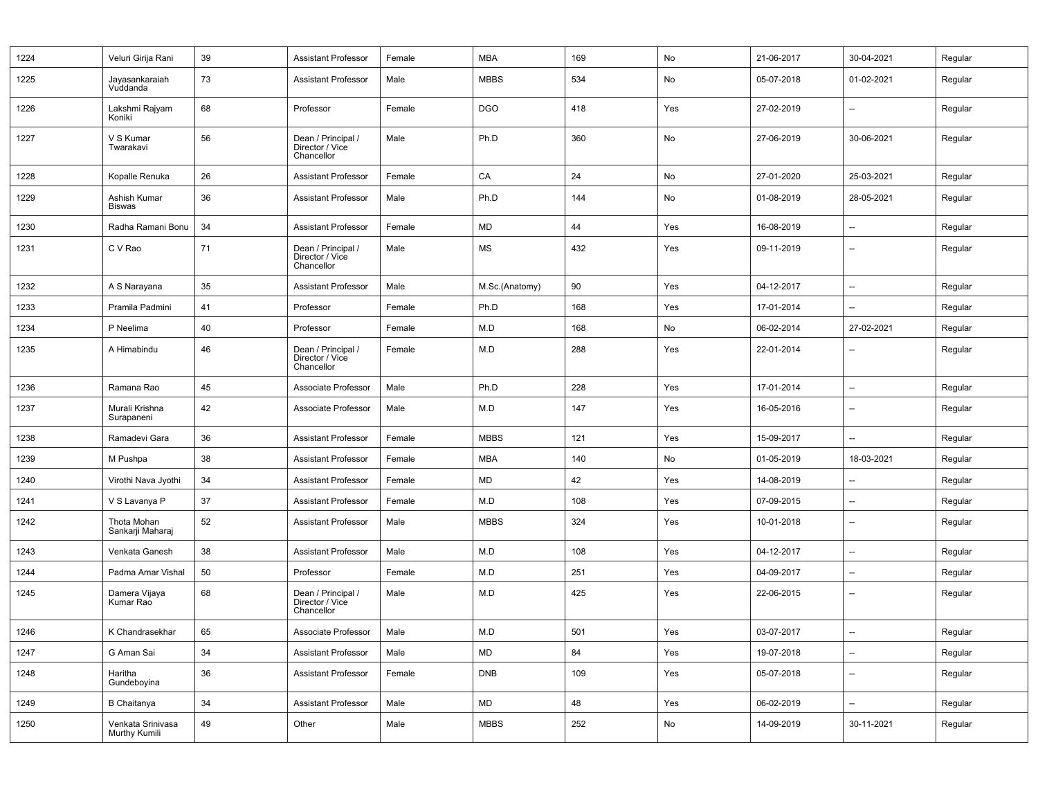| 1224 | Veluri Girija Rani                 | 39 | <b>Assistant Professor</b>                          | Female | <b>MBA</b>     | 169 | No  | 21-06-2017 | 30-04-2021               | Regular |
|------|------------------------------------|----|-----------------------------------------------------|--------|----------------|-----|-----|------------|--------------------------|---------|
| 1225 | Jayasankaraiah<br>Vuddanda         | 73 | <b>Assistant Professor</b>                          | Male   | <b>MBBS</b>    | 534 | No  | 05-07-2018 | 01-02-2021               | Regular |
| 1226 | Lakshmi Rajyam<br>Koniki           | 68 | Professor                                           | Female | <b>DGO</b>     | 418 | Yes | 27-02-2019 | $\overline{\phantom{a}}$ | Regular |
| 1227 | V S Kumar<br>Twarakavi             | 56 | Dean / Principal /<br>Director / Vice<br>Chancellor | Male   | Ph.D           | 360 | No  | 27-06-2019 | 30-06-2021               | Regular |
| 1228 | Kopalle Renuka                     | 26 | <b>Assistant Professor</b>                          | Female | CA             | 24  | No  | 27-01-2020 | 25-03-2021               | Regular |
| 1229 | Ashish Kumar<br><b>Biswas</b>      | 36 | <b>Assistant Professor</b>                          | Male   | Ph.D           | 144 | No  | 01-08-2019 | 28-05-2021               | Regular |
| 1230 | Radha Ramani Bonu                  | 34 | <b>Assistant Professor</b>                          | Female | MD             | 44  | Yes | 16-08-2019 | $\overline{\phantom{a}}$ | Regular |
| 1231 | C V Rao                            | 71 | Dean / Principal /<br>Director / Vice<br>Chancellor | Male   | MS             | 432 | Yes | 09-11-2019 | $\overline{\phantom{a}}$ | Regular |
| 1232 | A S Narayana                       | 35 | <b>Assistant Professor</b>                          | Male   | M.Sc.(Anatomy) | 90  | Yes | 04-12-2017 | $\overline{\phantom{a}}$ | Regular |
| 1233 | Pramila Padmini                    | 41 | Professor                                           | Female | Ph.D           | 168 | Yes | 17-01-2014 | $\overline{\phantom{a}}$ | Regular |
| 1234 | P Neelima                          | 40 | Professor                                           | Female | M.D            | 168 | No  | 06-02-2014 | 27-02-2021               | Regular |
| 1235 | A Himabindu                        | 46 | Dean / Principal /<br>Director / Vice<br>Chancellor | Female | M.D            | 288 | Yes | 22-01-2014 | $\overline{\phantom{a}}$ | Regular |
| 1236 | Ramana Rao                         | 45 | Associate Professor                                 | Male   | Ph.D           | 228 | Yes | 17-01-2014 | --                       | Regular |
| 1237 | Murali Krishna<br>Surapaneni       | 42 | Associate Professor                                 | Male   | M.D            | 147 | Yes | 16-05-2016 | $\overline{\phantom{a}}$ | Regular |
| 1238 | Ramadevi Gara                      | 36 | <b>Assistant Professor</b>                          | Female | <b>MBBS</b>    | 121 | Yes | 15-09-2017 | $\overline{\phantom{a}}$ | Regular |
| 1239 | M Pushpa                           | 38 | <b>Assistant Professor</b>                          | Female | <b>MBA</b>     | 140 | No  | 01-05-2019 | 18-03-2021               | Regular |
| 1240 | Virothi Nava Jyothi                | 34 | Assistant Professor                                 | Female | <b>MD</b>      | 42  | Yes | 14-08-2019 | $\overline{\phantom{a}}$ | Regular |
| 1241 | V S Lavanya P                      | 37 | <b>Assistant Professor</b>                          | Female | M.D            | 108 | Yes | 07-09-2015 | $\overline{\phantom{a}}$ | Regular |
| 1242 | Thota Mohan<br>Sankarji Maharaj    | 52 | <b>Assistant Professor</b>                          | Male   | <b>MBBS</b>    | 324 | Yes | 10-01-2018 | $\overline{\phantom{a}}$ | Regular |
| 1243 | Venkata Ganesh                     | 38 | <b>Assistant Professor</b>                          | Male   | M.D            | 108 | Yes | 04-12-2017 | $\overline{\phantom{a}}$ | Regular |
| 1244 | Padma Amar Vishal                  | 50 | Professor                                           | Female | M.D            | 251 | Yes | 04-09-2017 | $\overline{\phantom{a}}$ | Regular |
| 1245 | Damera Vijaya<br>Kumar Rao         | 68 | Dean / Principal /<br>Director / Vice<br>Chancellor | Male   | M.D            | 425 | Yes | 22-06-2015 | $\overline{\phantom{a}}$ | Regular |
| 1246 | K Chandrasekhar                    | 65 | Associate Professor                                 | Male   | M.D            | 501 | Yes | 03-07-2017 | $\qquad \qquad \cdots$   | Regular |
| 1247 | G Aman Sai                         | 34 | <b>Assistant Professor</b>                          | Male   | MD             | 84  | Yes | 19-07-2018 | $\overline{\phantom{a}}$ | Regular |
| 1248 | Haritha<br>Gundeboyina             | 36 | <b>Assistant Professor</b>                          | Female | <b>DNB</b>     | 109 | Yes | 05-07-2018 | $\overline{\phantom{a}}$ | Regular |
| 1249 | <b>B</b> Chaitanya                 | 34 | <b>Assistant Professor</b>                          | Male   | MD             | 48  | Yes | 06-02-2019 | $\overline{\phantom{a}}$ | Regular |
| 1250 | Venkata Srinivasa<br>Murthy Kumili | 49 | Other                                               | Male   | <b>MBBS</b>    | 252 | No  | 14-09-2019 | 30-11-2021               | Regular |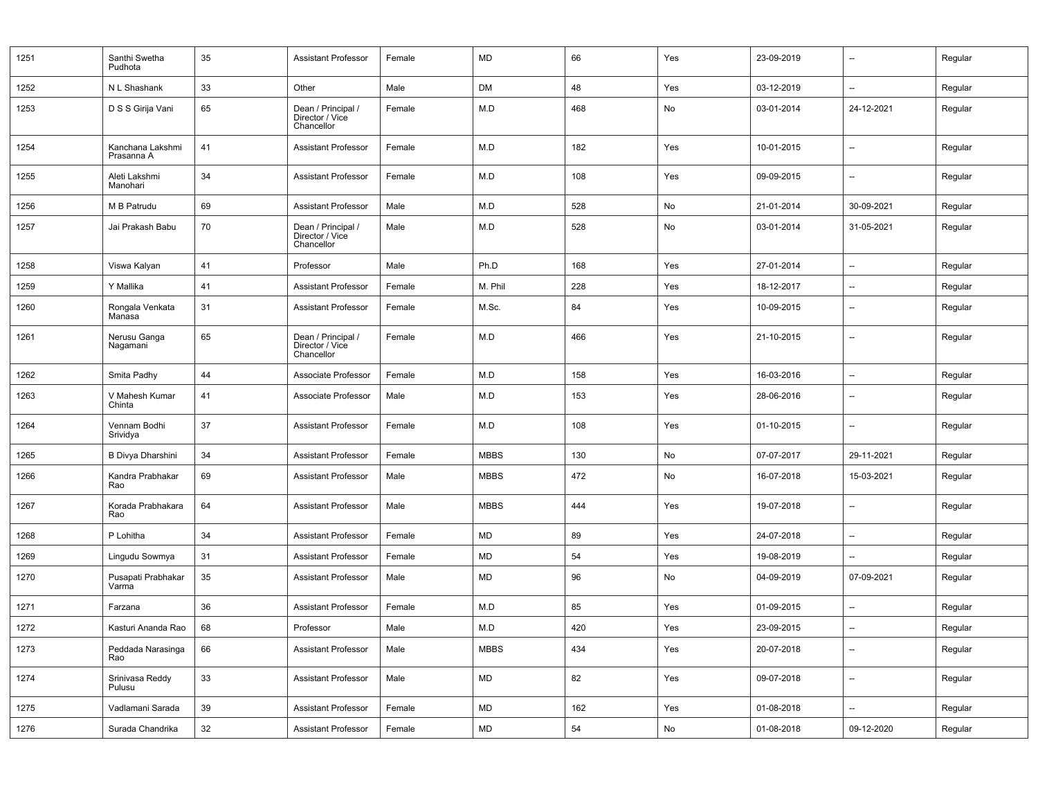| 1251 | Santhi Swetha<br>Pudhota       | 35 | <b>Assistant Professor</b>                          | Female | <b>MD</b>   | 66  | Yes | 23-09-2019 | $\overline{\phantom{a}}$ | Regular |
|------|--------------------------------|----|-----------------------------------------------------|--------|-------------|-----|-----|------------|--------------------------|---------|
| 1252 | N L Shashank                   | 33 | Other                                               | Male   | DM          | 48  | Yes | 03-12-2019 | $\overline{\phantom{a}}$ | Regular |
| 1253 | D S S Girija Vani              | 65 | Dean / Principal /<br>Director / Vice<br>Chancellor | Female | M.D         | 468 | No  | 03-01-2014 | 24-12-2021               | Regular |
| 1254 | Kanchana Lakshmi<br>Prasanna A | 41 | <b>Assistant Professor</b>                          | Female | M.D         | 182 | Yes | 10-01-2015 | $\overline{\phantom{a}}$ | Regular |
| 1255 | Aleti Lakshmi<br>Manohari      | 34 | <b>Assistant Professor</b>                          | Female | M.D         | 108 | Yes | 09-09-2015 | $\overline{\phantom{a}}$ | Regular |
| 1256 | M B Patrudu                    | 69 | <b>Assistant Professor</b>                          | Male   | M.D         | 528 | No  | 21-01-2014 | 30-09-2021               | Regular |
| 1257 | Jai Prakash Babu               | 70 | Dean / Principal /<br>Director / Vice<br>Chancellor | Male   | M.D         | 528 | No  | 03-01-2014 | 31-05-2021               | Regular |
| 1258 | Viswa Kalyan                   | 41 | Professor                                           | Male   | Ph.D        | 168 | Yes | 27-01-2014 | $\overline{\phantom{a}}$ | Regular |
| 1259 | Y Mallika                      | 41 | Assistant Professor                                 | Female | M. Phil     | 228 | Yes | 18-12-2017 | --                       | Regular |
| 1260 | Rongala Venkata<br>Manasa      | 31 | <b>Assistant Professor</b>                          | Female | M.Sc.       | 84  | Yes | 10-09-2015 | $\overline{\phantom{a}}$ | Regular |
| 1261 | Nerusu Ganga<br>Nagamani       | 65 | Dean / Principal /<br>Director / Vice<br>Chancellor | Female | M.D         | 466 | Yes | 21-10-2015 | $\overline{\phantom{a}}$ | Regular |
| 1262 | Smita Padhy                    | 44 | Associate Professor                                 | Female | M.D         | 158 | Yes | 16-03-2016 | $\overline{\phantom{a}}$ | Regular |
| 1263 | V Mahesh Kumar<br>Chinta       | 41 | Associate Professor                                 | Male   | M.D         | 153 | Yes | 28-06-2016 | $\overline{\phantom{a}}$ | Regular |
| 1264 | Vennam Bodhi<br>Srividya       | 37 | <b>Assistant Professor</b>                          | Female | M.D         | 108 | Yes | 01-10-2015 | $\overline{\phantom{a}}$ | Regular |
| 1265 | B Divya Dharshini              | 34 | <b>Assistant Professor</b>                          | Female | <b>MBBS</b> | 130 | No  | 07-07-2017 | 29-11-2021               | Regular |
| 1266 | Kandra Prabhakar<br>Rao        | 69 | <b>Assistant Professor</b>                          | Male   | <b>MBBS</b> | 472 | No  | 16-07-2018 | 15-03-2021               | Regular |
| 1267 | Korada Prabhakara<br>Rao       | 64 | <b>Assistant Professor</b>                          | Male   | <b>MBBS</b> | 444 | Yes | 19-07-2018 | --                       | Regular |
| 1268 | P Lohitha                      | 34 | <b>Assistant Professor</b>                          | Female | <b>MD</b>   | 89  | Yes | 24-07-2018 | $\overline{\phantom{a}}$ | Regular |
| 1269 | Lingudu Sowmya                 | 31 | <b>Assistant Professor</b>                          | Female | <b>MD</b>   | 54  | Yes | 19-08-2019 | $\overline{\phantom{a}}$ | Regular |
| 1270 | Pusapati Prabhakar<br>Varma    | 35 | <b>Assistant Professor</b>                          | Male   | MD          | 96  | No  | 04-09-2019 | 07-09-2021               | Regular |
| 1271 | Farzana                        | 36 | <b>Assistant Professor</b>                          | Female | M.D         | 85  | Yes | 01-09-2015 | $\overline{\phantom{a}}$ | Regular |
| 1272 | Kasturi Ananda Rao             | 68 | Professor                                           | Male   | M.D         | 420 | Yes | 23-09-2015 | $\overline{\phantom{a}}$ | Regular |
| 1273 | Peddada Narasinga<br>Rao       | 66 | <b>Assistant Professor</b>                          | Male   | <b>MBBS</b> | 434 | Yes | 20-07-2018 | $\overline{\phantom{a}}$ | Regular |
| 1274 | Srinivasa Reddy<br>Pulusu      | 33 | <b>Assistant Professor</b>                          | Male   | MD          | 82  | Yes | 09-07-2018 | $\overline{\phantom{a}}$ | Regular |
| 1275 | Vadlamani Sarada               | 39 | <b>Assistant Professor</b>                          | Female | MD          | 162 | Yes | 01-08-2018 | $\qquad \qquad -$        | Regular |
| 1276 | Surada Chandrika               | 32 | <b>Assistant Professor</b>                          | Female | MD          | 54  | No  | 01-08-2018 | 09-12-2020               | Regular |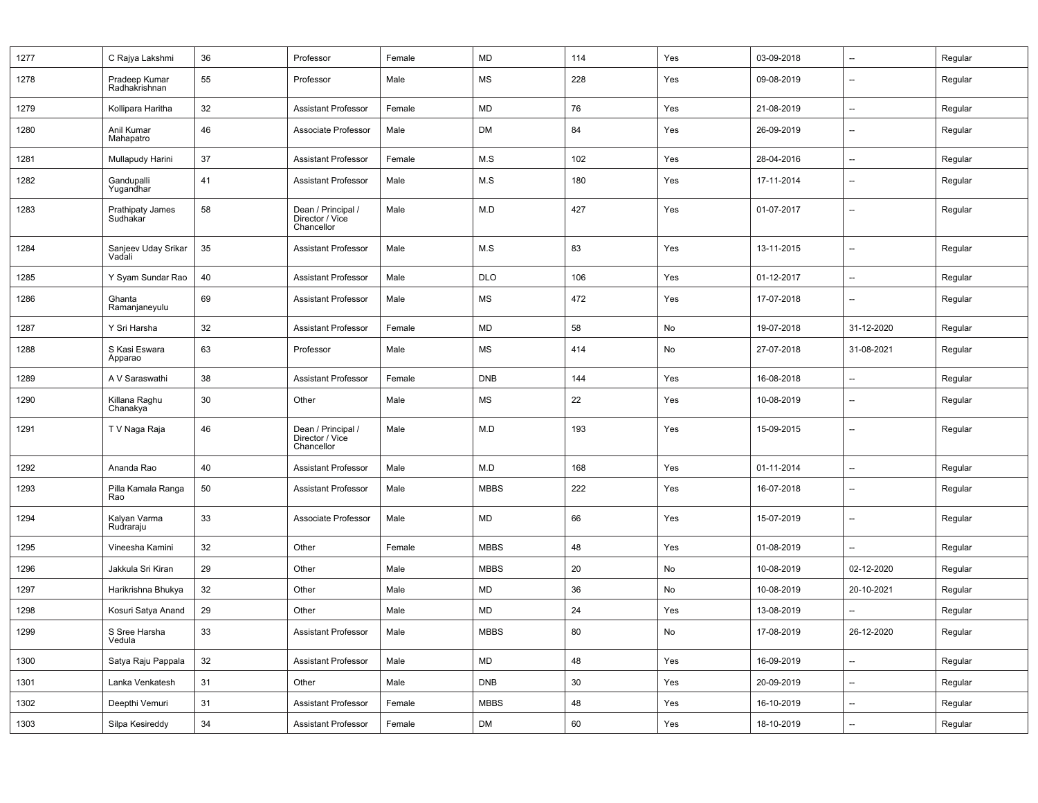| 1277 | C Rajya Lakshmi                | 36 | Professor                                           | Female | <b>MD</b>   | 114 | Yes | 03-09-2018 | $\overline{\phantom{a}}$ | Regular |
|------|--------------------------------|----|-----------------------------------------------------|--------|-------------|-----|-----|------------|--------------------------|---------|
| 1278 | Pradeep Kumar<br>Radhakrishnan | 55 | Professor                                           | Male   | MS          | 228 | Yes | 09-08-2019 | --                       | Regular |
| 1279 | Kollipara Haritha              | 32 | <b>Assistant Professor</b>                          | Female | <b>MD</b>   | 76  | Yes | 21-08-2019 | --                       | Regular |
| 1280 | Anil Kumar<br>Mahapatro        | 46 | Associate Professor                                 | Male   | <b>DM</b>   | 84  | Yes | 26-09-2019 | $\overline{\phantom{a}}$ | Regular |
| 1281 | Mullapudy Harini               | 37 | <b>Assistant Professor</b>                          | Female | M.S         | 102 | Yes | 28-04-2016 | --                       | Regular |
| 1282 | Gandupalli<br>Yugandhar        | 41 | <b>Assistant Professor</b>                          | Male   | M.S         | 180 | Yes | 17-11-2014 | --                       | Regular |
| 1283 | Prathipaty James<br>Sudhakar   | 58 | Dean / Principal /<br>Director / Vice<br>Chancellor | Male   | M.D         | 427 | Yes | 01-07-2017 | --                       | Regular |
| 1284 | Sanjeev Uday Srikar<br>Vadali  | 35 | <b>Assistant Professor</b>                          | Male   | M.S         | 83  | Yes | 13-11-2015 | $\overline{\phantom{a}}$ | Regular |
| 1285 | Y Syam Sundar Rao              | 40 | <b>Assistant Professor</b>                          | Male   | <b>DLO</b>  | 106 | Yes | 01-12-2017 | $\overline{\phantom{a}}$ | Regular |
| 1286 | Ghanta<br>Ramanjaneyulu        | 69 | <b>Assistant Professor</b>                          | Male   | MS          | 472 | Yes | 17-07-2018 | --                       | Regular |
| 1287 | Y Sri Harsha                   | 32 | <b>Assistant Professor</b>                          | Female | <b>MD</b>   | 58  | No  | 19-07-2018 | 31-12-2020               | Regular |
| 1288 | S Kasi Eswara<br>Apparao       | 63 | Professor                                           | Male   | MS          | 414 | No  | 27-07-2018 | 31-08-2021               | Regular |
| 1289 | A V Saraswathi                 | 38 | Assistant Professor                                 | Female | <b>DNB</b>  | 144 | Yes | 16-08-2018 | --                       | Regular |
| 1290 | Killana Raghu<br>Chanakya      | 30 | Other                                               | Male   | MS          | 22  | Yes | 10-08-2019 | --                       | Regular |
| 1291 | T V Naga Raja                  | 46 | Dean / Principal /<br>Director / Vice<br>Chancellor | Male   | M.D         | 193 | Yes | 15-09-2015 | --                       | Regular |
| 1292 | Ananda Rao                     | 40 | <b>Assistant Professor</b>                          | Male   | M.D         | 168 | Yes | 01-11-2014 | $\overline{\phantom{a}}$ | Regular |
| 1293 | Pilla Kamala Ranga<br>Rao      | 50 | <b>Assistant Professor</b>                          | Male   | <b>MBBS</b> | 222 | Yes | 16-07-2018 | --                       | Regular |
| 1294 | Kalyan Varma<br>Rudraraju      | 33 | Associate Professor                                 | Male   | <b>MD</b>   | 66  | Yes | 15-07-2019 | --                       | Regular |
| 1295 | Vineesha Kamini                | 32 | Other                                               | Female | <b>MBBS</b> | 48  | Yes | 01-08-2019 | --                       | Regular |
| 1296 | Jakkula Sri Kiran              | 29 | Other                                               | Male   | <b>MBBS</b> | 20  | No  | 10-08-2019 | 02-12-2020               | Regular |
| 1297 | Harikrishna Bhukya             | 32 | Other                                               | Male   | MD          | 36  | No  | 10-08-2019 | 20-10-2021               | Regular |
| 1298 | Kosuri Satya Anand             | 29 | Other                                               | Male   | <b>MD</b>   | 24  | Yes | 13-08-2019 |                          | Regular |
| 1299 | S Sree Harsha<br>Vedula        | 33 | <b>Assistant Professor</b>                          | Male   | <b>MBBS</b> | 80  | No  | 17-08-2019 | 26-12-2020               | Regular |
| 1300 | Satya Raju Pappala             | 32 | <b>Assistant Professor</b>                          | Male   | MD          | 48  | Yes | 16-09-2019 | Щ.                       | Regular |
| 1301 | Lanka Venkatesh                | 31 | Other                                               | Male   | <b>DNB</b>  | 30  | Yes | 20-09-2019 | --                       | Regular |
| 1302 | Deepthi Vemuri                 | 31 | <b>Assistant Professor</b>                          | Female | <b>MBBS</b> | 48  | Yes | 16-10-2019 | $\overline{\phantom{a}}$ | Regular |
| 1303 | Silpa Kesireddy                | 34 | <b>Assistant Professor</b>                          | Female | DM          | 60  | Yes | 18-10-2019 | --                       | Regular |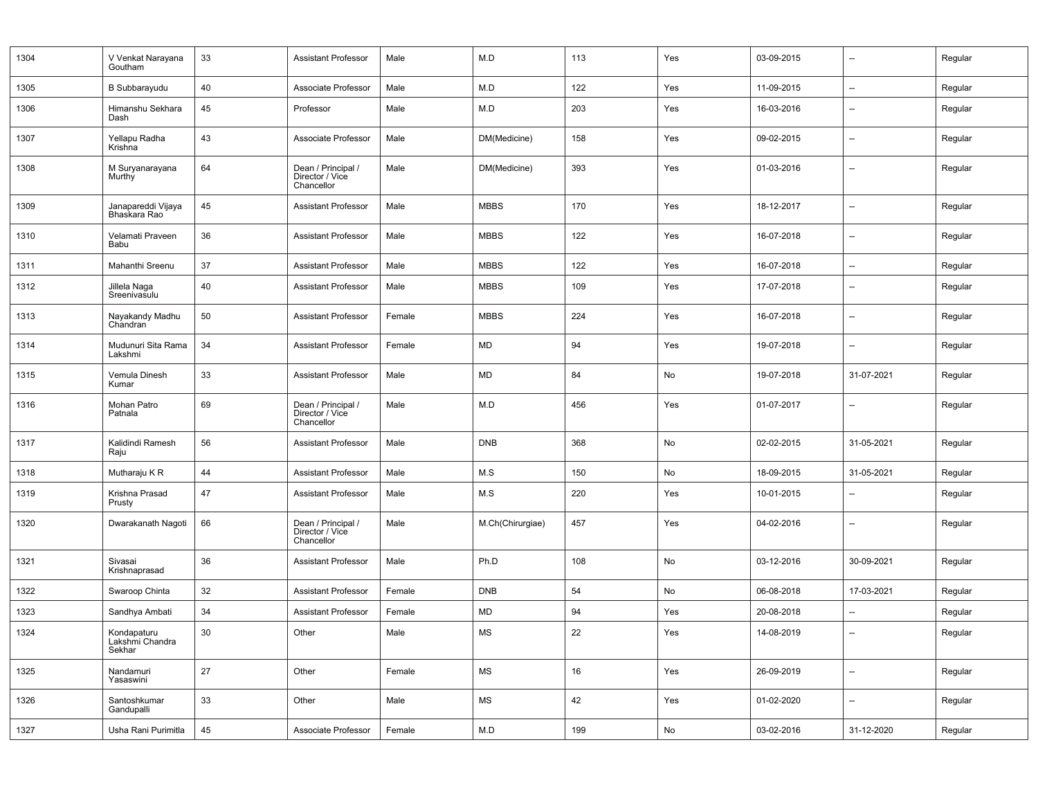| 1304 | V Venkat Narayana<br>Goutham             | 33 | <b>Assistant Professor</b>                          | Male   | M.D              | 113 | Yes | 03-09-2015 | $\overline{\phantom{a}}$ | Regular |
|------|------------------------------------------|----|-----------------------------------------------------|--------|------------------|-----|-----|------------|--------------------------|---------|
| 1305 | <b>B</b> Subbarayudu                     | 40 | Associate Professor                                 | Male   | M.D              | 122 | Yes | 11-09-2015 | --                       | Regular |
| 1306 | Himanshu Sekhara<br>Dash                 | 45 | Professor                                           | Male   | M.D              | 203 | Yes | 16-03-2016 | --                       | Regular |
| 1307 | Yellapu Radha<br>Krishna                 | 43 | Associate Professor                                 | Male   | DM(Medicine)     | 158 | Yes | 09-02-2015 | $\overline{\phantom{a}}$ | Regular |
| 1308 | M Suryanarayana<br>Murthy                | 64 | Dean / Principal /<br>Director / Vice<br>Chancellor | Male   | DM(Medicine)     | 393 | Yes | 01-03-2016 | $\overline{\phantom{a}}$ | Regular |
| 1309 | Janapareddi Vijaya<br>Bhaskara Rao       | 45 | <b>Assistant Professor</b>                          | Male   | <b>MBBS</b>      | 170 | Yes | 18-12-2017 | --                       | Regular |
| 1310 | Velamati Praveen<br>Babu                 | 36 | Assistant Professor                                 | Male   | <b>MBBS</b>      | 122 | Yes | 16-07-2018 | --                       | Regular |
| 1311 | Mahanthi Sreenu                          | 37 | <b>Assistant Professor</b>                          | Male   | <b>MBBS</b>      | 122 | Yes | 16-07-2018 | $\overline{\phantom{a}}$ | Regular |
| 1312 | Jillela Naga<br>Sreenivasulu             | 40 | <b>Assistant Professor</b>                          | Male   | <b>MBBS</b>      | 109 | Yes | 17-07-2018 | --                       | Regular |
| 1313 | Nayakandy Madhu<br>Chandran              | 50 | <b>Assistant Professor</b>                          | Female | <b>MBBS</b>      | 224 | Yes | 16-07-2018 | --                       | Regular |
| 1314 | Mudunuri Sita Rama<br>Lakshmi            | 34 | <b>Assistant Professor</b>                          | Female | <b>MD</b>        | 94  | Yes | 19-07-2018 | --                       | Regular |
| 1315 | Vemula Dinesh<br>Kumar                   | 33 | <b>Assistant Professor</b>                          | Male   | <b>MD</b>        | 84  | No  | 19-07-2018 | 31-07-2021               | Regular |
| 1316 | Mohan Patro<br>Patnala                   | 69 | Dean / Principal /<br>Director / Vice<br>Chancellor | Male   | M.D              | 456 | Yes | 01-07-2017 | --                       | Regular |
| 1317 | Kalidindi Ramesh<br>Raju                 | 56 | <b>Assistant Professor</b>                          | Male   | <b>DNB</b>       | 368 | No  | 02-02-2015 | 31-05-2021               | Regular |
| 1318 | Mutharaju K R                            | 44 | <b>Assistant Professor</b>                          | Male   | M.S              | 150 | No  | 18-09-2015 | 31-05-2021               | Regular |
| 1319 | Krishna Prasad<br>Prusty                 | 47 | <b>Assistant Professor</b>                          | Male   | M.S              | 220 | Yes | 10-01-2015 |                          | Regular |
| 1320 | Dwarakanath Nagoti                       | 66 | Dean / Principal /<br>Director / Vice<br>Chancellor | Male   | M.Ch(Chirurgiae) | 457 | Yes | 04-02-2016 | --                       | Regular |
| 1321 | Sivasai<br>Krishnaprasad                 | 36 | <b>Assistant Professor</b>                          | Male   | Ph.D             | 108 | No  | 03-12-2016 | 30-09-2021               | Regular |
| 1322 | Swaroop Chinta                           | 32 | Assistant Professor                                 | Female | <b>DNB</b>       | 54  | No  | 06-08-2018 | 17-03-2021               | Regular |
| 1323 | Sandhya Ambati                           | 34 | <b>Assistant Professor</b>                          | Female | <b>MD</b>        | 94  | Yes | 20-08-2018 |                          | Regular |
| 1324 | Kondapaturu<br>Lakshmi Chandra<br>Sekhar | 30 | Other                                               | Male   | <b>MS</b>        | 22  | Yes | 14-08-2019 | Ξ.                       | Regular |
| 1325 | Nandamuri<br>Yasaswini                   | 27 | Other                                               | Female | <b>MS</b>        | 16  | Yes | 26-09-2019 | $\overline{\phantom{a}}$ | Regular |
| 1326 | Santoshkumar<br>Gandupalli               | 33 | Other                                               | Male   | <b>MS</b>        | 42  | Yes | 01-02-2020 | --                       | Regular |
| 1327 | Usha Rani Purimitla                      | 45 | Associate Professor                                 | Female | $M.D$            | 199 | No  | 03-02-2016 | 31-12-2020               | Regular |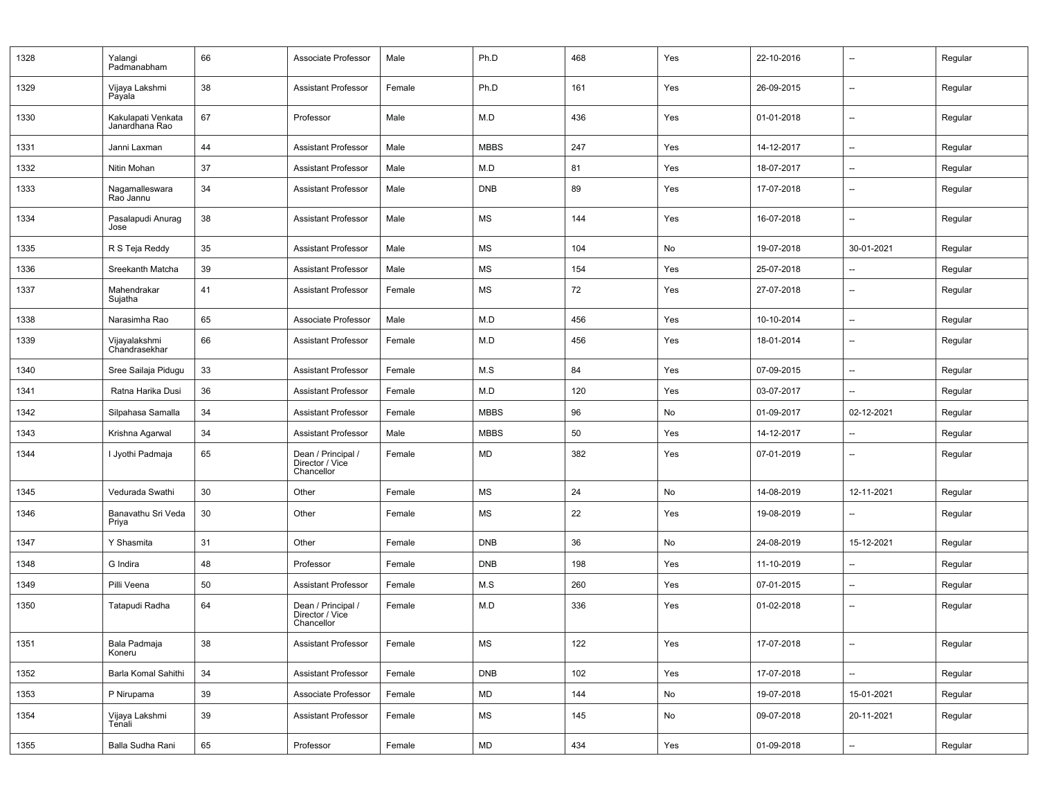| 1328 | Yalangi<br>Padmanabham               | 66 | Associate Professor                                 | Male   | Ph.D        | 468 | Yes | 22-10-2016 | $\overline{\phantom{a}}$ | Regular |
|------|--------------------------------------|----|-----------------------------------------------------|--------|-------------|-----|-----|------------|--------------------------|---------|
| 1329 | Vijaya Lakshmi<br>Payala             | 38 | <b>Assistant Professor</b>                          | Female | Ph.D        | 161 | Yes | 26-09-2015 | $\overline{\phantom{a}}$ | Regular |
| 1330 | Kakulapati Venkata<br>Janardhana Rao | 67 | Professor                                           | Male   | M.D         | 436 | Yes | 01-01-2018 | $\overline{\phantom{a}}$ | Regular |
| 1331 | Janni Laxman                         | 44 | <b>Assistant Professor</b>                          | Male   | <b>MBBS</b> | 247 | Yes | 14-12-2017 | --                       | Regular |
| 1332 | Nitin Mohan                          | 37 | <b>Assistant Professor</b>                          | Male   | M.D         | 81  | Yes | 18-07-2017 | $\overline{\phantom{a}}$ | Regular |
| 1333 | Nagamalleswara<br>Rao Jannu          | 34 | <b>Assistant Professor</b>                          | Male   | <b>DNB</b>  | 89  | Yes | 17-07-2018 | $\overline{\phantom{a}}$ | Regular |
| 1334 | Pasalapudi Anurag<br>Jose            | 38 | <b>Assistant Professor</b>                          | Male   | MS          | 144 | Yes | 16-07-2018 | $\overline{\phantom{a}}$ | Regular |
| 1335 | R S Teja Reddy                       | 35 | <b>Assistant Professor</b>                          | Male   | MS          | 104 | No  | 19-07-2018 | 30-01-2021               | Regular |
| 1336 | Sreekanth Matcha                     | 39 | <b>Assistant Professor</b>                          | Male   | MS          | 154 | Yes | 25-07-2018 | $\overline{\phantom{a}}$ | Regular |
| 1337 | Mahendrakar<br>Sujatha               | 41 | <b>Assistant Professor</b>                          | Female | MS          | 72  | Yes | 27-07-2018 | $\overline{\phantom{a}}$ | Regular |
| 1338 | Narasimha Rao                        | 65 | Associate Professor                                 | Male   | M.D         | 456 | Yes | 10-10-2014 | $\overline{\phantom{a}}$ | Regular |
| 1339 | Vijayalakshmi<br>Chandrasekhar       | 66 | <b>Assistant Professor</b>                          | Female | M.D         | 456 | Yes | 18-01-2014 | $\overline{\phantom{a}}$ | Regular |
| 1340 | Sree Sailaja Pidugu                  | 33 | <b>Assistant Professor</b>                          | Female | M.S         | 84  | Yes | 07-09-2015 | $\overline{\phantom{a}}$ | Regular |
| 1341 | Ratna Harika Dusi                    | 36 | <b>Assistant Professor</b>                          | Female | M.D         | 120 | Yes | 03-07-2017 | $\overline{\phantom{a}}$ | Regular |
| 1342 | Silpahasa Samalla                    | 34 | <b>Assistant Professor</b>                          | Female | <b>MBBS</b> | 96  | No  | 01-09-2017 | 02-12-2021               | Regular |
| 1343 | Krishna Agarwal                      | 34 | <b>Assistant Professor</b>                          | Male   | <b>MBBS</b> | 50  | Yes | 14-12-2017 | --                       | Regular |
| 1344 | I Jyothi Padmaja                     | 65 | Dean / Principal /<br>Director / Vice<br>Chancellor | Female | MD          | 382 | Yes | 07-01-2019 | $\overline{\phantom{a}}$ | Regular |
| 1345 | Vedurada Swathi                      | 30 | Other                                               | Female | MS          | 24  | No  | 14-08-2019 | 12-11-2021               | Regular |
| 1346 | Banavathu Sri Veda<br>Priya          | 30 | Other                                               | Female | MS          | 22  | Yes | 19-08-2019 | $\overline{\phantom{a}}$ | Regular |
| 1347 | Y Shasmita                           | 31 | Other                                               | Female | <b>DNB</b>  | 36  | No  | 24-08-2019 | 15-12-2021               | Regular |
| 1348 | G Indira                             | 48 | Professor                                           | Female | <b>DNB</b>  | 198 | Yes | 11-10-2019 | $\overline{\phantom{a}}$ | Regular |
| 1349 | Pilli Veena                          | 50 | <b>Assistant Professor</b>                          | Female | M.S         | 260 | Yes | 07-01-2015 | $\overline{\phantom{a}}$ | Regular |
| 1350 | Tatapudi Radha                       | 64 | Dean / Principal /<br>Director / Vice<br>Chancellor | Female | M.D         | 336 | Yes | 01-02-2018 | $\overline{\phantom{a}}$ | Regular |
| 1351 | Bala Padmaja<br>Koneru               | 38 | <b>Assistant Professor</b>                          | Female | MS          | 122 | Yes | 17-07-2018 | $\qquad \qquad -$        | Regular |
| 1352 | Barla Komal Sahithi                  | 34 | <b>Assistant Professor</b>                          | Female | <b>DNB</b>  | 102 | Yes | 17-07-2018 | Ξ.                       | Regular |
| 1353 | P Nirupama                           | 39 | Associate Professor                                 | Female | MD          | 144 | No  | 19-07-2018 | 15-01-2021               | Regular |
| 1354 | Vijaya Lakshmi<br>Ténali             | 39 | <b>Assistant Professor</b>                          | Female | MS          | 145 | No  | 09-07-2018 | 20-11-2021               | Regular |
| 1355 | Balla Sudha Rani                     | 65 | Professor                                           | Female | ${\sf MD}$  | 434 | Yes | 01-09-2018 | $\overline{\phantom{a}}$ | Regular |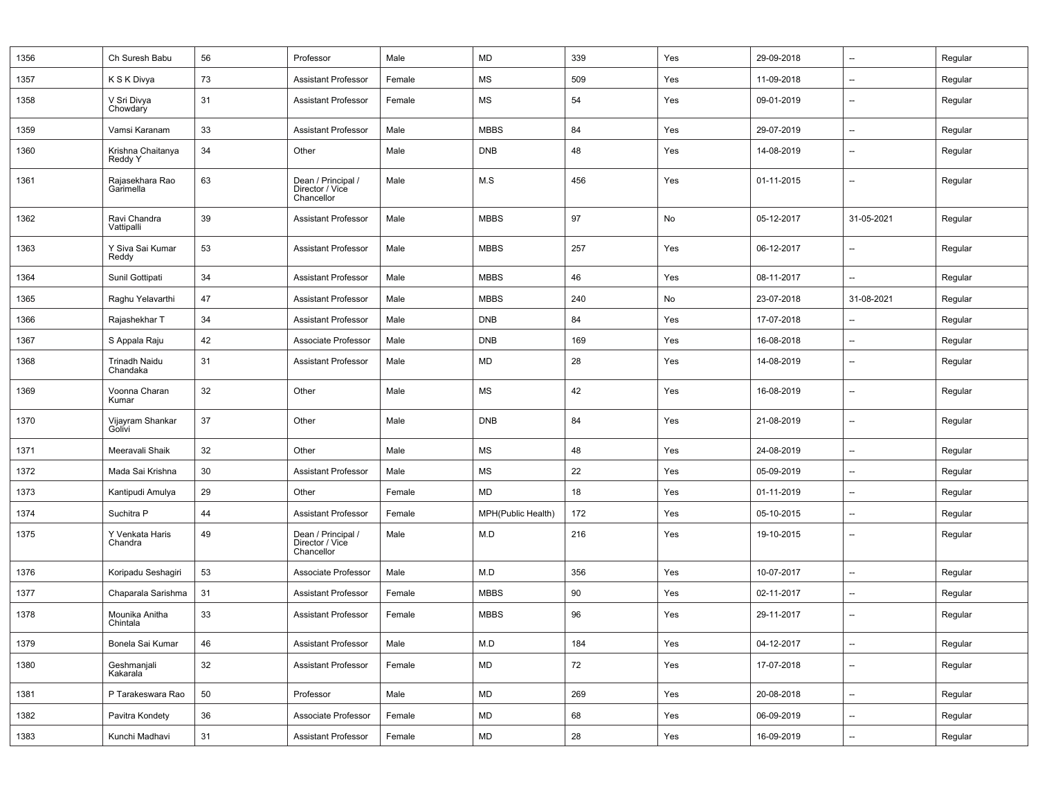| 1356 | Ch Suresh Babu                   | 56 | Professor                                           | Male   | <b>MD</b>          | 339 | Yes | 29-09-2018 | $\overline{\phantom{a}}$ | Regular |
|------|----------------------------------|----|-----------------------------------------------------|--------|--------------------|-----|-----|------------|--------------------------|---------|
| 1357 | K S K Divya                      | 73 | <b>Assistant Professor</b>                          | Female | MS                 | 509 | Yes | 11-09-2018 | --                       | Regular |
| 1358 | V Sri Divya<br>Chowdary          | 31 | <b>Assistant Professor</b>                          | Female | MS                 | 54  | Yes | 09-01-2019 | --                       | Regular |
| 1359 | Vamsi Karanam                    | 33 | <b>Assistant Professor</b>                          | Male   | <b>MBBS</b>        | 84  | Yes | 29-07-2019 | --                       | Regular |
| 1360 | Krishna Chaitanya<br>Reddy Y     | 34 | Other                                               | Male   | <b>DNB</b>         | 48  | Yes | 14-08-2019 | --                       | Regular |
| 1361 | Rajasekhara Rao<br>Garimella     | 63 | Dean / Principal /<br>Director / Vice<br>Chancellor | Male   | M.S                | 456 | Yes | 01-11-2015 | --                       | Regular |
| 1362 | Ravi Chandra<br>Vattipalli       | 39 | <b>Assistant Professor</b>                          | Male   | <b>MBBS</b>        | 97  | No  | 05-12-2017 | 31-05-2021               | Regular |
| 1363 | Y Siva Sai Kumar<br>Reddy        | 53 | <b>Assistant Professor</b>                          | Male   | <b>MBBS</b>        | 257 | Yes | 06-12-2017 | --                       | Regular |
| 1364 | Sunil Gottipati                  | 34 | <b>Assistant Professor</b>                          | Male   | <b>MBBS</b>        | 46  | Yes | 08-11-2017 | $\overline{\phantom{a}}$ | Regular |
| 1365 | Raghu Yelavarthi                 | 47 | <b>Assistant Professor</b>                          | Male   | <b>MBBS</b>        | 240 | No  | 23-07-2018 | 31-08-2021               | Regular |
| 1366 | Rajashekhar T                    | 34 | <b>Assistant Professor</b>                          | Male   | <b>DNB</b>         | 84  | Yes | 17-07-2018 |                          | Regular |
| 1367 | S Appala Raju                    | 42 | Associate Professor                                 | Male   | <b>DNB</b>         | 169 | Yes | 16-08-2018 | $\overline{\phantom{a}}$ | Regular |
| 1368 | <b>Trinadh Naidu</b><br>Chandaka | 31 | <b>Assistant Professor</b>                          | Male   | <b>MD</b>          | 28  | Yes | 14-08-2019 | --                       | Regular |
| 1369 | Voonna Charan<br>Kumar           | 32 | Other                                               | Male   | MS                 | 42  | Yes | 16-08-2019 | --                       | Regular |
| 1370 | Vijayram Shankar<br>Golivi       | 37 | Other                                               | Male   | <b>DNB</b>         | 84  | Yes | 21-08-2019 | --                       | Regular |
| 1371 | Meeravali Shaik                  | 32 | Other                                               | Male   | MS                 | 48  | Yes | 24-08-2019 | --                       | Regular |
| 1372 | Mada Sai Krishna                 | 30 | <b>Assistant Professor</b>                          | Male   | MS                 | 22  | Yes | 05-09-2019 | --                       | Regular |
| 1373 | Kantipudi Amulya                 | 29 | Other                                               | Female | MD                 | 18  | Yes | 01-11-2019 | --                       | Regular |
| 1374 | Suchitra P                       | 44 | <b>Assistant Professor</b>                          | Female | MPH(Public Health) | 172 | Yes | 05-10-2015 | --                       | Regular |
| 1375 | Y Venkata Haris<br>Chandra       | 49 | Dean / Principal /<br>Director / Vice<br>Chancellor | Male   | M.D                | 216 | Yes | 19-10-2015 | --                       | Regular |
| 1376 | Koripadu Seshagiri               | 53 | Associate Professor                                 | Male   | M.D                | 356 | Yes | 10-07-2017 | --                       | Regular |
| 1377 | Chaparala Sarishma               | 31 | <b>Assistant Professor</b>                          | Female | <b>MBBS</b>        | 90  | Yes | 02-11-2017 | --                       | Regular |
| 1378 | Mounika Anitha<br>Chintala       | 33 | <b>Assistant Professor</b>                          | Female | <b>MBBS</b>        | 96  | Yes | 29-11-2017 | --                       | Regular |
| 1379 | Bonela Sai Kumar                 | 46 | <b>Assistant Professor</b>                          | Male   | M.D                | 184 | Yes | 04-12-2017 | --                       | Regular |
| 1380 | Geshmanjali<br>Kakarala          | 32 | Assistant Professor                                 | Female | MD                 | 72  | Yes | 17-07-2018 | $\overline{a}$           | Regular |
| 1381 | P Tarakeswara Rao                | 50 | Professor                                           | Male   | <b>MD</b>          | 269 | Yes | 20-08-2018 | --                       | Regular |
| 1382 | Pavitra Kondety                  | 36 | Associate Professor                                 | Female | MD                 | 68  | Yes | 06-09-2019 | --                       | Regular |
| 1383 | Kunchi Madhavi                   | 31 | <b>Assistant Professor</b>                          | Female | MD                 | 28  | Yes | 16-09-2019 | --                       | Regular |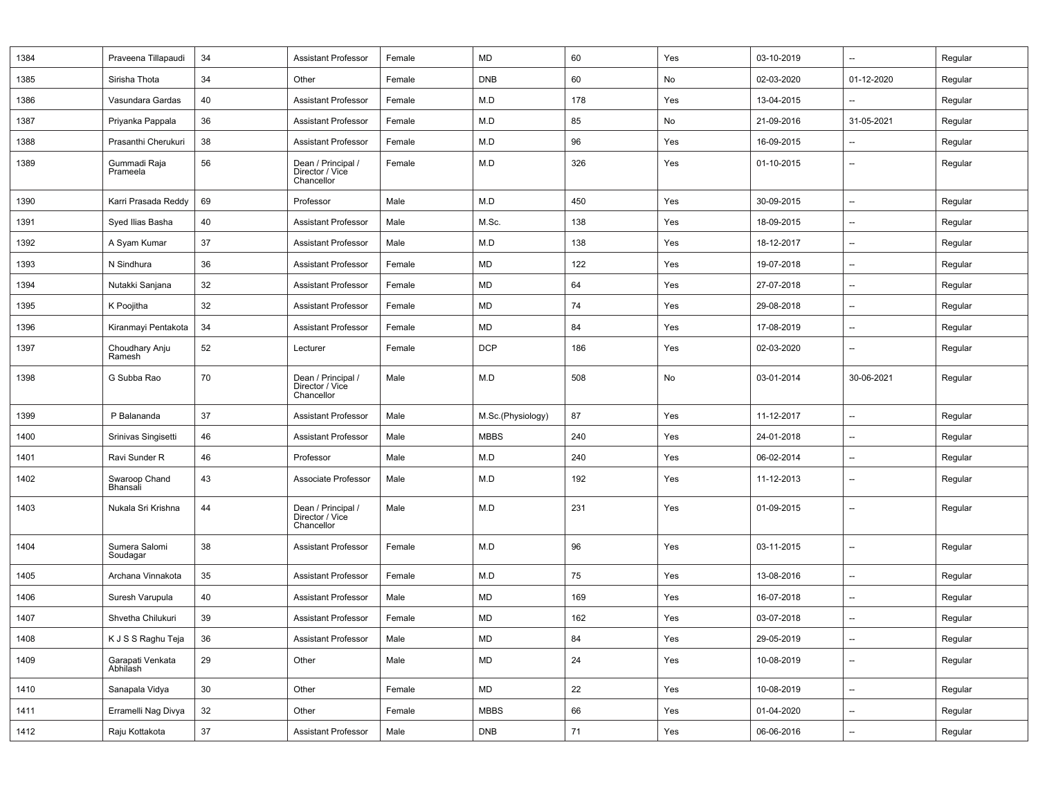| 1384 | Praveena Tillapaudi          | 34              | <b>Assistant Professor</b>                          | Female | MD                | 60  | Yes | 03-10-2019 | $\overline{\phantom{a}}$ | Regular |
|------|------------------------------|-----------------|-----------------------------------------------------|--------|-------------------|-----|-----|------------|--------------------------|---------|
| 1385 | Sirisha Thota                | 34              | Other                                               | Female | <b>DNB</b>        | 60  | No  | 02-03-2020 | 01-12-2020               | Regular |
| 1386 | Vasundara Gardas             | 40              | <b>Assistant Professor</b>                          | Female | M.D               | 178 | Yes | 13-04-2015 | $\overline{\phantom{a}}$ | Regular |
| 1387 | Priyanka Pappala             | 36              | <b>Assistant Professor</b>                          | Female | M.D               | 85  | No  | 21-09-2016 | 31-05-2021               | Regular |
| 1388 | Prasanthi Cherukuri          | 38              | <b>Assistant Professor</b>                          | Female | M.D               | 96  | Yes | 16-09-2015 | --                       | Regular |
| 1389 | Gummadi Raja<br>Prameela     | 56              | Dean / Principal /<br>Director / Vice<br>Chancellor | Female | M.D               | 326 | Yes | 01-10-2015 | $\overline{\phantom{a}}$ | Regular |
| 1390 | Karri Prasada Reddy          | 69              | Professor                                           | Male   | M.D               | 450 | Yes | 30-09-2015 | $\overline{\phantom{a}}$ | Regular |
| 1391 | Syed Ilias Basha             | 40              | <b>Assistant Professor</b>                          | Male   | M.Sc.             | 138 | Yes | 18-09-2015 | --                       | Regular |
| 1392 | A Syam Kumar                 | 37              | <b>Assistant Professor</b>                          | Male   | M.D               | 138 | Yes | 18-12-2017 | $\overline{\phantom{a}}$ | Regular |
| 1393 | N Sindhura                   | 36              | Assistant Professor                                 | Female | MD                | 122 | Yes | 19-07-2018 | $\overline{\phantom{a}}$ | Regular |
| 1394 | Nutakki Sanjana              | 32              | <b>Assistant Professor</b>                          | Female | MD                | 64  | Yes | 27-07-2018 | $\overline{\phantom{a}}$ | Regular |
| 1395 | K Poojitha                   | 32              | <b>Assistant Professor</b>                          | Female | MD                | 74  | Yes | 29-08-2018 | $\overline{\phantom{a}}$ | Regular |
| 1396 | Kiranmayi Pentakota          | 34              | Assistant Professor                                 | Female | MD                | 84  | Yes | 17-08-2019 | --                       | Regular |
| 1397 | Choudhary Anju<br>Ramesh     | 52              | Lecturer                                            | Female | <b>DCP</b>        | 186 | Yes | 02-03-2020 | $\overline{\phantom{a}}$ | Regular |
| 1398 | G Subba Rao                  | 70              | Dean / Principal /<br>Director / Vice<br>Chancellor | Male   | M.D               | 508 | No  | 03-01-2014 | 30-06-2021               | Regular |
| 1399 | P Balananda                  | 37              | <b>Assistant Professor</b>                          | Male   | M.Sc.(Physiology) | 87  | Yes | 11-12-2017 | --                       | Regular |
| 1400 | Srinivas Singisetti          | 46              | <b>Assistant Professor</b>                          | Male   | <b>MBBS</b>       | 240 | Yes | 24-01-2018 | $\overline{\phantom{a}}$ | Regular |
| 1401 | Ravi Sunder R                | 46              | Professor                                           | Male   | M.D               | 240 | Yes | 06-02-2014 | $\overline{\phantom{a}}$ | Regular |
| 1402 | Swaroop Chand<br>Bhansali    | 43              | Associate Professor                                 | Male   | M.D               | 192 | Yes | 11-12-2013 | $\overline{\phantom{a}}$ | Regular |
| 1403 | Nukala Sri Krishna           | 44              | Dean / Principal /<br>Director / Vice<br>Chancellor | Male   | M.D               | 231 | Yes | 01-09-2015 | $\overline{\phantom{a}}$ | Regular |
| 1404 | Sumera Salomi<br>Soudagar    | 38              | <b>Assistant Professor</b>                          | Female | M.D               | 96  | Yes | 03-11-2015 | $\overline{\phantom{a}}$ | Regular |
| 1405 | Archana Vinnakota            | 35              | <b>Assistant Professor</b>                          | Female | M.D               | 75  | Yes | 13-08-2016 | --                       | Regular |
| 1406 | Suresh Varupula              | 40              | <b>Assistant Professor</b>                          | Male   | <b>MD</b>         | 169 | Yes | 16-07-2018 | $\overline{\phantom{a}}$ | Regular |
| 1407 | Shvetha Chilukuri            | 39              | <b>Assistant Professor</b>                          | Female | MD                | 162 | Yes | 03-07-2018 | $\overline{\phantom{a}}$ | Regular |
| 1408 | K J S S Raghu Teja           | 36              | <b>Assistant Professor</b>                          | Male   | MD                | 84  | Yes | 29-05-2019 | $\overline{\phantom{a}}$ | Regular |
| 1409 | Garapati Venkata<br>Abhilash | 29              | Other                                               | Male   | <b>MD</b>         | 24  | Yes | 10-08-2019 | --                       | Regular |
| 1410 | Sanapala Vidya               | 30 <sup>°</sup> | Other                                               | Female | MD                | 22  | Yes | 10-08-2019 | $\overline{\phantom{a}}$ | Regular |
| 1411 | Erramelli Nag Divya          | 32              | Other                                               | Female | <b>MBBS</b>       | 66  | Yes | 01-04-2020 | --                       | Regular |
| 1412 | Raju Kottakota               | $37\,$          | <b>Assistant Professor</b>                          | Male   | <b>DNB</b>        | 71  | Yes | 06-06-2016 | --                       | Regular |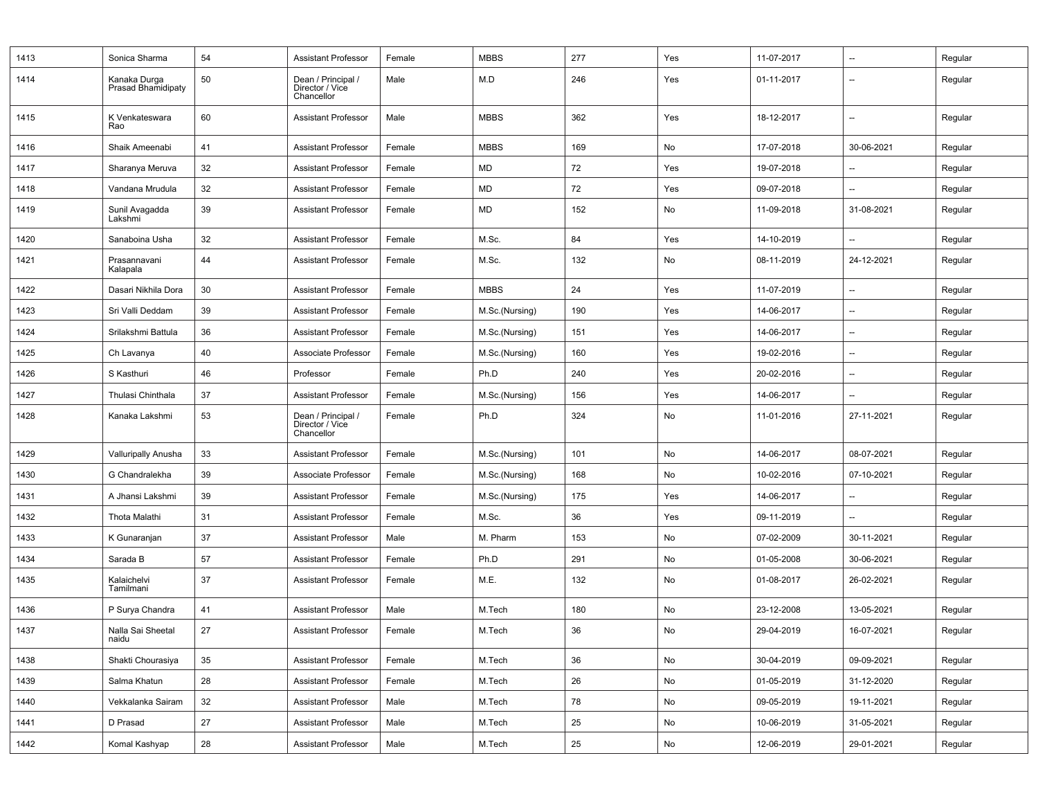| 1413 | Sonica Sharma                      | 54 | <b>Assistant Professor</b>                          | Female | <b>MBBS</b>    | 277 | Yes | 11-07-2017 | $\overline{\phantom{a}}$ | Regular |
|------|------------------------------------|----|-----------------------------------------------------|--------|----------------|-----|-----|------------|--------------------------|---------|
| 1414 | Kanaka Durga<br>Prasad Bhamidipaty | 50 | Dean / Principal /<br>Director / Vice<br>Chancellor | Male   | M.D            | 246 | Yes | 01-11-2017 | $\overline{\phantom{a}}$ | Regular |
| 1415 | K Venkateswara<br>Rao              | 60 | <b>Assistant Professor</b>                          | Male   | <b>MBBS</b>    | 362 | Yes | 18-12-2017 | $\overline{\phantom{a}}$ | Regular |
| 1416 | Shaik Ameenabi                     | 41 | <b>Assistant Professor</b>                          | Female | <b>MBBS</b>    | 169 | No  | 17-07-2018 | 30-06-2021               | Regular |
| 1417 | Sharanya Meruva                    | 32 | <b>Assistant Professor</b>                          | Female | MD             | 72  | Yes | 19-07-2018 | $\overline{\phantom{a}}$ | Regular |
| 1418 | Vandana Mrudula                    | 32 | <b>Assistant Professor</b>                          | Female | MD             | 72  | Yes | 09-07-2018 | $\overline{\phantom{a}}$ | Regular |
| 1419 | Sunil Avagadda<br>Lakshmi          | 39 | <b>Assistant Professor</b>                          | Female | MD             | 152 | No  | 11-09-2018 | 31-08-2021               | Regular |
| 1420 | Sanaboina Usha                     | 32 | <b>Assistant Professor</b>                          | Female | M.Sc.          | 84  | Yes | 14-10-2019 | $\overline{\phantom{a}}$ | Regular |
| 1421 | Prasannavani<br>Kalapala           | 44 | <b>Assistant Professor</b>                          | Female | M.Sc.          | 132 | No  | 08-11-2019 | 24-12-2021               | Regular |
| 1422 | Dasari Nikhila Dora                | 30 | <b>Assistant Professor</b>                          | Female | <b>MBBS</b>    | 24  | Yes | 11-07-2019 | $\overline{\phantom{a}}$ | Regular |
| 1423 | Sri Valli Deddam                   | 39 | <b>Assistant Professor</b>                          | Female | M.Sc.(Nursing) | 190 | Yes | 14-06-2017 | $\overline{\phantom{a}}$ | Regular |
| 1424 | Srilakshmi Battula                 | 36 | <b>Assistant Professor</b>                          | Female | M.Sc.(Nursing) | 151 | Yes | 14-06-2017 | $\overline{\phantom{a}}$ | Regular |
| 1425 | Ch Lavanya                         | 40 | Associate Professor                                 | Female | M.Sc.(Nursing) | 160 | Yes | 19-02-2016 | $\overline{\phantom{a}}$ | Regular |
| 1426 | S Kasthuri                         | 46 | Professor                                           | Female | Ph.D           | 240 | Yes | 20-02-2016 | $\overline{\phantom{a}}$ | Regular |
| 1427 | Thulasi Chinthala                  | 37 | <b>Assistant Professor</b>                          | Female | M.Sc.(Nursing) | 156 | Yes | 14-06-2017 | $\overline{\phantom{a}}$ | Regular |
| 1428 | Kanaka Lakshmi                     | 53 | Dean / Principal /<br>Director / Vice<br>Chancellor | Female | Ph.D           | 324 | No  | 11-01-2016 | 27-11-2021               | Regular |
| 1429 | Valluripally Anusha                | 33 | <b>Assistant Professor</b>                          | Female | M.Sc.(Nursing) | 101 | No  | 14-06-2017 | 08-07-2021               | Regular |
| 1430 | G Chandralekha                     | 39 | Associate Professor                                 | Female | M.Sc.(Nursing) | 168 | No  | 10-02-2016 | 07-10-2021               | Regular |
| 1431 | A Jhansi Lakshmi                   | 39 | <b>Assistant Professor</b>                          | Female | M.Sc.(Nursing) | 175 | Yes | 14-06-2017 |                          | Regular |
| 1432 | Thota Malathi                      | 31 | <b>Assistant Professor</b>                          | Female | M.Sc.          | 36  | Yes | 09-11-2019 | $\overline{\phantom{a}}$ | Regular |
| 1433 | K Gunaranjan                       | 37 | <b>Assistant Professor</b>                          | Male   | M. Pharm       | 153 | No  | 07-02-2009 | 30-11-2021               | Regular |
| 1434 | Sarada B                           | 57 | <b>Assistant Professor</b>                          | Female | Ph.D           | 291 | No  | 01-05-2008 | 30-06-2021               | Regular |
| 1435 | Kalaichelvi<br>Tamilmani           | 37 | <b>Assistant Professor</b>                          | Female | M.E.           | 132 | No  | 01-08-2017 | 26-02-2021               | Regular |
| 1436 | P Surya Chandra                    | 41 | <b>Assistant Professor</b>                          | Male   | M.Tech         | 180 | No  | 23-12-2008 | 13-05-2021               | Regular |
| 1437 | Nalla Sai Sheetal<br>naidu         | 27 | <b>Assistant Professor</b>                          | Female | M.Tech         | 36  | No  | 29-04-2019 | 16-07-2021               | Regular |
| 1438 | Shakti Chourasiya                  | 35 | <b>Assistant Professor</b>                          | Female | M.Tech         | 36  | No  | 30-04-2019 | 09-09-2021               | Regular |
| 1439 | Salma Khatun                       | 28 | <b>Assistant Professor</b>                          | Female | M.Tech         | 26  | No  | 01-05-2019 | 31-12-2020               | Regular |
| 1440 | Vekkalanka Sairam                  | 32 | <b>Assistant Professor</b>                          | Male   | M.Tech         | 78  | No  | 09-05-2019 | 19-11-2021               | Regular |
| 1441 | D Prasad                           | 27 | <b>Assistant Professor</b>                          | Male   | M.Tech         | 25  | No  | 10-06-2019 | 31-05-2021               | Regular |
| 1442 | Komal Kashyap                      | 28 | <b>Assistant Professor</b>                          | Male   | M.Tech         | 25  | No  | 12-06-2019 | 29-01-2021               | Regular |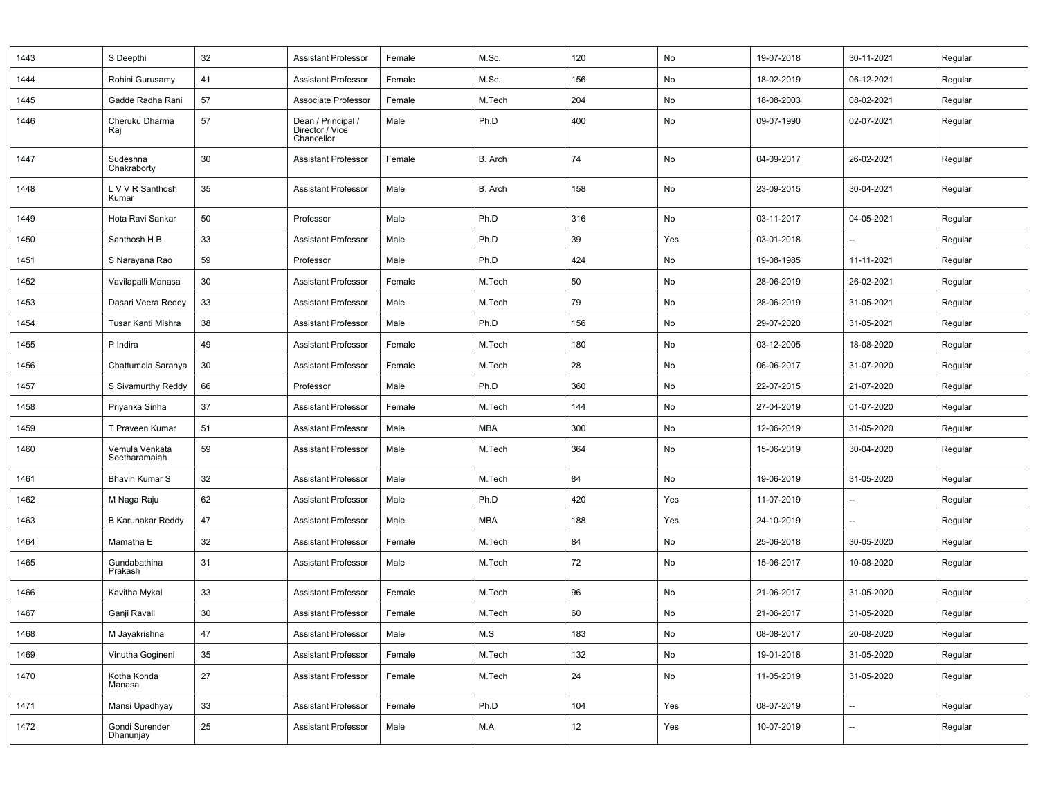| 1443 | S Deepthi                       | 32 | <b>Assistant Professor</b>                          | Female | M.Sc.      | 120 | No  | 19-07-2018 | 30-11-2021               | Regular |
|------|---------------------------------|----|-----------------------------------------------------|--------|------------|-----|-----|------------|--------------------------|---------|
| 1444 | Rohini Gurusamy                 | 41 | Assistant Professor                                 | Female | M.Sc.      | 156 | No  | 18-02-2019 | 06-12-2021               | Regular |
| 1445 | Gadde Radha Rani                | 57 | Associate Professor                                 | Female | M.Tech     | 204 | No  | 18-08-2003 | 08-02-2021               | Regular |
| 1446 | Cheruku Dharma<br>Raj           | 57 | Dean / Principal /<br>Director / Vice<br>Chancellor | Male   | Ph.D       | 400 | No  | 09-07-1990 | 02-07-2021               | Regular |
| 1447 | Sudeshna<br>Chakraborty         | 30 | <b>Assistant Professor</b>                          | Female | B. Arch    | 74  | No  | 04-09-2017 | 26-02-2021               | Regular |
| 1448 | L V V R Santhosh<br>Kumar       | 35 | <b>Assistant Professor</b>                          | Male   | B. Arch    | 158 | No  | 23-09-2015 | 30-04-2021               | Regular |
| 1449 | Hota Ravi Sankar                | 50 | Professor                                           | Male   | Ph.D       | 316 | No  | 03-11-2017 | 04-05-2021               | Regular |
| 1450 | Santhosh H B                    | 33 | <b>Assistant Professor</b>                          | Male   | Ph.D       | 39  | Yes | 03-01-2018 |                          | Regular |
| 1451 | S Narayana Rao                  | 59 | Professor                                           | Male   | Ph.D       | 424 | No  | 19-08-1985 | 11-11-2021               | Regular |
| 1452 | Vavilapalli Manasa              | 30 | <b>Assistant Professor</b>                          | Female | M.Tech     | 50  | No  | 28-06-2019 | 26-02-2021               | Regular |
| 1453 | Dasari Veera Reddy              | 33 | <b>Assistant Professor</b>                          | Male   | M.Tech     | 79  | No  | 28-06-2019 | 31-05-2021               | Regular |
| 1454 | Tusar Kanti Mishra              | 38 | <b>Assistant Professor</b>                          | Male   | Ph.D       | 156 | No  | 29-07-2020 | 31-05-2021               | Regular |
| 1455 | P Indira                        | 49 | <b>Assistant Professor</b>                          | Female | M.Tech     | 180 | No  | 03-12-2005 | 18-08-2020               | Regular |
| 1456 | Chattumala Saranya              | 30 | <b>Assistant Professor</b>                          | Female | M.Tech     | 28  | No  | 06-06-2017 | 31-07-2020               | Regular |
| 1457 | S Sivamurthy Reddy              | 66 | Professor                                           | Male   | Ph.D       | 360 | No  | 22-07-2015 | 21-07-2020               | Regular |
| 1458 | Priyanka Sinha                  | 37 | <b>Assistant Professor</b>                          | Female | M.Tech     | 144 | No  | 27-04-2019 | 01-07-2020               | Regular |
| 1459 | T Praveen Kumar                 | 51 | <b>Assistant Professor</b>                          | Male   | <b>MBA</b> | 300 | No  | 12-06-2019 | 31-05-2020               | Regular |
| 1460 | Vemula Venkata<br>Seetharamaiah | 59 | <b>Assistant Professor</b>                          | Male   | M.Tech     | 364 | No  | 15-06-2019 | 30-04-2020               | Regular |
| 1461 | <b>Bhavin Kumar S</b>           | 32 | <b>Assistant Professor</b>                          | Male   | M.Tech     | 84  | No  | 19-06-2019 | 31-05-2020               | Regular |
| 1462 | M Naga Raju                     | 62 | <b>Assistant Professor</b>                          | Male   | Ph.D       | 420 | Yes | 11-07-2019 |                          | Regular |
| 1463 | <b>B Karunakar Reddy</b>        | 47 | <b>Assistant Professor</b>                          | Male   | <b>MBA</b> | 188 | Yes | 24-10-2019 | $\overline{\phantom{a}}$ | Regular |
| 1464 | Mamatha E                       | 32 | <b>Assistant Professor</b>                          | Female | M.Tech     | 84  | No  | 25-06-2018 | 30-05-2020               | Regular |
| 1465 | Gundabathina<br>Prakash         | 31 | <b>Assistant Professor</b>                          | Male   | M.Tech     | 72  | No  | 15-06-2017 | 10-08-2020               | Regular |
| 1466 | Kavitha Mykal                   | 33 | <b>Assistant Professor</b>                          | Female | M.Tech     | 96  | No  | 21-06-2017 | 31-05-2020               | Regular |
| 1467 | Ganji Ravali                    | 30 | <b>Assistant Professor</b>                          | Female | M.Tech     | 60  | No  | 21-06-2017 | 31-05-2020               | Regular |
| 1468 | M Jayakrishna                   | 47 | Assistant Professor                                 | Male   | M.S        | 183 | No  | 08-08-2017 | 20-08-2020               | Regular |
| 1469 | Vinutha Gogineni                | 35 | <b>Assistant Professor</b>                          | Female | M.Tech     | 132 | No  | 19-01-2018 | 31-05-2020               | Regular |
| 1470 | Kotha Konda<br>Manasa           | 27 | Assistant Professor                                 | Female | M.Tech     | 24  | No  | 11-05-2019 | 31-05-2020               | Regular |
| 1471 | Mansi Upadhyay                  | 33 | <b>Assistant Professor</b>                          | Female | Ph.D       | 104 | Yes | 08-07-2019 | --                       | Regular |
| 1472 | Gondi Surender<br>Dhanunjay     | 25 | <b>Assistant Professor</b>                          | Male   | M.A        | 12  | Yes | 10-07-2019 | --                       | Regular |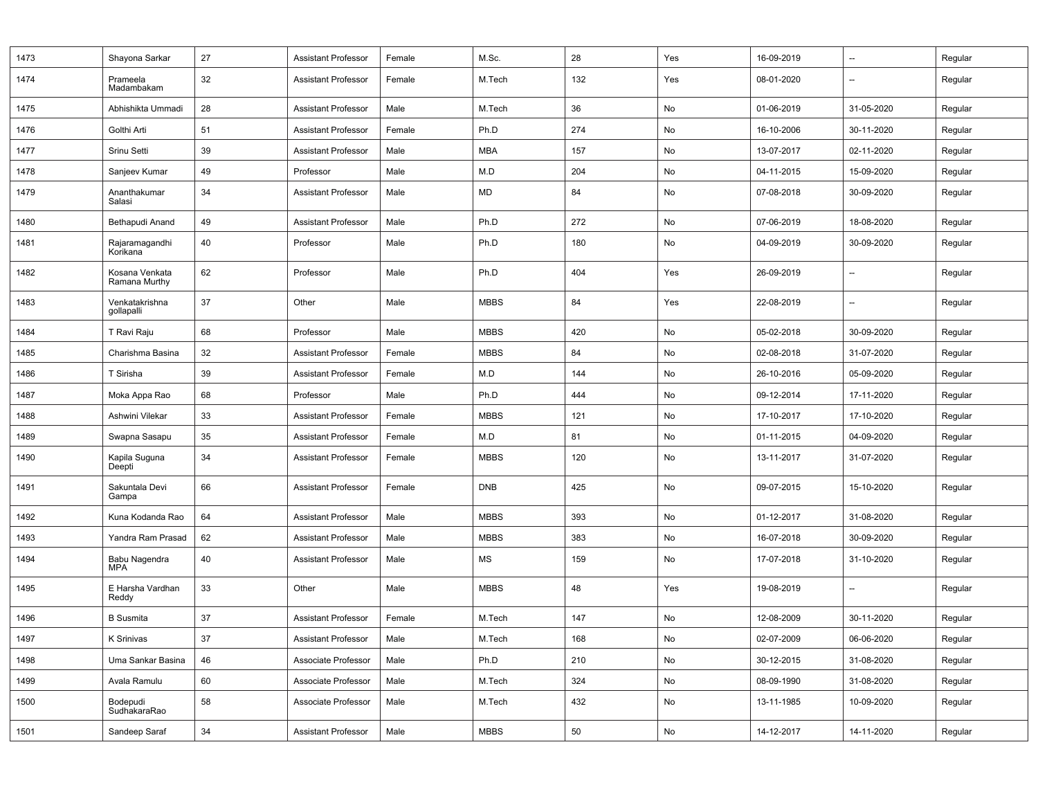| 1473 | Shayona Sarkar                  | 27 | <b>Assistant Professor</b> | Female | M.Sc.       | 28  | Yes | 16-09-2019 | --                       | Regular |
|------|---------------------------------|----|----------------------------|--------|-------------|-----|-----|------------|--------------------------|---------|
| 1474 | Prameela<br>Madambakam          | 32 | <b>Assistant Professor</b> | Female | M.Tech      | 132 | Yes | 08-01-2020 | $\overline{\phantom{a}}$ | Regular |
| 1475 | Abhishikta Ummadi               | 28 | <b>Assistant Professor</b> | Male   | M.Tech      | 36  | No  | 01-06-2019 | 31-05-2020               | Regular |
| 1476 | Golthi Arti                     | 51 | <b>Assistant Professor</b> | Female | Ph.D        | 274 | No  | 16-10-2006 | 30-11-2020               | Regular |
| 1477 | Srinu Setti                     | 39 | <b>Assistant Professor</b> | Male   | <b>MBA</b>  | 157 | No  | 13-07-2017 | 02-11-2020               | Regular |
| 1478 | Sanjeev Kumar                   | 49 | Professor                  | Male   | M.D         | 204 | No  | 04-11-2015 | 15-09-2020               | Regular |
| 1479 | Ananthakumar<br>Salasi          | 34 | <b>Assistant Professor</b> | Male   | MD          | 84  | No  | 07-08-2018 | 30-09-2020               | Regular |
| 1480 | Bethapudi Anand                 | 49 | <b>Assistant Professor</b> | Male   | Ph.D        | 272 | No  | 07-06-2019 | 18-08-2020               | Regular |
| 1481 | Rajaramagandhi<br>Korikana      | 40 | Professor                  | Male   | Ph.D        | 180 | No  | 04-09-2019 | 30-09-2020               | Regular |
| 1482 | Kosana Venkata<br>Ramana Murthy | 62 | Professor                  | Male   | Ph.D        | 404 | Yes | 26-09-2019 | --                       | Regular |
| 1483 | Venkatakrishna<br>gollapalli    | 37 | Other                      | Male   | <b>MBBS</b> | 84  | Yes | 22-08-2019 | $\overline{\phantom{a}}$ | Regular |
| 1484 | T Ravi Raju                     | 68 | Professor                  | Male   | <b>MBBS</b> | 420 | No  | 05-02-2018 | 30-09-2020               | Regular |
| 1485 | Charishma Basina                | 32 | <b>Assistant Professor</b> | Female | <b>MBBS</b> | 84  | No  | 02-08-2018 | 31-07-2020               | Regular |
| 1486 | T Sirisha                       | 39 | <b>Assistant Professor</b> | Female | M.D         | 144 | No  | 26-10-2016 | 05-09-2020               | Regular |
| 1487 | Moka Appa Rao                   | 68 | Professor                  | Male   | Ph.D        | 444 | No  | 09-12-2014 | 17-11-2020               | Regular |
| 1488 | Ashwini Vilekar                 | 33 | <b>Assistant Professor</b> | Female | <b>MBBS</b> | 121 | No  | 17-10-2017 | 17-10-2020               | Regular |
| 1489 | Swapna Sasapu                   | 35 | <b>Assistant Professor</b> | Female | M.D         | 81  | No  | 01-11-2015 | 04-09-2020               | Regular |
| 1490 | Kapila Suguna<br>Deepti         | 34 | <b>Assistant Professor</b> | Female | <b>MBBS</b> | 120 | No  | 13-11-2017 | 31-07-2020               | Regular |
| 1491 | Sakuntala Devi<br>Gampa         | 66 | <b>Assistant Professor</b> | Female | <b>DNB</b>  | 425 | No  | 09-07-2015 | 15-10-2020               | Regular |
| 1492 | Kuna Kodanda Rao                | 64 | <b>Assistant Professor</b> | Male   | <b>MBBS</b> | 393 | No  | 01-12-2017 | 31-08-2020               | Regular |
| 1493 | Yandra Ram Prasad               | 62 | <b>Assistant Professor</b> | Male   | <b>MBBS</b> | 383 | No  | 16-07-2018 | 30-09-2020               | Regular |
| 1494 | Babu Nagendra<br><b>MPA</b>     | 40 | <b>Assistant Professor</b> | Male   | MS          | 159 | No  | 17-07-2018 | 31-10-2020               | Regular |
| 1495 | E Harsha Vardhan<br>Reddy       | 33 | Other                      | Male   | <b>MBBS</b> | 48  | Yes | 19-08-2019 | $\overline{\phantom{a}}$ | Regular |
| 1496 | <b>B</b> Susmita                | 37 | <b>Assistant Professor</b> | Female | M.Tech      | 147 | No  | 12-08-2009 | 30-11-2020               | Regular |
| 1497 | K Srinivas                      | 37 | <b>Assistant Professor</b> | Male   | M.Tech      | 168 | No  | 02-07-2009 | 06-06-2020               | Regular |
| 1498 | Uma Sankar Basina               | 46 | Associate Professor        | Male   | Ph.D        | 210 | No  | 30-12-2015 | 31-08-2020               | Regular |
| 1499 | Avala Ramulu                    | 60 | Associate Professor        | Male   | M.Tech      | 324 | No  | 08-09-1990 | 31-08-2020               | Regular |
| 1500 | Bodepudi<br>SudhakaraRao        | 58 | Associate Professor        | Male   | M.Tech      | 432 | No  | 13-11-1985 | 10-09-2020               | Regular |
| 1501 | Sandeep Saraf                   | 34 | <b>Assistant Professor</b> | Male   | <b>MBBS</b> | 50  | No  | 14-12-2017 | 14-11-2020               | Regular |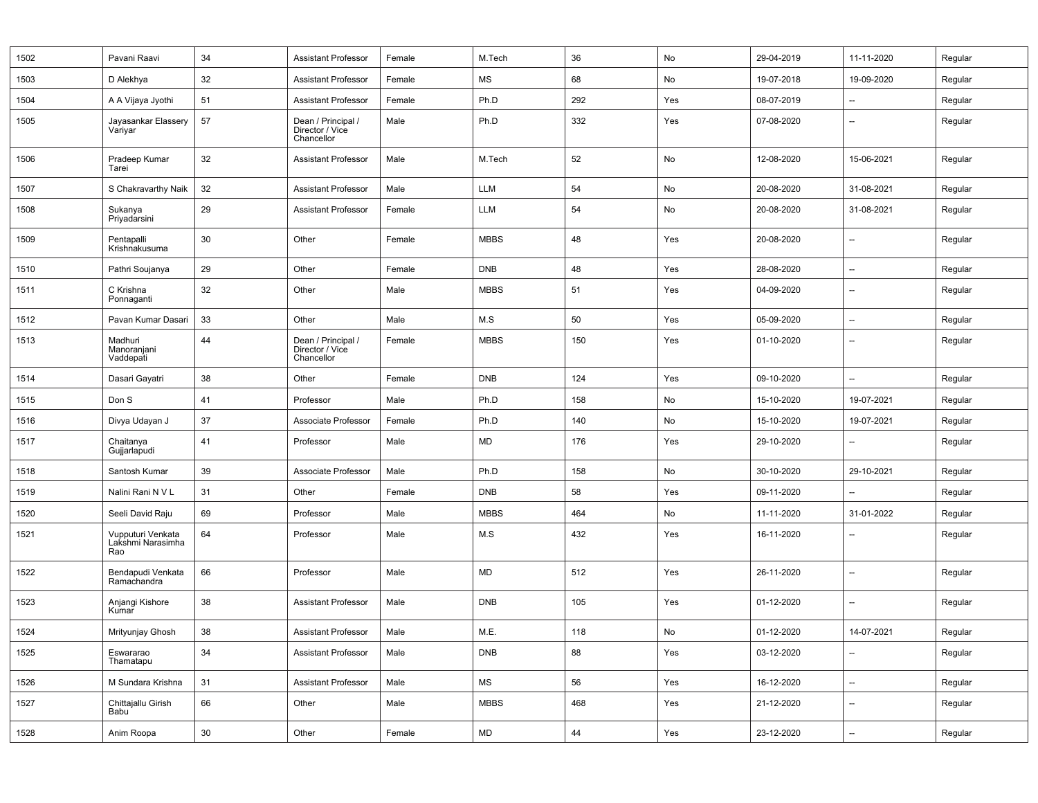| 1502 | Pavani Raavi                                  | 34     | <b>Assistant Professor</b>                          | Female | M.Tech      | 36  | No  | 29-04-2019 | 11-11-2020               | Regular |
|------|-----------------------------------------------|--------|-----------------------------------------------------|--------|-------------|-----|-----|------------|--------------------------|---------|
| 1503 | D Alekhya                                     | 32     | Assistant Professor                                 | Female | MS          | 68  | No  | 19-07-2018 | 19-09-2020               | Regular |
| 1504 | A A Vijaya Jyothi                             | 51     | <b>Assistant Professor</b>                          | Female | Ph.D        | 292 | Yes | 08-07-2019 | $\overline{\phantom{a}}$ | Regular |
| 1505 | Jayasankar Elassery<br>Variyar                | 57     | Dean / Principal /<br>Director / Vice<br>Chancellor | Male   | Ph.D        | 332 | Yes | 07-08-2020 | $\overline{\phantom{a}}$ | Regular |
| 1506 | Pradeep Kumar<br>Tarei                        | 32     | <b>Assistant Professor</b>                          | Male   | M.Tech      | 52  | No  | 12-08-2020 | 15-06-2021               | Regular |
| 1507 | S Chakravarthy Naik                           | 32     | <b>Assistant Professor</b>                          | Male   | LLM         | 54  | No  | 20-08-2020 | 31-08-2021               | Regular |
| 1508 | Sukanya<br>Priyadarsini                       | 29     | <b>Assistant Professor</b>                          | Female | LLM         | 54  | No  | 20-08-2020 | 31-08-2021               | Regular |
| 1509 | Pentapalli<br>Krishnakusuma                   | 30     | Other                                               | Female | <b>MBBS</b> | 48  | Yes | 20-08-2020 | $\overline{\phantom{a}}$ | Regular |
| 1510 | Pathri Soujanya                               | 29     | Other                                               | Female | <b>DNB</b>  | 48  | Yes | 28-08-2020 | --                       | Regular |
| 1511 | C Krishna<br>Ponnaganti                       | 32     | Other                                               | Male   | <b>MBBS</b> | 51  | Yes | 04-09-2020 | $\overline{\phantom{a}}$ | Regular |
| 1512 | Pavan Kumar Dasari                            | 33     | Other                                               | Male   | M.S         | 50  | Yes | 05-09-2020 | $\overline{\phantom{a}}$ | Regular |
| 1513 | Madhuri<br>Manoranjani<br>Vaddepati           | 44     | Dean / Principal /<br>Director / Vice<br>Chancellor | Female | <b>MBBS</b> | 150 | Yes | 01-10-2020 | $\overline{\phantom{a}}$ | Regular |
| 1514 | Dasari Gayatri                                | 38     | Other                                               | Female | <b>DNB</b>  | 124 | Yes | 09-10-2020 | $\overline{\phantom{a}}$ | Regular |
| 1515 | Don S                                         | 41     | Professor                                           | Male   | Ph.D        | 158 | No  | 15-10-2020 | 19-07-2021               | Regular |
| 1516 | Divya Udayan J                                | 37     | Associate Professor                                 | Female | Ph.D        | 140 | No  | 15-10-2020 | 19-07-2021               | Regular |
| 1517 | Chaitanya<br>Gujjarlapudi                     | 41     | Professor                                           | Male   | <b>MD</b>   | 176 | Yes | 29-10-2020 | $\overline{\phantom{a}}$ | Regular |
| 1518 | Santosh Kumar                                 | 39     | Associate Professor                                 | Male   | Ph.D        | 158 | No  | 30-10-2020 | 29-10-2021               | Regular |
| 1519 | Nalini Rani N V L                             | 31     | Other                                               | Female | <b>DNB</b>  | 58  | Yes | 09-11-2020 |                          | Regular |
| 1520 | Seeli David Raju                              | 69     | Professor                                           | Male   | <b>MBBS</b> | 464 | No  | 11-11-2020 | 31-01-2022               | Regular |
| 1521 | Vupputuri Venkata<br>Lakshmi Narasimha<br>Rao | 64     | Professor                                           | Male   | M.S         | 432 | Yes | 16-11-2020 | $\overline{\phantom{a}}$ | Regular |
| 1522 | Bendapudi Venkata<br>Ramachandra              | 66     | Professor                                           | Male   | <b>MD</b>   | 512 | Yes | 26-11-2020 | $\overline{\phantom{a}}$ | Regular |
| 1523 | Anjangi Kishore<br>Kumar                      | 38     | <b>Assistant Professor</b>                          | Male   | <b>DNB</b>  | 105 | Yes | 01-12-2020 | $\overline{\phantom{a}}$ | Regular |
| 1524 | Mrityunjay Ghosh                              | 38     | <b>Assistant Professor</b>                          | Male   | M.E.        | 118 | No  | 01-12-2020 | 14-07-2021               | Regular |
| 1525 | Eswararao<br>Thamatapu                        | 34     | Assistant Professor                                 | Male   | <b>DNB</b>  | 88  | Yes | 03-12-2020 | $\overline{\phantom{a}}$ | Regular |
| 1526 | M Sundara Krishna                             | 31     | <b>Assistant Professor</b>                          | Male   | MS          | 56  | Yes | 16-12-2020 | $\overline{\phantom{a}}$ | Regular |
| 1527 | Chittajallu Girish<br>Babu <sup>1</sup>       | 66     | Other                                               | Male   | <b>MBBS</b> | 468 | Yes | 21-12-2020 | $\overline{\phantom{a}}$ | Regular |
| 1528 | Anim Roopa                                    | $30\,$ | Other                                               | Female | MD          | 44  | Yes | 23-12-2020 | --                       | Regular |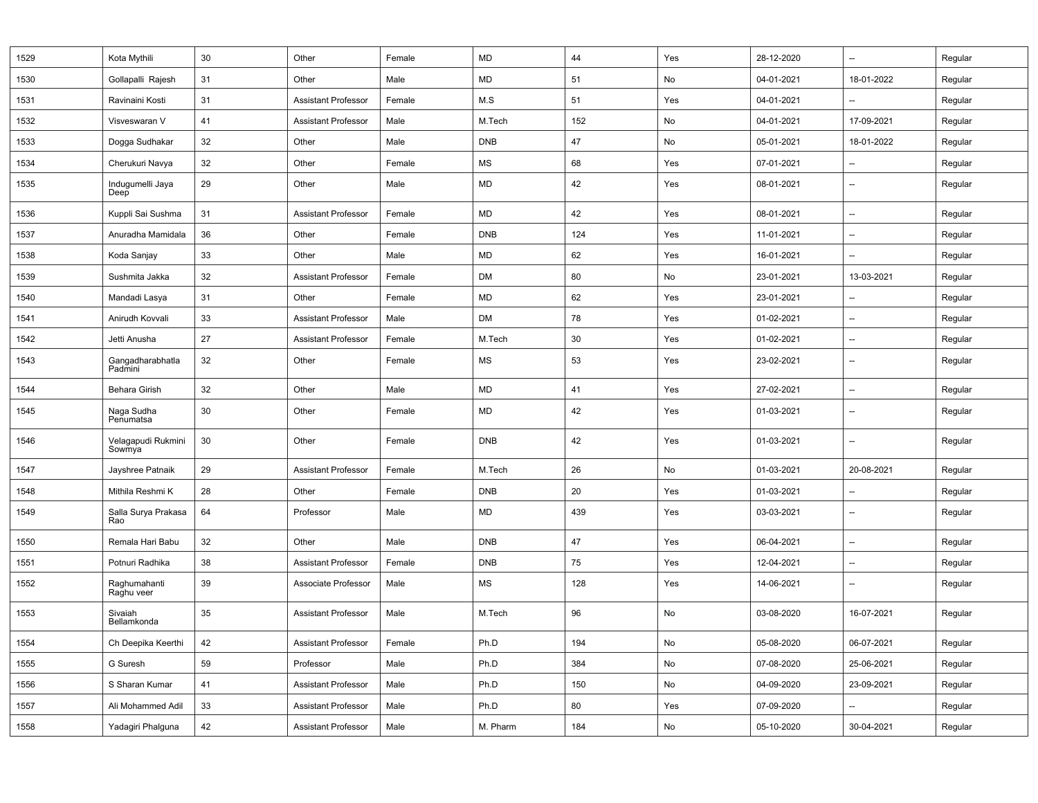| 1529 | Kota Mythili                 | 30 | Other                      | Female | MD         | 44  | Yes | 28-12-2020 | --         | Regular |
|------|------------------------------|----|----------------------------|--------|------------|-----|-----|------------|------------|---------|
| 1530 | Gollapalli Rajesh            | 31 | Other                      | Male   | MD         | 51  | No  | 04-01-2021 | 18-01-2022 | Regular |
| 1531 | Ravinaini Kosti              | 31 | <b>Assistant Professor</b> | Female | M.S        | 51  | Yes | 04-01-2021 | --         | Regular |
| 1532 | Visveswaran V                | 41 | <b>Assistant Professor</b> | Male   | M.Tech     | 152 | No  | 04-01-2021 | 17-09-2021 | Regular |
| 1533 | Dogga Sudhakar               | 32 | Other                      | Male   | <b>DNB</b> | 47  | No  | 05-01-2021 | 18-01-2022 | Regular |
| 1534 | Cherukuri Navya              | 32 | Other                      | Female | MS         | 68  | Yes | 07-01-2021 | --         | Regular |
| 1535 | Indugumelli Jaya<br>Deep     | 29 | Other                      | Male   | <b>MD</b>  | 42  | Yes | 08-01-2021 | --         | Regular |
| 1536 | Kuppli Sai Sushma            | 31 | <b>Assistant Professor</b> | Female | <b>MD</b>  | 42  | Yes | 08-01-2021 | --         | Regular |
| 1537 | Anuradha Mamidala            | 36 | Other                      | Female | <b>DNB</b> | 124 | Yes | 11-01-2021 | --         | Regular |
| 1538 | Koda Sanjay                  | 33 | Other                      | Male   | <b>MD</b>  | 62  | Yes | 16-01-2021 | --         | Regular |
| 1539 | Sushmita Jakka               | 32 | <b>Assistant Professor</b> | Female | DM         | 80  | No  | 23-01-2021 | 13-03-2021 | Regular |
| 1540 | Mandadi Lasya                | 31 | Other                      | Female | MD         | 62  | Yes | 23-01-2021 | --         | Regular |
| 1541 | Anirudh Kovvali              | 33 | <b>Assistant Professor</b> | Male   | <b>DM</b>  | 78  | Yes | 01-02-2021 | --         | Regular |
| 1542 | Jetti Anusha                 | 27 | <b>Assistant Professor</b> | Female | M.Tech     | 30  | Yes | 01-02-2021 | --         | Regular |
| 1543 | Gangadharabhatla<br>Padmini  | 32 | Other                      | Female | MS         | 53  | Yes | 23-02-2021 | --         | Regular |
| 1544 | <b>Behara Girish</b>         | 32 | Other                      | Male   | MD         | 41  | Yes | 27-02-2021 | --         | Regular |
| 1545 | Naga Sudha<br>Penumatsa      | 30 | Other                      | Female | <b>MD</b>  | 42  | Yes | 01-03-2021 | --         | Regular |
| 1546 | Velagapudi Rukmini<br>Sowmya | 30 | Other                      | Female | <b>DNB</b> | 42  | Yes | 01-03-2021 | --         | Regular |
| 1547 | Jayshree Patnaik             | 29 | <b>Assistant Professor</b> | Female | M.Tech     | 26  | No  | 01-03-2021 | 20-08-2021 | Regular |
| 1548 | Mithila Reshmi K             | 28 | Other                      | Female | <b>DNB</b> | 20  | Yes | 01-03-2021 | --         | Regular |
| 1549 | Salla Surya Prakasa<br>Rao   | 64 | Professor                  | Male   | <b>MD</b>  | 439 | Yes | 03-03-2021 | --         | Regular |
| 1550 | Remala Hari Babu             | 32 | Other                      | Male   | <b>DNB</b> | 47  | Yes | 06-04-2021 | --         | Regular |
| 1551 | Potnuri Radhika              | 38 | <b>Assistant Professor</b> | Female | <b>DNB</b> | 75  | Yes | 12-04-2021 | --         | Regular |
| 1552 | Raghumahanti<br>Raghu veer   | 39 | Associate Professor        | Male   | MS         | 128 | Yes | 14-06-2021 | --         | Regular |
| 1553 | Sivaiah<br>Bellamkonda       | 35 | <b>Assistant Professor</b> | Male   | M.Tech     | 96  | No  | 03-08-2020 | 16-07-2021 | Regular |
| 1554 | Ch Deepika Keerthi           | 42 | <b>Assistant Professor</b> | Female | Ph.D       | 194 | No  | 05-08-2020 | 06-07-2021 | Regular |
| 1555 | G Suresh                     | 59 | Professor                  | Male   | Ph.D       | 384 | No  | 07-08-2020 | 25-06-2021 | Regular |
| 1556 | S Sharan Kumar               | 41 | <b>Assistant Professor</b> | Male   | Ph.D       | 150 | No  | 04-09-2020 | 23-09-2021 | Regular |
| 1557 | Ali Mohammed Adil            | 33 | <b>Assistant Professor</b> | Male   | Ph.D       | 80  | Yes | 07-09-2020 | --         | Regular |
| 1558 | Yadagiri Phalguna            | 42 | <b>Assistant Professor</b> | Male   | M. Pharm   | 184 | No  | 05-10-2020 | 30-04-2021 | Regular |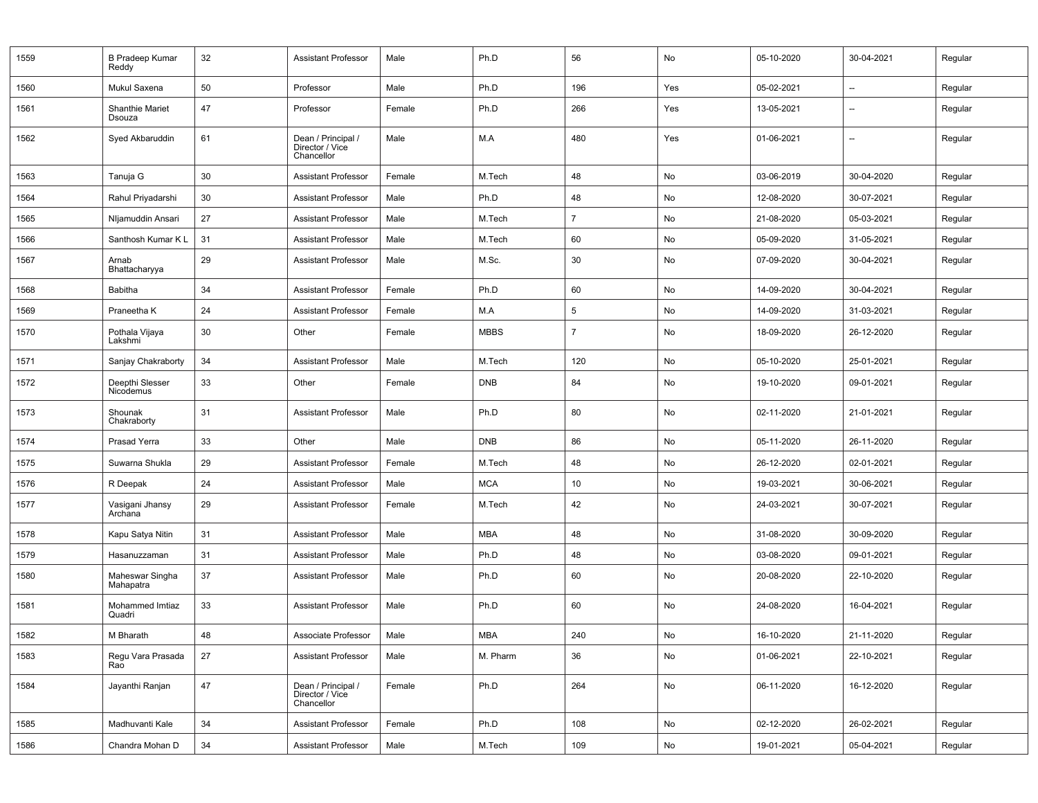| 1559 | <b>B Pradeep Kumar</b><br>Reddy  | 32 | <b>Assistant Professor</b>                          | Male   | Ph.D        | 56             | No         | 05-10-2020 | 30-04-2021               | Regular |
|------|----------------------------------|----|-----------------------------------------------------|--------|-------------|----------------|------------|------------|--------------------------|---------|
| 1560 | Mukul Saxena                     | 50 | Professor                                           | Male   | Ph.D        | 196            | Yes        | 05-02-2021 | --                       | Regular |
| 1561 | <b>Shanthie Mariet</b><br>Dsouza | 47 | Professor                                           | Female | Ph.D        | 266            | Yes        | 13-05-2021 | $\overline{\phantom{a}}$ | Regular |
| 1562 | Syed Akbaruddin                  | 61 | Dean / Principal /<br>Director / Vice<br>Chancellor | Male   | M.A         | 480            | Yes        | 01-06-2021 | $\overline{\phantom{a}}$ | Regular |
| 1563 | Tanuja G                         | 30 | <b>Assistant Professor</b>                          | Female | M.Tech      | 48             | No         | 03-06-2019 | 30-04-2020               | Regular |
| 1564 | Rahul Priyadarshi                | 30 | <b>Assistant Professor</b>                          | Male   | Ph.D        | 48             | No         | 12-08-2020 | 30-07-2021               | Regular |
| 1565 | Nljamuddin Ansari                | 27 | <b>Assistant Professor</b>                          | Male   | M.Tech      | $\overline{7}$ | No         | 21-08-2020 | 05-03-2021               | Regular |
| 1566 | Santhosh Kumar K L               | 31 | <b>Assistant Professor</b>                          | Male   | M.Tech      | 60             | No         | 05-09-2020 | 31-05-2021               | Regular |
| 1567 | Arnab<br>Bhattacharyya           | 29 | <b>Assistant Professor</b>                          | Male   | M.Sc.       | 30             | No         | 07-09-2020 | 30-04-2021               | Regular |
| 1568 | Babitha                          | 34 | <b>Assistant Professor</b>                          | Female | Ph.D        | 60             | No         | 14-09-2020 | 30-04-2021               | Regular |
| 1569 | Praneetha K                      | 24 | <b>Assistant Professor</b>                          | Female | M.A         | 5              | No         | 14-09-2020 | 31-03-2021               | Regular |
| 1570 | Pothala Vijaya<br>Lakshmi        | 30 | Other                                               | Female | <b>MBBS</b> | $\overline{7}$ | No         | 18-09-2020 | 26-12-2020               | Regular |
| 1571 | Sanjay Chakraborty               | 34 | <b>Assistant Professor</b>                          | Male   | M.Tech      | 120            | No         | 05-10-2020 | 25-01-2021               | Regular |
| 1572 | Deepthi Slesser<br>Nicodemus     | 33 | Other                                               | Female | <b>DNB</b>  | 84             | No         | 19-10-2020 | 09-01-2021               | Regular |
| 1573 | Shounak<br>Chakraborty           | 31 | <b>Assistant Professor</b>                          | Male   | Ph.D        | 80             | No         | 02-11-2020 | 21-01-2021               | Regular |
| 1574 | Prasad Yerra                     | 33 | Other                                               | Male   | <b>DNB</b>  | 86             | No         | 05-11-2020 | 26-11-2020               | Regular |
| 1575 | Suwarna Shukla                   | 29 | <b>Assistant Professor</b>                          | Female | M.Tech      | 48             | No         | 26-12-2020 | 02-01-2021               | Regular |
| 1576 | R Deepak                         | 24 | <b>Assistant Professor</b>                          | Male   | <b>MCA</b>  | 10             | No         | 19-03-2021 | 30-06-2021               | Regular |
| 1577 | Vasigani Jhansy<br>Archana       | 29 | <b>Assistant Professor</b>                          | Female | M.Tech      | 42             | No         | 24-03-2021 | 30-07-2021               | Regular |
| 1578 | Kapu Satya Nitin                 | 31 | <b>Assistant Professor</b>                          | Male   | <b>MBA</b>  | 48             | No         | 31-08-2020 | 30-09-2020               | Regular |
| 1579 | Hasanuzzaman                     | 31 | <b>Assistant Professor</b>                          | Male   | Ph.D        | 48             | No         | 03-08-2020 | 09-01-2021               | Regular |
| 1580 | Maheswar Singha<br>Mahapatra     | 37 | <b>Assistant Professor</b>                          | Male   | Ph.D        | 60             | No         | 20-08-2020 | 22-10-2020               | Regular |
| 1581 | Mohammed Imtiaz<br>Quadri        | 33 | <b>Assistant Professor</b>                          | Male   | Ph.D        | 60             | No         | 24-08-2020 | 16-04-2021               | Regular |
| 1582 | M Bharath                        | 48 | Associate Professor                                 | Male   | MBA         | 240            | ${\sf No}$ | 16-10-2020 | 21-11-2020               | Regular |
| 1583 | Regu Vara Prasada<br>Rao         | 27 | <b>Assistant Professor</b>                          | Male   | M. Pharm    | 36             | No         | 01-06-2021 | 22-10-2021               | Regular |
| 1584 | Jayanthi Ranjan                  | 47 | Dean / Principal /<br>Director / Vice<br>Chancellor | Female | Ph.D        | 264            | No         | 06-11-2020 | 16-12-2020               | Regular |
| 1585 | Madhuvanti Kale                  | 34 | <b>Assistant Professor</b>                          | Female | Ph.D        | 108            | No         | 02-12-2020 | 26-02-2021               | Regular |
| 1586 | Chandra Mohan D                  | 34 | <b>Assistant Professor</b>                          | Male   | M.Tech      | 109            | No         | 19-01-2021 | 05-04-2021               | Regular |